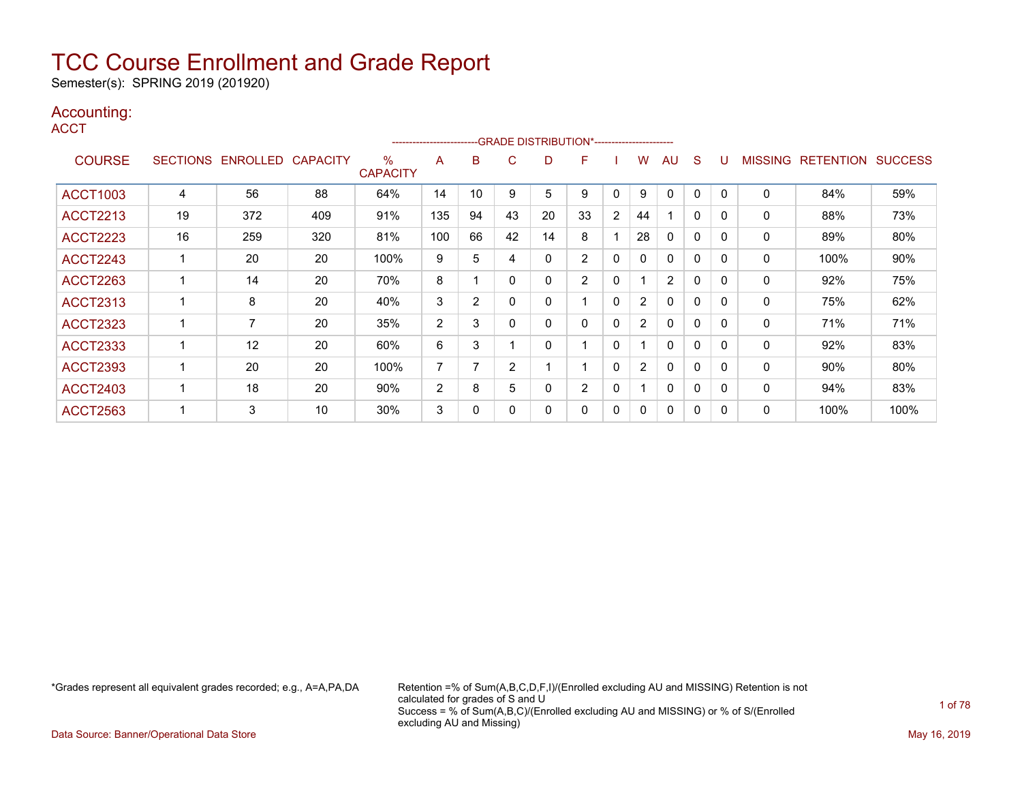Semester(s): SPRING 2019 (201920)

### Accounting:

**ACCT** 

|                 |                 |                 |                 |                         | ----------------------- |                | --GRADE DISTRIBUTION*----------------------- |    |                |                |                |                |              |              |              |                  |                |
|-----------------|-----------------|-----------------|-----------------|-------------------------|-------------------------|----------------|----------------------------------------------|----|----------------|----------------|----------------|----------------|--------------|--------------|--------------|------------------|----------------|
| <b>COURSE</b>   | <b>SECTIONS</b> | <b>ENROLLED</b> | <b>CAPACITY</b> | $\%$<br><b>CAPACITY</b> | A                       | В              | С                                            | D  | F              |                | W              | AU             | S            |              | MISSING      | <b>RETENTION</b> | <b>SUCCESS</b> |
| <b>ACCT1003</b> | 4               | 56              | 88              | 64%                     | 14                      | 10             | 9                                            | 5  | 9              | 0              | 9              |                | $\Omega$     | 0            | $\mathbf{0}$ | 84%              | 59%            |
| <b>ACCT2213</b> | 19              | 372             | 409             | 91%                     | 135                     | 94             | 43                                           | 20 | 33             | $\overline{2}$ | 44             |                | $\mathbf{0}$ | $\mathbf{0}$ | 0            | 88%              | 73%            |
| <b>ACCT2223</b> | 16              | 259             | 320             | 81%                     | 100                     | 66             | 42                                           | 14 | 8              |                | 28             | $\Omega$       | 0            | $\Omega$     | 0            | 89%              | 80%            |
| <b>ACCT2243</b> |                 | 20              | 20              | 100%                    | 9                       | 5              | 4                                            | 0  | $\overline{2}$ | 0              | 0              | $\mathbf{0}$   | $\Omega$     | $\Omega$     | 0            | 100%             | 90%            |
| <b>ACCT2263</b> |                 | 14              | 20              | 70%                     | 8                       |                |                                              | 0  | $\overline{2}$ | 0              |                | $\overline{2}$ | $\mathbf 0$  | 0            | 0            | 92%              | 75%            |
| <b>ACCT2313</b> |                 | 8               | 20              | 40%                     | 3                       | $\overline{2}$ |                                              | 0  |                | 0              | $\overline{2}$ | 0              | 0            | 0            | 0            | 75%              | 62%            |
| <b>ACCT2323</b> |                 | 7               | 20              | 35%                     | $\overline{2}$          | 3              |                                              | 0  | 0              | 0              | $\overline{2}$ | $\Omega$       | 0            | 0            | 0            | 71%              | 71%            |
| <b>ACCT2333</b> |                 | 12              | 20              | 60%                     | 6                       | 3              |                                              | 0  |                | 0              |                | $\Omega$       | $\Omega$     | $\Omega$     | $\mathbf 0$  | 92%              | 83%            |
| <b>ACCT2393</b> |                 | 20              | 20              | 100%                    | 7                       | 7              | 2                                            |    |                | 0              | $\overline{2}$ | $\mathbf{0}$   | $\Omega$     | $\Omega$     | 0            | 90%              | 80%            |
| <b>ACCT2403</b> |                 | 18              | 20              | 90%                     | $\overline{2}$          | 8              | 5                                            | 0  | $\overline{2}$ | 0              | 1              | $\Omega$       | $\Omega$     | $\Omega$     | $\mathbf{0}$ | 94%              | 83%            |
| <b>ACCT2563</b> |                 | 3               | 10              | 30%                     | 3                       | 0              |                                              | 0  | 0              | 0              | 0              | $\mathbf{0}$   | $\mathbf{0}$ | $\Omega$     | 0            | 100%             | 100%           |

\*Grades represent all equivalent grades recorded; e.g., A=A,PA,DA Retention =% of Sum(A,B,C,D,F,I)/(Enrolled excluding AU and MISSING) Retention is not calculated for grades of S and U Success = % of Sum(A,B,C)/(Enrolled excluding AU and MISSING) or % of S/(Enrolled excluding AU and Missing)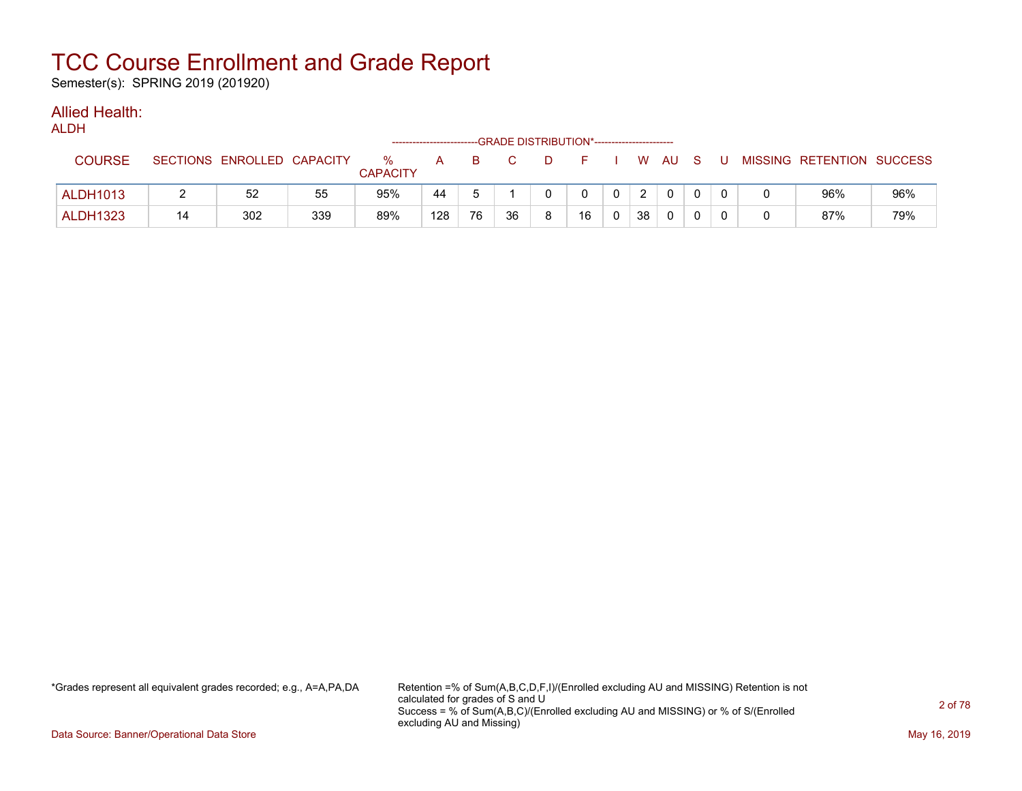Semester(s): SPRING 2019 (201920)

#### Allied Health: ALDH<sub>1</sub>

| ALDN            |    |                            |     |                         |     |    | --GRADE DISTRIBUTION*----------------------- |   |          |                |    |          |     |                           |     |
|-----------------|----|----------------------------|-----|-------------------------|-----|----|----------------------------------------------|---|----------|----------------|----|----------|-----|---------------------------|-----|
| <b>COURSE</b>   |    | SECTIONS ENROLLED CAPACITY |     | $\%$<br><b>CAPACITY</b> | A   | B. |                                              | D | н.       |                |    | WAUS.    | - U | MISSING RETENTION SUCCESS |     |
| <b>ALDH1013</b> |    | 52                         | 55  | 95%                     | 44  |    |                                              |   | $\Omega$ | 0 <sup>1</sup> | 2  | $\Omega$ |     | 96%                       | 96% |
| <b>ALDH1323</b> | 14 | 302                        | 339 | 89%                     | 128 | 76 | 36                                           | 8 | 16       | $\mathbf{0}$   | 38 | 0        |     | 87%                       | 79% |

\*Grades represent all equivalent grades recorded; e.g., A=A,PA,DA Retention =% of Sum(A,B,C,D,F,I)/(Enrolled excluding AU and MISSING) Retention is not calculated for grades of S and U Success = % of Sum(A,B,C)/(Enrolled excluding AU and MISSING) or % of S/(Enrolled excluding AU and Missing)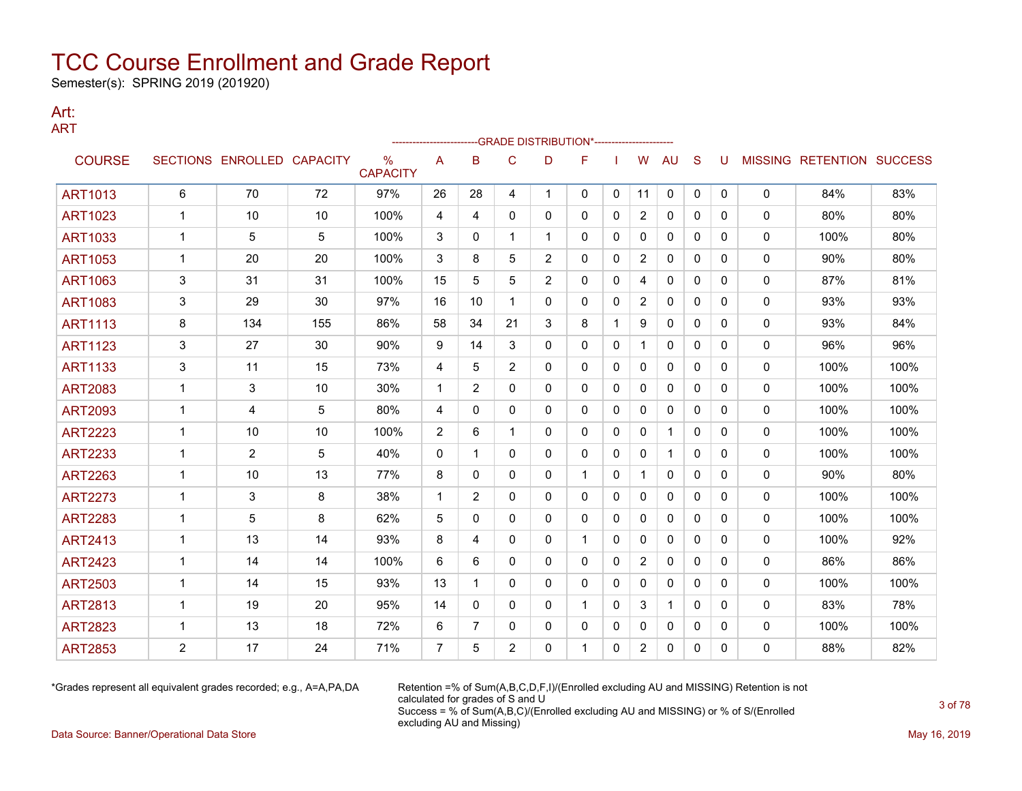Semester(s): SPRING 2019 (201920)

#### Art: ART

|                |              |                            |     |                         |              |                |                | -GRADE DISTRIBUTION*---------------------- |             |              |                |              |              |          |              |                           |      |
|----------------|--------------|----------------------------|-----|-------------------------|--------------|----------------|----------------|--------------------------------------------|-------------|--------------|----------------|--------------|--------------|----------|--------------|---------------------------|------|
| <b>COURSE</b>  |              | SECTIONS ENROLLED CAPACITY |     | $\%$<br><b>CAPACITY</b> | A            | B              | C              | D                                          | F           |              | W              | AU           | S            | U        |              | MISSING RETENTION SUCCESS |      |
| <b>ART1013</b> | 6            | 70                         | 72  | 97%                     | 26           | 28             | 4              | $\mathbf{1}$                               | 0           | $\mathbf{0}$ | 11             | 0            | $\mathbf{0}$ | 0        | 0            | 84%                       | 83%  |
| <b>ART1023</b> | 1            | 10                         | 10  | 100%                    | 4            | 4              | $\mathbf{0}$   | 0                                          | 0           | 0            | $\overline{c}$ | $\mathbf{0}$ | $\Omega$     | 0        | $\mathbf 0$  | 80%                       | 80%  |
| <b>ART1033</b> | 1            | 5                          | 5   | 100%                    | 3            | 0              |                | 1                                          | 0           | 0            | 0              | 0            | $\mathbf{0}$ | 0        | 0            | 100%                      | 80%  |
| <b>ART1053</b> | 1            | 20                         | 20  | 100%                    | 3            | 8              | 5              | $\overline{2}$                             | 0           | 0            | $\overline{2}$ | 0            | 0            | 0        | 0            | 90%                       | 80%  |
| <b>ART1063</b> | 3            | 31                         | 31  | 100%                    | 15           | 5              | 5              | $\overline{2}$                             | 0           | $\mathbf{0}$ | 4              | $\mathbf{0}$ | $\mathbf{0}$ | 0        | 0            | 87%                       | 81%  |
| <b>ART1083</b> | 3            | 29                         | 30  | 97%                     | 16           | 10             | $\mathbf 1$    | 0                                          | 0           | $\mathbf{0}$ | $\overline{2}$ | $\mathbf{0}$ | $\Omega$     | 0        | $\mathbf 0$  | 93%                       | 93%  |
| <b>ART1113</b> | 8            | 134                        | 155 | 86%                     | 58           | 34             | 21             | 3                                          | 8           | 1            | 9              | 0            | $\mathbf{0}$ | 0        | 0            | 93%                       | 84%  |
| <b>ART1123</b> | 3            | 27                         | 30  | 90%                     | 9            | 14             | 3              | 0                                          | 0           | 0            | $\mathbf 1$    | $\mathbf{0}$ | $\mathbf{0}$ | 0        | 0            | 96%                       | 96%  |
| <b>ART1133</b> | 3            | 11                         | 15  | 73%                     | 4            | 5              | $\overline{2}$ | 0                                          | 0           | $\mathbf{0}$ | $\mathbf{0}$   | $\mathbf{0}$ | $\Omega$     | 0        | 0            | 100%                      | 100% |
| <b>ART2083</b> | $\mathbf{1}$ | 3                          | 10  | 30%                     | $\mathbf{1}$ | $\overline{2}$ | 0              | 0                                          | 0           | $\mathbf{0}$ | 0              | $\mathbf{0}$ | $\Omega$     | 0        | 0            | 100%                      | 100% |
| <b>ART2093</b> | 1            | 4                          | 5   | 80%                     | 4            | 0              | 0              | 0                                          | 0           | 0            | 0              | 0            | 0            | 0        | 0            | 100%                      | 100% |
| <b>ART2223</b> | 1            | 10                         | 10  | 100%                    | 2            | 6              |                | 0                                          | 0           | 0            | 0              | 1            | $\mathbf{0}$ | 0        | 0            | 100%                      | 100% |
| <b>ART2233</b> | $\mathbf 1$  | $\overline{2}$             | 5   | 40%                     | $\mathbf{0}$ | 1              | $\mathbf{0}$   | 0                                          | 0           | $\mathbf{0}$ | 0              | $\mathbf 1$  | $\mathbf{0}$ | 0        | 0            | 100%                      | 100% |
| <b>ART2263</b> | $\mathbf{1}$ | 10                         | 13  | 77%                     | 8            | $\mathbf{0}$   | 0              | 0                                          | $\mathbf 1$ | 0            | $\mathbf{1}$   | $\mathbf{0}$ | $\mathbf{0}$ | 0        | 0            | 90%                       | 80%  |
| <b>ART2273</b> | $\mathbf 1$  | 3                          | 8   | 38%                     | $\mathbf 1$  | $\overline{2}$ | 0              | 0                                          | 0           | $\mathbf{0}$ | $\mathbf{0}$   | $\mathbf{0}$ | $\mathbf{0}$ | 0        | $\mathbf 0$  | 100%                      | 100% |
| <b>ART2283</b> | 1            | 5                          | 8   | 62%                     | 5            | 0              | 0              | 0                                          | 0           | 0            | $\Omega$       | $\mathbf{0}$ | $\Omega$     | 0        | 0            | 100%                      | 100% |
| <b>ART2413</b> | 1            | 13                         | 14  | 93%                     | 8            | 4              | 0              | 0                                          | $\mathbf 1$ | $\mathbf{0}$ | $\mathbf{0}$   | $\mathbf{0}$ | $\Omega$     | 0        | $\mathbf 0$  | 100%                      | 92%  |
| <b>ART2423</b> | 1            | 14                         | 14  | 100%                    | 6            | 6              | 0              | 0                                          | 0           | 0            | 2              | $\mathbf{0}$ | $\Omega$     | 0        | 0            | 86%                       | 86%  |
| <b>ART2503</b> | $\mathbf 1$  | 14                         | 15  | 93%                     | 13           | 1              | 0              | 0                                          | 0           | 0            | 0              | $\mathbf{0}$ | $\mathbf{0}$ | 0        | $\mathbf 0$  | 100%                      | 100% |
| <b>ART2813</b> | 1            | 19                         | 20  | 95%                     | 14           | 0              | 0              | 0                                          | 1.          | 0            | 3              | 1            | $\mathbf{0}$ | 0        | 0            | 83%                       | 78%  |
| <b>ART2823</b> | 1            | 13                         | 18  | 72%                     | 6            | 7              | 0              | 0                                          | 0           | 0            | 0              | 0            | 0            | 0        | 0            | 100%                      | 100% |
| <b>ART2853</b> | 2            | 17                         | 24  | 71%                     | 7            | 5              | 2              | 0                                          | 1           | $\mathbf{0}$ | $\overline{2}$ | 0            | 0            | $\Omega$ | $\mathbf{0}$ | 88%                       | 82%  |

\*Grades represent all equivalent grades recorded; e.g., A=A,PA,DA Retention =% of Sum(A,B,C,D,F,I)/(Enrolled excluding AU and MISSING) Retention is not calculated for grades of S and U Success = % of Sum(A,B,C)/(Enrolled excluding AU and MISSING) or % of S/(Enrolled excluding AU and Missing)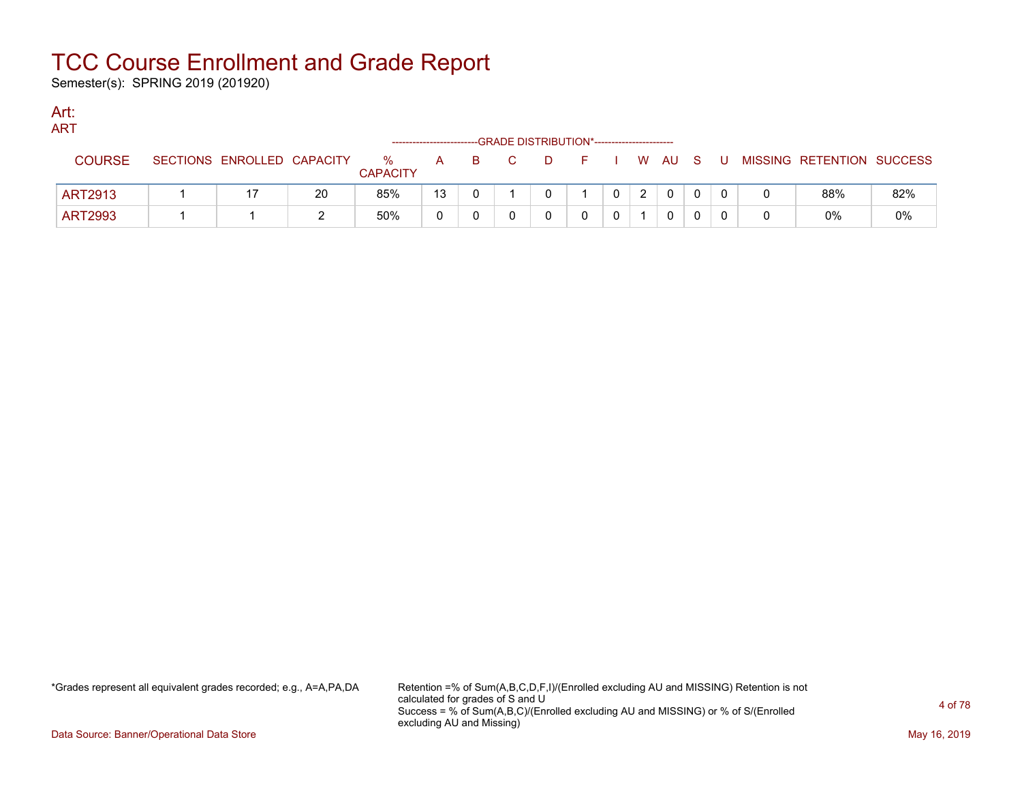Semester(s): SPRING 2019 (201920)

#### Art: ART

| .              |                            |    |                      |    |  | --GRADE DISTRIBUTION*----------------------- |  |          |    |    |                           |     |
|----------------|----------------------------|----|----------------------|----|--|----------------------------------------------|--|----------|----|----|---------------------------|-----|
| <b>COURSE</b>  | SECTIONS ENROLLED CAPACITY |    | %<br><b>CAPACITY</b> | A  |  |                                              |  | W AU     | S. | -U | MISSING RETENTION SUCCESS |     |
| <b>ART2913</b> |                            | 20 | 85%                  | 13 |  |                                              |  | $\Omega$ |    |    | 88%                       | 82% |
| <b>ART2993</b> |                            |    | 50%                  |    |  |                                              |  | 0        |    |    | 0%                        | 0%  |

\*Grades represent all equivalent grades recorded; e.g., A=A,PA,DA Retention =% of Sum(A,B,C,D,F,I)/(Enrolled excluding AU and MISSING) Retention is not calculated for grades of S and U Success = % of Sum(A,B,C)/(Enrolled excluding AU and MISSING) or % of S/(Enrolled excluding AU and Missing)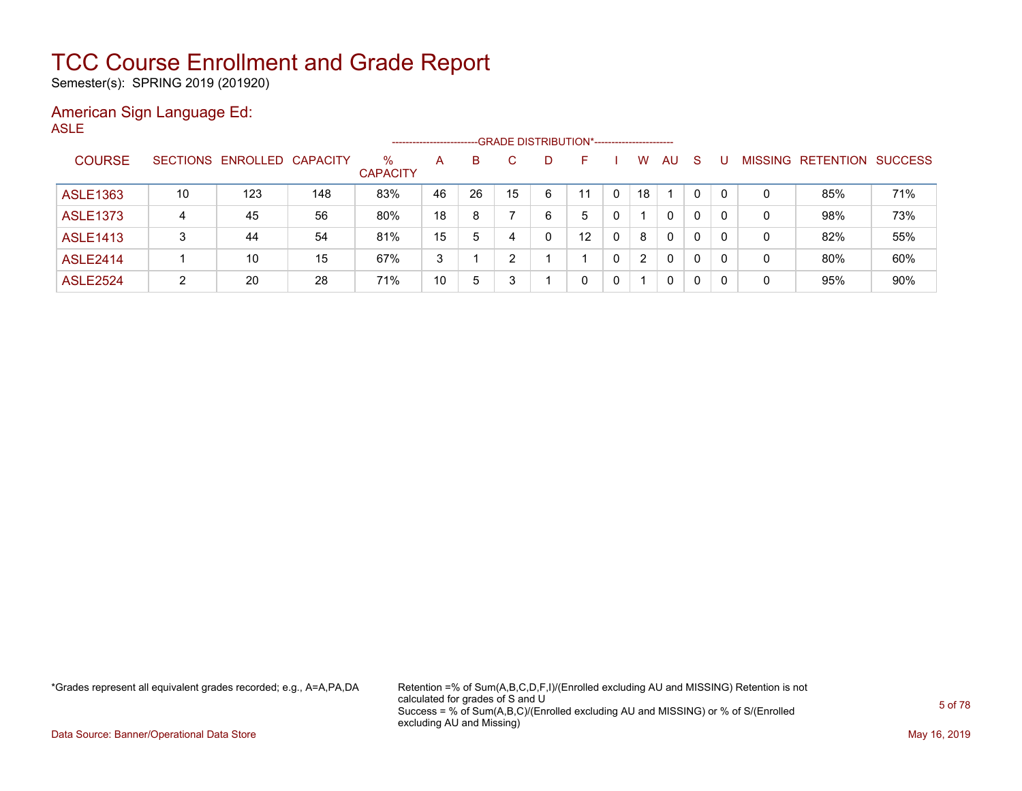Semester(s): SPRING 2019 (201920)

#### American Sign Language Ed: ASLE

|                 |    |                            |     | -------------------     |    |    |    |    | -GRADE DISTRIBUTION*----------------------- |   |                |              |              |   |                |                  |                |
|-----------------|----|----------------------------|-----|-------------------------|----|----|----|----|---------------------------------------------|---|----------------|--------------|--------------|---|----------------|------------------|----------------|
| <b>COURSE</b>   |    | SECTIONS ENROLLED CAPACITY |     | $\%$<br><b>CAPACITY</b> | A  | B  |    | D. | F                                           |   | w              | AU           | <sub>S</sub> |   | <b>MISSING</b> | <b>RETENTION</b> | <b>SUCCESS</b> |
| <b>ASLE1363</b> | 10 | 123                        | 148 | 83%                     | 46 | 26 | 15 | 6  | 11                                          |   | 18             |              | 0            | 0 | 0              | 85%              | 71%            |
| <b>ASLE1373</b> | 4  | 45                         | 56  | 80%                     | 18 | 8  |    | 6  | 5                                           |   |                | 0            | 0            | 0 | 0              | 98%              | 73%            |
| <b>ASLE1413</b> |    | 44                         | 54  | 81%                     | 15 | 5  | 4  |    | 12                                          | 0 | 8              | $\mathbf{0}$ | 0            |   | 0              | 82%              | 55%            |
| <b>ASLE2414</b> |    | 10                         | 15  | 67%                     | 3  |    |    |    |                                             |   | $\overline{2}$ | 0            | 0            | 0 | 0              | 80%              | 60%            |
| <b>ASLE2524</b> | ົ  | 20                         | 28  | 71%                     | 10 | 5  |    |    |                                             | 0 |                | 0            | 0            |   | 0              | 95%              | 90%            |

\*Grades represent all equivalent grades recorded; e.g., A=A,PA,DA Retention =% of Sum(A,B,C,D,F,I)/(Enrolled excluding AU and MISSING) Retention is not calculated for grades of S and U Success = % of Sum(A,B,C)/(Enrolled excluding AU and MISSING) or % of S/(Enrolled excluding AU and Missing)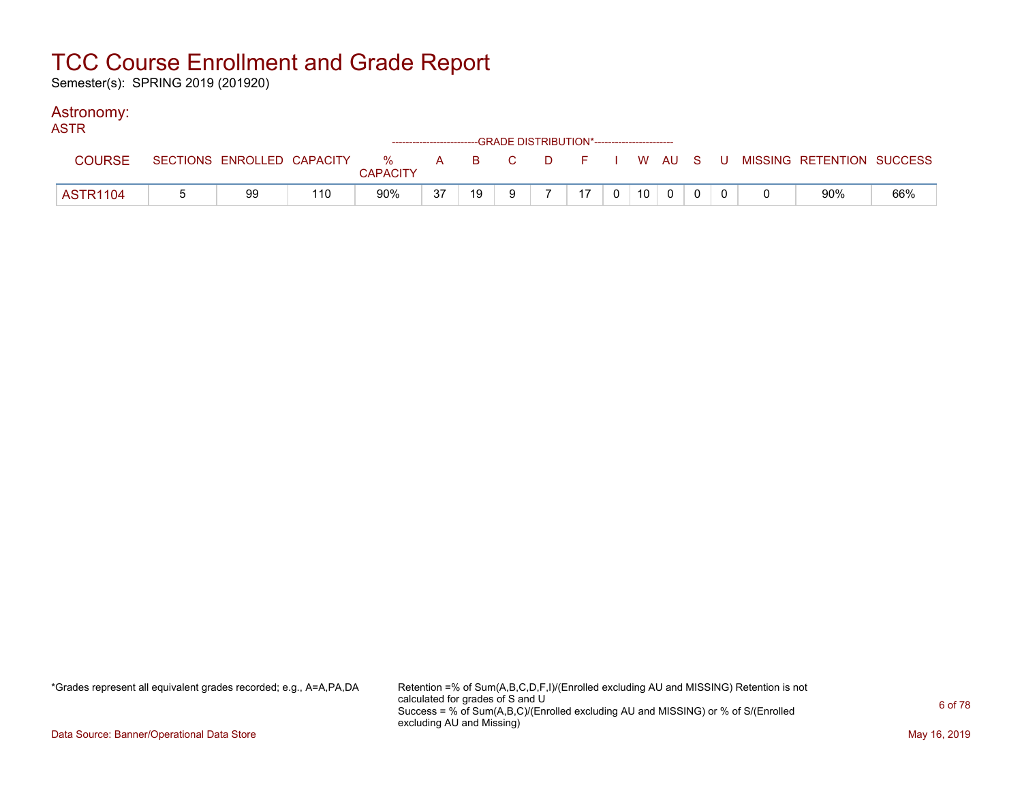Semester(s): SPRING 2019 (201920)

### Astronomy:

| <b>ASTR</b>     |    |     |                 |    | ------------------------GRADE DISTRIBUTION*----------------------- |              |    |                |                 |  |  |                                                                             |     |
|-----------------|----|-----|-----------------|----|--------------------------------------------------------------------|--------------|----|----------------|-----------------|--|--|-----------------------------------------------------------------------------|-----|
| <b>COURSE</b>   |    |     | <b>CAPACITY</b> |    |                                                                    |              |    |                |                 |  |  | SECTIONS ENROLLED CAPACITY % A B C D F I W AU S U MISSING RETENTION SUCCESS |     |
| <b>ASTR1104</b> | 99 | 110 | 90%             | 37 | 19                                                                 | $\mathbf{Q}$ | 17 | 0 <sup>1</sup> | 10 <sup>1</sup> |  |  | 90%                                                                         | 66% |

\*Grades represent all equivalent grades recorded; e.g., A=A,PA,DA Retention =% of Sum(A,B,C,D,F,I)/(Enrolled excluding AU and MISSING) Retention is not calculated for grades of S and U Success = % of Sum(A,B,C)/(Enrolled excluding AU and MISSING) or % of S/(Enrolled excluding AU and Missing)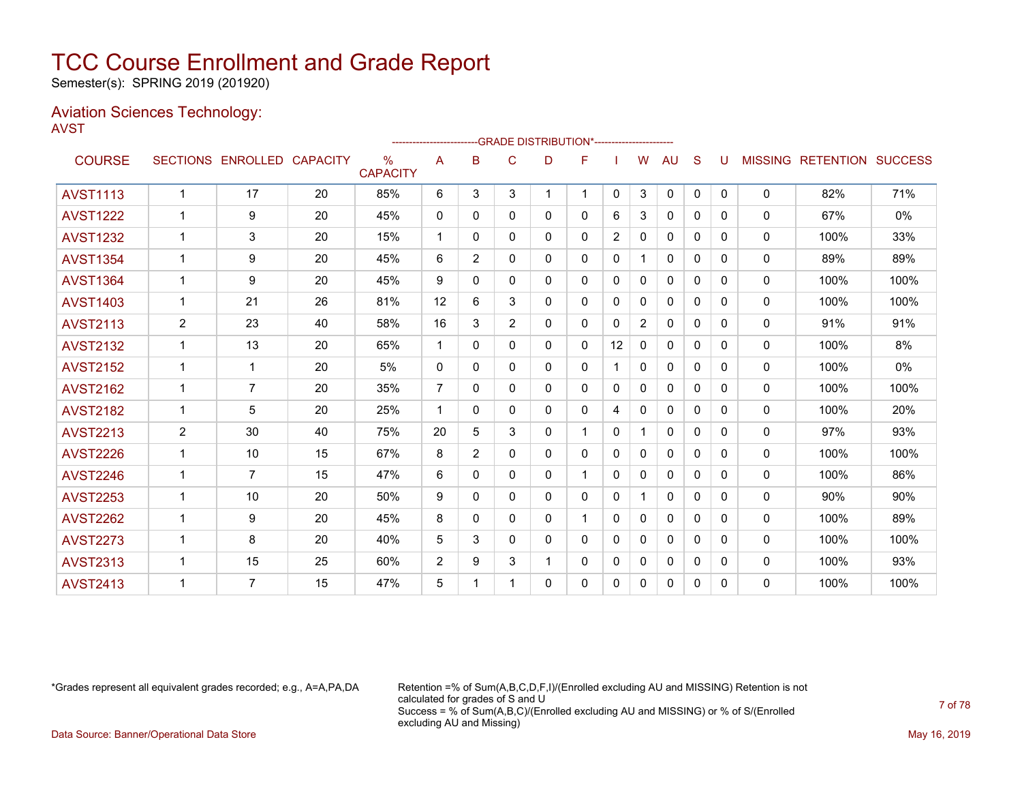Semester(s): SPRING 2019 (201920)

### Aviation Sciences Technology: AVST

|                 |                |                   |                 |                         | ---------------------- |                |                | -GRADE DISTRIBUTION*---------------------- |          |                |                |              |          |              |                |                  |                |
|-----------------|----------------|-------------------|-----------------|-------------------------|------------------------|----------------|----------------|--------------------------------------------|----------|----------------|----------------|--------------|----------|--------------|----------------|------------------|----------------|
| <b>COURSE</b>   |                | SECTIONS ENROLLED | <b>CAPACITY</b> | $\%$<br><b>CAPACITY</b> | Α                      | B              | C              | D                                          | F        |                | W              | AU           | S        | U            | <b>MISSING</b> | <b>RETENTION</b> | <b>SUCCESS</b> |
| <b>AVST1113</b> | $\mathbf 1$    | 17                | 20              | 85%                     | 6                      | 3              | 3              |                                            | 1        | $\mathbf{0}$   | 3              | $\mathbf{0}$ | 0        | $\mathbf{0}$ | $\Omega$       | 82%              | 71%            |
| <b>AVST1222</b> | 1              | 9                 | 20              | 45%                     | $\mathbf{0}$           | 0              | 0              | 0                                          | 0        | 6              | 3              | 0            | 0        | 0            | 0              | 67%              | $0\%$          |
| <b>AVST1232</b> | 1              | 3                 | 20              | 15%                     | $\mathbf 1$            | 0              | $\Omega$       | 0                                          | 0        | $\overline{2}$ | $\Omega$       | $\Omega$     | $\Omega$ | 0            | 0              | 100%             | 33%            |
| <b>AVST1354</b> | 1              | 9                 | 20              | 45%                     | 6                      | $\overline{2}$ | $\mathbf{0}$   | 0                                          | 0        | $\Omega$       |                | $\mathbf{0}$ | $\Omega$ | $\Omega$     | 0              | 89%              | 89%            |
| <b>AVST1364</b> |                | 9                 | 20              | 45%                     | 9                      | $\Omega$       | $\Omega$       | 0                                          | 0        | $\Omega$       | $\Omega$       | $\Omega$     | $\Omega$ | $\Omega$     | $\mathbf{0}$   | 100%             | 100%           |
| <b>AVST1403</b> | $\mathbf{1}$   | 21                | 26              | 81%                     | 12                     | 6              | 3              | 0                                          | 0        | 0              | 0              | $\mathbf{0}$ | $\Omega$ | $\Omega$     | 0              | 100%             | 100%           |
| <b>AVST2113</b> | $\overline{2}$ | 23                | 40              | 58%                     | 16                     | 3              | $\overline{2}$ | 0                                          | 0        | 0              | $\overline{2}$ | $\mathbf{0}$ | $\Omega$ | $\Omega$     | 0              | 91%              | 91%            |
| <b>AVST2132</b> | 1              | 13                | 20              | 65%                     | $\mathbf 1$            | $\Omega$       | $\mathbf{0}$   | 0                                          | 0        | 12             | $\mathbf{0}$   | $\mathbf{0}$ | $\Omega$ | $\Omega$     | 0              | 100%             | 8%             |
| <b>AVST2152</b> | $\mathbf{1}$   | 1                 | 20              | 5%                      | 0                      | 0              | $\mathbf{0}$   | 0                                          | 0        |                | $\mathbf 0$    | 0            | 0        | 0            | 0              | 100%             | $0\%$          |
| <b>AVST2162</b> | 1              | $\overline{7}$    | 20              | 35%                     | $\overline{7}$         | $\Omega$       | 0              | 0                                          | 0        | 0              | $\mathbf{0}$   | 0            | 0        | 0            | $\Omega$       | 100%             | 100%           |
| <b>AVST2182</b> | $\mathbf 1$    | 5                 | 20              | 25%                     | $\mathbf 1$            | 0              | 0              | 0                                          | 0        | 4              | $\Omega$       | 0            | 0        | 0            | $\Omega$       | 100%             | 20%            |
| <b>AVST2213</b> | 2              | 30                | 40              | 75%                     | 20                     | 5              | 3              | 0                                          | 1        | $\Omega$       |                | $\Omega$     | $\Omega$ | 0            | 0              | 97%              | 93%            |
| <b>AVST2226</b> | $\mathbf{1}$   | 10                | 15              | 67%                     | 8                      | 2              | $\mathbf{0}$   | 0                                          | $\Omega$ | $\mathbf 0$    | $\Omega$       | $\Omega$     | $\Omega$ | $\Omega$     | 0              | 100%             | 100%           |
| <b>AVST2246</b> | 1              | $\overline{7}$    | 15              | 47%                     | 6                      | 0              | $\Omega$       | 0                                          |          | $\Omega$       | $\Omega$       | $\Omega$     | $\Omega$ | 0            | $\mathbf{0}$   | 100%             | 86%            |
| <b>AVST2253</b> | 1              | 10                | 20              | 50%                     | 9                      | $\Omega$       | $\mathbf{0}$   | 0                                          | 0        | $\mathbf 0$    |                | $\mathbf{0}$ | 0        | $\Omega$     | 0              | 90%              | 90%            |
| <b>AVST2262</b> | 1              | 9                 | 20              | 45%                     | 8                      | 0              | $\mathbf{0}$   | 0                                          |          | $\mathbf{0}$   | $\Omega$       | $\mathbf{0}$ | $\Omega$ | $\Omega$     | 0              | 100%             | 89%            |
| <b>AVST2273</b> | 1              | 8                 | 20              | 40%                     | 5                      | 3              | $\mathbf{0}$   | 0                                          | 0        | 0              | $\mathbf{0}$   | $\mathbf{0}$ | $\Omega$ | $\Omega$     | 0              | 100%             | 100%           |
| <b>AVST2313</b> | $\mathbf{1}$   | 15                | 25              | 60%                     | 2                      | 9              | 3              |                                            | 0        | 0              | $\mathbf 0$    | 0            | 0        | 0            | 0              | 100%             | 93%            |
| <b>AVST2413</b> |                | $\overline{7}$    | 15              | 47%                     | 5                      | 1              |                | 0                                          | 0        | 0              | 0              | $\mathbf{0}$ | 0        | $\Omega$     | $\Omega$       | 100%             | 100%           |

\*Grades represent all equivalent grades recorded; e.g., A=A,PA,DA Retention =% of Sum(A,B,C,D,F,I)/(Enrolled excluding AU and MISSING) Retention is not calculated for grades of S and U Success = % of Sum(A,B,C)/(Enrolled excluding AU and MISSING) or % of S/(Enrolled excluding AU and Missing) Data Source: Banner/Operational Data Store May 16, 2019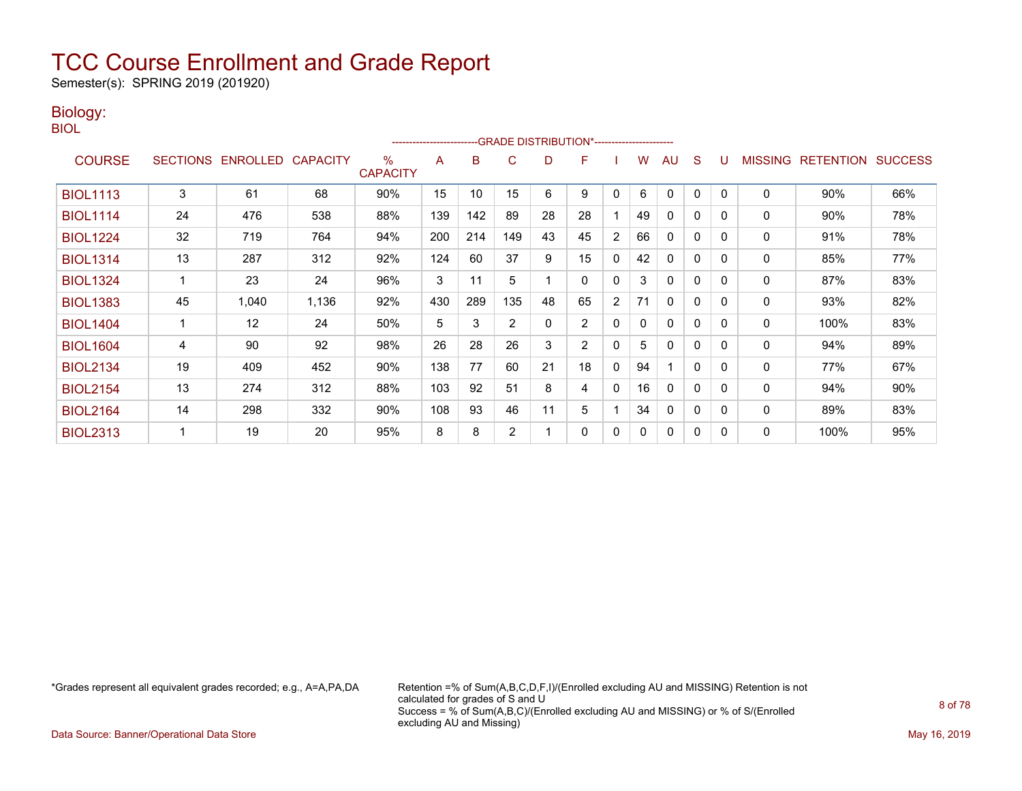Semester(s): SPRING 2019 (201920)

### Biology:

| $\overline{\phantom{a}}$ |
|--------------------------|
|--------------------------|

|                 |                 |          |                 |                         | ----------------------- |     |                | -- GRADE DISTRIBUTION*------------------------ |                |              |    |              |              |              |                |                  |                |
|-----------------|-----------------|----------|-----------------|-------------------------|-------------------------|-----|----------------|------------------------------------------------|----------------|--------------|----|--------------|--------------|--------------|----------------|------------------|----------------|
| <b>COURSE</b>   | <b>SECTIONS</b> | ENROLLED | <b>CAPACITY</b> | $\%$<br><b>CAPACITY</b> | A                       | B   | C              | D                                              | F              |              | W  | AU           | S            |              | <b>MISSING</b> | <b>RETENTION</b> | <b>SUCCESS</b> |
| <b>BIOL1113</b> | 3               | 61       | 68              | 90%                     | 15                      | 10  | 15             | 6                                              | 9              | $\mathbf{0}$ | 6  | 0            | 0            | $\Omega$     | $\mathbf 0$    | 90%              | 66%            |
| <b>BIOL1114</b> | 24              | 476      | 538             | 88%                     | 139                     | 142 | 89             | 28                                             | 28             |              | 49 | 0            | 0            | $\Omega$     | 0              | 90%              | 78%            |
| <b>BIOL1224</b> | 32              | 719      | 764             | 94%                     | 200                     | 214 | 149            | 43                                             | 45             | 2            | 66 | 0            | $\mathbf{0}$ | $\Omega$     | 0              | 91%              | 78%            |
| <b>BIOL1314</b> | 13              | 287      | 312             | 92%                     | 124                     | 60  | 37             | 9                                              | 15             | 0            | 42 | 0            | 0            | $\Omega$     | 0              | 85%              | 77%            |
| <b>BIOL1324</b> |                 | 23       | 24              | 96%                     | 3                       | 11  | 5              |                                                | 0              | 0            | 3  | 0            | 0            | <sup>0</sup> | 0              | 87%              | 83%            |
| <b>BIOL1383</b> | 45              | 1,040    | 1,136           | 92%                     | 430                     | 289 | 135            | 48                                             | 65             | 2            | 71 | $\mathbf{0}$ | $\mathbf{0}$ | $\Omega$     | 0              | 93%              | 82%            |
| <b>BIOL1404</b> |                 | 12       | 24              | 50%                     | 5                       | 3   | $\overline{2}$ | 0                                              | $\overline{2}$ | 0            | 0  | $\mathbf{0}$ | $\mathbf 0$  | $\Omega$     | $\mathbf 0$    | 100%             | 83%            |
| <b>BIOL1604</b> | 4               | 90       | 92              | 98%                     | 26                      | 28  | 26             | 3                                              | $\overline{2}$ | $\Omega$     | 5  | 0            | 0            | $\Omega$     | 0              | 94%              | 89%            |
| <b>BIOL2134</b> | 19              | 409      | 452             | 90%                     | 138                     | 77  | 60             | 21                                             | 18             | $\mathbf{0}$ | 94 |              | $\mathbf{0}$ | <sup>0</sup> | $\mathbf 0$    | 77%              | 67%            |
| <b>BIOL2154</b> | 13              | 274      | 312             | 88%                     | 103                     | 92  | 51             | 8                                              | 4              | $\mathbf{0}$ | 16 | 0            | $\mathbf 0$  | $\Omega$     | 0              | 94%              | 90%            |
| <b>BIOL2164</b> | 14              | 298      | 332             | 90%                     | 108                     | 93  | 46             | 11                                             | 5              |              | 34 | 0            | 0            | <sup>0</sup> | 0              | 89%              | 83%            |
| <b>BIOL2313</b> |                 | 19       | 20              | 95%                     | 8                       | 8   | $\overline{2}$ |                                                | 0              | $\mathbf{0}$ | 0  | 0            | 0            | $\Omega$     | 0              | 100%             | 95%            |

\*Grades represent all equivalent grades recorded; e.g., A=A,PA,DA Retention =% of Sum(A,B,C,D,F,I)/(Enrolled excluding AU and MISSING) Retention is not calculated for grades of S and U Success = % of Sum(A,B,C)/(Enrolled excluding AU and MISSING) or % of S/(Enrolled excluding AU and Missing)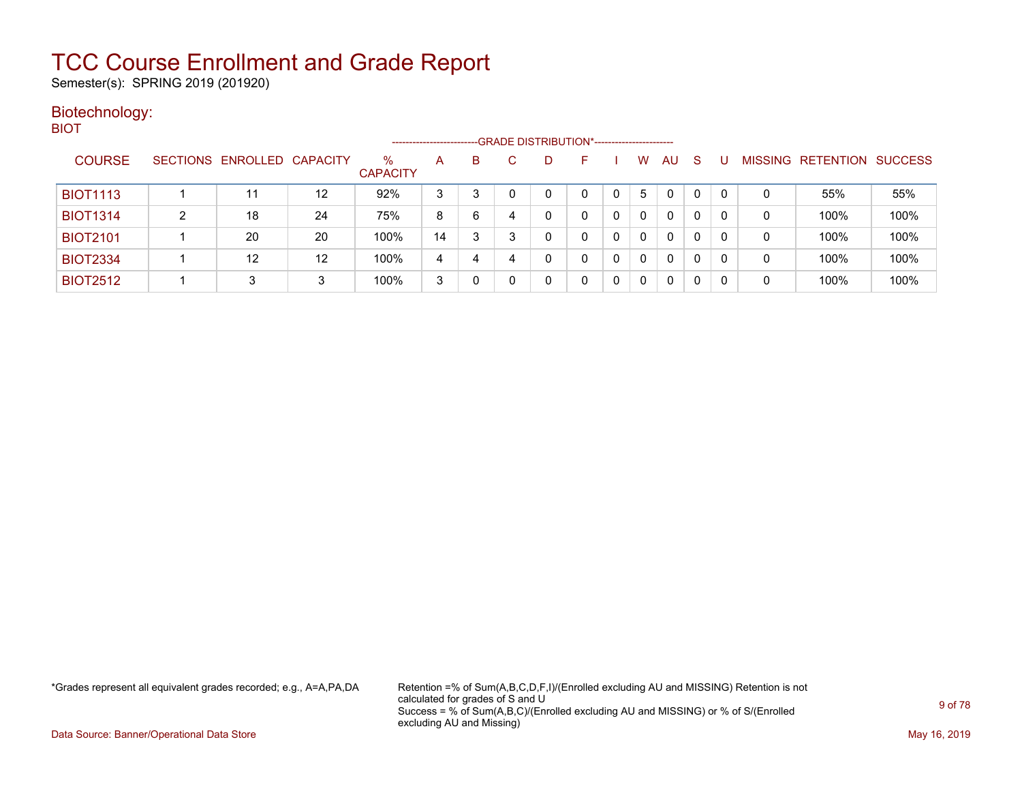Semester(s): SPRING 2019 (201920)

### Biotechnology: BIOT

|                 |                            |         |                         | ---------------------- |   |   | -- GRADE DISTRIBUTION*------------------------ |   |   |    |              |   |   |                   |                |
|-----------------|----------------------------|---------|-------------------------|------------------------|---|---|------------------------------------------------|---|---|----|--------------|---|---|-------------------|----------------|
| <b>COURSE</b>   | SECTIONS ENROLLED CAPACITY |         | $\%$<br><b>CAPACITY</b> | A                      | B |   | D                                              | ⊢ | w | AU | <sub>S</sub> |   |   | MISSING RETENTION | <b>SUCCESS</b> |
| <b>BIOT1113</b> | 11                         | $12 \,$ | 92%                     | 3                      | 3 |   |                                                |   | 5 | 0  | 0            | 0 | 0 | 55%               | 55%            |
| <b>BIOT1314</b> | 18                         | 24      | 75%                     | 8                      | 6 | 4 |                                                |   |   | 0  | 0            | 0 | 0 | 100%              | 100%           |
| <b>BIOT2101</b> | 20                         | 20      | 100%                    | 14                     | 3 | 3 |                                                |   |   | 0  | 0            | 0 | 0 | 100%              | 100%           |
| <b>BIOT2334</b> | 12                         | 12      | 100%                    | 4                      | 4 | 4 |                                                |   |   | 0  | $\mathbf{0}$ | 0 | 0 | 100%              | 100%           |
| <b>BIOT2512</b> | 3                          | 3       | 100%                    | 3                      |   |   |                                                |   |   | 0  | 0            | 0 | 0 | 100%              | 100%           |

\*Grades represent all equivalent grades recorded; e.g., A=A,PA,DA Retention =% of Sum(A,B,C,D,F,I)/(Enrolled excluding AU and MISSING) Retention is not calculated for grades of S and U Success = % of Sum(A,B,C)/(Enrolled excluding AU and MISSING) or % of S/(Enrolled excluding AU and Missing)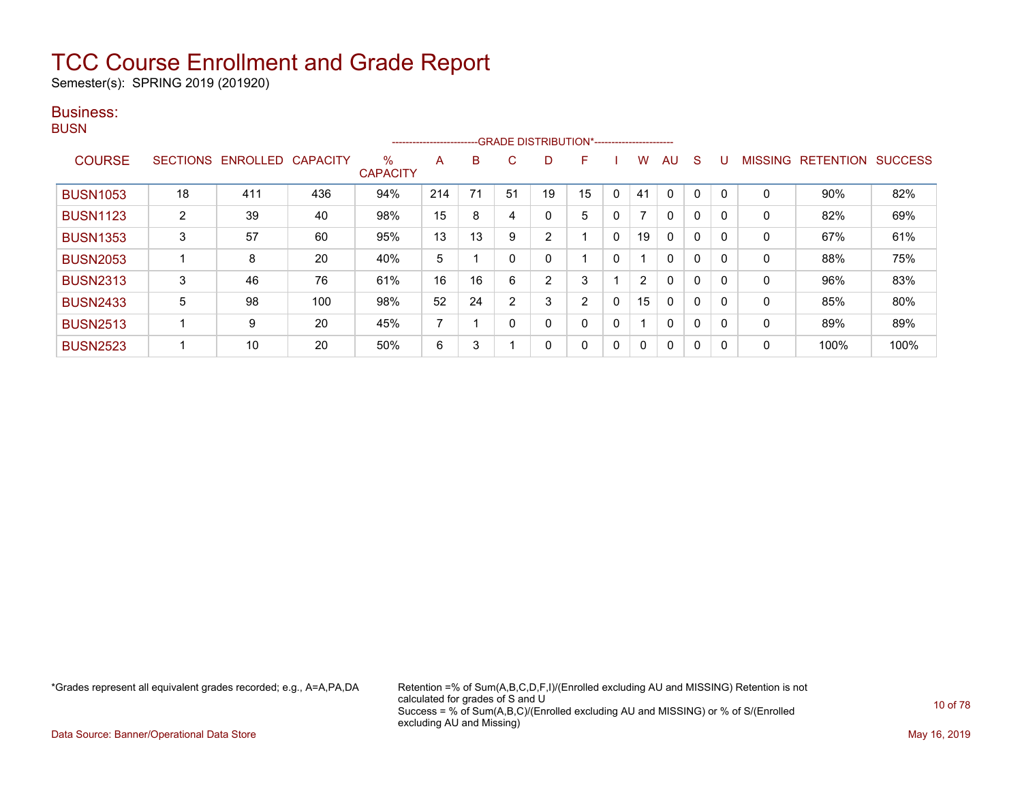Semester(s): SPRING 2019 (201920)

### Business:

**BUSN** 

|                 |                |                   |                 |                         | ------------------------ |    |    | --- GRADE DISTRIBUTION*------------------------ |                |   |    |              |              |          |                |                  |                |
|-----------------|----------------|-------------------|-----------------|-------------------------|--------------------------|----|----|-------------------------------------------------|----------------|---|----|--------------|--------------|----------|----------------|------------------|----------------|
| <b>COURSE</b>   |                | SECTIONS ENROLLED | <b>CAPACITY</b> | $\%$<br><b>CAPACITY</b> | A                        | B  | C  | D                                               | F              |   | w  | AU           | <sub>S</sub> |          | <b>MISSING</b> | <b>RETENTION</b> | <b>SUCCESS</b> |
| <b>BUSN1053</b> | 18             | 411               | 436             | 94%                     | 214                      | 71 | 51 | 19                                              | 15             | 0 | 41 | $\Omega$     | 0            |          | 0              | $90\%$           | 82%            |
| <b>BUSN1123</b> | $\overline{2}$ | 39                | 40              | 98%                     | 15                       | 8  |    | 0                                               | 5              | 0 | 7  | $\mathbf{0}$ | $\Omega$     |          | $\mathbf 0$    | 82%              | 69%            |
| <b>BUSN1353</b> | 3              | 57                | 60              | 95%                     | 13                       | 13 | 9  | $\overline{2}$                                  |                | 0 | 19 | $\mathbf{0}$ | 0            | $\Omega$ | $\mathbf 0$    | 67%              | 61%            |
| <b>BUSN2053</b> |                | 8                 | 20              | 40%                     | 5                        |    |    | 0                                               |                | 0 |    | $\mathbf{0}$ | 0            |          | 0              | 88%              | 75%            |
| <b>BUSN2313</b> | 3              | 46                | 76              | 61%                     | 16                       | 16 | 6  | $\overline{2}$                                  | 3              |   | 2  | $\mathbf{0}$ | $\Omega$     |          | 0              | 96%              | 83%            |
| <b>BUSN2433</b> | 5              | 98                | 100             | 98%                     | 52                       | 24 | C  | 3                                               | $\overline{2}$ | 0 | 15 | $\mathbf{0}$ | 0            | $\Omega$ | $\mathbf 0$    | 85%              | 80%            |
| <b>BUSN2513</b> |                | 9                 | 20              | 45%                     | ⇁                        |    |    | 0                                               | 0              | 0 |    | $\mathbf{0}$ | 0            |          | 0              | 89%              | 89%            |
| <b>BUSN2523</b> |                | 10                | 20              | 50%                     | 6                        | 3  |    | 0                                               | 0              | 0 | 0  | $\mathbf{0}$ | $\Omega$     |          | 0              | 100%             | 100%           |

\*Grades represent all equivalent grades recorded; e.g., A=A,PA,DA Retention =% of Sum(A,B,C,D,F,I)/(Enrolled excluding AU and MISSING) Retention is not calculated for grades of S and U Success = % of Sum(A,B,C)/(Enrolled excluding AU and MISSING) or % of S/(Enrolled excluding AU and Missing)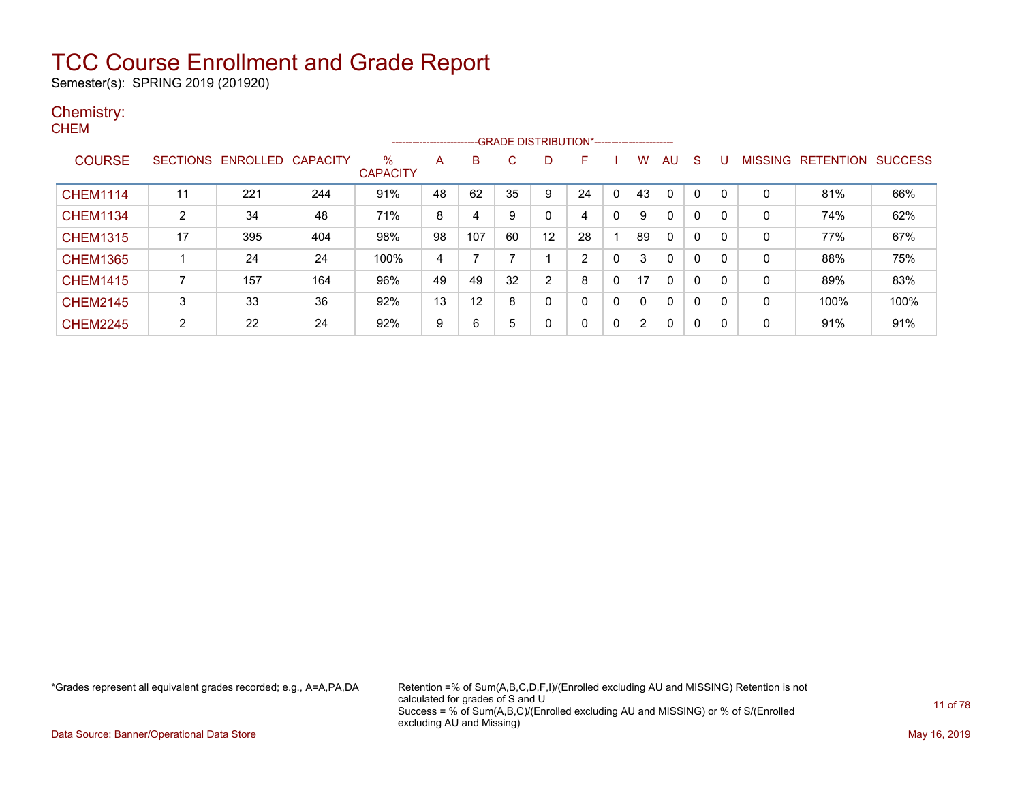Semester(s): SPRING 2019 (201920)

### Chemistry:

| ۰, |
|----|
|----|

|                 |                 |                   |     |                         |    | -------------------------GRADE DISTRIBUTION*---------------------- |    |                   |                |   |                |              |              |              |                |                  |                |
|-----------------|-----------------|-------------------|-----|-------------------------|----|--------------------------------------------------------------------|----|-------------------|----------------|---|----------------|--------------|--------------|--------------|----------------|------------------|----------------|
| <b>COURSE</b>   | <b>SECTIONS</b> | ENROLLED CAPACITY |     | $\%$<br><b>CAPACITY</b> | A  | B                                                                  |    | D                 | F              |   | w              | AU           | <sub>S</sub> |              | <b>MISSING</b> | <b>RETENTION</b> | <b>SUCCESS</b> |
| <b>CHEM1114</b> | 11              | 221               | 244 | 91%                     | 48 | 62                                                                 | 35 | 9                 | 24             |   | 43             | 0            | 0            | $\mathbf{0}$ | $\Omega$       | 81%              | 66%            |
| <b>CHEM1134</b> | $\overline{2}$  | 34                | 48  | 71%                     | 8  | 4                                                                  | 9  |                   | 4              | 0 | 9              | 0            | 0            | 0            | $\mathbf 0$    | 74%              | 62%            |
| <b>CHEM1315</b> | 17              | 395               | 404 | 98%                     | 98 | 107                                                                | 60 | $12 \overline{ }$ | 28             |   | 89             | $\mathbf{0}$ | 0            | 0            | 0              | 77%              | 67%            |
| <b>CHEM1365</b> |                 | 24                | 24  | 100%                    | 4  |                                                                    |    |                   | $\overline{2}$ | 0 | 3              | $\mathbf{0}$ | 0            | 0            | $\mathbf 0$    | 88%              | 75%            |
| <b>CHEM1415</b> |                 | 157               | 164 | 96%                     | 49 | 49                                                                 | 32 | 2                 | 8              | 0 | 17             | $\mathbf{0}$ | 0            | 0            | 0              | 89%              | 83%            |
| <b>CHEM2145</b> | 3               | 33                | 36  | 92%                     | 13 | 12                                                                 | 8  | 0                 | 0              | 0 | 0              | $\mathbf{0}$ | 0            | 0            | 0              | 100%             | 100%           |
| <b>CHEM2245</b> | $\overline{2}$  | 22                | 24  | 92%                     | 9  | 6                                                                  | 5  |                   | 0              | 0 | $\overline{2}$ | 0            | 0            | 0            | $\mathbf 0$    | 91%              | 91%            |

\*Grades represent all equivalent grades recorded; e.g., A=A,PA,DA Retention =% of Sum(A,B,C,D,F,I)/(Enrolled excluding AU and MISSING) Retention is not calculated for grades of S and U Success = % of Sum(A,B,C)/(Enrolled excluding AU and MISSING) or % of S/(Enrolled excluding AU and Missing)

Data Source: Banner/Operational Data Store May 16, 2019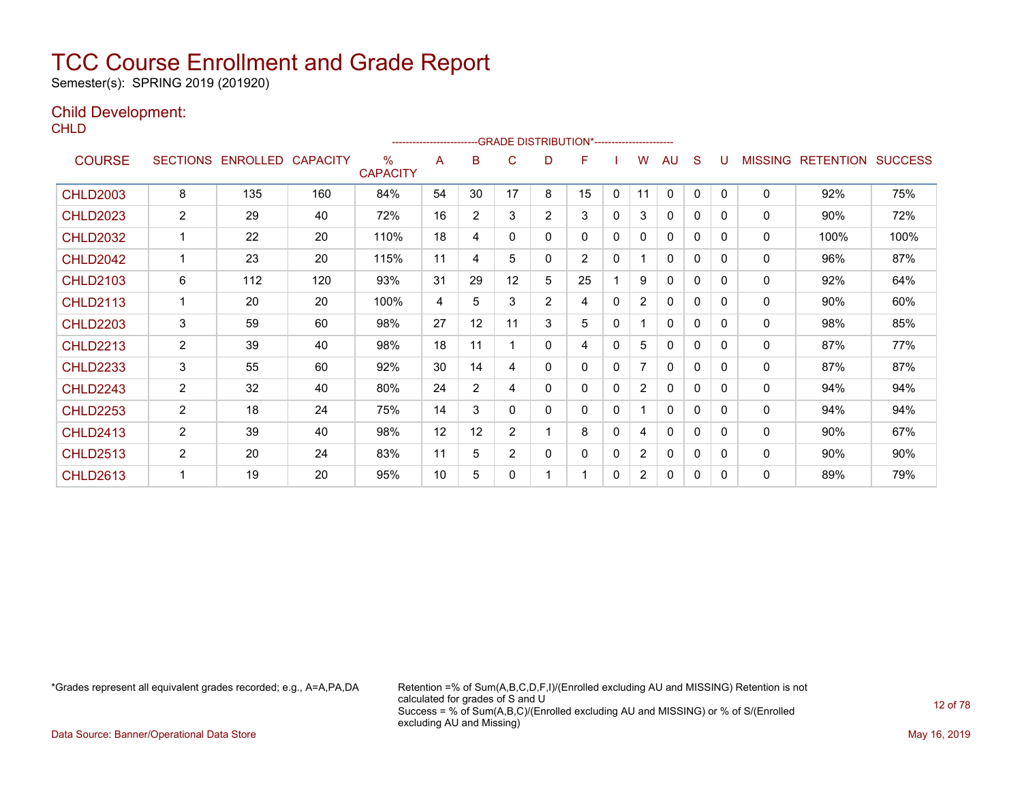Semester(s): SPRING 2019 (201920)

### Child Development:

**CHLD** 

|                 |                 |                 |                 |                         |    |                |                |                | --- GRADE DISTRIBUTION*------------------------ |              |                |              |              |          |                |                  |                |
|-----------------|-----------------|-----------------|-----------------|-------------------------|----|----------------|----------------|----------------|-------------------------------------------------|--------------|----------------|--------------|--------------|----------|----------------|------------------|----------------|
| <b>COURSE</b>   | <b>SECTIONS</b> | <b>ENROLLED</b> | <b>CAPACITY</b> | $\%$<br><b>CAPACITY</b> | A  | B              | С              | D              | F                                               |              | w              | AU           | S            |          | <b>MISSING</b> | <b>RETENTION</b> | <b>SUCCESS</b> |
| <b>CHLD2003</b> | 8               | 135             | 160             | 84%                     | 54 | 30             | 17             | 8              | 15                                              | $\mathbf{0}$ | 11             | $\mathbf{0}$ | $\mathbf{0}$ | $\Omega$ | $\mathbf{0}$   | 92%              | 75%            |
| <b>CHLD2023</b> | $\overline{2}$  | 29              | 40              | 72%                     | 16 | $\overline{2}$ | 3              | 2              | 3                                               | 0            | 3              | 0            | 0            | 0        | 0              | 90%              | 72%            |
| <b>CHLD2032</b> |                 | 22              | 20              | 110%                    | 18 | 4              | 0              | 0              | $\mathbf{0}$                                    | 0            | 0              | 0            | 0            | 0        | $\mathbf{0}$   | 100%             | 100%           |
| <b>CHLD2042</b> |                 | 23              | 20              | 115%                    | 11 | 4              | 5              | 0              | $\overline{2}$                                  | 0            |                | $\mathbf{0}$ | 0            | $\Omega$ | 0              | 96%              | 87%            |
| <b>CHLD2103</b> | 6               | 112             | 120             | 93%                     | 31 | 29             | 12             | 5              | 25                                              |              | 9              | 0            | 0            | 0        | 0              | 92%              | 64%            |
| <b>CHLD2113</b> |                 | 20              | 20              | 100%                    | 4  | 5              | 3              | $\overline{2}$ | 4                                               | 0            | $\overline{2}$ | $\mathbf{0}$ | 0            | 0        | $\mathbf{0}$   | 90%              | 60%            |
| <b>CHLD2203</b> | 3               | 59              | 60              | 98%                     | 27 | 12             | 11             | 3              | 5                                               | 0            |                | $\mathbf{0}$ | 0            | $\Omega$ | $\mathbf{0}$   | 98%              | 85%            |
| <b>CHLD2213</b> | $\overline{2}$  | 39              | 40              | 98%                     | 18 | 11             |                | 0              | 4                                               | 0            | 5              | 0            | 0            | 0        | 0              | 87%              | 77%            |
| <b>CHLD2233</b> | 3               | 55              | 60              | 92%                     | 30 | 14             | 4              | 0              | $\mathbf{0}$                                    | 0            | 7              | $\Omega$     | 0            | $\Omega$ | 0              | 87%              | 87%            |
| <b>CHLD2243</b> | 2               | 32              | 40              | 80%                     | 24 | $\overline{2}$ | 4              | 0              | 0                                               | 0            | $\overline{2}$ | $\mathbf{0}$ | 0            | $\Omega$ | $\mathbf{0}$   | 94%              | 94%            |
| <b>CHLD2253</b> | $\overline{2}$  | 18              | 24              | 75%                     | 14 | 3              | 0              | 0              | 0                                               | 0            |                | $\mathbf{0}$ | 0            | 0        | $\mathbf{0}$   | 94%              | 94%            |
| <b>CHLD2413</b> | $\overline{2}$  | 39              | 40              | 98%                     | 12 | 12             | $\overline{2}$ | 1              | 8                                               | 0            | 4              | 0            | 0            | $\Omega$ | $\mathbf{0}$   | 90%              | 67%            |
| <b>CHLD2513</b> | $\overline{2}$  | 20              | 24              | 83%                     | 11 | 5              | $\overline{2}$ | 0              | 0                                               | 0            | $\overline{2}$ | 0            | 0            | $\Omega$ | $\mathbf{0}$   | 90%              | 90%            |
| <b>CHLD2613</b> |                 | 19              | 20              | 95%                     | 10 | 5              | 0              | 1              |                                                 | 0            | $\overline{2}$ | $\Omega$     | 0            | 0        | $\mathbf{0}$   | 89%              | 79%            |

\*Grades represent all equivalent grades recorded; e.g., A=A,PA,DA Retention =% of Sum(A,B,C,D,F,I)/(Enrolled excluding AU and MISSING) Retention is not calculated for grades of S and U Success = % of Sum(A,B,C)/(Enrolled excluding AU and MISSING) or % of S/(Enrolled excluding AU and Missing)

Data Source: Banner/Operational Data Store May 16, 2019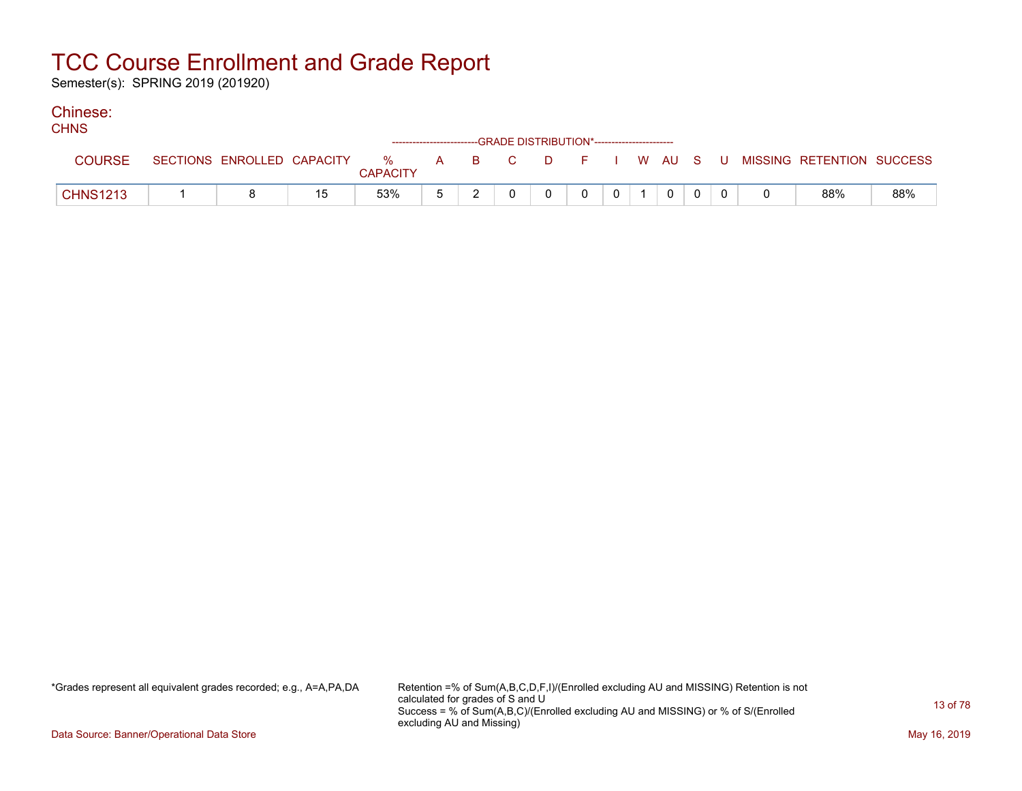Semester(s): SPRING 2019 (201920)

#### Chinese:  $C$

| <b>UHIND</b>    |                            |    |                 | ------------------------GRADE DISTRIBUTION*----------------------- |          |          |                |  |  |                                                  |     |
|-----------------|----------------------------|----|-----------------|--------------------------------------------------------------------|----------|----------|----------------|--|--|--------------------------------------------------|-----|
| <b>COURSE</b>   | SECTIONS ENROLLED CAPACITY |    | <b>CAPACITY</b> |                                                                    |          |          |                |  |  | % A B C D F I W AU S U MISSING—RETENTION SUCCESS |     |
| <b>CHNS1213</b> |                            | 15 | 53%             |                                                                    | $\Omega$ | $\Omega$ | 0 <sup>1</sup> |  |  | 88%                                              | 88% |

\*Grades represent all equivalent grades recorded; e.g., A=A,PA,DA Retention =% of Sum(A,B,C,D,F,I)/(Enrolled excluding AU and MISSING) Retention is not calculated for grades of S and U Success = % of Sum(A,B,C)/(Enrolled excluding AU and MISSING) or % of S/(Enrolled excluding AU and Missing)

Data Source: Banner/Operational Data Store May 16, 2019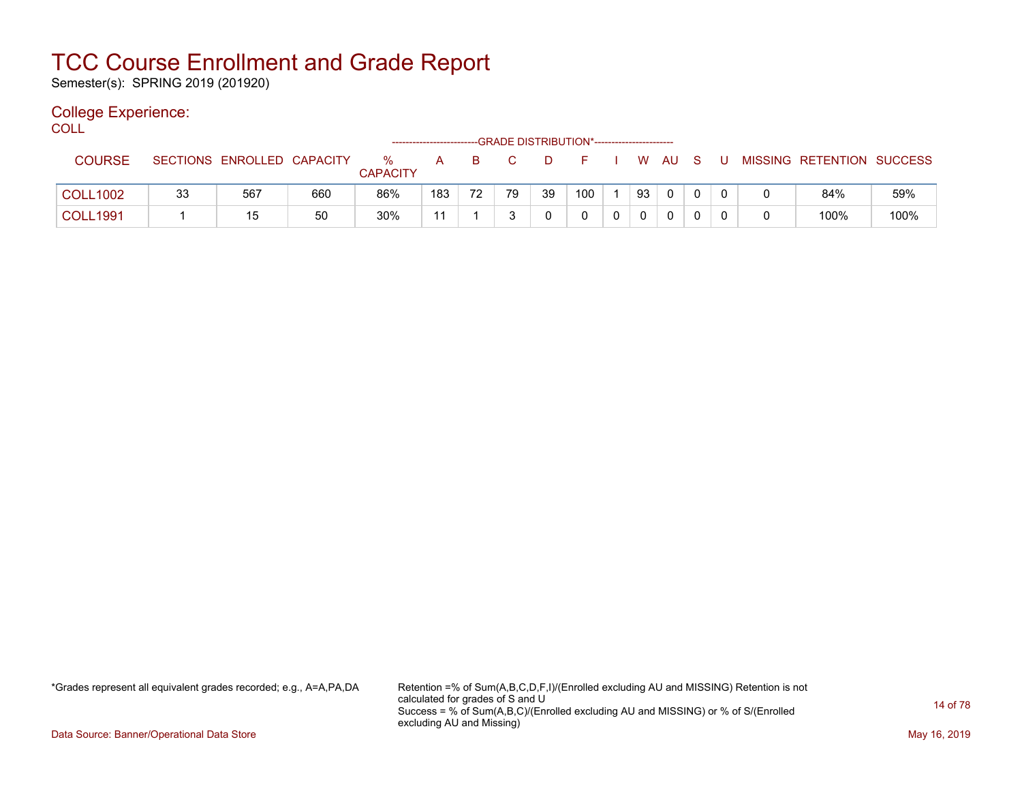Semester(s): SPRING 2019 (201920)

### College Experience:

COLL<sup>'</sup>

|                 |    |                            |     |                      | ------------------------- |    |    |    | -- GRADE DISTRIBUTION*------------------------ |    |              |              |  |                           |      |
|-----------------|----|----------------------------|-----|----------------------|---------------------------|----|----|----|------------------------------------------------|----|--------------|--------------|--|---------------------------|------|
| <b>COURSE</b>   |    | SECTIONS ENROLLED CAPACITY |     | %<br><b>CAPACITY</b> | А                         |    |    |    |                                                | W  | AU.          |              |  | MISSING RETENTION SUCCESS |      |
| <b>COLL1002</b> | 33 | 567                        | 660 | 86%                  | 183                       | 72 | 79 | 39 | 100                                            | 93 | $\mathbf{0}$ | $\mathbf{0}$ |  | 84%                       | 59%  |
| <b>COLL1991</b> |    | 15                         | 50  | 30%                  | 11                        |    |    |    |                                                |    |              |              |  | 100%                      | 100% |

\*Grades represent all equivalent grades recorded; e.g., A=A,PA,DA Retention =% of Sum(A,B,C,D,F,I)/(Enrolled excluding AU and MISSING) Retention is not calculated for grades of S and U Success = % of Sum(A,B,C)/(Enrolled excluding AU and MISSING) or % of S/(Enrolled excluding AU and Missing)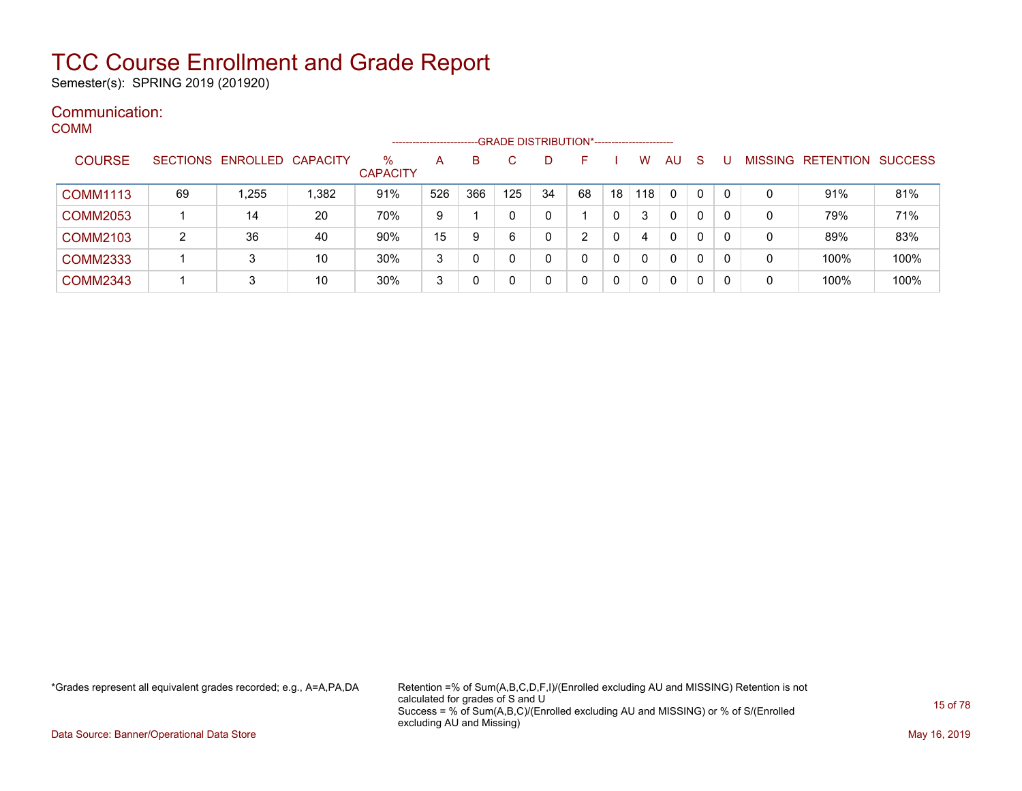Semester(s): SPRING 2019 (201920)

#### Communication: COMM

|                 |    |                            |       |                      | -------------------- |     | -GRADE DISTRIBUTION*----------------------- |             |    |    |     |              |              |              |   |                           |      |
|-----------------|----|----------------------------|-------|----------------------|----------------------|-----|---------------------------------------------|-------------|----|----|-----|--------------|--------------|--------------|---|---------------------------|------|
| <b>COURSE</b>   |    | SECTIONS ENROLLED CAPACITY |       | %<br><b>CAPACITY</b> | A                    | в   |                                             |             |    |    | W   | AU           | S            |              |   | MISSING RETENTION SUCCESS |      |
| <b>COMM1113</b> | 69 | 1,255                      | 1,382 | 91%                  | 526                  | 366 | 125                                         | 34          | 68 | 18 | 118 | $\mathbf{0}$ | $\mathbf{0}$ | $\mathbf{0}$ | 0 | 91%                       | 81%  |
| <b>COMM2053</b> |    | 14                         | 20    | 70%                  | 9                    |     |                                             | 0           |    |    | 3   | 0            | 0            | 0            | 0 | 79%                       | 71%  |
| <b>COMM2103</b> | 2  | 36                         | 40    | 90%                  | 15                   | 9   | 6                                           | 0           |    | 0  | 4   | 0            | 0            |              | 0 | 89%                       | 83%  |
| <b>COMM2333</b> |    | 3                          | 10    | 30%                  | 3                    | 0   |                                             |             |    |    |     | 0            | 0            |              | 0 | 100%                      | 100% |
| <b>COMM2343</b> |    | 3                          | 10    | 30%                  | 3                    | 0   |                                             | $\mathbf 0$ |    |    |     | $\mathbf{0}$ | 0            |              | 0 | 100%                      | 100% |

\*Grades represent all equivalent grades recorded; e.g., A=A,PA,DA Retention =% of Sum(A,B,C,D,F,I)/(Enrolled excluding AU and MISSING) Retention is not calculated for grades of S and U Success = % of Sum(A,B,C)/(Enrolled excluding AU and MISSING) or % of S/(Enrolled excluding AU and Missing)

Data Source: Banner/Operational Data Store May 16, 2019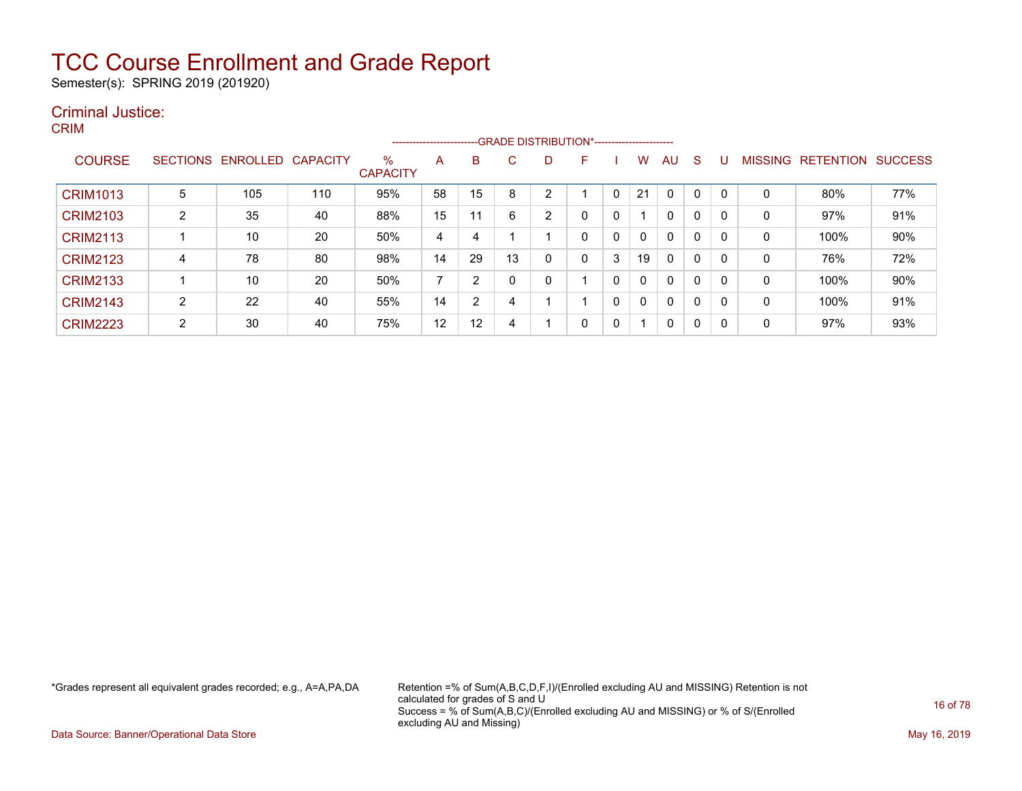Semester(s): SPRING 2019 (201920)

#### Criminal Justice: CRIM

| ועוור וכ        |                 |                   |     |                         | ---------------------- |    | -GRADE DISTRIBUTION*----------------------- |   |   |   |              |              |    |              |                |                  |                |
|-----------------|-----------------|-------------------|-----|-------------------------|------------------------|----|---------------------------------------------|---|---|---|--------------|--------------|----|--------------|----------------|------------------|----------------|
| <b>COURSE</b>   | <b>SECTIONS</b> | ENROLLED CAPACITY |     | $\%$<br><b>CAPACITY</b> | A                      | B  | C.                                          | D | F |   | W            | AU.          | -S | U            | <b>MISSING</b> | <b>RETENTION</b> | <b>SUCCESS</b> |
| <b>CRIM1013</b> | 5               | 105               | 110 | 95%                     | 58                     | 15 | 8                                           | 2 |   | 0 | 21           | $\Omega$     | 0  | $\Omega$     | $\mathbf{0}$   | 80%              | 77%            |
| <b>CRIM2103</b> | 2               | 35                | 40  | 88%                     | 15                     | 11 | 6                                           | 2 | 0 | 0 |              | $\mathbf{0}$ | 0  | $\mathbf{0}$ | 0              | 97%              | 91%            |
| <b>CRIM2113</b> |                 | 10                | 20  | 50%                     | 4                      | 4  |                                             |   | 0 | 0 | 0            | $\mathbf{0}$ | 0  | $\mathbf{0}$ | 0              | 100%             | 90%            |
| <b>CRIM2123</b> | 4               | 78                | 80  | 98%                     | 14                     | 29 | 13                                          | 0 | 0 | 3 | 19           | $\mathbf{0}$ | 0  | 0            | 0              | 76%              | 72%            |
| <b>CRIM2133</b> |                 | 10                | 20  | 50%                     | ⇁                      | 2  |                                             | 0 |   | 0 | 0            | $\mathbf{0}$ | 0  | 0            | $\mathbf{0}$   | 100%             | 90%            |
| <b>CRIM2143</b> | 2               | 22                | 40  | 55%                     | 14                     | 2  | 4                                           |   |   | 0 | $\mathbf{0}$ | $\mathbf{0}$ | 0  | $\mathbf{0}$ | 0              | 100%             | 91%            |
| <b>CRIM2223</b> | 2               | 30                | 40  | 75%                     | 12                     | 12 | 4                                           |   | 0 | 0 | 4            | 0            | 0  | $\mathbf 0$  | 0              | 97%              | 93%            |
|                 |                 |                   |     |                         |                        |    |                                             |   |   |   |              |              |    |              |                |                  |                |

\*Grades represent all equivalent grades recorded; e.g., A=A,PA,DA Retention =% of Sum(A,B,C,D,F,I)/(Enrolled excluding AU and MISSING) Retention is not calculated for grades of S and U Success = % of Sum(A,B,C)/(Enrolled excluding AU and MISSING) or % of S/(Enrolled excluding AU and Missing)

Data Source: Banner/Operational Data Store May 16, 2019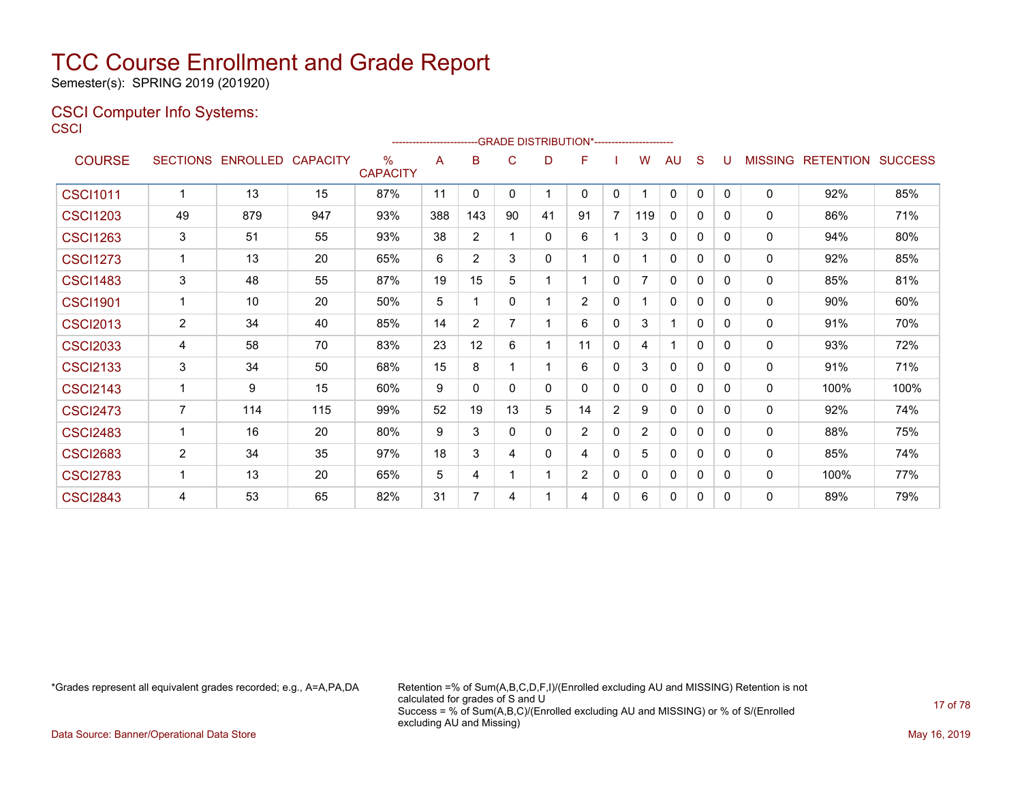Semester(s): SPRING 2019 (201920)

### CSCI Computer Info Systems: **CSCI**

|                 |                |                            |     |                         |     |                |              | -GRADE DISTRIBUTION*----------------------- |                |                |     |              |              |   |                |                          |      |
|-----------------|----------------|----------------------------|-----|-------------------------|-----|----------------|--------------|---------------------------------------------|----------------|----------------|-----|--------------|--------------|---|----------------|--------------------------|------|
| <b>COURSE</b>   |                | SECTIONS ENROLLED CAPACITY |     | $\%$<br><b>CAPACITY</b> | A   | B              | C            | D                                           | F              |                | w   | AU           | S            | U | <b>MISSING</b> | <b>RETENTION SUCCESS</b> |      |
| <b>CSCI1011</b> | 1              | 13                         | 15  | 87%                     | 11  | $\Omega$       | $\mathbf{0}$ |                                             | $\mathbf{0}$   | 0              |     | 0            | $\mathbf{0}$ | 0 | 0              | 92%                      | 85%  |
| <b>CSCI1203</b> | 49             | 879                        | 947 | 93%                     | 388 | 143            | 90           | 41                                          | 91             | $\overline{7}$ | 119 | $\mathbf{0}$ | $\mathbf{0}$ | 0 | 0              | 86%                      | 71%  |
| <b>CSCI1263</b> | 3              | 51                         | 55  | 93%                     | 38  | $\overline{2}$ |              | $\mathbf{0}$                                | 6              |                | 3   | $\mathbf{0}$ | 0            | 0 | 0              | 94%                      | 80%  |
| <b>CSCI1273</b> | 1              | 13                         | 20  | 65%                     | 6   | $\overline{2}$ | 3            | $\Omega$                                    |                | $\Omega$       |     | $\mathbf{0}$ | 0            | 0 | 0              | 92%                      | 85%  |
| <b>CSCI1483</b> | 3              | 48                         | 55  | 87%                     | 19  | 15             | 5            |                                             |                | 0              |     | 0            | 0            | 0 | 0              | 85%                      | 81%  |
| <b>CSCI1901</b> | 1              | 10                         | 20  | 50%                     | 5   | 1              | $\mathbf{0}$ |                                             | 2              | 0              |     | $\mathbf{0}$ | 0            | 0 | 0              | 90%                      | 60%  |
| <b>CSCI2013</b> | $\overline{2}$ | 34                         | 40  | 85%                     | 14  | 2              | 7            |                                             | 6              | $\mathbf{0}$   | 3   |              | $\Omega$     | 0 | 0              | 91%                      | 70%  |
| <b>CSCI2033</b> | 4              | 58                         | 70  | 83%                     | 23  | 12             | 6            |                                             | 11             | 0              | 4   |              | $\mathbf{0}$ | 0 | 0              | 93%                      | 72%  |
| <b>CSCI2133</b> | 3              | 34                         | 50  | 68%                     | 15  | 8              | 1            |                                             | 6              | $\mathbf{0}$   | 3   | $\mathbf{0}$ | 0            | 0 | 0              | 91%                      | 71%  |
| <b>CSCI2143</b> | 1              | 9                          | 15  | 60%                     | 9   | 0              | $\Omega$     | $\Omega$                                    | $\mathbf{0}$   | $\Omega$       | 0   | $\mathbf{0}$ | 0            | 0 | 0              | 100%                     | 100% |
| <b>CSCI2473</b> | $\overline{7}$ | 114                        | 115 | 99%                     | 52  | 19             | 13           | 5                                           | 14             | $\overline{2}$ | 9   | 0            | 0            | 0 | 0              | 92%                      | 74%  |
| <b>CSCI2483</b> | 1              | 16                         | 20  | 80%                     | 9   | 3              | $\mathbf{0}$ | $\mathbf{0}$                                | $\overline{2}$ | 0              | 2   | $\mathbf{0}$ | $\Omega$     | 0 | 0              | 88%                      | 75%  |
| <b>CSCI2683</b> | $\overline{2}$ | 34                         | 35  | 97%                     | 18  | 3              | 4            | $\mathbf{0}$                                | 4              | 0              | 5   | 0            | 0            | 0 | 0              | 85%                      | 74%  |
| <b>CSCI2783</b> | 1              | 13                         | 20  | 65%                     | 5   | 4              | 1            |                                             | $\overline{2}$ | 0              | 0   | 0            | 0            | 0 | 0              | 100%                     | 77%  |
| <b>CSCI2843</b> | 4              | 53                         | 65  | 82%                     | 31  | 7              | 4            |                                             | 4              | $\mathbf{0}$   | 6   | $\mathbf{0}$ | 0            | 0 | 0              | 89%                      | 79%  |

\*Grades represent all equivalent grades recorded; e.g., A=A,PA,DA Retention =% of Sum(A,B,C,D,F,I)/(Enrolled excluding AU and MISSING) Retention is not calculated for grades of S and U Success = % of Sum(A,B,C)/(Enrolled excluding AU and MISSING) or % of S/(Enrolled excluding AU and Missing)

Data Source: Banner/Operational Data Store May 16, 2019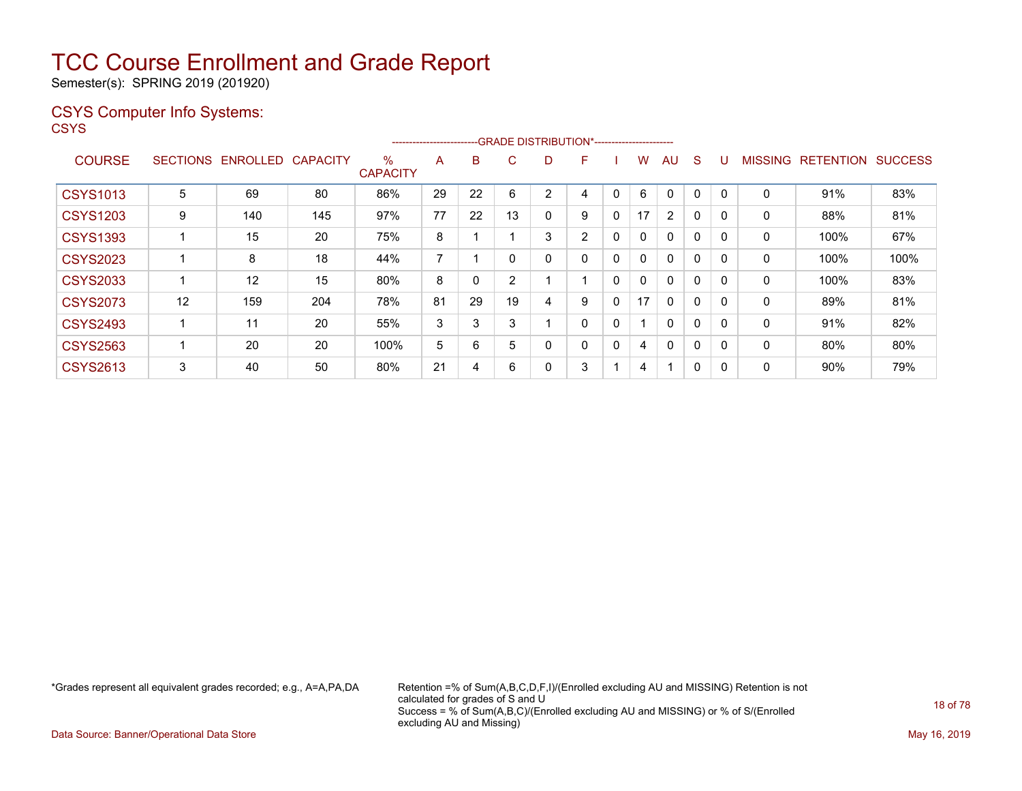Semester(s): SPRING 2019 (201920)

### CSYS Computer Info Systems:

**CSYS** 

|                 |                 |          |                 |                         | ----------------------- |    | ---GRADE DISTRIBUTION*----------------------- |   |                |              |    |                |          |              |                |                  |                |
|-----------------|-----------------|----------|-----------------|-------------------------|-------------------------|----|-----------------------------------------------|---|----------------|--------------|----|----------------|----------|--------------|----------------|------------------|----------------|
| <b>COURSE</b>   | <b>SECTIONS</b> | ENROLLED | <b>CAPACITY</b> | $\%$<br><b>CAPACITY</b> | A                       | B  | С                                             | D | F              |              | w  | AU             | S        |              | <b>MISSING</b> | <b>RETENTION</b> | <b>SUCCESS</b> |
| <b>CSYS1013</b> | 5               | 69       | 80              | 86%                     | 29                      | 22 | 6                                             | 2 | 4              | 0            | 6  | 0              | 0        | 0            | 0              | 91%              | 83%            |
| <b>CSYS1203</b> | 9               | 140      | 145             | 97%                     | 77                      | 22 | 13                                            | 0 | 9              | 0            | 17 | $\overline{2}$ | 0        | 0            | 0              | 88%              | 81%            |
| <b>CSYS1393</b> |                 | 15       | 20              | 75%                     | 8                       |    |                                               | 3 | $\overline{2}$ | $\mathbf{0}$ | 0  | $\mathbf{0}$   | $\Omega$ | $\mathbf{0}$ | 0              | 100%             | 67%            |
| <b>CSYS2023</b> |                 | 8        | 18              | 44%                     | $\overline{ }$          |    |                                               | 0 | 0              | 0            | 0  | $\Omega$       | $\Omega$ | $\Omega$     | 0              | 100%             | 100%           |
| <b>CSYS2033</b> |                 | 12       | 15              | 80%                     | 8                       |    | 2                                             |   |                | 0            | 0  | $\mathbf{0}$   | $\Omega$ | $\Omega$     | 0              | 100%             | 83%            |
| <b>CSYS2073</b> | 12              | 159      | 204             | 78%                     | 81                      | 29 | 19                                            | 4 | 9              | 0            | 17 | $\mathbf{0}$   | 0        | 0            | 0              | 89%              | 81%            |
| <b>CSYS2493</b> |                 | 11       | 20              | 55%                     | 3                       | 3  | 3                                             |   | 0              | 0            |    | $\mathbf{0}$   | $\Omega$ | $\Omega$     | 0              | 91%              | 82%            |
| <b>CSYS2563</b> |                 | 20       | 20              | 100%                    | 5                       | 6  | 5                                             | 0 | 0              | 0            | 4  | $\Omega$       | 0        | $\Omega$     | 0              | 80%              | 80%            |
| <b>CSYS2613</b> | 3               | 40       | 50              | 80%                     | 21                      | 4  | 6                                             | 0 | 3              |              | 4  |                | 0        | 0            | 0              | $90\%$           | 79%            |

\*Grades represent all equivalent grades recorded; e.g., A=A,PA,DA Retention =% of Sum(A,B,C,D,F,I)/(Enrolled excluding AU and MISSING) Retention is not calculated for grades of S and U Success = % of Sum(A,B,C)/(Enrolled excluding AU and MISSING) or % of S/(Enrolled excluding AU and Missing)

Data Source: Banner/Operational Data Store May 16, 2019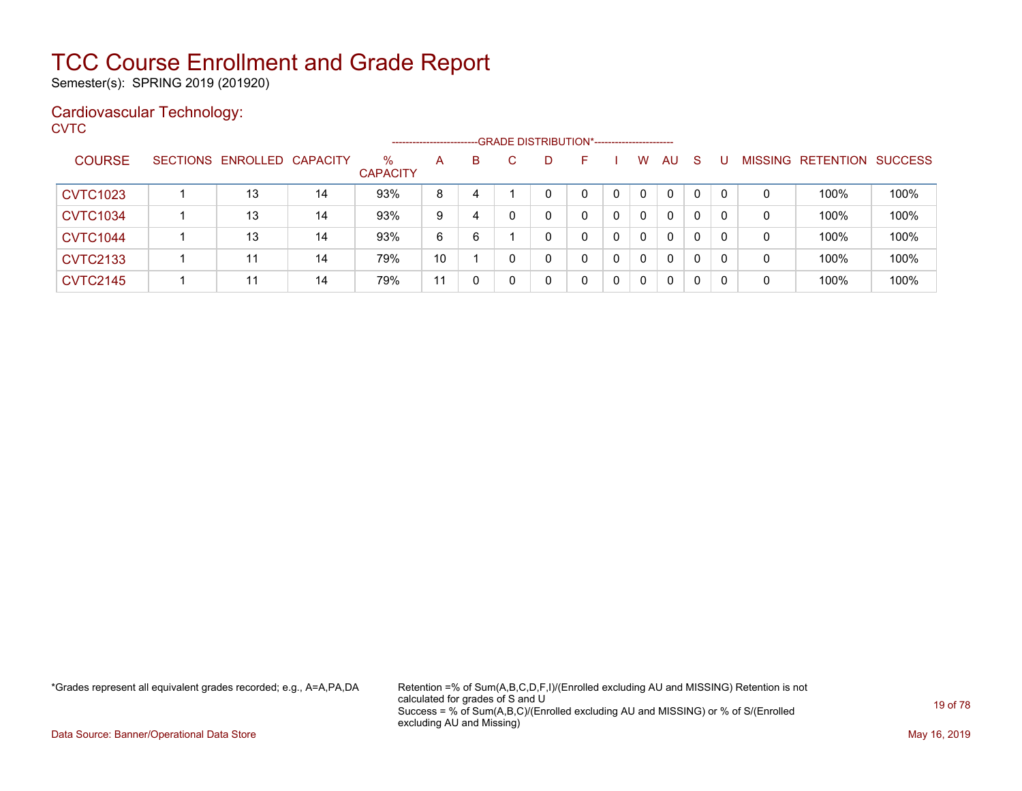Semester(s): SPRING 2019 (201920)

### Cardiovascular Technology:

**CVTC** 

|                 |                            |    |                         | ----------------------- |   | --GRADE DISTRIBUTION*---------------------- |   |   |              |              |              |    |                |                  |         |
|-----------------|----------------------------|----|-------------------------|-------------------------|---|---------------------------------------------|---|---|--------------|--------------|--------------|----|----------------|------------------|---------|
| <b>COURSE</b>   | SECTIONS ENROLLED CAPACITY |    | $\%$<br><b>CAPACITY</b> | A                       | B | D                                           |   |   | W            | <b>AU</b>    | <sub>S</sub> |    | <b>MISSING</b> | <b>RETENTION</b> | SUCCESS |
| <b>CVTC1023</b> | 13                         | 14 | 93%                     | 8                       | 4 | 0                                           | 0 |   | $\Omega$     | $\mathbf{0}$ | 0            | 0  | 0              | 100%             | 100%    |
| <b>CVTC1034</b> | 13                         | 14 | 93%                     | 9                       | 4 | 0                                           | 0 |   | $\mathbf{0}$ | 0            | 0            |    | 0              | 100%             | 100%    |
| <b>CVTC1044</b> | 13                         | 14 | 93%                     | 6                       | 6 | 0                                           | 0 |   | $\mathbf{0}$ | 0            | 0            | -0 | 0              | 100%             | 100%    |
| <b>CVTC2133</b> | 11                         | 14 | 79%                     | 10                      |   | 0                                           | 0 |   | $\Omega$     | 0            | 0            | -0 | 0              | 100%             | 100%    |
| <b>CVTC2145</b> | 11                         | 14 | 79%                     | 11                      |   | 0                                           | 0 | 0 | 0            | 0            | 0            |    | 0              | 100%             | 100%    |

\*Grades represent all equivalent grades recorded; e.g., A=A,PA,DA Retention =% of Sum(A,B,C,D,F,I)/(Enrolled excluding AU and MISSING) Retention is not calculated for grades of S and U Success = % of Sum(A,B,C)/(Enrolled excluding AU and MISSING) or % of S/(Enrolled excluding AU and Missing)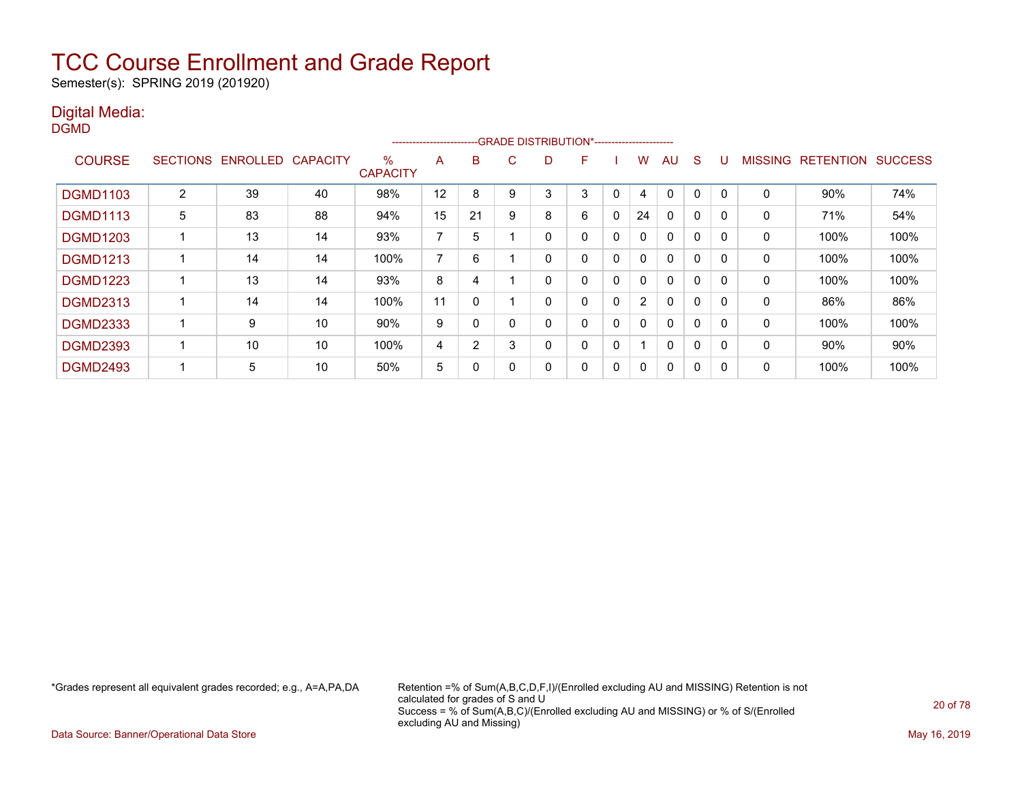Semester(s): SPRING 2019 (201920)

### Digital Media:

| ۰. |  |
|----|--|
|    |  |

|                 |                 |          |                 |                         | ----------------------- |              |              | --GRADE DISTRIBUTION*----------------------- |    |              |                |              |              |          |                |                  |                |
|-----------------|-----------------|----------|-----------------|-------------------------|-------------------------|--------------|--------------|----------------------------------------------|----|--------------|----------------|--------------|--------------|----------|----------------|------------------|----------------|
| <b>COURSE</b>   | <b>SECTIONS</b> | ENROLLED | <b>CAPACITY</b> | $\%$<br><b>CAPACITY</b> | A                       | B            | $\mathbf{C}$ | D                                            | н. |              | W              | AU           | S            |          | <b>MISSING</b> | <b>RETENTION</b> | <b>SUCCESS</b> |
| <b>DGMD1103</b> | 2               | 39       | 40              | 98%                     | 12                      | 8            | 9            |                                              | 3  | 0            | 4              | $\Omega$     | $\Omega$     | $\Omega$ | $\mathbf 0$    | 90%              | 74%            |
| <b>DGMD1113</b> | 5               | 83       | 88              | 94%                     | 15                      | 21           | 9            | 8                                            | 6  | 0            | 24             | 0            | 0            | 0        | 0              | 71%              | 54%            |
| <b>DGMD1203</b> |                 | 13       | 14              | 93%                     | ⇁                       | 5            |              | 0                                            | 0  | $\mathbf{0}$ | 0              | $\mathbf{0}$ | $\Omega$     | $\Omega$ | 0              | 100%             | 100%           |
| <b>DGMD1213</b> |                 | 14       | 14              | 100%                    | ⇁                       | 6            |              |                                              | 0  | 0            |                | $\mathbf{0}$ | $\mathbf{0}$ | 0        | 0              | 100%             | 100%           |
| <b>DGMD1223</b> |                 | 13       | 14              | 93%                     | 8                       | 4            |              |                                              |    | 0            |                | $\mathbf{0}$ | $\Omega$     | $\Omega$ | 0              | 100%             | 100%           |
| <b>DGMD2313</b> |                 | 14       | 14              | 100%                    | 11                      | $\mathbf{0}$ |              | $\Omega$                                     | 0  | $\mathbf{0}$ | $\overline{2}$ | $\mathbf{0}$ | $\Omega$     | 0        | 0              | 86%              | 86%            |
| <b>DGMD2333</b> |                 | 9        | 10              | 90%                     | 9                       | 0            | 0            | 0                                            | 0  | $\mathbf{0}$ | 0              | $\mathbf{0}$ | $\Omega$     | $\Omega$ | 0              | 100%             | 100%           |
| <b>DGMD2393</b> |                 | 10       | 10              | 100%                    | 4                       | 2            | 3            | 0                                            | 0  | 0            |                | $\mathbf{0}$ | $\Omega$     | 0        | $\mathbf 0$    | 90%              | 90%            |
| <b>DGMD2493</b> |                 | 5        | 10              | 50%                     | 5                       | 0            |              |                                              | 0  | 0            |                | 0            | 0            | 0        | 0              | 100%             | 100%           |

\*Grades represent all equivalent grades recorded; e.g., A=A,PA,DA Retention =% of Sum(A,B,C,D,F,I)/(Enrolled excluding AU and MISSING) Retention is not calculated for grades of S and U Success = % of Sum(A,B,C)/(Enrolled excluding AU and MISSING) or % of S/(Enrolled excluding AU and Missing)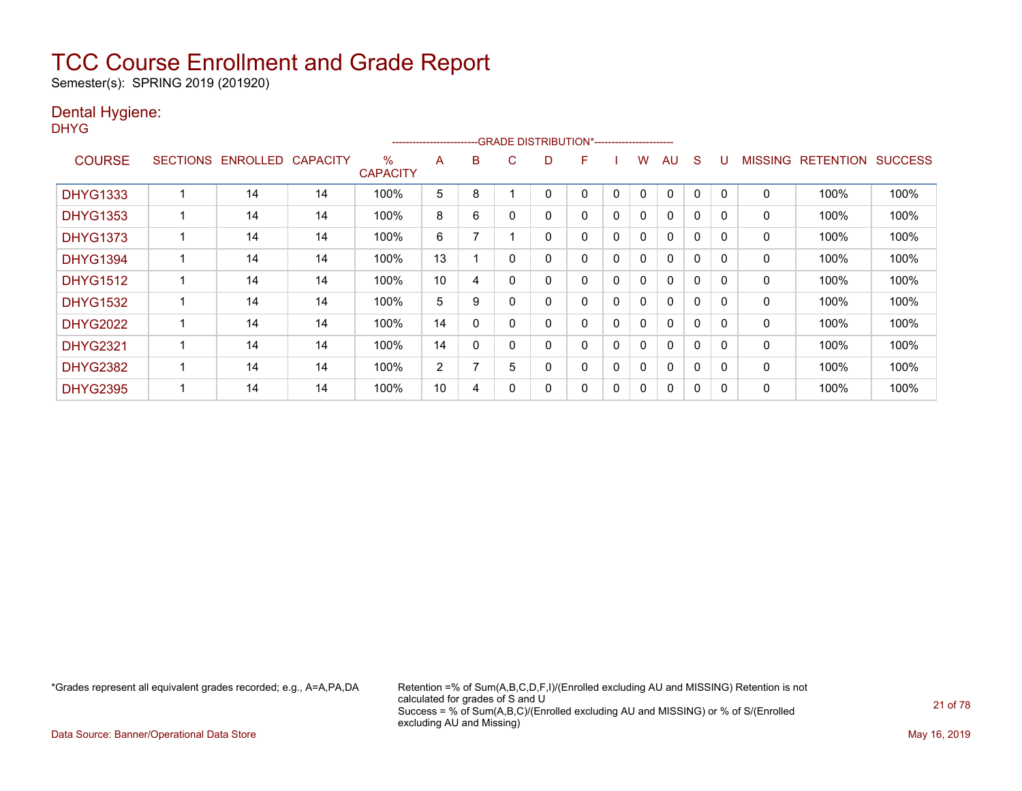Semester(s): SPRING 2019 (201920)

### Dental Hygiene:

DHYG

|                 |                 |                 |                 |                         | ----------------------- |   |   | --GRADE DISTRIBUTION*----------------------- |   |          |   |              |          |              |                |                  |                |
|-----------------|-----------------|-----------------|-----------------|-------------------------|-------------------------|---|---|----------------------------------------------|---|----------|---|--------------|----------|--------------|----------------|------------------|----------------|
| <b>COURSE</b>   | <b>SECTIONS</b> | <b>ENROLLED</b> | <b>CAPACITY</b> | $\%$<br><b>CAPACITY</b> | A                       | B | C | D                                            | F |          | w | AU           | S        |              | <b>MISSING</b> | <b>RETENTION</b> | <b>SUCCESS</b> |
| <b>DHYG1333</b> |                 | 14              | 14              | 100%                    | 5                       | 8 |   |                                              | 0 | 0        | 0 | 0            | 0        | 0            | 0              | 100%             | 100%           |
| <b>DHYG1353</b> |                 | 14              | 14              | 100%                    | 8                       | 6 |   | 0                                            | 0 | 0        | 0 | $\mathbf{0}$ | 0        | $\Omega$     | 0              | 100%             | 100%           |
| <b>DHYG1373</b> |                 | 14              | 14              | 100%                    | 6                       |   |   | 0                                            | 0 | 0        | 0 | 0            | 0        | <sup>0</sup> | 0              | 100%             | 100%           |
| <b>DHYG1394</b> |                 | 14              | 14              | 100%                    | 13                      |   | 0 | 0                                            | 0 | $\Omega$ | 0 | 0            | $\Omega$ | $\Omega$     | 0              | 100%             | 100%           |
| <b>DHYG1512</b> |                 | 14              | 14              | 100%                    | 10                      | 4 |   | 0                                            | 0 | $\Omega$ | 0 | $\mathbf{0}$ | $\Omega$ | $\Omega$     | 0              | 100%             | 100%           |
| <b>DHYG1532</b> |                 | 14              | 14              | 100%                    | 5                       | 9 | 0 | 0                                            | 0 | 0        | 0 | $\Omega$     | $\Omega$ | $\Omega$     | 0              | 100%             | 100%           |
| <b>DHYG2022</b> |                 | 14              | 14              | 100%                    | 14                      | 0 |   | 0                                            | 0 | 0        | 0 | $\mathbf{0}$ | $\Omega$ | <sup>n</sup> | 0              | 100%             | 100%           |
| <b>DHYG2321</b> |                 | 14              | 14              | 100%                    | 14                      | 0 |   | 0                                            | 0 | 0        | 0 | $\mathbf{0}$ | 0        | <sup>0</sup> | 0              | 100%             | 100%           |
| <b>DHYG2382</b> |                 | 14              | 14              | 100%                    | $\overline{2}$          |   | 5 | 0                                            | 0 | 0        | 0 | 0            | 0        | $\Omega$     | 0              | 100%             | 100%           |
| <b>DHYG2395</b> |                 | 14              | 14              | 100%                    | 10                      | 4 |   | 0                                            | 0 | 0        | 0 | 0            | 0        |              | 0              | 100%             | 100%           |

\*Grades represent all equivalent grades recorded; e.g., A=A,PA,DA Retention =% of Sum(A,B,C,D,F,I)/(Enrolled excluding AU and MISSING) Retention is not calculated for grades of S and U Success = % of Sum(A,B,C)/(Enrolled excluding AU and MISSING) or % of S/(Enrolled excluding AU and Missing)

Data Source: Banner/Operational Data Store May 16, 2019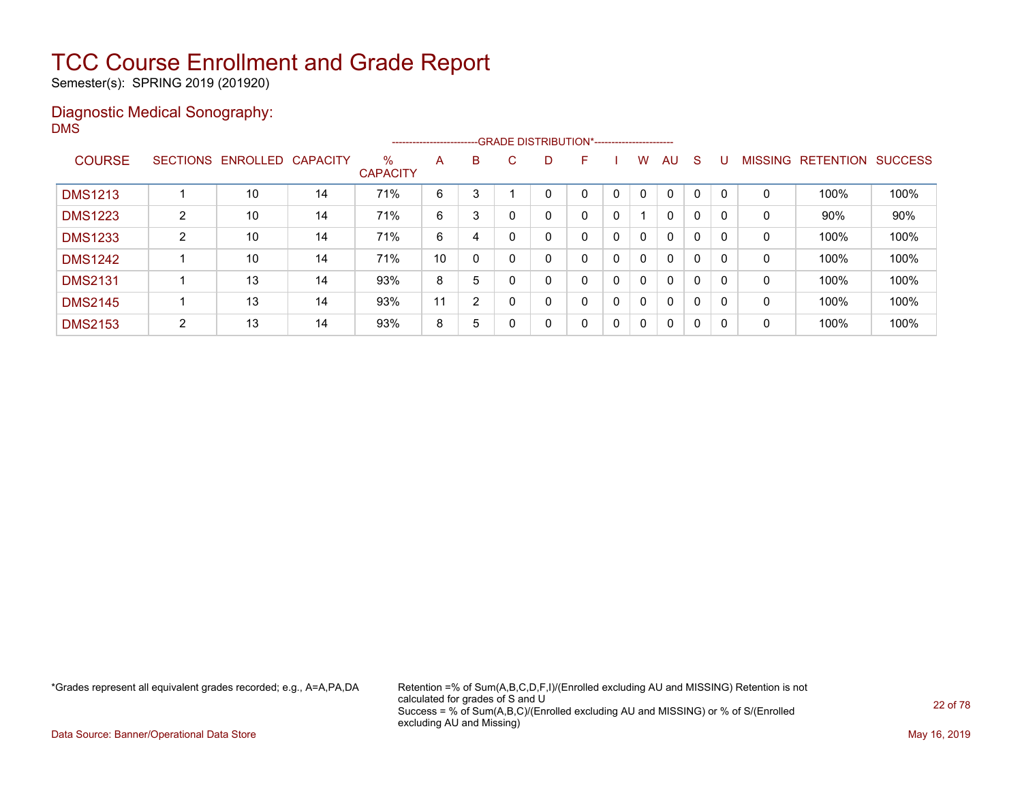Semester(s): SPRING 2019 (201920)

### Diagnostic Medical Sonography: DMS

|                |                |                            |    |                         |    |   |              |    | --------------------------GRADE DISTRIBUTION*----------------------- |   |              |              |              |          |                |                  |                |
|----------------|----------------|----------------------------|----|-------------------------|----|---|--------------|----|----------------------------------------------------------------------|---|--------------|--------------|--------------|----------|----------------|------------------|----------------|
| <b>COURSE</b>  |                | SECTIONS ENROLLED CAPACITY |    | $\%$<br><b>CAPACITY</b> | A  | B | $\mathbf{C}$ | D. | F                                                                    |   | w            | AU           | S            |          | <b>MISSING</b> | <b>RETENTION</b> | <b>SUCCESS</b> |
| <b>DMS1213</b> |                | 10                         | 14 | 71%                     | 6  | 3 |              |    | 0                                                                    | 0 | 0            | $\Omega$     | 0            | $\Omega$ | 0              | 100%             | 100%           |
| <b>DMS1223</b> | 2              | 10                         | 14 | 71%                     | 6  | 3 | 0            |    | 0                                                                    | 0 |              | $\Omega$     | 0            | 0        | 0              | 90%              | 90%            |
| <b>DMS1233</b> | 2              | 10                         | 14 | 71%                     | 6  | 4 |              | 0  | 0                                                                    | 0 | 0            | 0            | 0            | 0        | 0              | 100%             | 100%           |
| <b>DMS1242</b> |                | 10                         | 14 | 71%                     | 10 | 0 | $\Omega$     | 0  | 0                                                                    | 0 | $\mathbf{0}$ | $\mathbf{0}$ | 0            | 0        | 0              | 100%             | 100%           |
| <b>DMS2131</b> |                | 13                         | 14 | 93%                     | 8  | 5 | $\Omega$     | 0  | 0                                                                    | 0 | $\mathbf{0}$ | $\mathbf{0}$ | 0            | $\Omega$ | 0              | 100%             | 100%           |
| <b>DMS2145</b> |                | 13                         | 14 | 93%                     | 11 | 2 |              | 0  | 0                                                                    | 0 | $\mathbf{0}$ | $\mathbf{0}$ | $\mathbf{0}$ |          | 0              | 100%             | 100%           |
| <b>DMS2153</b> | $\overline{2}$ | 13                         | 14 | 93%                     | 8  | 5 |              | 0  | 0                                                                    | 0 | $\mathbf 0$  | $\mathbf{0}$ | $\mathbf{0}$ | 0        | 0              | 100%             | 100%           |

\*Grades represent all equivalent grades recorded; e.g., A=A,PA,DA Retention =% of Sum(A,B,C,D,F,I)/(Enrolled excluding AU and MISSING) Retention is not calculated for grades of S and U Success = % of Sum(A,B,C)/(Enrolled excluding AU and MISSING) or % of S/(Enrolled excluding AU and Missing)

Data Source: Banner/Operational Data Store May 16, 2019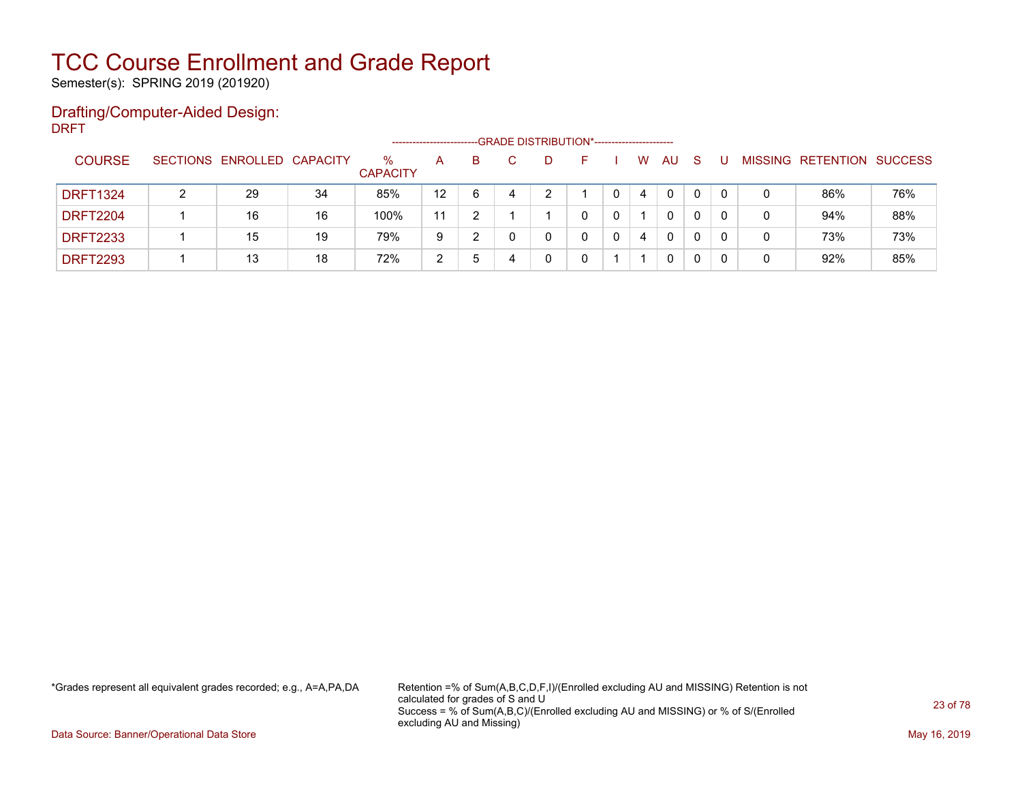Semester(s): SPRING 2019 (201920)

#### Drafting/Computer-Aided Design: DRFT

|                 |                            |    |                         |    |    |   |    | -- GRADE DISTRIBUTION*------------------------ |   |          |              |   |                           |     |
|-----------------|----------------------------|----|-------------------------|----|----|---|----|------------------------------------------------|---|----------|--------------|---|---------------------------|-----|
| <b>COURSE</b>   | SECTIONS ENROLLED CAPACITY |    | $\%$<br><b>CAPACITY</b> | A  | B. |   | D. | н.                                             | W | AU       | <sub>S</sub> |   | MISSING RETENTION SUCCESS |     |
| <b>DRFT1324</b> | 29                         | 34 | 85%                     | 12 | 6  | 4 |    |                                                | 4 | 0        | 0            |   | 86%                       | 76% |
| <b>DRFT2204</b> | 16                         | 16 | 100%                    | 11 |    |   |    |                                                |   | 0        | 0            |   | 94%                       | 88% |
| <b>DRFT2233</b> | 15                         | 19 | 79%                     | 9  |    |   |    |                                                | 4 | $\Omega$ | 0            |   | 73%                       | 73% |
| <b>DRFT2293</b> | 13                         | 18 | 72%                     | 2  | b  | 4 |    |                                                |   | 0        |              | C | 92%                       | 85% |

\*Grades represent all equivalent grades recorded; e.g., A=A,PA,DA Retention =% of Sum(A,B,C,D,F,I)/(Enrolled excluding AU and MISSING) Retention is not calculated for grades of S and U Success = % of Sum(A,B,C)/(Enrolled excluding AU and MISSING) or % of S/(Enrolled excluding AU and Missing)

Data Source: Banner/Operational Data Store May 16, 2019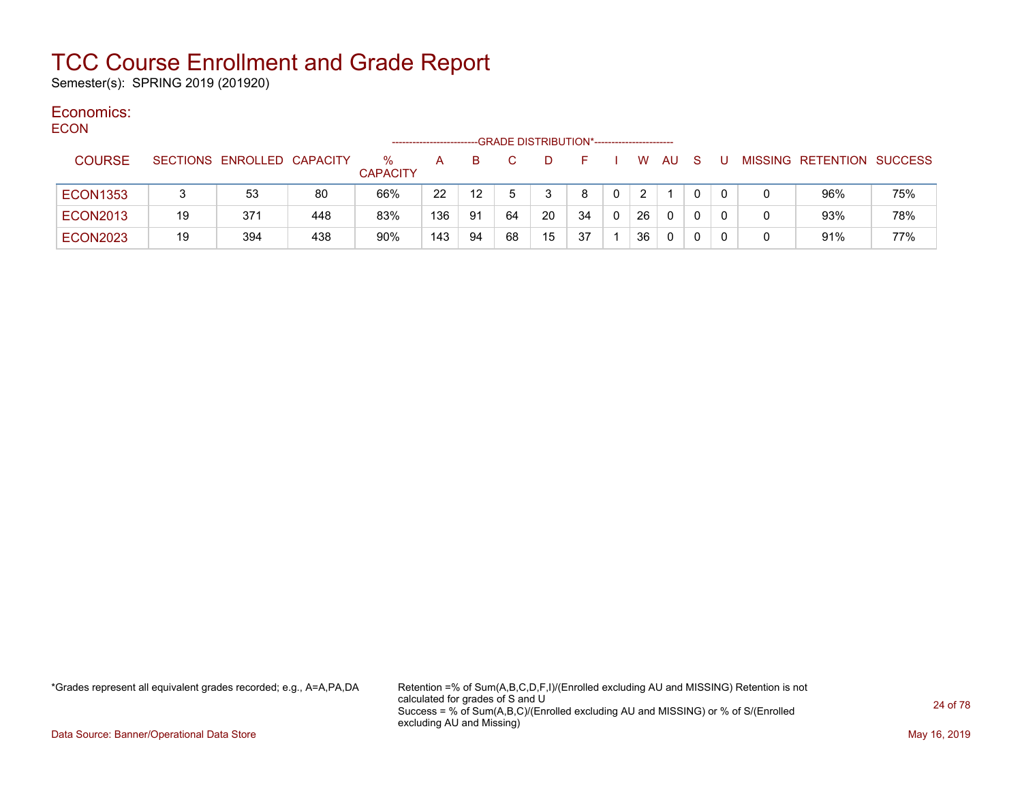Semester(s): SPRING 2019 (201920)

#### Economics: ECON

| <b>EUUN</b> |                 |    |                            |     |                         |     |                 |    | -GRADE DISTRIBUTION*---------------------- |    |            |    |          |              |  |                           |     |
|-------------|-----------------|----|----------------------------|-----|-------------------------|-----|-----------------|----|--------------------------------------------|----|------------|----|----------|--------------|--|---------------------------|-----|
|             | <b>COURSE</b>   |    | SECTIONS ENROLLED CAPACITY |     | $\%$<br><b>CAPACITY</b> | A   | B.              | C. | D                                          | F. |            |    | W AU S   |              |  | MISSING RETENTION SUCCESS |     |
|             | <b>ECON1353</b> |    | 53                         | 80  | 66%                     | 22  | 12 <sup>°</sup> |    |                                            | 8  | $^{\circ}$ | 2  |          | $\mathbf{0}$ |  | 96%                       | 75% |
|             | <b>ECON2013</b> | 19 | 371                        | 448 | 83%                     | 136 | 91              | 64 | 20                                         | 34 | 0          | 26 | $\Omega$ | 0            |  | 93%                       | 78% |
|             | <b>ECON2023</b> | 19 | 394                        | 438 | 90%                     | 143 | 94              | 68 | 15                                         | 37 |            | 36 | 0        |              |  | 91%                       | 77% |

\*Grades represent all equivalent grades recorded; e.g., A=A,PA,DA Retention =% of Sum(A,B,C,D,F,I)/(Enrolled excluding AU and MISSING) Retention is not calculated for grades of S and U Success = % of Sum(A,B,C)/(Enrolled excluding AU and MISSING) or % of S/(Enrolled excluding AU and Missing)

Data Source: Banner/Operational Data Store May 16, 2019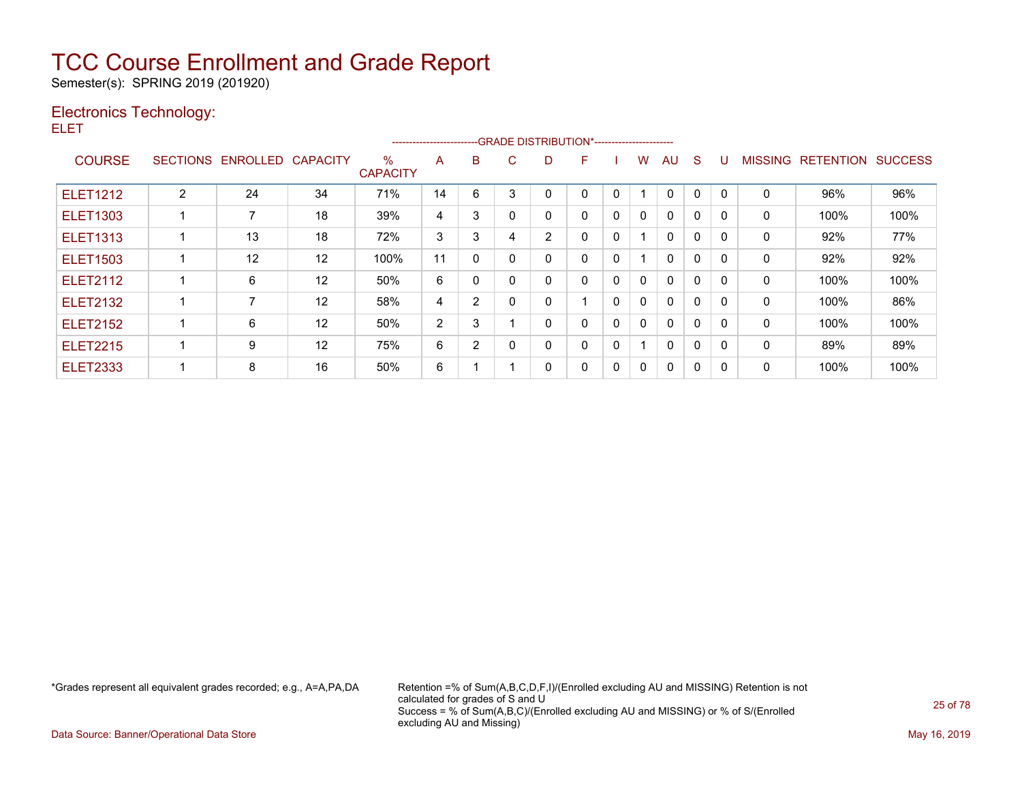Semester(s): SPRING 2019 (201920)

### Electronics Technology:

ELET

|                 |                 |          |                   |                         |                |                |   |   | ------------------------GRADE DISTRIBUTION*---------------------- |              |              |              |              |              |                |                  |                |
|-----------------|-----------------|----------|-------------------|-------------------------|----------------|----------------|---|---|-------------------------------------------------------------------|--------------|--------------|--------------|--------------|--------------|----------------|------------------|----------------|
| <b>COURSE</b>   | <b>SECTIONS</b> | ENROLLED | <b>CAPACITY</b>   | $\%$<br><b>CAPACITY</b> | A              | B              | С | D | F                                                                 |              | w            | AU           | S            |              | <b>MISSING</b> | <b>RETENTION</b> | <b>SUCCESS</b> |
| <b>ELET1212</b> | $\overline{2}$  | 24       | 34                | 71%                     | 14             | 6              | 3 | 0 | 0                                                                 |              |              | 0            | $\mathbf 0$  | 0            | 0              | 96%              | 96%            |
| <b>ELET1303</b> |                 |          | 18                | 39%                     | 4              | 3              |   | 0 | 0                                                                 | 0            | 0            | $\mathbf{0}$ | 0            | 0            | 0              | 100%             | 100%           |
| <b>ELET1313</b> |                 | 13       | 18                | 72%                     | 3              | 3              | 4 | 2 | 0                                                                 | $\mathbf{0}$ |              | $\mathbf{0}$ | $\Omega$     | $\Omega$     | 0              | 92%              | 77%            |
| <b>ELET1503</b> |                 | 12       | $12 \overline{ }$ | 100%                    | 11             | $\mathbf 0$    |   | 0 | 0                                                                 | 0            |              | $\mathbf{0}$ | $\mathbf{0}$ | $\mathbf{0}$ | 0              | 92%              | 92%            |
| <b>ELET2112</b> |                 | 6        | 12                | 50%                     | 6              |                |   | 0 | 0                                                                 | 0            | 0            | $\Omega$     | 0            | $\mathbf{0}$ | 0              | 100%             | 100%           |
| <b>ELET2132</b> |                 |          | 12                | 58%                     | 4              | $\overline{2}$ |   | 0 |                                                                   | 0            | 0            | $\mathbf{0}$ | 0            | 0            | 0              | 100%             | 86%            |
| <b>ELET2152</b> |                 | 6        | 12                | 50%                     | $\overline{2}$ | 3              |   | 0 | 0                                                                 | $\Omega$     | $\mathbf{0}$ | $\mathbf{0}$ | $\Omega$     | $\Omega$     | 0              | 100%             | 100%           |
| <b>ELET2215</b> |                 | 9        | 12                | 75%                     | 6              | 2              |   | 0 | 0                                                                 | 0            |              | $\mathbf{0}$ | $\Omega$     | $\Omega$     | 0              | 89%              | 89%            |
| <b>ELET2333</b> |                 | 8        | 16                | 50%                     | 6              |                |   | 0 | 0                                                                 | 0            | 0            | $\Omega$     | 0            | 0            | 0              | 100%             | 100%           |

\*Grades represent all equivalent grades recorded; e.g., A=A,PA,DA Retention =% of Sum(A,B,C,D,F,I)/(Enrolled excluding AU and MISSING) Retention is not calculated for grades of S and U Success = % of Sum(A,B,C)/(Enrolled excluding AU and MISSING) or % of S/(Enrolled excluding AU and Missing)

Data Source: Banner/Operational Data Store May 16, 2019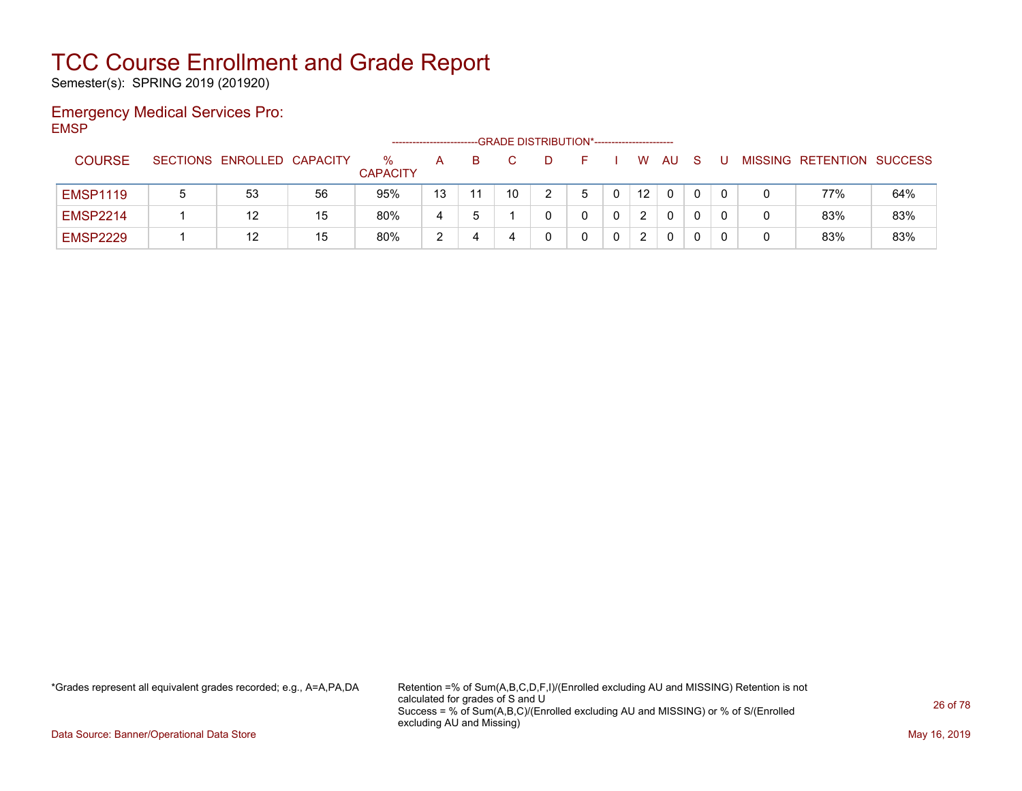Semester(s): SPRING 2019 (201920)

### Emergency Medical Services Pro: EMSP

|                 |   |                            |    |                         |    | --GRADE DISTRIBUTION*----------------------- |  |                 |    |          |  |                           |     |
|-----------------|---|----------------------------|----|-------------------------|----|----------------------------------------------|--|-----------------|----|----------|--|---------------------------|-----|
| <b>COURSE</b>   |   | SECTIONS ENROLLED CAPACITY |    | $\%$<br><b>CAPACITY</b> | А  |                                              |  | W               | AU | <b>S</b> |  | MISSING RETENTION SUCCESS |     |
| <b>EMSP1119</b> | 5 | 53                         | 56 | 95%                     | 13 | 10                                           |  | 12 <sup>2</sup> |    |          |  | 77%                       | 64% |
| <b>EMSP2214</b> |   | 12                         | 15 | 80%                     | 4  |                                              |  |                 | 0  |          |  | 83%                       | 83% |
| <b>EMSP2229</b> |   | 12                         | 15 | 80%                     |    | 4                                            |  |                 | 0  |          |  | 83%                       | 83% |

\*Grades represent all equivalent grades recorded; e.g., A=A,PA,DA Retention =% of Sum(A,B,C,D,F,I)/(Enrolled excluding AU and MISSING) Retention is not calculated for grades of S and U Success = % of Sum(A,B,C)/(Enrolled excluding AU and MISSING) or % of S/(Enrolled excluding AU and Missing)

Data Source: Banner/Operational Data Store May 16, 2019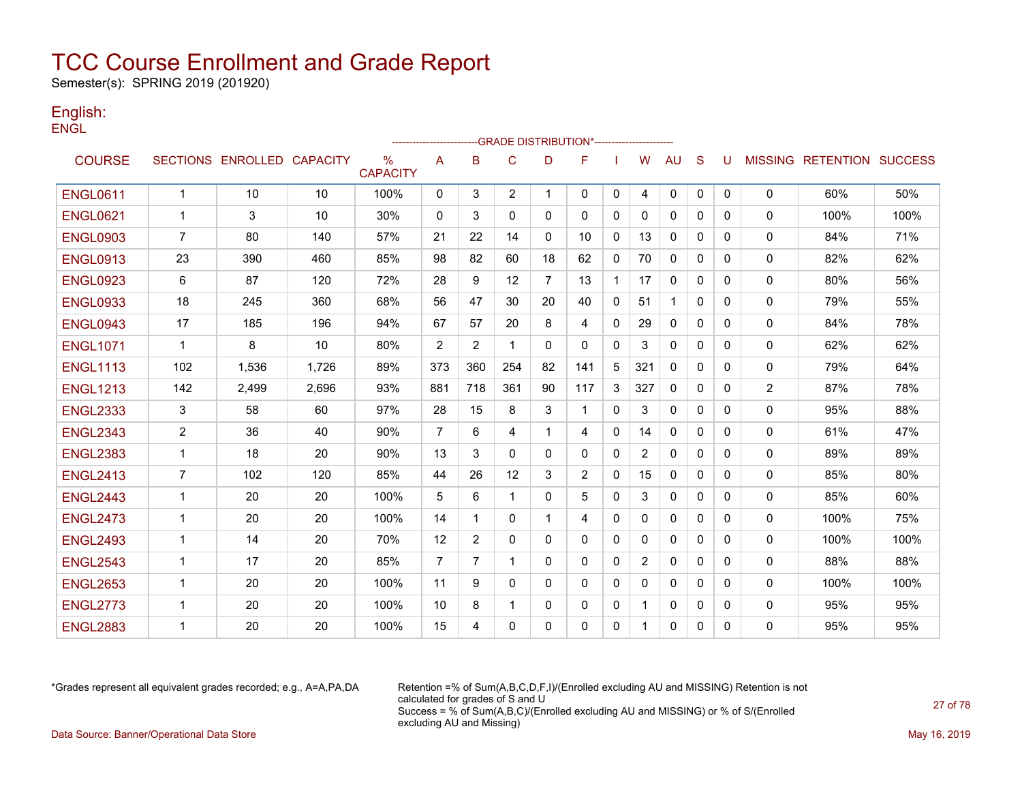Semester(s): SPRING 2019 (201920)

### English: **ENGL**

|                 |                |                            |       |                         |                |                |                |             | -GRADE DISTRIBUTION*----------------------- |          |     |              |              |              |                |                           |      |
|-----------------|----------------|----------------------------|-------|-------------------------|----------------|----------------|----------------|-------------|---------------------------------------------|----------|-----|--------------|--------------|--------------|----------------|---------------------------|------|
| <b>COURSE</b>   |                | SECTIONS ENROLLED CAPACITY |       | $\%$<br><b>CAPACITY</b> | A              | B              | C              | D           | F                                           |          | W   | <b>AU</b>    | S            | U            |                | MISSING RETENTION SUCCESS |      |
| <b>ENGL0611</b> | $\mathbf{1}$   | 10                         | 10    | 100%                    | $\mathbf{0}$   | 3              | $\overline{2}$ | -1          | $\mathbf{0}$                                | 0        | 4   | $\mathbf{0}$ | $\mathbf{0}$ | $\mathbf{0}$ | $\mathbf{0}$   | 60%                       | 50%  |
| <b>ENGL0621</b> | $\mathbf{1}$   | 3                          | 10    | 30%                     | $\Omega$       | 3              | $\Omega$       | $\mathbf 0$ | $\mathbf{0}$                                | 0        | 0   | $\mathbf{0}$ | $\Omega$     | 0            | $\mathbf{0}$   | 100%                      | 100% |
| <b>ENGL0903</b> | $\overline{7}$ | 80                         | 140   | 57%                     | 21             | 22             | 14             | $\Omega$    | 10                                          | 0        | 13  | 0            | $\Omega$     | 0            | $\mathbf 0$    | 84%                       | 71%  |
| <b>ENGL0913</b> | 23             | 390                        | 460   | 85%                     | 98             | 82             | 60             | 18          | 62                                          | 0        | 70  | $\mathbf{0}$ | $\Omega$     | 0            | $\mathbf{0}$   | 82%                       | 62%  |
| <b>ENGL0923</b> | 6              | 87                         | 120   | 72%                     | 28             | 9              | 12             | 7           | 13                                          | 1        | 17  | $\mathbf{0}$ | 0            | 0            | 0              | 80%                       | 56%  |
| <b>ENGL0933</b> | 18             | 245                        | 360   | 68%                     | 56             | 47             | 30             | 20          | 40                                          | 0        | 51  | $\mathbf 1$  | $\mathbf{0}$ | 0            | 0              | 79%                       | 55%  |
| <b>ENGL0943</b> | 17             | 185                        | 196   | 94%                     | 67             | 57             | 20             | 8           | 4                                           | $\Omega$ | 29  | $\mathbf{0}$ | $\mathbf{0}$ | 0            | $\mathbf 0$    | 84%                       | 78%  |
| <b>ENGL1071</b> | 1              | 8                          | 10    | 80%                     | $\overline{2}$ | $\overline{2}$ | $\mathbf{1}$   | 0           | 0                                           | 0        | 3   | 0            | $\mathbf{0}$ | 0            | $\mathbf 0$    | 62%                       | 62%  |
| <b>ENGL1113</b> | 102            | 1.536                      | 1.726 | 89%                     | 373            | 360            | 254            | 82          | 141                                         | 5        | 321 | $\mathbf{0}$ | $\mathbf{0}$ | 0            | $\mathbf{0}$   | 79%                       | 64%  |
| <b>ENGL1213</b> | 142            | 2,499                      | 2,696 | 93%                     | 881            | 718            | 361            | 90          | 117                                         | 3        | 327 | $\mathbf{0}$ | $\Omega$     | 0            | $\overline{2}$ | 87%                       | 78%  |
| <b>ENGL2333</b> | 3              | 58                         | 60    | 97%                     | 28             | 15             | 8              | 3           | 1                                           | $\Omega$ | 3   | $\mathbf{0}$ | $\Omega$     | 0            | $\mathbf 0$    | 95%                       | 88%  |
| <b>ENGL2343</b> | 2              | 36                         | 40    | 90%                     | $\overline{7}$ | 6              | 4              | 1           | 4                                           | 0        | 14  | $\mathbf{0}$ | $\Omega$     | 0            | 0              | 61%                       | 47%  |
| <b>ENGL2383</b> | 1              | 18                         | 20    | 90%                     | 13             | 3              | $\mathbf{0}$   | 0           | 0                                           | 0        | 2   | $\mathbf{0}$ | $\Omega$     | 0            | 0              | 89%                       | 89%  |
| <b>ENGL2413</b> | $\overline{7}$ | 102                        | 120   | 85%                     | 44             | 26             | 12             | 3           | 2                                           | 0        | 15  | 0            | 0            | 0            | 0              | 85%                       | 80%  |
| <b>ENGL2443</b> | $\mathbf{1}$   | 20                         | 20    | 100%                    | 5              | 6              | $\mathbf{1}$   | $\Omega$    | 5                                           | $\Omega$ | 3   | $\mathbf{0}$ | $\Omega$     | $\Omega$     | $\mathbf 0$    | 85%                       | 60%  |
| <b>ENGL2473</b> | $\mathbf{1}$   | 20                         | 20    | 100%                    | 14             | 1              | $\mathbf{0}$   | -1          | 4                                           | 0        | 0   | $\mathbf{0}$ | $\mathbf{0}$ | 0            | $\mathbf{0}$   | 100%                      | 75%  |
| <b>ENGL2493</b> | $\mathbf{1}$   | 14                         | 20    | 70%                     | 12             | $\overline{2}$ | $\Omega$       | $\mathbf 0$ | 0                                           | 0        | 0   | $\mathbf{0}$ | $\mathbf{0}$ | 0            | $\mathbf{0}$   | 100%                      | 100% |
| <b>ENGL2543</b> | 1              | 17                         | 20    | 85%                     | 7              | 7              | 1              | 0           | $\Omega$                                    | 0        | 2   | $\mathbf{0}$ | $\Omega$     | 0            | $\mathbf{0}$   | 88%                       | 88%  |
| <b>ENGL2653</b> | $\mathbf{1}$   | 20                         | 20    | 100%                    | 11             | 9              | $\Omega$       | $\mathbf 0$ | 0                                           | 0        | 0   | $\mathbf{0}$ | $\Omega$     | 0            | $\mathbf{0}$   | 100%                      | 100% |
| <b>ENGL2773</b> | $\mathbf{1}$   | 20                         | 20    | 100%                    | 10             | 8              | $\mathbf{1}$   | $\Omega$    | 0                                           | 0        | 1   | $\mathbf{0}$ | $\Omega$     | 0            | 0              | 95%                       | 95%  |
| <b>ENGL2883</b> | -1             | 20                         | 20    | 100%                    | 15             | 4              | $\Omega$       | $\Omega$    | 0                                           | 0        | 1   | 0            | 0            | 0            | 0              | 95%                       | 95%  |

\*Grades represent all equivalent grades recorded; e.g., A=A,PA,DA Retention =% of Sum(A,B,C,D,F,I)/(Enrolled excluding AU and MISSING) Retention is not calculated for grades of S and U Success = % of Sum(A,B,C)/(Enrolled excluding AU and MISSING) or % of S/(Enrolled excluding AU and Missing) Data Source: Banner/Operational Data Store May 16, 2019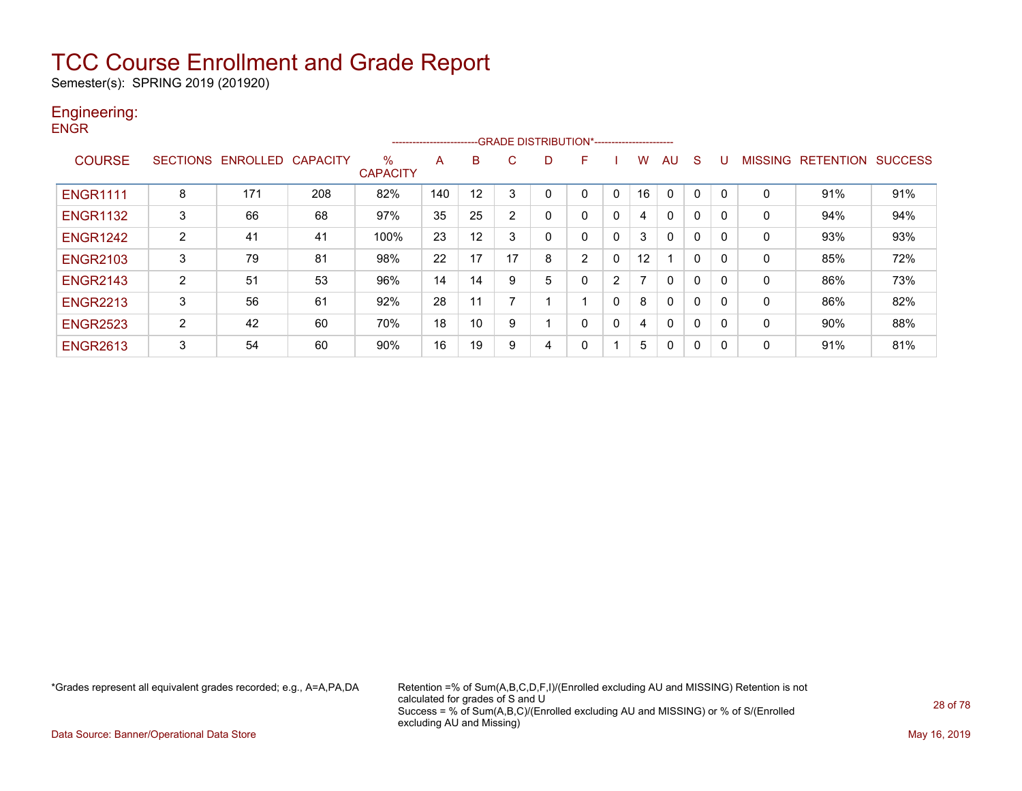Semester(s): SPRING 2019 (201920)

#### Engineering: **ENGR**

|                 |   |                            |     |                         | ------------------------ |    |    |   | -GRADE DISTRIBUTION*----------------------- |              |                   |              |   |          |              |                   |                |
|-----------------|---|----------------------------|-----|-------------------------|--------------------------|----|----|---|---------------------------------------------|--------------|-------------------|--------------|---|----------|--------------|-------------------|----------------|
| <b>COURSE</b>   |   | SECTIONS ENROLLED CAPACITY |     | $\%$<br><b>CAPACITY</b> | A                        | B  | C  | D | F                                           |              | w                 | AU           | S |          |              | MISSING RETENTION | <b>SUCCESS</b> |
| <b>ENGR1111</b> | 8 | 171                        | 208 | 82%                     | 140                      | 12 | 3  |   |                                             | $\Omega$     | 16                | $\mathbf{0}$ | 0 | $\Omega$ | 0            | 91%               | 91%            |
| <b>ENGR1132</b> | 3 | 66                         | 68  | 97%                     | 35                       | 25 | 2  | 0 |                                             | $\mathbf{0}$ | 4                 | 0            | 0 | 0        | $\mathbf{0}$ | 94%               | 94%            |
| <b>ENGR1242</b> | 2 | 41                         | 41  | 100%                    | 23                       | 12 | 3  |   |                                             | $\Omega$     | 3                 | 0            | 0 | 0        | 0            | 93%               | 93%            |
| <b>ENGR2103</b> | 3 | 79                         | 81  | 98%                     | 22                       | 17 | 17 | 8 | 2                                           | $\Omega$     | $12 \overline{ }$ |              | 0 | 0        | $\mathbf{0}$ | 85%               | 72%            |
| <b>ENGR2143</b> | 2 | 51                         | 53  | 96%                     | 14                       | 14 | 9  | 5 |                                             | 2            |                   | 0            | 0 | $\Omega$ | 0            | 86%               | 73%            |
| <b>ENGR2213</b> | 3 | 56                         | 61  | 92%                     | 28                       |    |    |   |                                             | 0            | 8                 | 0            | 0 | 0        | $\mathbf{0}$ | 86%               | 82%            |
| <b>ENGR2523</b> | 2 | 42                         | 60  | 70%                     | 18                       | 10 | 9  |   | 0                                           | 0            | 4                 | 0            | 0 | 0        | $\mathbf{0}$ | 90%               | 88%            |
| <b>ENGR2613</b> | 3 | 54                         | 60  | 90%                     | 16                       | 19 | 9  | 4 |                                             |              | 5                 | 0            | 0 | 0        | 0            | 91%               | 81%            |

\*Grades represent all equivalent grades recorded; e.g., A=A,PA,DA Retention =% of Sum(A,B,C,D,F,I)/(Enrolled excluding AU and MISSING) Retention is not calculated for grades of S and U Success = % of Sum(A,B,C)/(Enrolled excluding AU and MISSING) or % of S/(Enrolled excluding AU and Missing)

Data Source: Banner/Operational Data Store May 16, 2019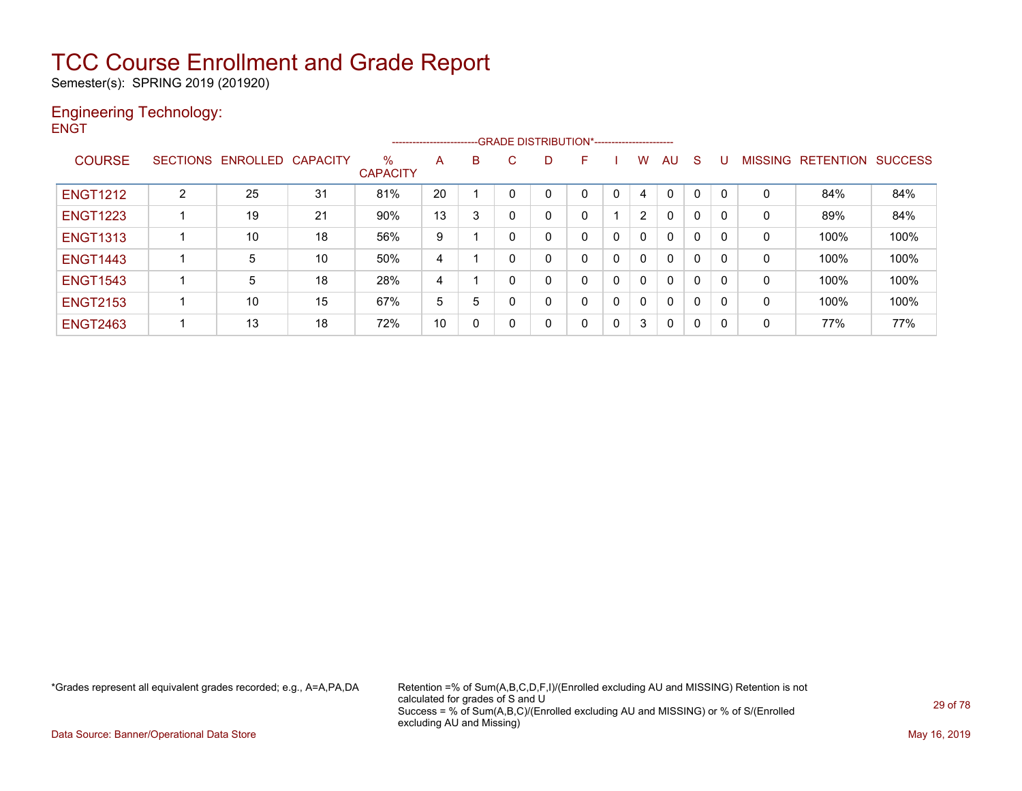Semester(s): SPRING 2019 (201920)

#### Engineering Technology: **ENGT**

|                 |                |                            |    |                      | ------------------------- |   |              |   | -- GRADE DISTRIBUTION*----------------------- |          |              |              |              |             |                |                  |                |
|-----------------|----------------|----------------------------|----|----------------------|---------------------------|---|--------------|---|-----------------------------------------------|----------|--------------|--------------|--------------|-------------|----------------|------------------|----------------|
| <b>COURSE</b>   |                | SECTIONS ENROLLED CAPACITY |    | %<br><b>CAPACITY</b> | A                         | B | C            | D | F.                                            |          | W            | AU           | S            | U           | <b>MISSING</b> | <b>RETENTION</b> | <b>SUCCESS</b> |
| <b>ENGT1212</b> | $\overline{2}$ | 25                         | 31 | 81%                  | 20                        |   |              |   |                                               | $\Omega$ | 4            | $\mathbf{0}$ | 0            | $\mathbf 0$ | 0              | 84%              | 84%            |
| <b>ENGT1223</b> |                | 19                         | 21 | 90%                  | 13                        | 3 | 0            | 0 |                                               |          |              | 0            | 0            | 0           | 0              | 89%              | 84%            |
| <b>ENGT1313</b> |                | 10                         | 18 | 56%                  | 9                         |   | $\mathbf{0}$ | 0 | 0                                             | 0        |              | $\mathbf{0}$ | 0            | 0           | 0              | 100%             | 100%           |
| <b>ENGT1443</b> |                | 5                          | 10 | 50%                  | 4                         |   | $\mathbf{0}$ | 0 |                                               | 0        | 0            | $\mathbf{0}$ | 0            | 0           | $\mathbf{0}$   | 100%             | 100%           |
| <b>ENGT1543</b> |                | 5                          | 18 | 28%                  | 4                         |   | $\mathbf{0}$ | 0 |                                               | 0        | <sup>0</sup> | $\mathbf{0}$ | 0            | 0           | $\mathbf{0}$   | 100%             | 100%           |
| <b>ENGT2153</b> |                | 10                         | 15 | 67%                  | 5                         | 5 | $\mathbf{0}$ | 0 |                                               | 0        | $\Omega$     | $\mathbf{0}$ | $\mathbf{0}$ | 0           | $\Omega$       | 100%             | 100%           |
| <b>ENGT2463</b> |                | 13                         | 18 | 72%                  | 10                        | 0 | 0            | 0 | 0                                             | 0        | 3            | 0            | 0            | 0           | 0              | 77%              | 77%            |

\*Grades represent all equivalent grades recorded; e.g., A=A,PA,DA Retention =% of Sum(A,B,C,D,F,I)/(Enrolled excluding AU and MISSING) Retention is not calculated for grades of S and U Success = % of Sum(A,B,C)/(Enrolled excluding AU and MISSING) or % of S/(Enrolled excluding AU and Missing)

Data Source: Banner/Operational Data Store May 16, 2019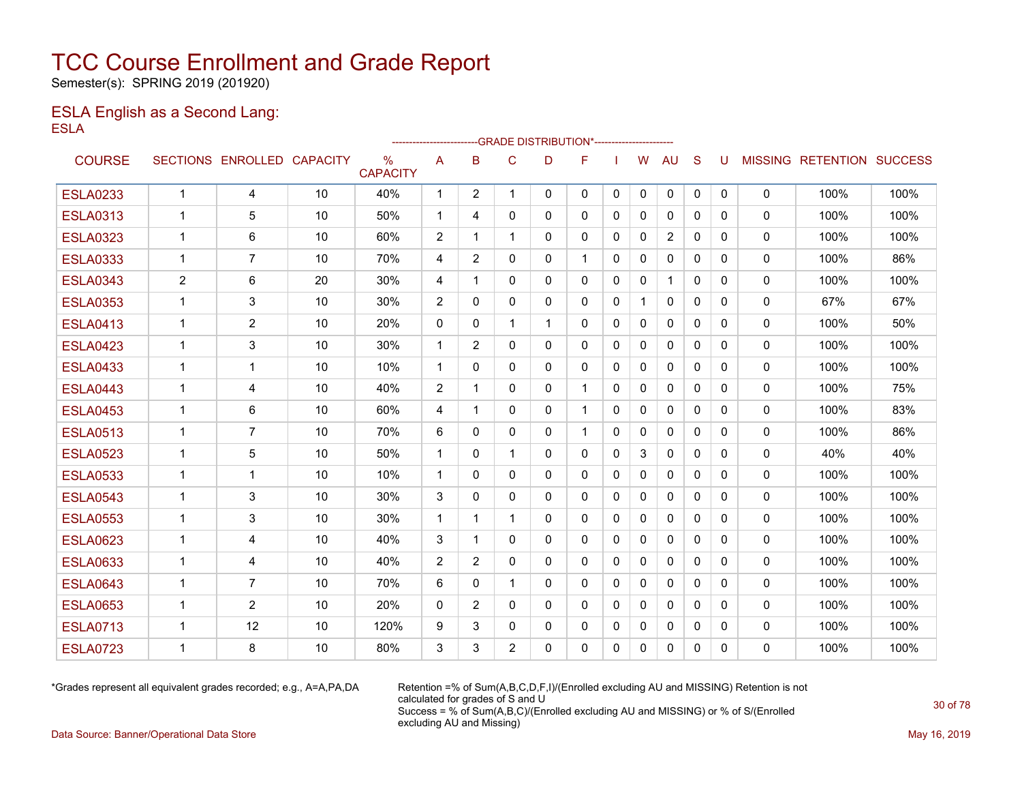Semester(s): SPRING 2019 (201920)

### ESLA English as a Second Lang: ESLA

|                 |                |                            |    |                                  | ------------------------ |                | --GRADE DISTRIBUTION*---------------------- |              |              |          |              |              |              |              |             |                           |      |
|-----------------|----------------|----------------------------|----|----------------------------------|--------------------------|----------------|---------------------------------------------|--------------|--------------|----------|--------------|--------------|--------------|--------------|-------------|---------------------------|------|
| <b>COURSE</b>   |                | SECTIONS ENROLLED CAPACITY |    | $\frac{0}{0}$<br><b>CAPACITY</b> | A                        | B              | C                                           | D            | F            |          | w            | <b>AU</b>    | S            | U            |             | MISSING RETENTION SUCCESS |      |
| <b>ESLA0233</b> | $\mathbf{1}$   | $\overline{4}$             | 10 | 40%                              | 1                        | $\overline{2}$ | $\mathbf 1$                                 | $\Omega$     | 0            | $\Omega$ | $\Omega$     | $\mathbf{0}$ | $\mathbf{0}$ | $\mathbf{0}$ | $\mathbf 0$ | 100%                      | 100% |
| <b>ESLA0313</b> | 1              | 5                          | 10 | 50%                              | $\mathbf{1}$             | 4              | $\mathbf{0}$                                | $\mathbf{0}$ | 0            | $\Omega$ | $\mathbf{0}$ | $\mathbf{0}$ | $\Omega$     | $\Omega$     | 0           | 100%                      | 100% |
| <b>ESLA0323</b> | $\mathbf 1$    | 6                          | 10 | 60%                              | 2                        | 1              | 1                                           | $\Omega$     | 0            | $\Omega$ | 0            | 2            | $\Omega$     | $\Omega$     | $\Omega$    | 100%                      | 100% |
| <b>ESLA0333</b> | 1              | 7                          | 10 | 70%                              | 4                        | $\overline{2}$ | 0                                           | $\mathbf{0}$ |              | $\Omega$ | $\mathbf{0}$ | $\mathbf{0}$ | $\mathbf{0}$ | 0            | 0           | 100%                      | 86%  |
| <b>ESLA0343</b> | $\overline{c}$ | 6                          | 20 | 30%                              | 4                        | 1              | 0                                           | $\mathbf{0}$ | 0            | $\Omega$ | 0            | 1            | $\mathbf{0}$ | $\Omega$     | 0           | 100%                      | 100% |
| <b>ESLA0353</b> | 1              | 3                          | 10 | 30%                              | 2                        | $\Omega$       | $\mathbf{0}$                                | $\mathbf{0}$ | $\mathbf{0}$ | 0        | $\mathbf{1}$ | $\mathbf{0}$ | $\Omega$     | $\Omega$     | 0           | 67%                       | 67%  |
| <b>ESLA0413</b> | $\mathbf 1$    | $\overline{2}$             | 10 | 20%                              | $\Omega$                 | 0              | 1                                           | 1            | 0            | $\Omega$ | $\mathbf{0}$ | $\mathbf{0}$ | 0            | 0            | 0           | 100%                      | 50%  |
| <b>ESLA0423</b> | 1              | 3                          | 10 | 30%                              | $\mathbf{1}$             | 2              | $\mathbf{0}$                                | $\Omega$     | 0            | $\Omega$ | $\mathbf{0}$ | $\mathbf{0}$ | $\Omega$     | $\Omega$     | 0           | 100%                      | 100% |
| <b>ESLA0433</b> | 1              | 1                          | 10 | 10%                              | $\mathbf 1$              | 0              | 0                                           | $\mathbf{0}$ | 0            | 0        | 0            | $\mathbf{0}$ | $\mathbf{0}$ | 0            | 0           | 100%                      | 100% |
| <b>ESLA0443</b> | 1              | 4                          | 10 | 40%                              | 2                        | -1             | $\mathbf{0}$                                | $\mathbf{0}$ | 1            | $\Omega$ | $\mathbf{0}$ | $\mathbf{0}$ | $\Omega$     | $\Omega$     | 0           | 100%                      | 75%  |
| <b>ESLA0453</b> | $\mathbf 1$    | 6                          | 10 | 60%                              | 4                        | -1             | 0                                           | 0            | $\mathbf 1$  | $\Omega$ | $\mathbf{0}$ | $\mathbf{0}$ | $\mathbf{0}$ | 0            | 0           | 100%                      | 83%  |
| <b>ESLA0513</b> | 1              | $\overline{7}$             | 10 | 70%                              | 6                        | $\Omega$       | $\mathbf{0}$                                | $\mathbf{0}$ | 1            | $\Omega$ | 0            | $\mathbf{0}$ | $\Omega$     | 0            | 0           | 100%                      | 86%  |
| <b>ESLA0523</b> | 1              | 5                          | 10 | 50%                              | $\mathbf 1$              | 0              | 1                                           | $\mathbf{0}$ | 0            | 0        | 3            | 0            | $\mathbf{0}$ | 0            | 0           | 40%                       | 40%  |
| <b>ESLA0533</b> | 1              | 1                          | 10 | 10%                              | $\mathbf 1$              | 0              | 0                                           | $\mathbf{0}$ | 0            | 0        | 0            | 0            | $\mathbf{0}$ | 0            | 0           | 100%                      | 100% |
| <b>ESLA0543</b> | $\mathbf 1$    | 3                          | 10 | 30%                              | 3                        | 0              | $\mathbf{0}$                                | $\mathbf{0}$ | 0            | 0        | 0            | 0            | $\mathbf{0}$ | 0            | 0           | 100%                      | 100% |
| <b>ESLA0553</b> | $\mathbf 1$    | 3                          | 10 | 30%                              | $\mathbf 1$              | 1              | 1                                           | $\mathbf{0}$ | 0            | $\Omega$ | $\mathbf{0}$ | $\mathbf{0}$ | 0            | 0            | $\Omega$    | 100%                      | 100% |
| <b>ESLA0623</b> | $\mathbf 1$    | 4                          | 10 | 40%                              | 3                        | 1              | $\mathbf{0}$                                | $\Omega$     | $\Omega$     | $\Omega$ | $\mathbf{0}$ | $\mathbf{0}$ | $\Omega$     | $\Omega$     | $\Omega$    | 100%                      | 100% |
| <b>ESLA0633</b> | $\mathbf 1$    | 4                          | 10 | 40%                              | $\overline{2}$           | 2              | $\mathbf{0}$                                | $\mathbf{0}$ | 0            | $\Omega$ | $\mathbf{0}$ | $\mathbf{0}$ | $\mathbf{0}$ | $\Omega$     | 0           | 100%                      | 100% |
| <b>ESLA0643</b> | $\overline{1}$ | $\overline{7}$             | 10 | 70%                              | 6                        | $\Omega$       | 1                                           | $\Omega$     | 0            | $\Omega$ | $\mathbf{0}$ | $\Omega$     | $\Omega$     | $\Omega$     | $\Omega$    | 100%                      | 100% |
| <b>ESLA0653</b> | $\mathbf 1$    | $\overline{2}$             | 10 | 20%                              | $\mathbf 0$              | $\overline{2}$ | $\mathbf{0}$                                | $\Omega$     | $\Omega$     | $\Omega$ | $\mathbf{0}$ | $\Omega$     | $\Omega$     | $\Omega$     | 0           | 100%                      | 100% |
| <b>ESLA0713</b> | $\mathbf 1$    | 12                         | 10 | 120%                             | 9                        | 3              | $\mathbf{0}$                                | $\Omega$     | 0            | $\Omega$ | $\mathbf{0}$ | $\mathbf{0}$ | $\Omega$     | 0            | 0           | 100%                      | 100% |
| <b>ESLA0723</b> | 1              | 8                          | 10 | 80%                              | 3                        | 3              | $\overline{2}$                              | $\Omega$     | 0            | $\Omega$ | $\Omega$     | $\Omega$     | $\Omega$     | 0            | $\Omega$    | 100%                      | 100% |

\*Grades represent all equivalent grades recorded; e.g., A=A,PA,DA Retention =% of Sum(A,B,C,D,F,I)/(Enrolled excluding AU and MISSING) Retention is not calculated for grades of S and U Success = % of Sum(A,B,C)/(Enrolled excluding AU and MISSING) or % of S/(Enrolled excluding AU and Missing)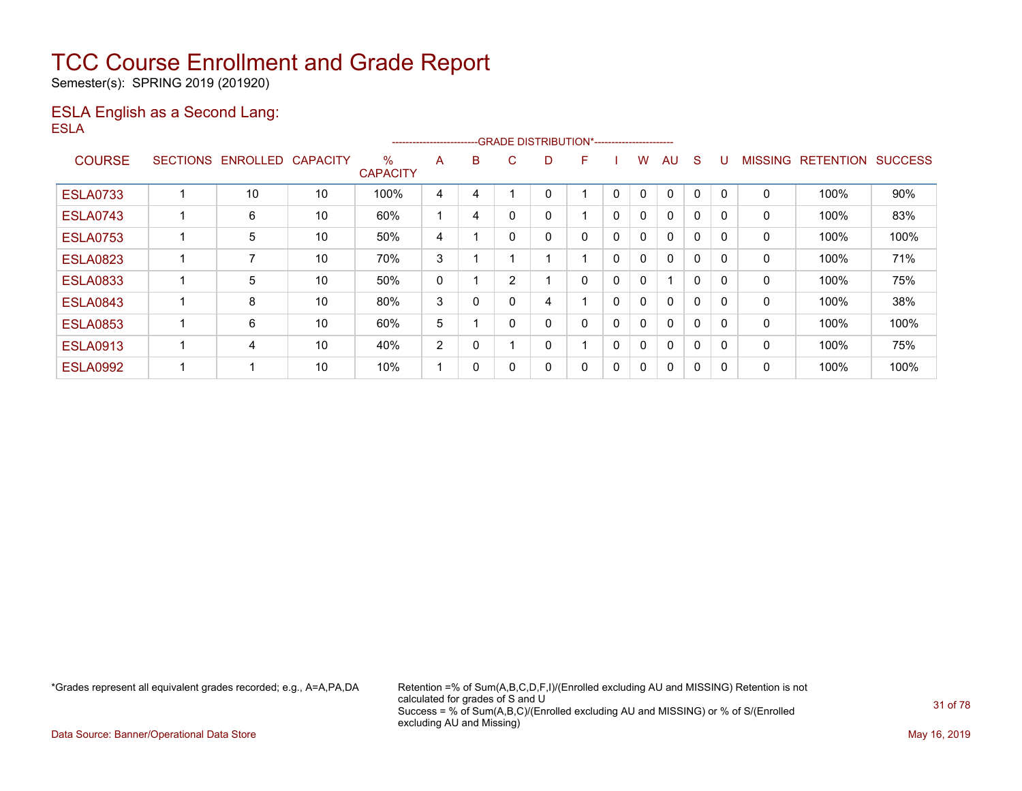Semester(s): SPRING 2019 (201920)

### ESLA English as a Second Lang: ESLA

|                 |                 |                 |                 |                         | ----------------------- |   |                |   | --GRADE DISTRIBUTION*----------------------- |              |              |              |              |              |                |                  |                |
|-----------------|-----------------|-----------------|-----------------|-------------------------|-------------------------|---|----------------|---|----------------------------------------------|--------------|--------------|--------------|--------------|--------------|----------------|------------------|----------------|
| <b>COURSE</b>   | <b>SECTIONS</b> | <b>ENROLLED</b> | <b>CAPACITY</b> | $\%$<br><b>CAPACITY</b> | A                       | B | C.             | D | F                                            |              | w            | AU           | S            |              | <b>MISSING</b> | <b>RETENTION</b> | <b>SUCCESS</b> |
| <b>ESLA0733</b> |                 | 10              | 10              | 100%                    | 4                       | 4 |                |   |                                              | 0            | 0            | $\Omega$     | 0            |              | 0              | 100%             | 90%            |
| <b>ESLA0743</b> |                 | 6               | 10              | 60%                     |                         | 4 |                |   |                                              | $\mathbf{0}$ | 0            | $\mathbf{0}$ | $\Omega$     |              | 0              | 100%             | 83%            |
| <b>ESLA0753</b> |                 | 5               | 10              | 50%                     | 4                       |   |                | 0 | 0                                            | $\mathbf{0}$ | $\mathbf{0}$ | $\mathbf{0}$ | $\mathbf{0}$ | $\Omega$     | 0              | 100%             | 100%           |
| <b>ESLA0823</b> |                 | 7               | 10              | 70%                     | 3                       |   |                |   |                                              | 0            | 0            | 0            | $\Omega$     |              | 0              | 100%             | 71%            |
| <b>ESLA0833</b> |                 | 5               | 10              | 50%                     | 0                       |   | $\overline{2}$ |   | 0                                            | 0            | $\mathbf{0}$ | 1            | $\mathbf{0}$ |              | 0              | 100%             | 75%            |
| <b>ESLA0843</b> |                 | 8               | 10              | 80%                     | 3                       | 0 |                | 4 |                                              | $\mathbf{0}$ | $\mathbf{0}$ | $\mathbf{0}$ | $\mathbf{0}$ | $\Omega$     | 0              | 100%             | 38%            |
| <b>ESLA0853</b> |                 | 6               | 10              | 60%                     | 5                       |   |                | 0 | 0                                            | $\mathbf{0}$ | $\mathbf{0}$ | $\mathbf{0}$ | $\mathbf{0}$ | $\Omega$     | 0              | 100%             | 100%           |
| <b>ESLA0913</b> |                 | 4               | 10              | 40%                     | 2                       | 0 |                | 0 |                                              | 0            | $\mathbf{0}$ | $\mathbf{0}$ | $\Omega$     |              | 0              | 100%             | 75%            |
| <b>ESLA0992</b> |                 |                 | 10              | 10%                     |                         | 0 |                | 0 | 0                                            | 0            | 0            | $\mathbf{0}$ | 0            | $\mathbf{0}$ | 0              | 100%             | 100%           |

\*Grades represent all equivalent grades recorded; e.g., A=A,PA,DA Retention =% of Sum(A,B,C,D,F,I)/(Enrolled excluding AU and MISSING) Retention is not calculated for grades of S and U Success = % of Sum(A,B,C)/(Enrolled excluding AU and MISSING) or % of S/(Enrolled excluding AU and Missing)

Data Source: Banner/Operational Data Store May 16, 2019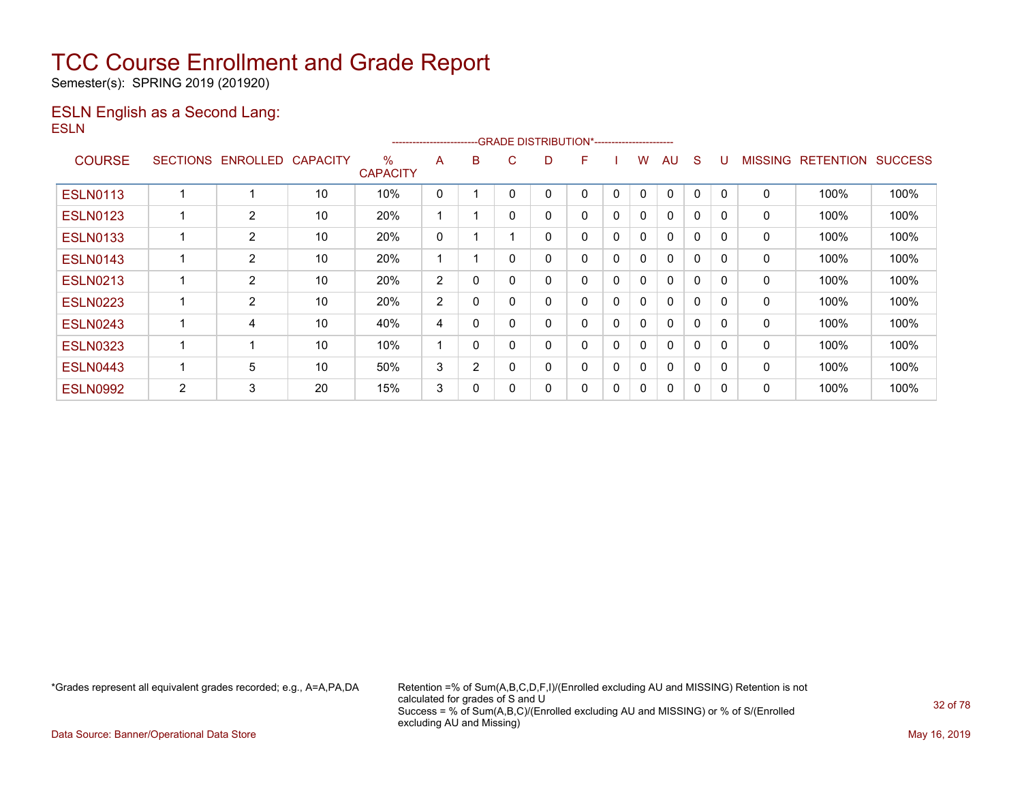Semester(s): SPRING 2019 (201920)

### ESLN English as a Second Lang: ESLN

|                 |                 |                |                 |                         | ----------------------- |   | -GRADE DISTRIBUTION*----------------------- |   |   |             |   |              |   |          |                |                  |                |
|-----------------|-----------------|----------------|-----------------|-------------------------|-------------------------|---|---------------------------------------------|---|---|-------------|---|--------------|---|----------|----------------|------------------|----------------|
| <b>COURSE</b>   | <b>SECTIONS</b> | ENROLLED       | <b>CAPACITY</b> | $\%$<br><b>CAPACITY</b> | A                       | B | C.                                          | D | F |             | w | AU           | S |          | <b>MISSING</b> | <b>RETENTION</b> | <b>SUCCESS</b> |
| <b>ESLN0113</b> |                 |                | 10              | 10%                     | 0                       |   | 0                                           |   | 0 | 0           | 0 | $\Omega$     | 0 | $\Omega$ | 0              | 100%             | 100%           |
| <b>ESLN0123</b> |                 | $\overline{2}$ | 10              | 20%                     |                         |   | $\mathbf{0}$                                | 0 | 0 | 0           | 0 | 0            | 0 | 0        | 0              | 100%             | 100%           |
| <b>ESLN0133</b> |                 | $\overline{2}$ | 10              | 20%                     | 0                       |   |                                             |   | 0 | 0           | 0 | $\Omega$     | 0 | $\Omega$ | 0              | 100%             | 100%           |
| <b>ESLN0143</b> |                 | $\overline{2}$ | 10              | 20%                     |                         |   | $\Omega$                                    |   | 0 | $\mathbf 0$ | 0 | $\mathbf{0}$ | 0 | $\Omega$ | 0              | 100%             | 100%           |
| <b>ESLN0213</b> |                 | 2              | 10              | 20%                     | 2                       | 0 | 0                                           |   | 0 | 0           | 0 | 0            | 0 | $\Omega$ | 0              | 100%             | 100%           |
| <b>ESLN0223</b> |                 | 2              | 10              | 20%                     | $\overline{2}$          | 0 | 0                                           | 0 | 0 | $\mathbf 0$ | 0 | $\mathbf{0}$ | 0 | 0        | 0              | 100%             | 100%           |
| <b>ESLN0243</b> |                 | 4              | 10              | 40%                     | 4                       | 0 | $\Omega$                                    |   | 0 | $\Omega$    | 0 | $\mathbf{0}$ | 0 | $\Omega$ | 0              | 100%             | 100%           |
| <b>ESLN0323</b> |                 | -4             | 10              | 10%                     |                         | 0 | 0                                           | 0 | 0 | 0           | 0 | $\mathbf{0}$ | 0 | $\Omega$ | 0              | 100%             | 100%           |
| <b>ESLN0443</b> |                 | 5              | 10              | 50%                     | 3                       | 2 | 0                                           | 0 | 0 | $\Omega$    | 0 | $\mathbf{0}$ | 0 | 0        | 0              | 100%             | 100%           |
| <b>ESLN0992</b> | 2               | 3              | 20              | 15%                     | 3                       | 0 | 0                                           |   | 0 | $\mathbf 0$ | 0 | $\Omega$     | 0 |          | 0              | 100%             | 100%           |

\*Grades represent all equivalent grades recorded; e.g., A=A,PA,DA Retention =% of Sum(A,B,C,D,F,I)/(Enrolled excluding AU and MISSING) Retention is not calculated for grades of S and U Success = % of Sum(A,B,C)/(Enrolled excluding AU and MISSING) or % of S/(Enrolled excluding AU and Missing)

Data Source: Banner/Operational Data Store May 16, 2019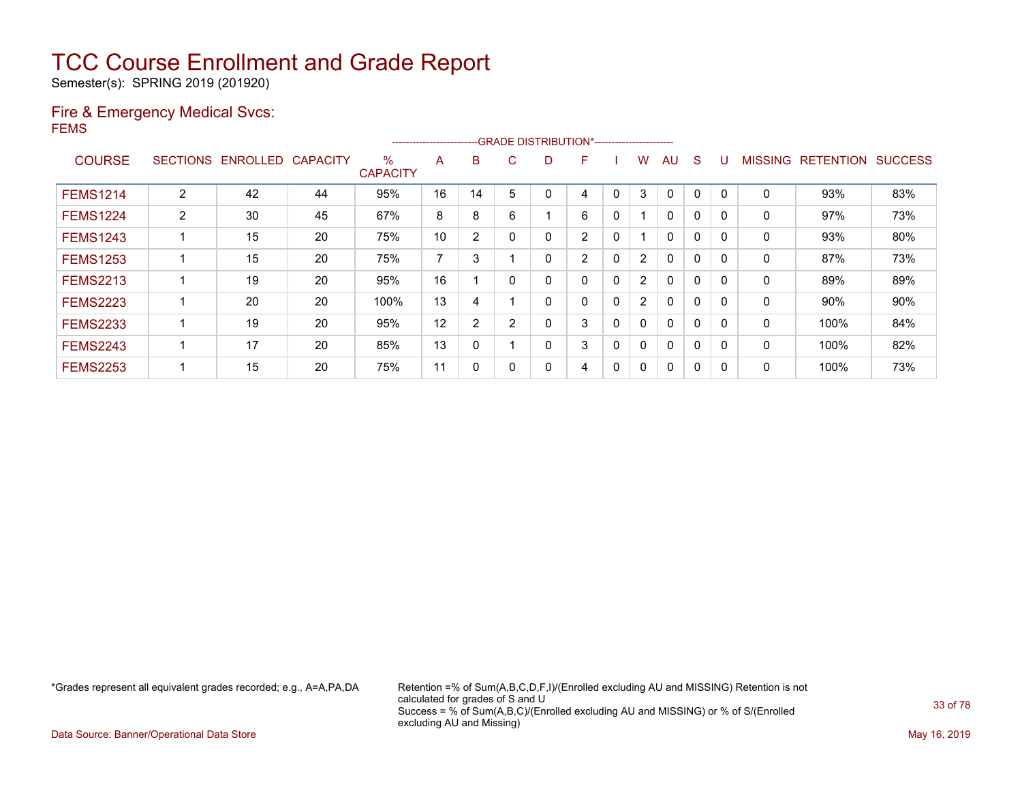Semester(s): SPRING 2019 (201920)

### Fire & Emergency Medical Svcs: FEMS

|                 |                 |                 |                 |                      | ---------------------- |                |          |    | --GRADE DISTRIBUTION*----------------------- |   |                |              |              |          |                |                  |                |
|-----------------|-----------------|-----------------|-----------------|----------------------|------------------------|----------------|----------|----|----------------------------------------------|---|----------------|--------------|--------------|----------|----------------|------------------|----------------|
| <b>COURSE</b>   | <b>SECTIONS</b> | <b>ENROLLED</b> | <b>CAPACITY</b> | %<br><b>CAPACITY</b> | A                      | B              | C.       | D. | F                                            |   | w              | AU           | S            |          | <b>MISSING</b> | <b>RETENTION</b> | <b>SUCCESS</b> |
| <b>FEMS1214</b> | $\overline{2}$  | 42              | 44              | 95%                  | 16                     | 14             | 5        |    | 4                                            | 0 | 3              | $\mathbf{0}$ | 0            |          | 0              | 93%              | 83%            |
| <b>FEMS1224</b> | $\overline{2}$  | 30              | 45              | 67%                  | 8                      | 8              | 6        |    | 6                                            | 0 |                | $\mathbf{0}$ | $\mathbf{0}$ |          | 0              | 97%              | 73%            |
| <b>FEMS1243</b> |                 | 15              | 20              | 75%                  | 10                     | 2              | $\Omega$ | 0  | 2                                            | 0 |                | $\mathbf{0}$ | 0            | $\Omega$ | $\mathbf 0$    | 93%              | 80%            |
| <b>FEMS1253</b> |                 | 15              | 20              | 75%                  | $\overline{ }$         | 3              |          |    | 2                                            | 0 | $\overline{2}$ | $\mathbf{0}$ | 0            | 0        | 0              | 87%              | 73%            |
| <b>FEMS2213</b> |                 | 19              | 20              | 95%                  | 16                     |                | $\Omega$ |    | 0                                            | 0 | $\overline{2}$ | $\mathbf{0}$ | 0            | $\Omega$ | 0              | 89%              | 89%            |
| <b>FEMS2223</b> |                 | 20              | 20              | 100%                 | 13                     | 4              |          |    | 0                                            | 0 | 2              | $\mathbf{0}$ | 0            |          | 0              | 90%              | 90%            |
| <b>FEMS2233</b> |                 | 19              | 20              | 95%                  | 12                     | $\overline{2}$ | 2        | Ω  | 3                                            | 0 | 0              | $\mathbf{0}$ | 0            | $\Omega$ | 0              | 100%             | 84%            |
| <b>FEMS2243</b> |                 | 17              | 20              | 85%                  | 13                     | 0              |          |    | 3                                            | 0 | $\mathbf{0}$   | $\mathbf{0}$ | 0            | $\Omega$ | $\mathbf 0$    | 100%             | 82%            |
| <b>FEMS2253</b> |                 | 15              | 20              | 75%                  | 11                     | 0              |          |    | 4                                            | 0 | 0              | $\mathbf{0}$ | 0            |          | 0              | 100%             | 73%            |

\*Grades represent all equivalent grades recorded; e.g., A=A,PA,DA Retention =% of Sum(A,B,C,D,F,I)/(Enrolled excluding AU and MISSING) Retention is not calculated for grades of S and U Success = % of Sum(A,B,C)/(Enrolled excluding AU and MISSING) or % of S/(Enrolled excluding AU and Missing)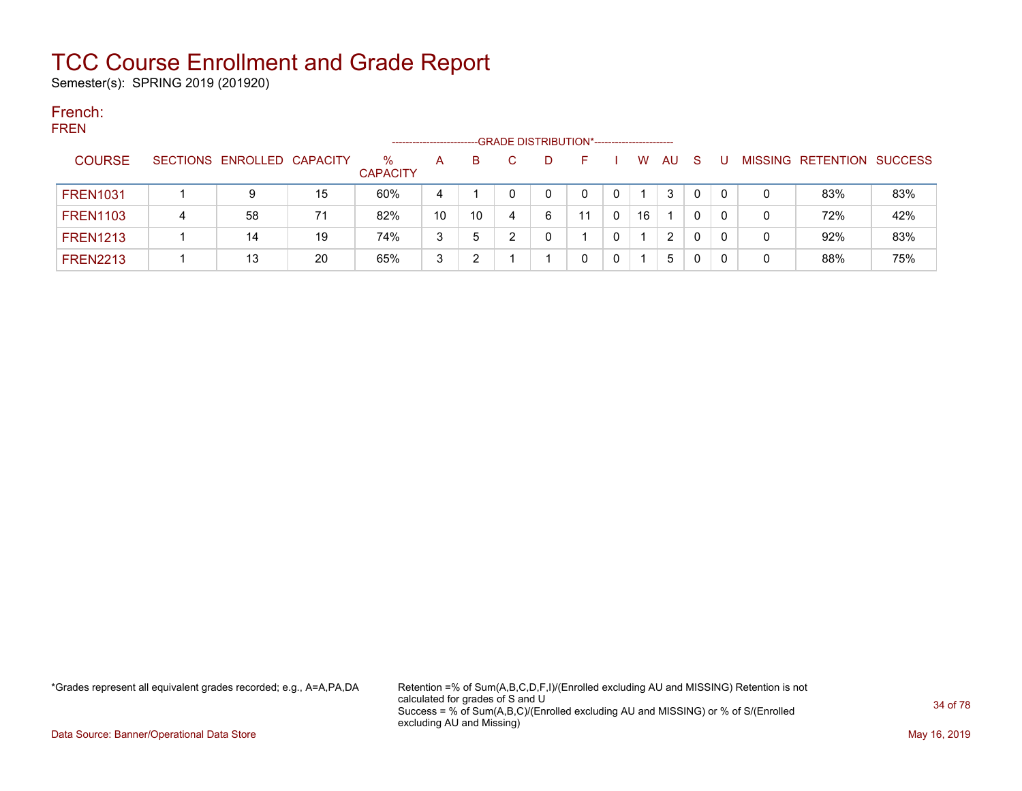Semester(s): SPRING 2019 (201920)

#### French: FREN

| .<br>-GRADE DISTRIBUTION*-----------------------<br>--------------------- |  |                            |    |                      |    |    |  |   |   |   |    |                |              |  |                           |     |
|---------------------------------------------------------------------------|--|----------------------------|----|----------------------|----|----|--|---|---|---|----|----------------|--------------|--|---------------------------|-----|
| <b>COURSE</b>                                                             |  | SECTIONS ENROLLED CAPACITY |    | %<br><b>CAPACITY</b> | A  | B. |  | Ð | ⊢ |   | W  | AU             | -S           |  | MISSING RETENTION SUCCESS |     |
| <b>FREN1031</b>                                                           |  | 9                          | 15 | 60%                  | 4  |    |  |   |   | 0 |    | 3              | $\mathbf{0}$ |  | 83%                       | 83% |
| <b>FREN1103</b>                                                           |  | 58                         | 71 | 82%                  | 10 | 10 |  | 6 | 1 |   | 16 |                | 0            |  | 72%                       | 42% |
| <b>FREN1213</b>                                                           |  | 14                         | 19 | 74%                  | 3  | 5  |  |   |   |   |    | $\overline{2}$ | $\mathbf{0}$ |  | 92%                       | 83% |
| <b>FREN2213</b>                                                           |  | 13                         | 20 | 65%                  | 3  |    |  |   |   | 0 |    | 5              | 0            |  | 88%                       | 75% |

\*Grades represent all equivalent grades recorded; e.g., A=A,PA,DA Retention =% of Sum(A,B,C,D,F,I)/(Enrolled excluding AU and MISSING) Retention is not calculated for grades of S and U Success = % of Sum(A,B,C)/(Enrolled excluding AU and MISSING) or % of S/(Enrolled excluding AU and Missing)

Data Source: Banner/Operational Data Store May 16, 2019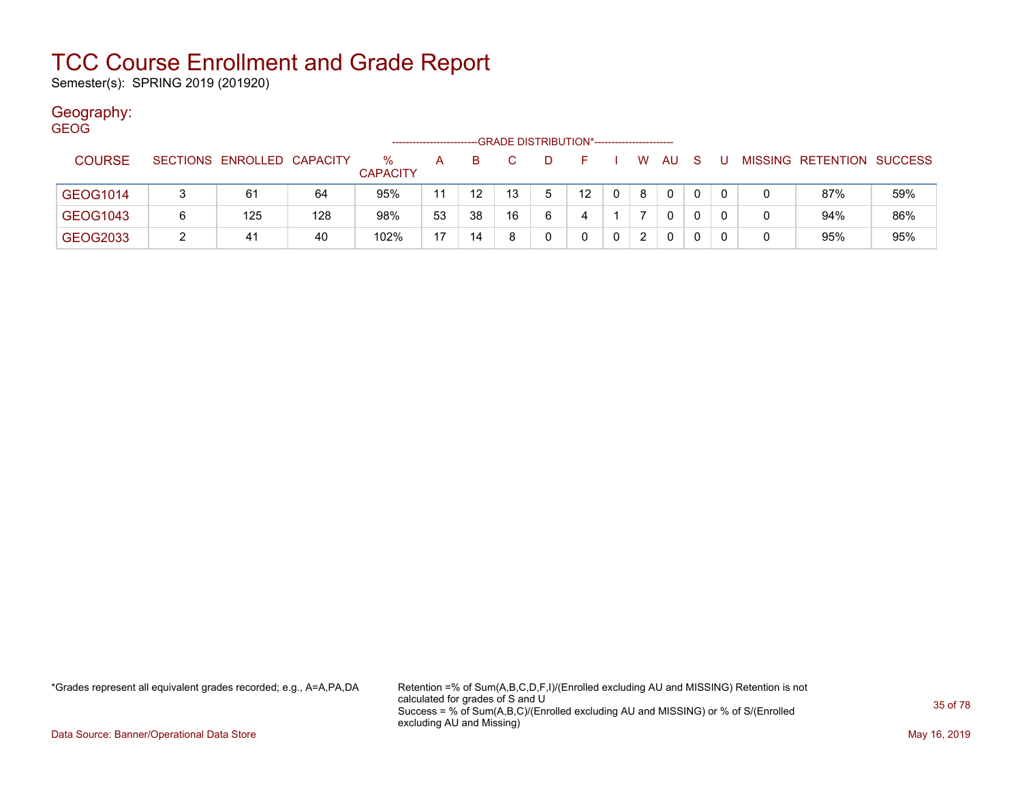Semester(s): SPRING 2019 (201920)

### Geography:

| <b>GEOG</b>   |   |                            |     |                         |              |                   | --GRADE DISTRIBUTION*----------------------- |   |                 |          |          |     |     |   |   |                           |     |
|---------------|---|----------------------------|-----|-------------------------|--------------|-------------------|----------------------------------------------|---|-----------------|----------|----------|-----|-----|---|---|---------------------------|-----|
| <b>COURSE</b> |   | SECTIONS ENROLLED CAPACITY |     | $\%$<br><b>CAPACITY</b> | $\mathsf{A}$ | B.                |                                              | D | E.              |          | <b>W</b> | AU. | - S | U |   | MISSING RETENTION SUCCESS |     |
| GEOG1014      | 3 | 61                         | 64  | 95%                     | 11           | $12 \overline{ }$ | 13                                           | 5 | 12 <sup>2</sup> | $\Omega$ | 8        | 0   |     | 0 |   | 87%                       | 59% |
| GEOG1043      | 6 | 125                        | 128 | 98%                     | 53           | 38                | 16                                           | 6 | 4               |          |          | 0   | 0   | 0 | 0 | 94%                       | 86% |
| GEOG2033      |   | 41                         | 40  | 102%                    | 17           | 14                | 8                                            |   | 0               | 0        | 2        | 0   |     | 0 | 0 | 95%                       | 95% |

\*Grades represent all equivalent grades recorded; e.g., A=A,PA,DA Retention =% of Sum(A,B,C,D,F,I)/(Enrolled excluding AU and MISSING) Retention is not calculated for grades of S and U Success = % of Sum(A,B,C)/(Enrolled excluding AU and MISSING) or % of S/(Enrolled excluding AU and Missing)

Data Source: Banner/Operational Data Store May 16, 2019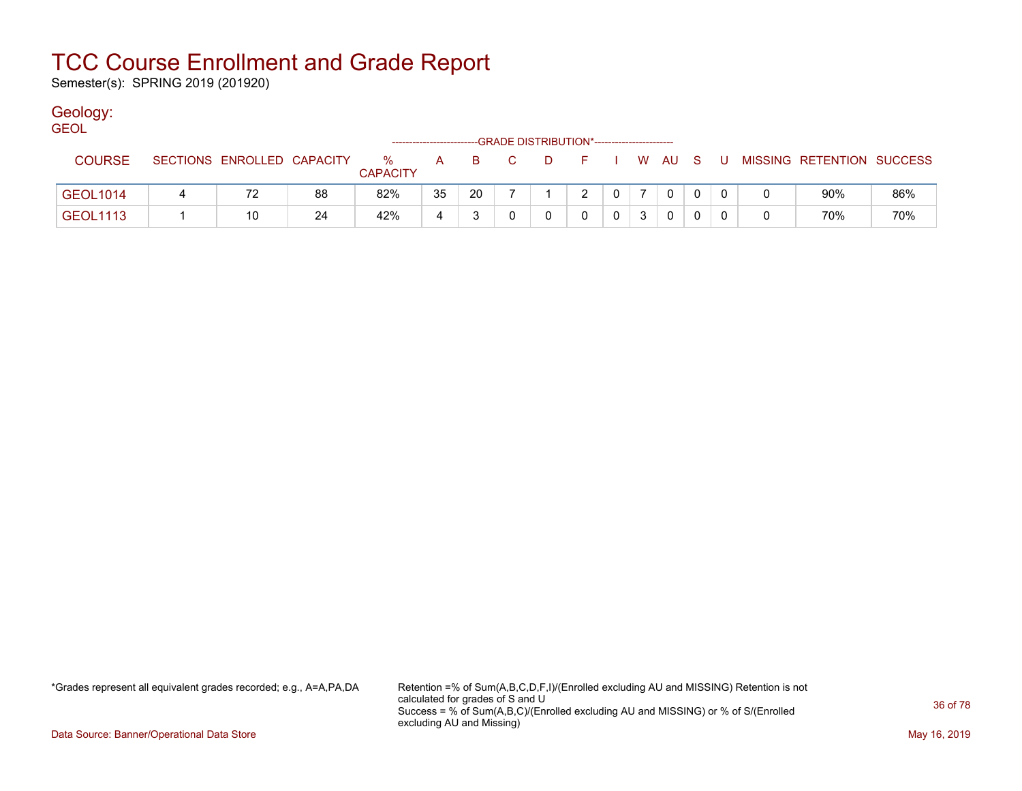Semester(s): SPRING 2019 (201920)

### Geology:

| <b>GEOL</b>     |                            |    |                      |    |    |                                              |      |        |  |              |       |                           |     |
|-----------------|----------------------------|----|----------------------|----|----|----------------------------------------------|------|--------|--|--------------|-------|---------------------------|-----|
|                 |                            |    |                      |    |    | --GRADE DISTRIBUTION*----------------------- |      |        |  |              |       |                           |     |
| <b>COURSE</b>   | SECTIONS ENROLLED CAPACITY |    | %<br><b>CAPACITY</b> | A  |    | B C                                          | . D. | FIWAUS |  |              | . U . | MISSING RETENTION SUCCESS |     |
| GEOL1014        | 72                         | 88 | 82%                  | 35 | 20 |                                              |      |        |  | $\mathbf{0}$ |       | 90%                       | 86% |
| <b>GEOL1113</b> | 10                         | 24 | 42%                  |    |    |                                              |      |        |  | 0            |       | 70%                       | 70% |

\*Grades represent all equivalent grades recorded; e.g., A=A,PA,DA Retention =% of Sum(A,B,C,D,F,I)/(Enrolled excluding AU and MISSING) Retention is not calculated for grades of S and U Success = % of Sum(A,B,C)/(Enrolled excluding AU and MISSING) or % of S/(Enrolled excluding AU and Missing)

Data Source: Banner/Operational Data Store May 16, 2019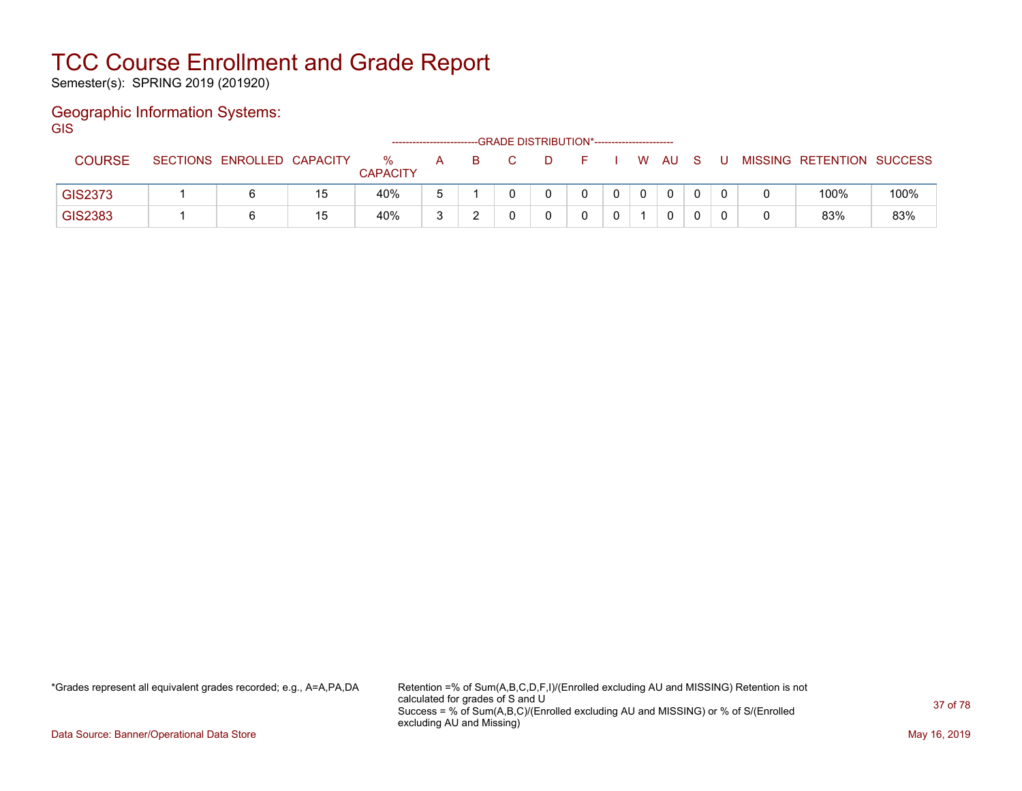Semester(s): SPRING 2019 (201920)

#### Geographic Information Systems: **GIS**

|                |                            |    |                         | -------------------- |   | --GRADE DISTRIBUTION*----------------------- |  |          |              |  |                           |      |
|----------------|----------------------------|----|-------------------------|----------------------|---|----------------------------------------------|--|----------|--------------|--|---------------------------|------|
| <b>COURSE</b>  | SECTIONS ENROLLED CAPACITY |    | $\%$<br><b>CAPACITY</b> | A                    | B | D.                                           |  | <b>W</b> | AU.          |  | MISSING RETENTION SUCCESS |      |
| <b>GIS2373</b> |                            | 15 | 40%                     |                      |   |                                              |  |          | $\mathbf{0}$ |  | 100%                      | 100% |
| GIS2383        |                            | 15 | 40%                     |                      |   |                                              |  |          | 0            |  | 83%                       | 83%  |

\*Grades represent all equivalent grades recorded; e.g., A=A,PA,DA Retention =% of Sum(A,B,C,D,F,I)/(Enrolled excluding AU and MISSING) Retention is not calculated for grades of S and U Success = % of Sum(A,B,C)/(Enrolled excluding AU and MISSING) or % of S/(Enrolled excluding AU and Missing)

Data Source: Banner/Operational Data Store May 16, 2019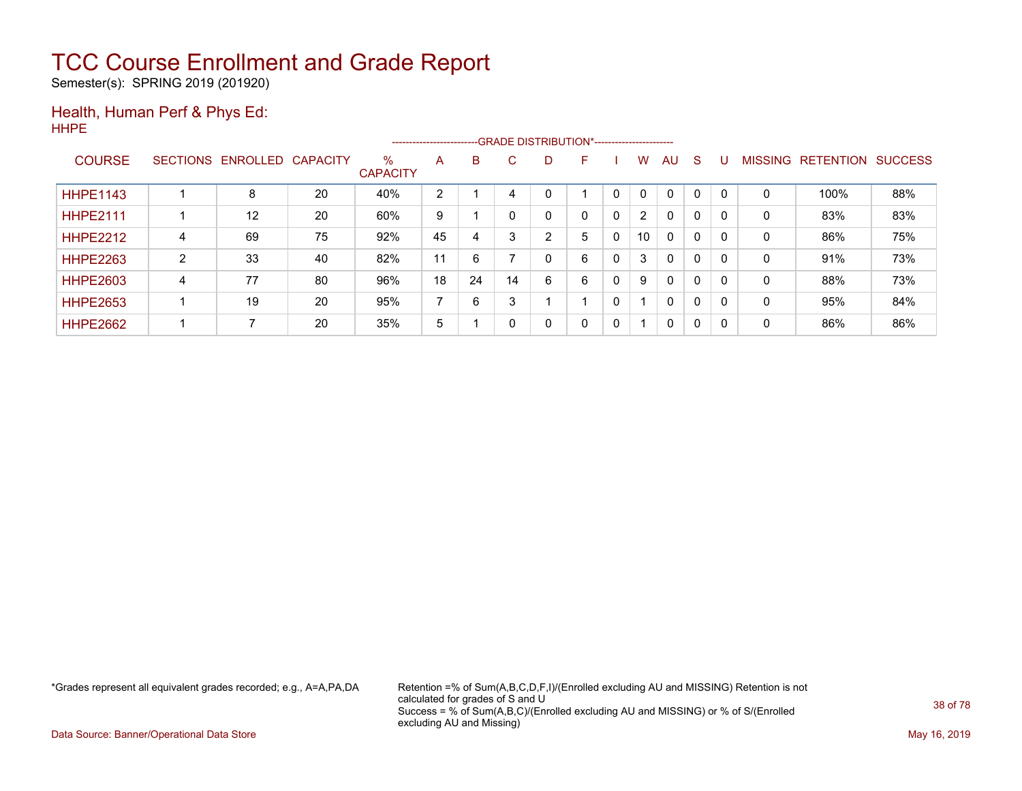Semester(s): SPRING 2019 (201920)

#### Health, Human Perf & Phys Ed: HHPE

|                 |   |                   |                 |                         |    |    |        | -------------------------GRADE DISTRIBUTION*---------------------- |   |   |                |              |              |    |                |                  |                |
|-----------------|---|-------------------|-----------------|-------------------------|----|----|--------|--------------------------------------------------------------------|---|---|----------------|--------------|--------------|----|----------------|------------------|----------------|
| <b>COURSE</b>   |   | SECTIONS ENROLLED | <b>CAPACITY</b> | $\%$<br><b>CAPACITY</b> | A  | B  | C.     | D                                                                  | F |   | w              | AU           | <sub>S</sub> |    | <b>MISSING</b> | <b>RETENTION</b> | <b>SUCCESS</b> |
| <b>HHPE1143</b> |   | 8                 | 20              | 40%                     | 2  |    |        |                                                                    |   |   | 0              | $\Omega$     | $\Omega$     |    | 0              | 100%             | 88%            |
| <b>HHPE2111</b> |   | 12                | 20              | 60%                     | 9  |    |        | 0                                                                  | 0 | 0 | $\overline{2}$ | $\mathbf{0}$ | $\mathbf{0}$ |    | 0              | 83%              | 83%            |
| <b>HHPE2212</b> | 4 | 69                | 75              | 92%                     | 45 | 4  | $\sim$ | 2                                                                  | 5 | 0 | 10             | $\mathbf{0}$ | 0            |    | 0              | 86%              | 75%            |
| <b>HHPE2263</b> | 2 | 33                | 40              | 82%                     | 11 | 6  |        |                                                                    | 6 | 0 | 3              | $\mathbf{0}$ | 0            |    | 0              | 91%              | 73%            |
| <b>HHPE2603</b> | 4 | 77                | 80              | 96%                     | 18 | 24 | 14     | 6                                                                  | 6 | 0 | 9              | $\mathbf{0}$ | 0            |    | 0              | 88%              | 73%            |
| <b>HHPE2653</b> |   | 19                | 20              | 95%                     |    | 6  |        |                                                                    |   |   |                | $\mathbf{0}$ | 0            |    | 0              | 95%              | 84%            |
| <b>HHPE2662</b> |   |                   | 20              | 35%                     | 5  |    |        |                                                                    | 0 | 0 |                | $\mathbf{0}$ | 0            | -0 | 0              | 86%              | 86%            |

\*Grades represent all equivalent grades recorded; e.g., A=A,PA,DA Retention =% of Sum(A,B,C,D,F,I)/(Enrolled excluding AU and MISSING) Retention is not calculated for grades of S and U Success = % of Sum(A,B,C)/(Enrolled excluding AU and MISSING) or % of S/(Enrolled excluding AU and Missing)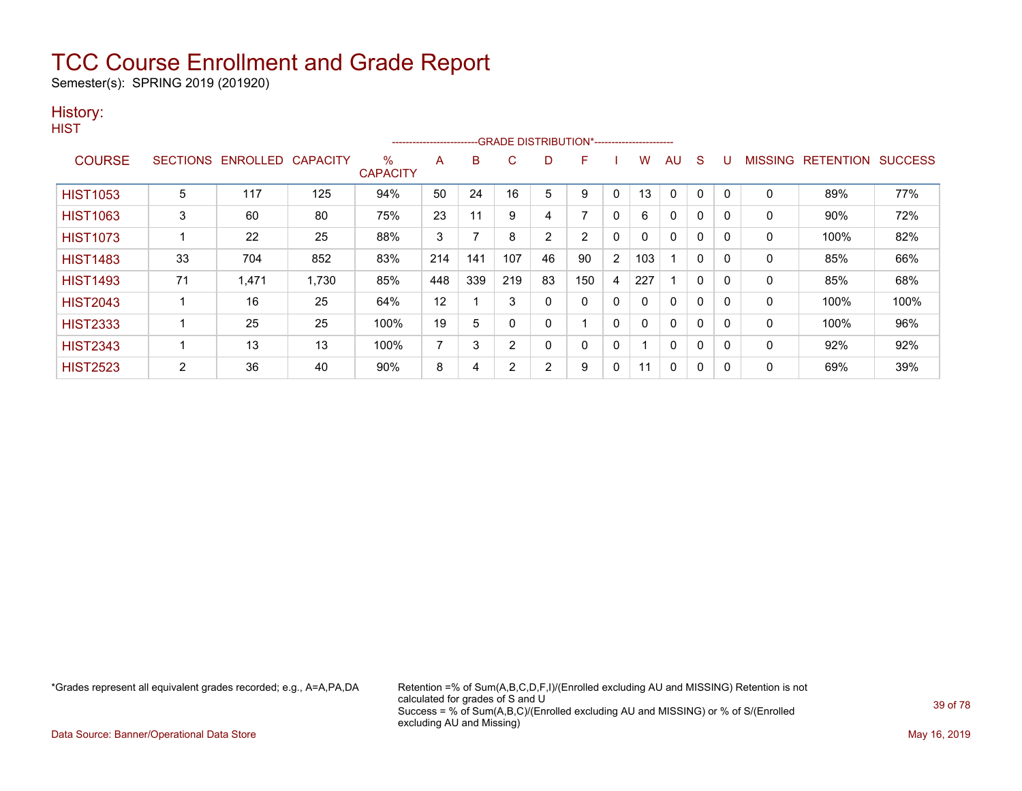Semester(s): SPRING 2019 (201920)

### History:

|                 |                 |          |                 |                         | ------------------------ |     |     |                | -- GRADE DISTRIBUTION*------------------------ |                |     |    |              |             |                |                  |                |
|-----------------|-----------------|----------|-----------------|-------------------------|--------------------------|-----|-----|----------------|------------------------------------------------|----------------|-----|----|--------------|-------------|----------------|------------------|----------------|
| <b>COURSE</b>   | <b>SECTIONS</b> | ENROLLED | <b>CAPACITY</b> | $\%$<br><b>CAPACITY</b> | A                        | B   | C   | D              | F                                              |                | W   | AU | S            | υ           | <b>MISSING</b> | <b>RETENTION</b> | <b>SUCCESS</b> |
| <b>HIST1053</b> | 5               | 117      | 125             | 94%                     | 50                       | 24  | 16  | 5              | 9                                              | 0              | 13  | 0  | $\Omega$     | $\mathbf 0$ | 0              | 89%              | 77%            |
| <b>HIST1063</b> | 3               | 60       | 80              | 75%                     | 23                       | 11  | 9   | 4              |                                                | $\mathbf{0}$   | 6   | 0  | $\Omega$     | $\Omega$    | 0              | 90%              | 72%            |
| <b>HIST1073</b> |                 | 22       | 25              | 88%                     | 3                        | ⇁   | 8   | $\overline{2}$ | 2                                              | $\mathbf{0}$   | 0   | 0  | 0            | 0           | 0              | 100%             | 82%            |
| <b>HIST1483</b> | 33              | 704      | 852             | 83%                     | 214                      | 141 | 107 | 46             | 90                                             | $\overline{2}$ | 103 |    | 0            | 0           | 0              | 85%              | 66%            |
| <b>HIST1493</b> | 71              | 1,471    | 1,730           | 85%                     | 448                      | 339 | 219 | 83             | 150                                            | 4              | 227 |    | $\mathbf{0}$ | 0           | $\mathbf{0}$   | 85%              | 68%            |
| <b>HIST2043</b> |                 | 16       | 25              | 64%                     | 12                       |     | 3   | 0              | 0                                              | $\mathbf{0}$   | 0   | 0  | 0            | 0           | 0              | 100%             | 100%           |
| <b>HIST2333</b> |                 | 25       | 25              | 100%                    | 19                       | 5   | 0   | 0              |                                                | $\mathbf{0}$   | 0   | 0  | $\mathbf{0}$ | 0           | $\mathbf{0}$   | 100%             | 96%            |
| <b>HIST2343</b> |                 | 13       | 13              | 100%                    | 7                        | 3   | 2   | 0              | 0                                              | $\mathbf{0}$   |     | 0  | $\mathbf{0}$ | $\Omega$    | 0              | 92%              | 92%            |
| <b>HIST2523</b> | 2               | 36       | 40              | 90%                     | 8                        | 4   | ົ   | $\overline{2}$ | 9                                              | 0              | 11  | 0  | 0            | 0           | 0              | 69%              | 39%            |

\*Grades represent all equivalent grades recorded; e.g., A=A,PA,DA Retention =% of Sum(A,B,C,D,F,I)/(Enrolled excluding AU and MISSING) Retention is not calculated for grades of S and U Success = % of Sum(A,B,C)/(Enrolled excluding AU and MISSING) or % of S/(Enrolled excluding AU and Missing)

Data Source: Banner/Operational Data Store May 16, 2019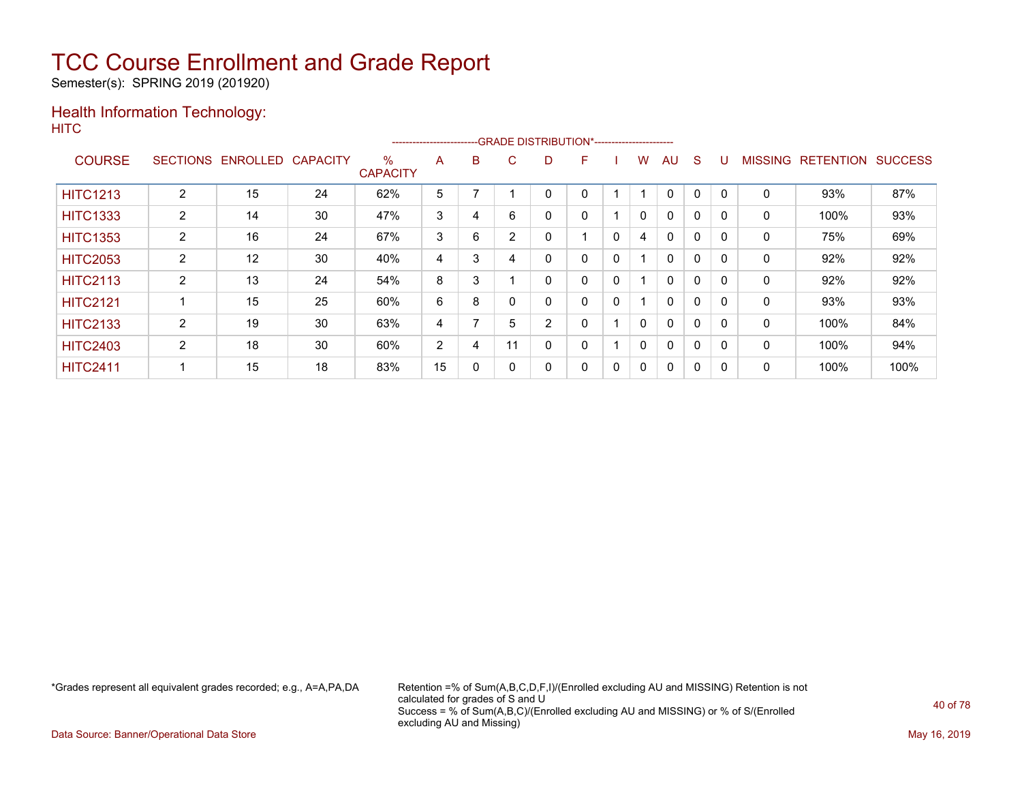Semester(s): SPRING 2019 (201920)

### Health Information Technology: **HITC**

|                 | --GRADE DISTRIBUTION*-----------------------<br>----------------------- |          |                 |                      |    |   |    |   |   |              |              |              |              |          |                |                  |                |
|-----------------|-------------------------------------------------------------------------|----------|-----------------|----------------------|----|---|----|---|---|--------------|--------------|--------------|--------------|----------|----------------|------------------|----------------|
| <b>COURSE</b>   | <b>SECTIONS</b>                                                         | ENROLLED | <b>CAPACITY</b> | %<br><b>CAPACITY</b> | A  | в | C. | D | F |              | w            | AU           | S            |          | <b>MISSING</b> | <b>RETENTION</b> | <b>SUCCESS</b> |
| <b>HITC1213</b> | $\overline{2}$                                                          | 15       | 24              | 62%                  | 5  |   |    |   |   |              |              | $\Omega$     | 0            |          | 0              | 93%              | 87%            |
| <b>HITC1333</b> | $\overline{2}$                                                          | 14       | 30              | 47%                  | 3  | 4 | 6  |   | 0 |              | $\mathbf{0}$ | $\mathbf{0}$ | $\Omega$     |          | 0              | 100%             | 93%            |
| <b>HITC1353</b> | 2                                                                       | 16       | 24              | 67%                  | 3  | 6 | 2  | 0 |   | $\mathbf{0}$ | 4            | $\mathbf{0}$ | $\Omega$     | $\Omega$ | 0              | 75%              | 69%            |
| <b>HITC2053</b> | 2                                                                       | 12       | 30              | 40%                  | 4  | 3 |    | 0 | 0 | 0            |              | 0            | 0            |          | 0              | 92%              | 92%            |
| <b>HITC2113</b> | $\overline{2}$                                                          | 13       | 24              | 54%                  | 8  | 3 |    | 0 | 0 | $\mathbf 0$  |              | $\mathbf{0}$ | $\Omega$     |          | 0              | 92%              | 92%            |
| <b>HITC2121</b> |                                                                         | 15       | 25              | 60%                  | 6  | 8 |    | 0 | 0 | $\mathbf{0}$ |              | $\mathbf{0}$ | $\mathbf{0}$ | $\Omega$ | 0              | 93%              | 93%            |
| <b>HITC2133</b> | 2                                                                       | 19       | 30              | 63%                  | 4  |   | 5  | 2 | 0 |              | 0            | $\mathbf{0}$ | $\Omega$     | $\Omega$ | 0              | 100%             | 84%            |
| <b>HITC2403</b> | $\overline{2}$                                                          | 18       | 30              | 60%                  | 2  | 4 | 11 | 0 | 0 |              | $\mathbf{0}$ | $\mathbf{0}$ | 0            |          | 0              | 100%             | 94%            |
| <b>HITC2411</b> |                                                                         | 15       | 18              | 83%                  | 15 | 0 |    | 0 | 0 | 0            | 0            | $\mathbf{0}$ | 0            | 0        | 0              | 100%             | 100%           |

\*Grades represent all equivalent grades recorded; e.g., A=A,PA,DA Retention =% of Sum(A,B,C,D,F,I)/(Enrolled excluding AU and MISSING) Retention is not calculated for grades of S and U Success = % of Sum(A,B,C)/(Enrolled excluding AU and MISSING) or % of S/(Enrolled excluding AU and Missing)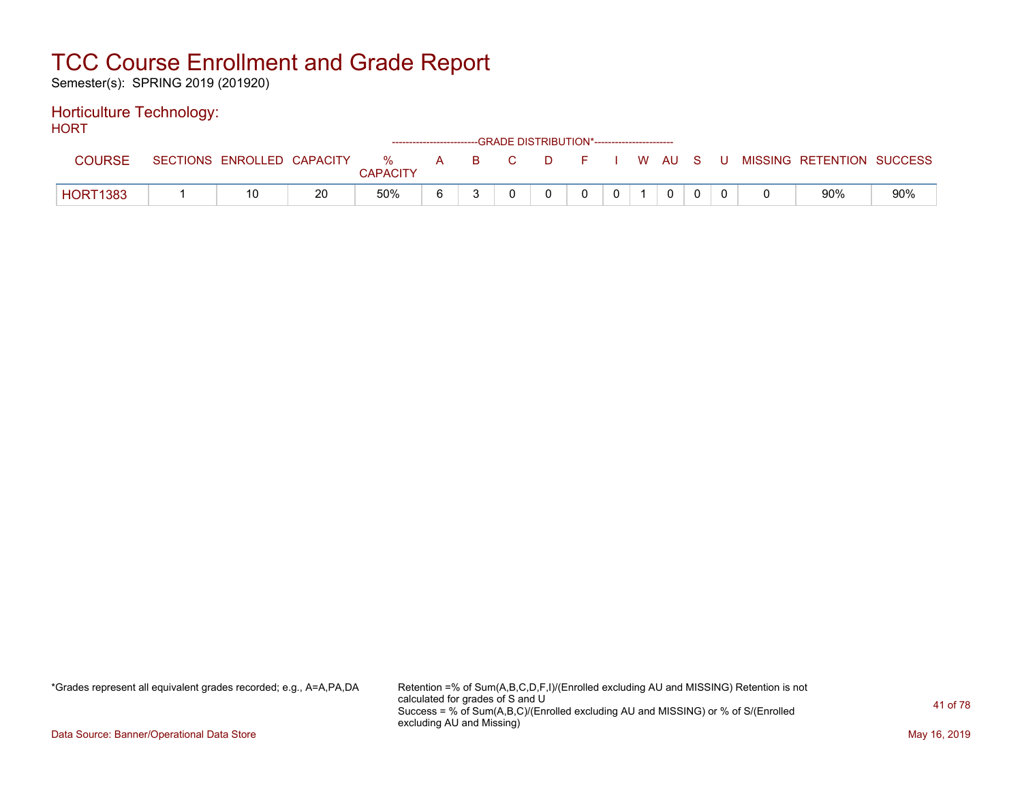Semester(s): SPRING 2019 (201920)

#### Horticulture Technology: **HORT**

| .               |                            |    | ------------------------GRADE DISTRIBUTION*----------------------- |   |          |    |    |  |            |     |                           |     |
|-----------------|----------------------------|----|--------------------------------------------------------------------|---|----------|----|----|--|------------|-----|---------------------------|-----|
| <b>COURSE</b>   | SECTIONS ENROLLED CAPACITY |    | $\%$<br><b>CAPACITY</b>                                            | A | <b>B</b> | C. | D. |  | F I W AU S | - U | MISSING RETENTION SUCCESS |     |
| <b>HORT1383</b> | 10                         | 20 | 50%                                                                |   |          |    |    |  |            |     | 90%                       | 90% |

\*Grades represent all equivalent grades recorded; e.g., A=A,PA,DA Retention =% of Sum(A,B,C,D,F,I)/(Enrolled excluding AU and MISSING) Retention is not calculated for grades of S and U Success = % of Sum(A,B,C)/(Enrolled excluding AU and MISSING) or % of S/(Enrolled excluding AU and Missing)

Data Source: Banner/Operational Data Store May 16, 2019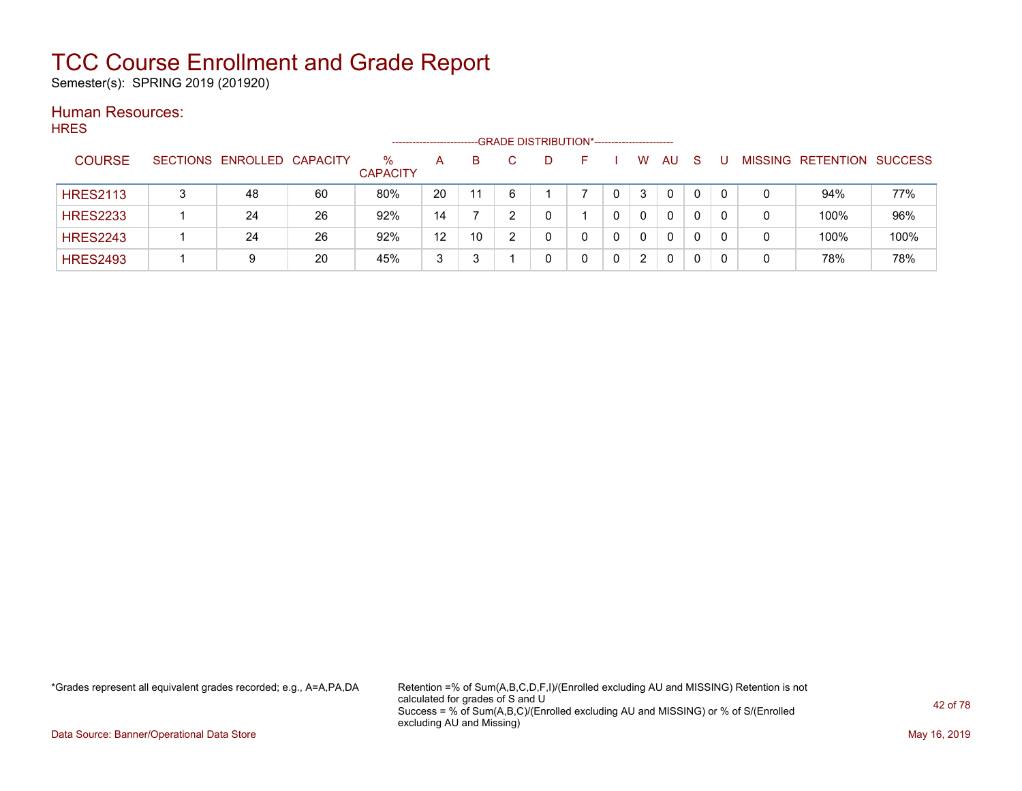Semester(s): SPRING 2019 (201920)

#### Human Resources: **HRES**

| .               |                            |    | -------------------     |    |     |   |    | -GRADE DISTRIBUTION*----------------------- |                      |    |    |   |                   |                |
|-----------------|----------------------------|----|-------------------------|----|-----|---|----|---------------------------------------------|----------------------|----|----|---|-------------------|----------------|
| <b>COURSE</b>   | SECTIONS ENROLLED CAPACITY |    | $\%$<br><b>CAPACITY</b> | A  | B.  |   | D. |                                             | W                    | AU | -S |   | MISSING RETENTION | <b>SUCCESS</b> |
| <b>HRES2113</b> | 48                         | 60 | 80%                     | 20 | -11 | ĥ |    |                                             | 3                    | 0  | 0  |   | 94%               | 77%            |
| <b>HRES2233</b> | 24                         | 26 | 92%                     | 14 |     |   |    |                                             | $\Omega$             | 0  | 0  | 0 | 100%              | 96%            |
| <b>HRES2243</b> | 24                         | 26 | 92%                     | 12 | 10  |   |    |                                             | 0                    | 0  | 0  |   | 100%              | 100%           |
| <b>HRES2493</b> | 9                          | 20 | 45%                     | 3  |     |   |    |                                             | $\mathbf{2}^{\circ}$ | 0  |    |   | 78%               | 78%            |

\*Grades represent all equivalent grades recorded; e.g., A=A,PA,DA Retention =% of Sum(A,B,C,D,F,I)/(Enrolled excluding AU and MISSING) Retention is not calculated for grades of S and U Success = % of Sum(A,B,C)/(Enrolled excluding AU and MISSING) or % of S/(Enrolled excluding AU and Missing)

Data Source: Banner/Operational Data Store May 16, 2019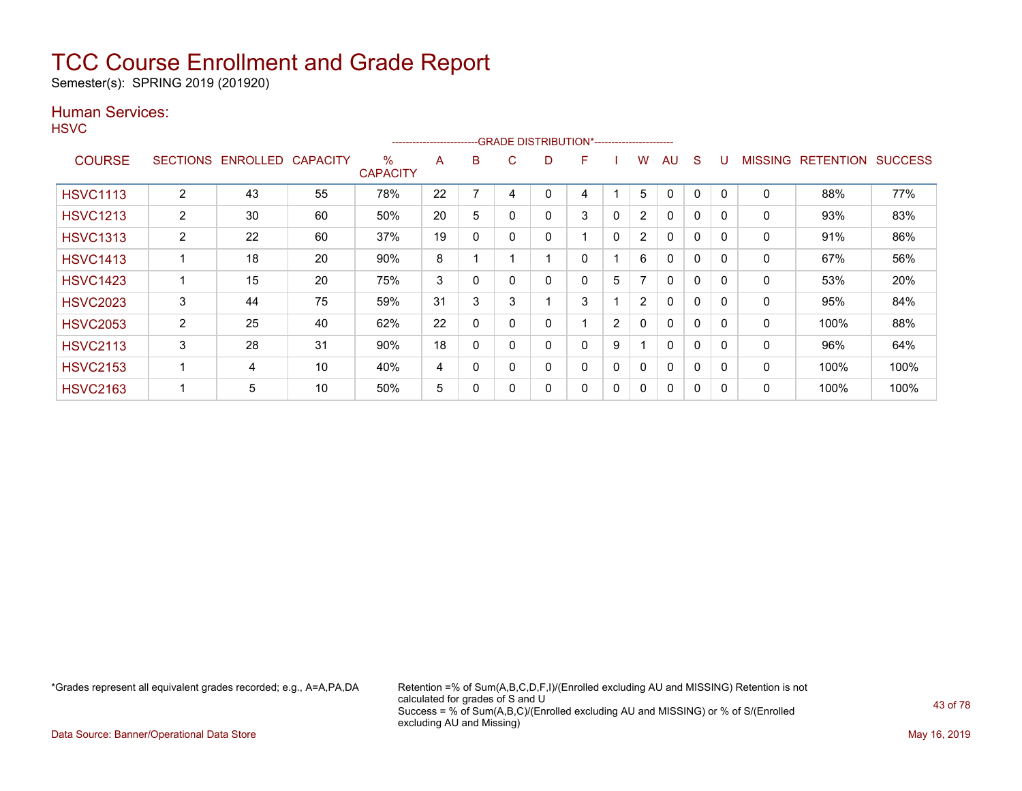Semester(s): SPRING 2019 (201920)

### Human Services:

**HSVC** 

|                 |                 |                 |                 |                         | ----------------------- |          |   | --GRADE DISTRIBUTION*----------------------- |   |   |                          |              |              |          |                |                  |                |
|-----------------|-----------------|-----------------|-----------------|-------------------------|-------------------------|----------|---|----------------------------------------------|---|---|--------------------------|--------------|--------------|----------|----------------|------------------|----------------|
| <b>COURSE</b>   | <b>SECTIONS</b> | <b>ENROLLED</b> | <b>CAPACITY</b> | $\%$<br><b>CAPACITY</b> | A                       | B        | C | D                                            | F |   | W                        | AU           | <sub>S</sub> |          | <b>MISSING</b> | <b>RETENTION</b> | <b>SUCCESS</b> |
| <b>HSVC1113</b> | 2               | 43              | 55              | 78%                     | 22                      |          | 4 |                                              | 4 |   | 5                        | $\Omega$     | 0            |          | 0              | 88%              | 77%            |
| <b>HSVC1213</b> | $\overline{2}$  | 30              | 60              | 50%                     | 20                      | 5        |   | 0                                            | 3 | 0 | $\overline{2}$           | $\mathbf{0}$ | $\mathbf{0}$ | $\Omega$ | $\mathbf{0}$   | 93%              | 83%            |
| <b>HSVC1313</b> | $\overline{2}$  | 22              | 60              | 37%                     | 19                      | 0        |   | 0                                            |   | 0 | $\overline{2}$           | $\mathbf{0}$ | $\Omega$     | $\Omega$ | 0              | 91%              | 86%            |
| <b>HSVC1413</b> |                 | 18              | 20              | 90%                     | 8                       |          |   |                                              | 0 |   | 6                        | $\mathbf{0}$ | $\Omega$     | $\Omega$ | 0              | 67%              | 56%            |
| <b>HSVC1423</b> |                 | 15              | 20              | 75%                     | 3                       | 0        |   | 0                                            | 0 | 5 | $\overline{\phantom{a}}$ | $\mathbf{0}$ | $\Omega$     | $\Omega$ | 0              | 53%              | 20%            |
| <b>HSVC2023</b> | 3               | 44              | 75              | 59%                     | 31                      | 3        | 3 |                                              | 3 |   | $\overline{2}$           | $\mathbf{0}$ | $\Omega$     | $\Omega$ | 0              | 95%              | 84%            |
| <b>HSVC2053</b> | 2               | 25              | 40              | 62%                     | 22                      | $\Omega$ |   | 0                                            |   | 2 | $\mathbf{0}$             | $\mathbf{0}$ | $\mathbf{0}$ |          | 0              | 100%             | 88%            |
| <b>HSVC2113</b> | 3               | 28              | 31              | 90%                     | 18                      | 0        |   | 0                                            | 0 | 9 |                          | $\mathbf{0}$ | $\mathbf{0}$ | $\Omega$ | 0              | 96%              | 64%            |
| <b>HSVC2153</b> |                 | 4               | 10              | 40%                     | 4                       | 0        |   | 0                                            | 0 | 0 | 0                        | $\mathbf{0}$ | 0            | $\Omega$ | 0              | 100%             | 100%           |
| <b>HSVC2163</b> |                 | 5               | 10              | 50%                     | 5                       | 0        |   | 0                                            | 0 | 0 | 0                        | $\mathbf{0}$ | 0            |          | 0              | 100%             | 100%           |

\*Grades represent all equivalent grades recorded; e.g., A=A,PA,DA Retention =% of Sum(A,B,C,D,F,I)/(Enrolled excluding AU and MISSING) Retention is not calculated for grades of S and U Success = % of Sum(A,B,C)/(Enrolled excluding AU and MISSING) or % of S/(Enrolled excluding AU and Missing)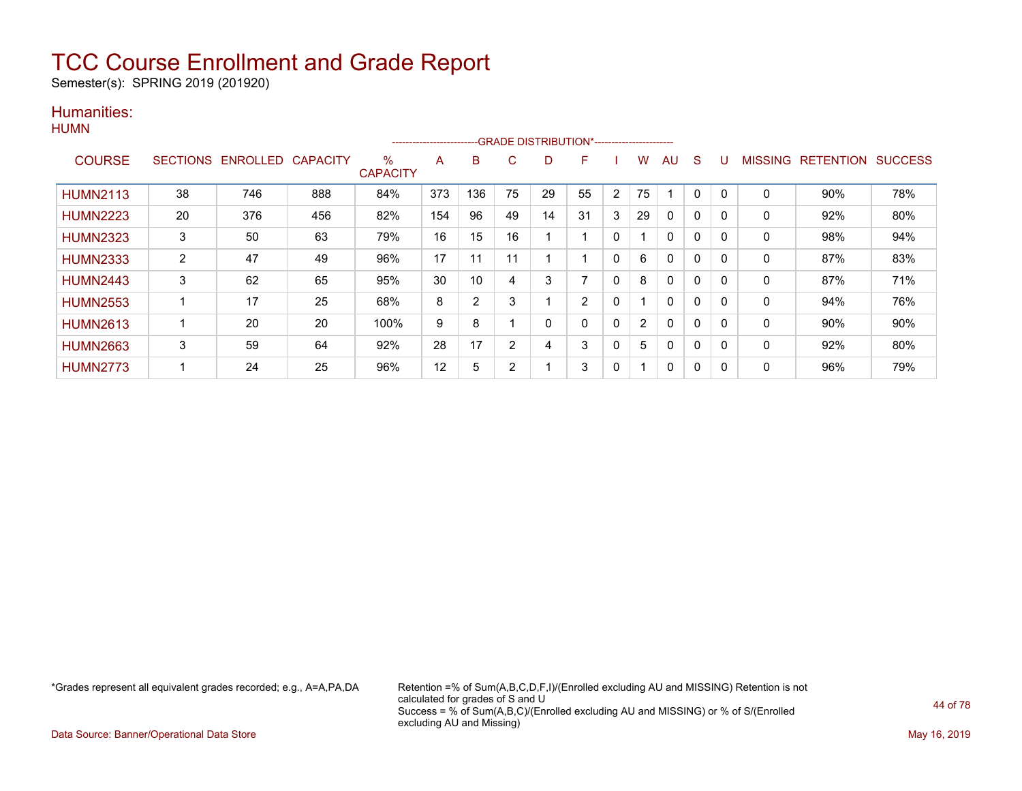Semester(s): SPRING 2019 (201920)

### Humanities: **HUMN**

|                 |                 |          |                 |                      | ----------------------- |                |    |    | -GRADE DISTRIBUTION*---------------------- |              |                |    |              |          |              |                  |                |
|-----------------|-----------------|----------|-----------------|----------------------|-------------------------|----------------|----|----|--------------------------------------------|--------------|----------------|----|--------------|----------|--------------|------------------|----------------|
| <b>COURSE</b>   | <b>SECTIONS</b> | ENROLLED | <b>CAPACITY</b> | %<br><b>CAPACITY</b> | A                       | B              | C. |    | F                                          |              | w              | AU | S            | U        | MISSING      | <b>RETENTION</b> | <b>SUCCESS</b> |
| <b>HUMN2113</b> | 38              | 746      | 888             | 84%                  | 373                     | 136            | 75 | 29 | 55                                         | 2            | 75             |    | 0            | $\Omega$ | $\mathbf{0}$ | 90%              | 78%            |
| <b>HUMN2223</b> | 20              | 376      | 456             | 82%                  | 154                     | 96             | 49 | 14 | 31                                         | 3            | 29             | 0  | 0            | 0        | 0            | 92%              | 80%            |
| <b>HUMN2323</b> | 3               | 50       | 63              | 79%                  | 16                      | 15             | 16 |    |                                            | $\Omega$     |                | 0  | $\mathbf{0}$ | 0        | $\mathbf{0}$ | 98%              | 94%            |
| <b>HUMN2333</b> | $\overline{2}$  | 47       | 49              | 96%                  | 17                      | 11             | 11 |    |                                            | $\Omega$     | 6              | 0  | 0            | 0        | 0            | 87%              | 83%            |
| <b>HUMN2443</b> | 3               | 62       | 65              | 95%                  | 30                      | 10             | 4  | 3  |                                            | 0            | 8              | 0  | 0            | 0        | 0            | 87%              | 71%            |
| <b>HUMN2553</b> |                 | 17       | 25              | 68%                  | 8                       | $\overline{2}$ | 3  |    | 2                                          | 0            |                | 0  | 0            | 0        | $\mathbf{0}$ | 94%              | 76%            |
| <b>HUMN2613</b> | 1               | 20       | 20              | 100%                 | 9                       | 8              |    | 0  | 0                                          | $\mathbf{0}$ | $\overline{2}$ | 0  | $\mathbf{0}$ | 0        | 0            | 90%              | 90%            |
| <b>HUMN2663</b> | 3               | 59       | 64              | 92%                  | 28                      | 17             | 2  | 4  | 3                                          | $\mathbf{0}$ | 5              | 0  | 0            | 0        | 0            | 92%              | 80%            |
| <b>HUMN2773</b> |                 | 24       | 25              | 96%                  | 12                      | 5              | 2  |    | 3                                          | 0            |                | 0  | 0            | 0        | 0            | 96%              | 79%            |

\*Grades represent all equivalent grades recorded; e.g., A=A,PA,DA Retention =% of Sum(A,B,C,D,F,I)/(Enrolled excluding AU and MISSING) Retention is not calculated for grades of S and U Success = % of Sum(A,B,C)/(Enrolled excluding AU and MISSING) or % of S/(Enrolled excluding AU and Missing)

Data Source: Banner/Operational Data Store May 16, 2019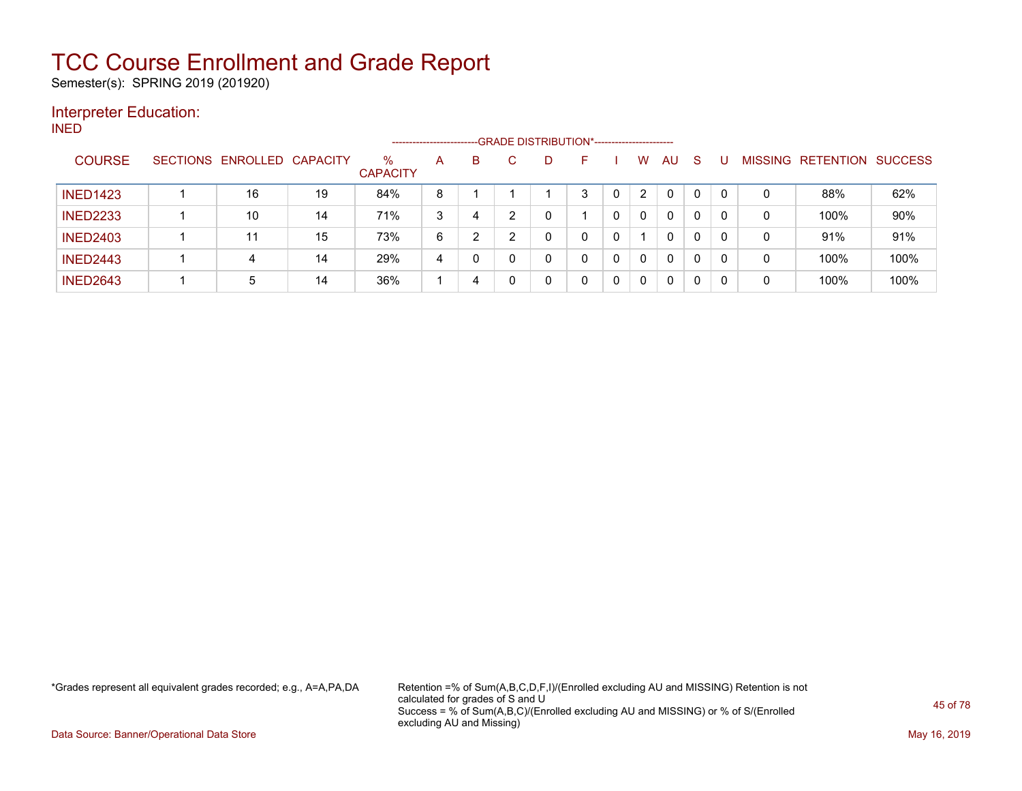Semester(s): SPRING 2019 (201920)

### Interpreter Education:

INED

|                 |                 |                   |    |                         | ------------------------ |   |   | --- GRADE DISTRIBUTION*----------------------- |   |   |                |    |              |          |                |                  |                |
|-----------------|-----------------|-------------------|----|-------------------------|--------------------------|---|---|------------------------------------------------|---|---|----------------|----|--------------|----------|----------------|------------------|----------------|
| <b>COURSE</b>   | <b>SECTIONS</b> | ENROLLED CAPACITY |    | $\%$<br><b>CAPACITY</b> | A                        | В |   | D                                              |   |   | W              | AU | <sub>S</sub> |          | <b>MISSING</b> | <b>RETENTION</b> | <b>SUCCESS</b> |
| <b>INED1423</b> |                 | 16                | 19 | 84%                     | 8                        |   |   |                                                | 3 | 0 | $\overline{2}$ | 0  | $\mathbf{0}$ | $\Omega$ | 0              | 88%              | 62%            |
| <b>INED2233</b> |                 | 10                | 14 | 71%                     | 3                        | 4 | ົ | 0                                              |   | 0 | 0              | 0  | 0            | 0        | 0              | 100%             | 90%            |
| <b>INED2403</b> |                 | 11                | 15 | 73%                     | 6                        |   |   | 0                                              | 0 | 0 |                | 0  |              | 0        | 0              | 91%              | 91%            |
| <b>INED2443</b> |                 | 4                 | 14 | 29%                     | 4                        |   |   | $\Omega$                                       | 0 | 0 | $\mathbf{0}$   | 0  | $\Omega$     | $\Omega$ | 0              | 100%             | 100%           |
| <b>INED2643</b> |                 | 5                 | 14 | 36%                     |                          | 4 |   | 0                                              | 0 | 0 | 0              | 0  | 0            | 0        | 0              | 100%             | 100%           |

\*Grades represent all equivalent grades recorded; e.g., A=A,PA,DA Retention =% of Sum(A,B,C,D,F,I)/(Enrolled excluding AU and MISSING) Retention is not calculated for grades of S and U Success = % of Sum(A,B,C)/(Enrolled excluding AU and MISSING) or % of S/(Enrolled excluding AU and Missing)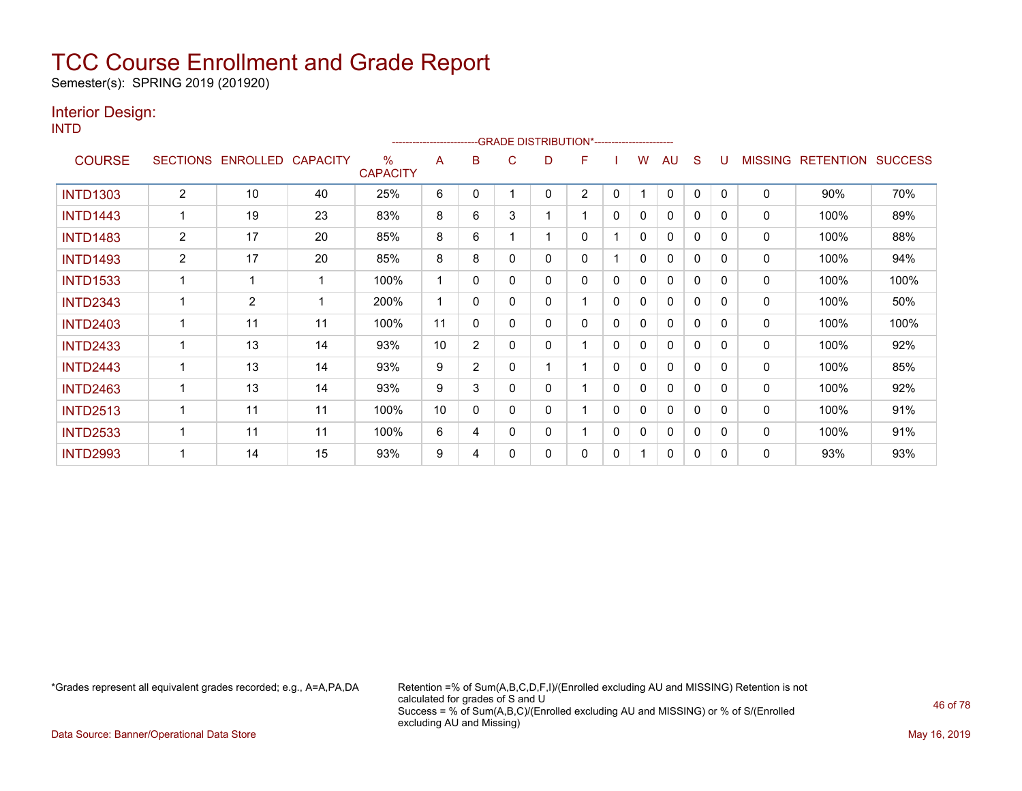Semester(s): SPRING 2019 (201920)

### Interior Design:

INTD

|                 |                 |                 |                 |                         | ------------------------ |                |   | -- GRADE DISTRIBUTION*----------------------- |                |              |              |          |              |          |                |                  |                |
|-----------------|-----------------|-----------------|-----------------|-------------------------|--------------------------|----------------|---|-----------------------------------------------|----------------|--------------|--------------|----------|--------------|----------|----------------|------------------|----------------|
| <b>COURSE</b>   | <b>SECTIONS</b> | <b>ENROLLED</b> | <b>CAPACITY</b> | $\%$<br><b>CAPACITY</b> | A                        | в              | C | D                                             | F              |              | w            | AU       | S            |          | <b>MISSING</b> | <b>RETENTION</b> | <b>SUCCESS</b> |
| <b>INTD1303</b> | $\overline{2}$  | 10              | 40              | 25%                     | 6                        | 0              |   | 0                                             | $\overline{2}$ | 0            |              | 0        | 0            | $\Omega$ | 0              | 90%              | 70%            |
| <b>INTD1443</b> |                 | 19              | 23              | 83%                     | 8                        | 6              | 3 |                                               | 1              | $\mathbf{0}$ | 0            | $\Omega$ | 0            | $\Omega$ | $\mathbf 0$    | 100%             | 89%            |
| <b>INTD1483</b> | 2               | 17              | 20              | 85%                     | 8                        | 6              |   |                                               | 0              |              | 0            | 0        | 0            | $\Omega$ | 0              | 100%             | 88%            |
| <b>INTD1493</b> | $\overline{2}$  | 17              | 20              | 85%                     | 8                        | 8              | 0 | 0                                             | 0              |              | $\mathbf{0}$ | 0        | 0            | 0        | $\mathbf 0$    | 100%             | 94%            |
| <b>INTD1533</b> |                 |                 | -1              | 100%                    |                          | 0              | 0 | 0                                             | 0              | 0            | 0            | 0        | $\mathbf{0}$ | $\Omega$ | $\mathbf 0$    | 100%             | 100%           |
| <b>INTD2343</b> |                 | $\overline{2}$  | -1              | 200%                    |                          | 0              | 0 | 0                                             |                | 0            | 0            | 0        | $\mathbf{0}$ | 0        | 0              | 100%             | 50%            |
| <b>INTD2403</b> |                 | 11              | 11              | 100%                    | 11                       | 0              | 0 | 0                                             | 0              | 0            | 0            | 0        | $\mathbf{0}$ | $\Omega$ | 0              | 100%             | 100%           |
| <b>INTD2433</b> |                 | 13              | 14              | 93%                     | 10                       | $\overline{2}$ | 0 | 0                                             |                | $\Omega$     | 0            | 0        | 0            | 0        | 0              | 100%             | 92%            |
| <b>INTD2443</b> |                 | 13              | 14              | 93%                     | 9                        | $\overline{2}$ | 0 |                                               |                | 0            | 0            | 0        | $\mathbf{0}$ | $\Omega$ | 0              | 100%             | 85%            |
| <b>INTD2463</b> |                 | 13              | 14              | 93%                     | 9                        | 3              | 0 | 0                                             |                | $\Omega$     | 0            | 0        | 0            | 0        | 0              | 100%             | 92%            |
| <b>INTD2513</b> |                 | 11              | 11              | 100%                    | 10                       | $\Omega$       | 0 | 0                                             | 4              | 0            | 0            | 0        | $\mathbf{0}$ | $\Omega$ | 0              | 100%             | 91%            |
| <b>INTD2533</b> |                 | 11              | 11              | 100%                    | 6                        | 4              | 0 | 0                                             |                | 0            | 0            | 0        | 0            | $\Omega$ | 0              | 100%             | 91%            |
| <b>INTD2993</b> |                 | 14              | 15              | 93%                     | 9                        | 4              | 0 | 0                                             | 0              | 0            |              | 0        | 0            | $\Omega$ | 0              | 93%              | 93%            |

\*Grades represent all equivalent grades recorded; e.g., A=A,PA,DA Retention =% of Sum(A,B,C,D,F,I)/(Enrolled excluding AU and MISSING) Retention is not calculated for grades of S and U Success = % of Sum(A,B,C)/(Enrolled excluding AU and MISSING) or % of S/(Enrolled excluding AU and Missing)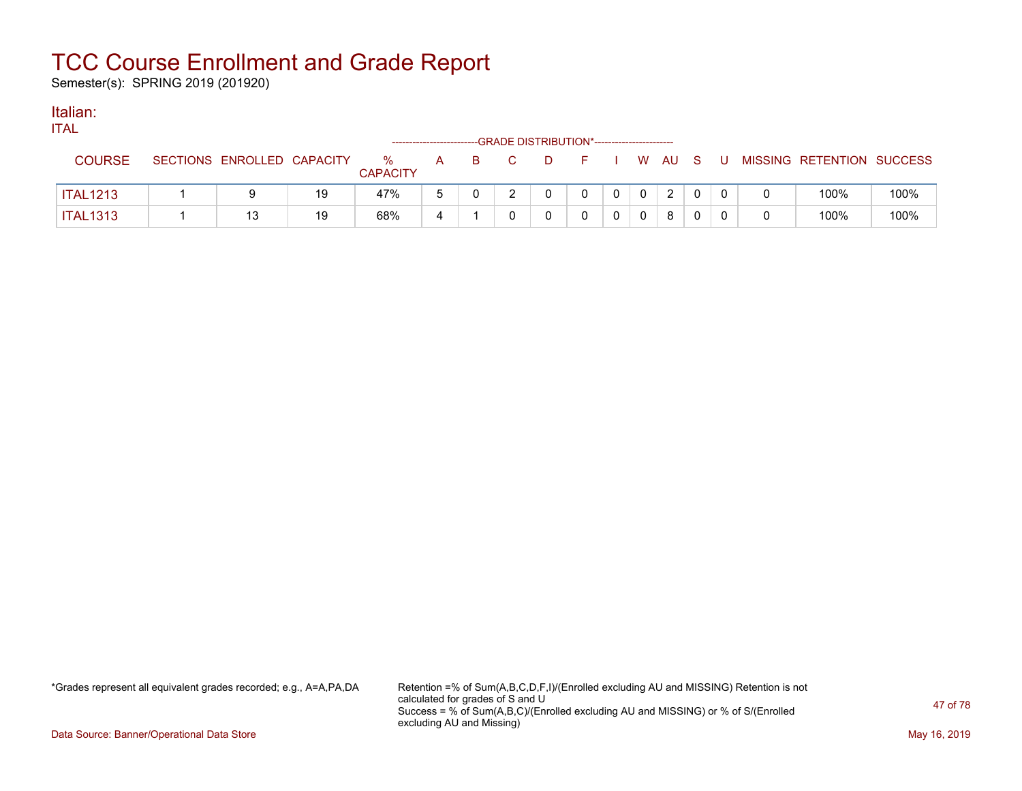Semester(s): SPRING 2019 (201920)

### Italian:

| .               |                            |    |                      |   |  | ------------------------GRADE DISTRIBUTION*----------------------- |          |                |                |        |              |    |                           |      |
|-----------------|----------------------------|----|----------------------|---|--|--------------------------------------------------------------------|----------|----------------|----------------|--------|--------------|----|---------------------------|------|
| <b>COURSE</b>   | SECTIONS ENROLLED CAPACITY |    | %<br><b>CAPACITY</b> | A |  | D.                                                                 | $\vdash$ |                |                | W AU S |              | J. | MISSING RETENTION SUCCESS |      |
| <b>ITAL1213</b> |                            | 19 | 47%                  |   |  |                                                                    |          | $\overline{0}$ | 0 <sup>1</sup> | 2      | $\mathbf{0}$ |    | 100%                      | 100% |
| <b>ITAL1313</b> | 13                         | 19 | 68%                  |   |  |                                                                    |          |                |                | 8      | $\mathbf{0}$ |    | 100%                      | 100% |

\*Grades represent all equivalent grades recorded; e.g., A=A,PA,DA Retention =% of Sum(A,B,C,D,F,I)/(Enrolled excluding AU and MISSING) Retention is not calculated for grades of S and U Success = % of Sum(A,B,C)/(Enrolled excluding AU and MISSING) or % of S/(Enrolled excluding AU and Missing)

Data Source: Banner/Operational Data Store May 16, 2019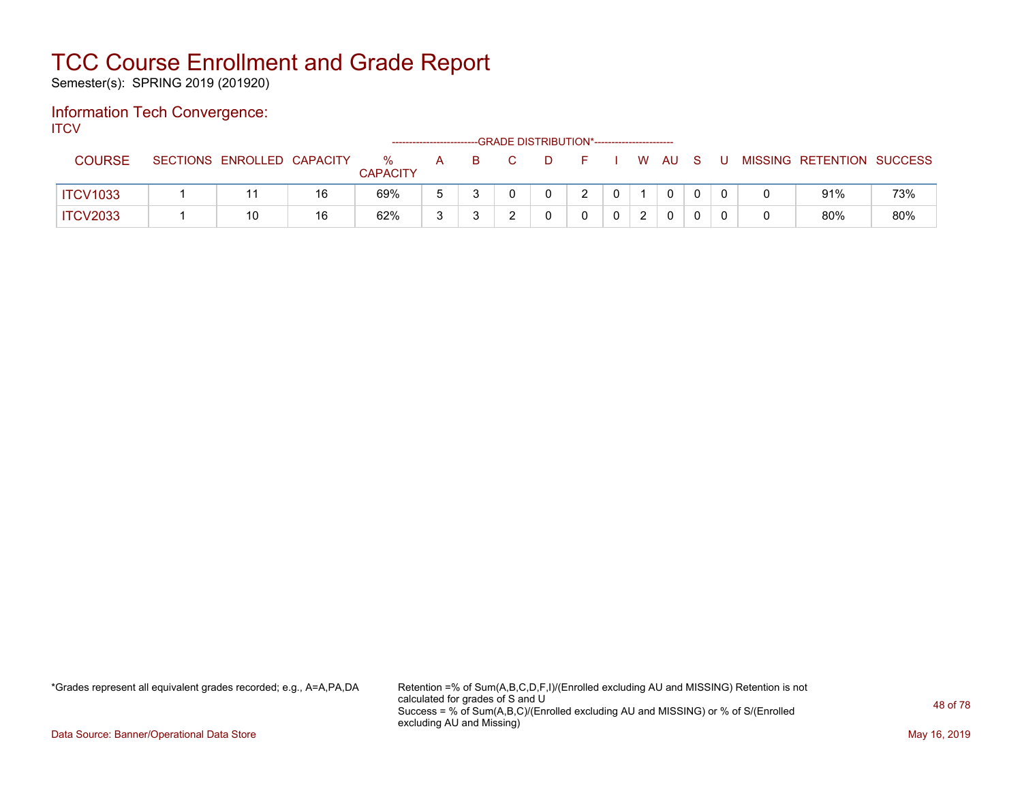Semester(s): SPRING 2019 (201920)

### Information Tech Convergence: **ITCV**

|                 |                            |    | ------------------      |   |   | --GRADE DISTRIBUTION*----------------------- |               |  |      |  |                           |     |
|-----------------|----------------------------|----|-------------------------|---|---|----------------------------------------------|---------------|--|------|--|---------------------------|-----|
| <b>COURSE</b>   | SECTIONS ENROLLED CAPACITY |    | $\%$<br><b>CAPACITY</b> | A | B | D                                            |               |  | W AU |  | MISSING RETENTION SUCCESS |     |
| <b>ITCV1033</b> |                            | 16 | 69%                     |   |   |                                              | $\mathcal{P}$ |  | 0    |  | 91%                       | 73% |
| <b>ITCV2033</b> | 10                         | 16 | 62%                     |   |   |                                              |               |  | 0    |  | 80%                       | 80% |

\*Grades represent all equivalent grades recorded; e.g., A=A,PA,DA Retention =% of Sum(A,B,C,D,F,I)/(Enrolled excluding AU and MISSING) Retention is not calculated for grades of S and U Success = % of Sum(A,B,C)/(Enrolled excluding AU and MISSING) or % of S/(Enrolled excluding AU and Missing)

Data Source: Banner/Operational Data Store May 16, 2019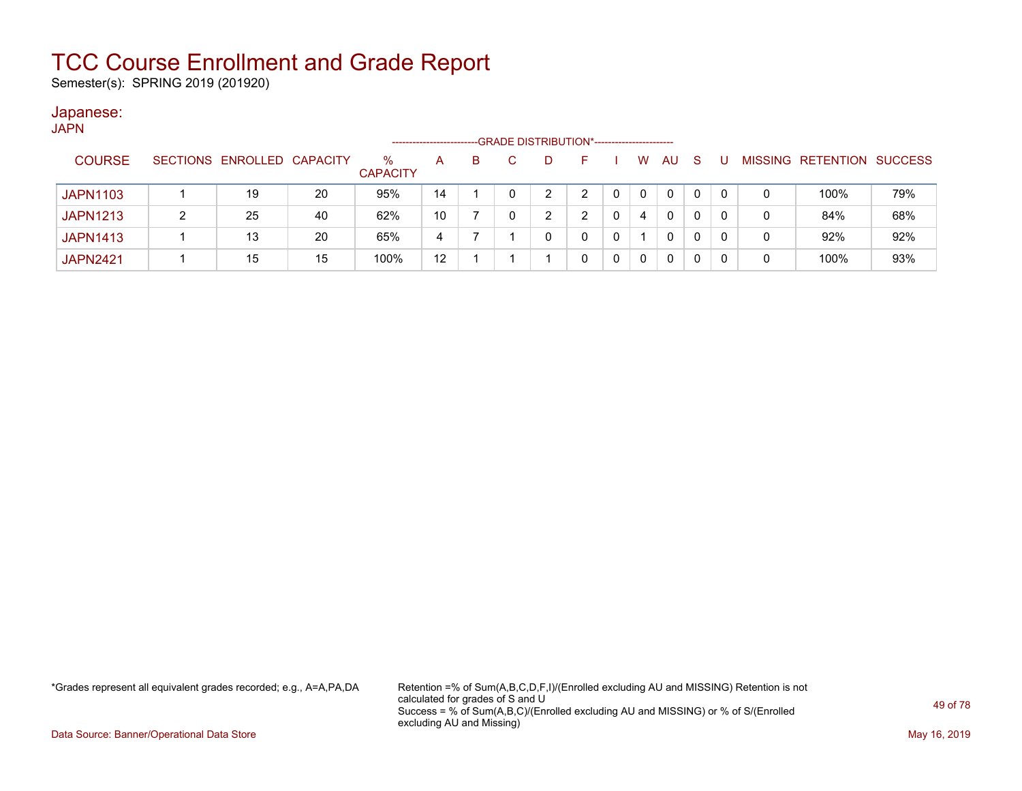Semester(s): SPRING 2019 (201920)

#### Japanese: JAPN

| יי ורע          |                            |    |                         | -------------------- |    | --GRADE DISTRIBUTION*----------------------- |   |   |           |              |    |   |                   |                |
|-----------------|----------------------------|----|-------------------------|----------------------|----|----------------------------------------------|---|---|-----------|--------------|----|---|-------------------|----------------|
| <b>COURSE</b>   | SECTIONS ENROLLED CAPACITY |    | $\%$<br><b>CAPACITY</b> | A                    | B. | D                                            |   | W | <b>AU</b> | <sub>S</sub> |    |   | MISSING RETENTION | <b>SUCCESS</b> |
| <b>JAPN1103</b> | 19                         | 20 | 95%                     | 14                   |    | 2                                            |   | 0 | 0         | 0            | -0 | 0 | 100%              | 79%            |
| <b>JAPN1213</b> | 25                         | 40 | 62%                     | 10                   |    | າ<br><u>.</u>                                |   | 4 | 0         | 0            |    | 0 | 84%               | 68%            |
| <b>JAPN1413</b> | 13                         | 20 | 65%                     | 4                    |    |                                              | 0 |   | 0         | 0            |    | 0 | 92%               | 92%            |
| <b>JAPN2421</b> | 15                         | 15 | 100%                    | 12                   |    |                                              | 0 | 0 | 0         | 0            |    | 0 | 100%              | 93%            |

\*Grades represent all equivalent grades recorded; e.g., A=A,PA,DA Retention =% of Sum(A,B,C,D,F,I)/(Enrolled excluding AU and MISSING) Retention is not calculated for grades of S and U Success = % of Sum(A,B,C)/(Enrolled excluding AU and MISSING) or % of S/(Enrolled excluding AU and Missing)

Data Source: Banner/Operational Data Store May 16, 2019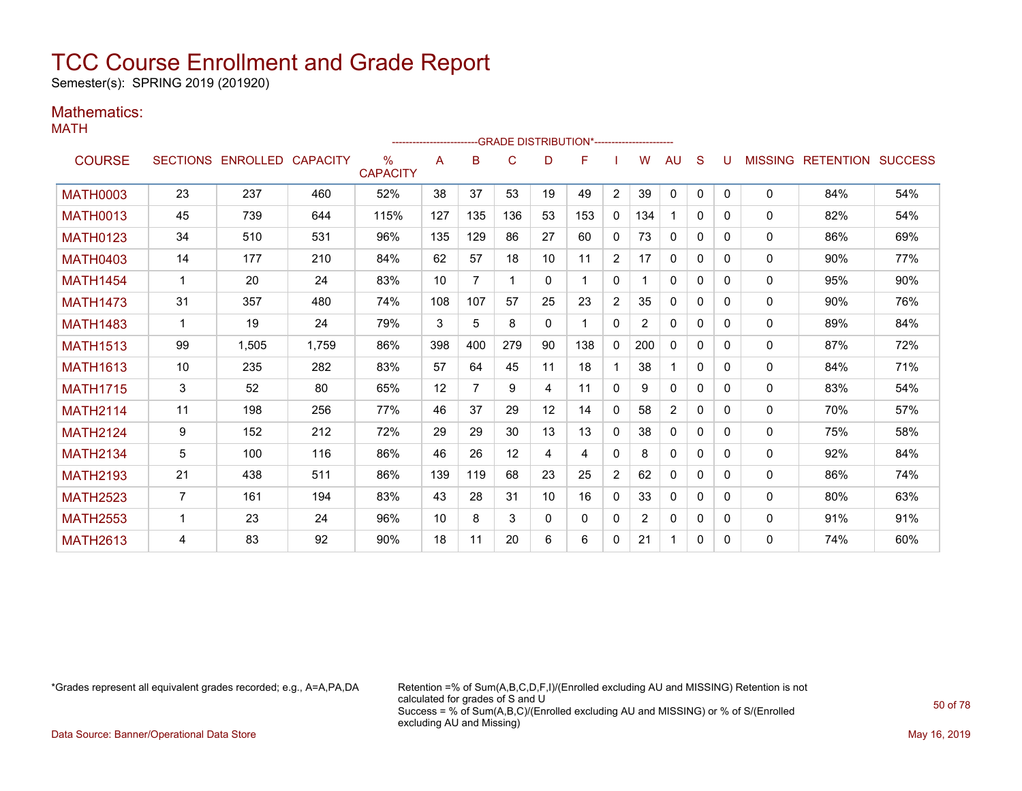Semester(s): SPRING 2019 (201920)

#### Mathematics: MATH

|                 |                |                            |       |                         | ---------------------- |                |              |              | ----GRADE                                   DISTRIBUTION*----------------------- |                |     |                |              |          |                |                  |                |
|-----------------|----------------|----------------------------|-------|-------------------------|------------------------|----------------|--------------|--------------|----------------------------------------------------------------------------------|----------------|-----|----------------|--------------|----------|----------------|------------------|----------------|
| <b>COURSE</b>   |                | SECTIONS ENROLLED CAPACITY |       | $\%$<br><b>CAPACITY</b> | Α                      | B              | C            | D            | F                                                                                |                | W   | <b>AU</b>      | S            | U        | <b>MISSING</b> | <b>RETENTION</b> | <b>SUCCESS</b> |
| <b>MATH0003</b> | 23             | 237                        | 460   | 52%                     | 38                     | 37             | 53           | 19           | 49                                                                               | $\overline{2}$ | 39  | $\Omega$       | $\mathbf{0}$ | $\Omega$ | 0              | 84%              | 54%            |
| <b>MATH0013</b> | 45             | 739                        | 644   | 115%                    | 127                    | 135            | 136          | 53           | 153                                                                              | $\Omega$       | 134 |                | $\mathbf{0}$ | $\Omega$ | $\Omega$       | 82%              | 54%            |
| <b>MATH0123</b> | 34             | 510                        | 531   | 96%                     | 135                    | 129            | 86           | 27           | 60                                                                               | $\Omega$       | 73  | $\mathbf{0}$   | $\mathbf{0}$ | $\Omega$ | 0              | 86%              | 69%            |
| <b>MATH0403</b> | 14             | 177                        | 210   | 84%                     | 62                     | 57             | 18           | 10           | 11                                                                               | $\overline{2}$ | 17  | $\mathbf{0}$   | 0            | $\Omega$ | 0              | 90%              | 77%            |
| <b>MATH1454</b> | 1              | 20                         | 24    | 83%                     | 10                     | 7              | $\mathbf{1}$ | 0            | 1                                                                                | 0              |     | 0              | 0            | $\Omega$ | 0              | 95%              | 90%            |
| <b>MATH1473</b> | 31             | 357                        | 480   | 74%                     | 108                    | 107            | 57           | 25           | 23                                                                               | $\overline{2}$ | 35  | 0              | 0            | $\Omega$ | 0              | 90%              | 76%            |
| <b>MATH1483</b> | $\mathbf 1$    | 19                         | 24    | 79%                     | 3                      | 5              | 8            | $\mathbf{0}$ | 1                                                                                | $\Omega$       | 2   | $\mathbf{0}$   | $\mathbf{0}$ | 0        | 0              | 89%              | 84%            |
| <b>MATH1513</b> | 99             | 1.505                      | 1.759 | 86%                     | 398                    | 400            | 279          | 90           | 138                                                                              | 0              | 200 | 0              | $\mathbf{0}$ | 0        | 0              | 87%              | 72%            |
| <b>MATH1613</b> | 10             | 235                        | 282   | 83%                     | 57                     | 64             | 45           | 11           | 18                                                                               |                | 38  |                | $\mathbf{0}$ | $\Omega$ | 0              | 84%              | 71%            |
| <b>MATH1715</b> | 3              | 52                         | 80    | 65%                     | 12                     | $\overline{7}$ | 9            | 4            | 11                                                                               | $\Omega$       | 9   | $\mathbf{0}$   | $\mathbf{0}$ | $\Omega$ | 0              | 83%              | 54%            |
| <b>MATH2114</b> | 11             | 198                        | 256   | 77%                     | 46                     | 37             | 29           | 12           | 14                                                                               | 0              | 58  | $\overline{2}$ | $\mathbf{0}$ | $\Omega$ | 0              | 70%              | 57%            |
| <b>MATH2124</b> | 9              | 152                        | 212   | 72%                     | 29                     | 29             | 30           | 13           | 13                                                                               | 0              | 38  | 0              | $\mathbf{0}$ | $\Omega$ | 0              | 75%              | 58%            |
| <b>MATH2134</b> | 5              | 100                        | 116   | 86%                     | 46                     | 26             | 12           | 4            | 4                                                                                | 0              | 8   | $\mathbf{0}$   | 0            | $\Omega$ | $\Omega$       | 92%              | 84%            |
| <b>MATH2193</b> | 21             | 438                        | 511   | 86%                     | 139                    | 119            | 68           | 23           | 25                                                                               | $\overline{2}$ | 62  | $\mathbf{0}$   | $\mathbf{0}$ | $\Omega$ | $\Omega$       | 86%              | 74%            |
| <b>MATH2523</b> | $\overline{7}$ | 161                        | 194   | 83%                     | 43                     | 28             | 31           | 10           | 16                                                                               | 0              | 33  | $\mathbf{0}$   | $\mathbf{0}$ | $\Omega$ | $\Omega$       | 80%              | 63%            |
| <b>MATH2553</b> | 1              | 23                         | 24    | 96%                     | 10                     | 8              | 3            | 0            | 0                                                                                | 0              | 2   | $\mathbf{0}$   | $\mathbf{0}$ | $\Omega$ | 0              | 91%              | 91%            |
| <b>MATH2613</b> | 4              | 83                         | 92    | 90%                     | 18                     | 11             | 20           | 6            | 6                                                                                | 0              | 21  |                | 0            | 0        | 0              | 74%              | 60%            |

\*Grades represent all equivalent grades recorded; e.g., A=A,PA,DA Retention =% of Sum(A,B,C,D,F,I)/(Enrolled excluding AU and MISSING) Retention is not calculated for grades of S and U Success = % of Sum(A,B,C)/(Enrolled excluding AU and MISSING) or % of S/(Enrolled excluding AU and Missing)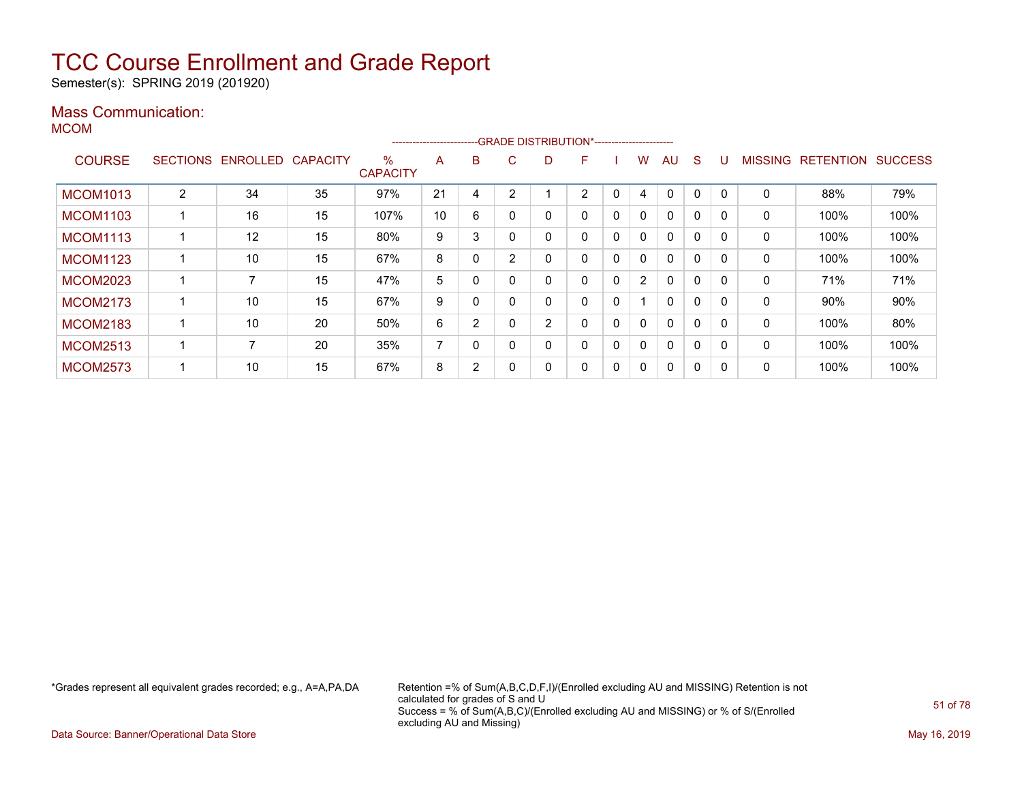Semester(s): SPRING 2019 (201920)

### Mass Communication:

MCOM

|                 |                 |          |                 |                         | ----------------------- |          |        | --GRADE DISTRIBUTION*----------------------- |                |              |                |              |              |              |                |                  |                |
|-----------------|-----------------|----------|-----------------|-------------------------|-------------------------|----------|--------|----------------------------------------------|----------------|--------------|----------------|--------------|--------------|--------------|----------------|------------------|----------------|
| <b>COURSE</b>   | <b>SECTIONS</b> | ENROLLED | <b>CAPACITY</b> | $\%$<br><b>CAPACITY</b> | A                       | В        | C.     | D                                            | F              |              | w              | AU           | S            |              | <b>MISSING</b> | <b>RETENTION</b> | <b>SUCCESS</b> |
| <b>MCOM1013</b> | $\overline{2}$  | 34       | 35              | 97%                     | 21                      | 4        | $\sim$ |                                              | $\overline{2}$ | 0            | 4              | $\Omega$     | 0            | $\Omega$     | 0              | 88%              | 79%            |
| <b>MCOM1103</b> |                 | 16       | 15              | 107%                    | 10                      | 6        |        | 0                                            | 0              | $\mathbf{0}$ | $\mathbf{0}$   | $\mathbf{0}$ | $\Omega$     |              | 0              | 100%             | 100%           |
| <b>MCOM1113</b> |                 | 12       | 15              | 80%                     | 9                       | 3        |        | 0                                            | 0              | $\mathbf{0}$ | $\mathbf{0}$   | $\mathbf{0}$ | $\mathbf{0}$ |              | 0              | 100%             | 100%           |
| <b>MCOM1123</b> |                 | 10       | 15              | 67%                     | 8                       | 0        | $\sim$ | 0                                            | 0              | 0            | $\mathbf{0}$   | $\mathbf{0}$ | 0            | $\Omega$     | 0              | 100%             | 100%           |
| <b>MCOM2023</b> |                 |          | 15              | 47%                     | 5                       | 0        |        | 0                                            | 0              | 0            | $\overline{2}$ | $\mathbf{0}$ | $\Omega$     |              | 0              | 71%              | 71%            |
| <b>MCOM2173</b> |                 | 10       | 15              | 67%                     | 9                       | 0        |        |                                              | 0              | 0            |                | $\mathbf{0}$ | $\Omega$     |              | 0              | $90\%$           | 90%            |
| <b>MCOM2183</b> |                 | 10       | 20              | 50%                     | 6                       | 2        |        | 2                                            | 0              | $\mathbf{0}$ | $\mathbf{0}$   | $\mathbf{0}$ | $\mathbf{0}$ | $\Omega$     | $\mathbf{0}$   | 100%             | 80%            |
| <b>MCOM2513</b> |                 | 7        | 20              | 35%                     | $\overline{7}$          | $\Omega$ |        | 0                                            | 0              | 0            | $\mathbf{0}$   | $\mathbf{0}$ | $\mathbf{0}$ | $\Omega$     | $\mathbf{0}$   | 100%             | 100%           |
| <b>MCOM2573</b> |                 | 10       | 15              | 67%                     | 8                       | 2        |        | 0                                            | 0              | 0            | 0              | $\mathbf{0}$ | 0            | $\mathbf{0}$ | 0              | 100%             | 100%           |

\*Grades represent all equivalent grades recorded; e.g., A=A,PA,DA Retention =% of Sum(A,B,C,D,F,I)/(Enrolled excluding AU and MISSING) Retention is not calculated for grades of S and U Success = % of Sum(A,B,C)/(Enrolled excluding AU and MISSING) or % of S/(Enrolled excluding AU and Missing)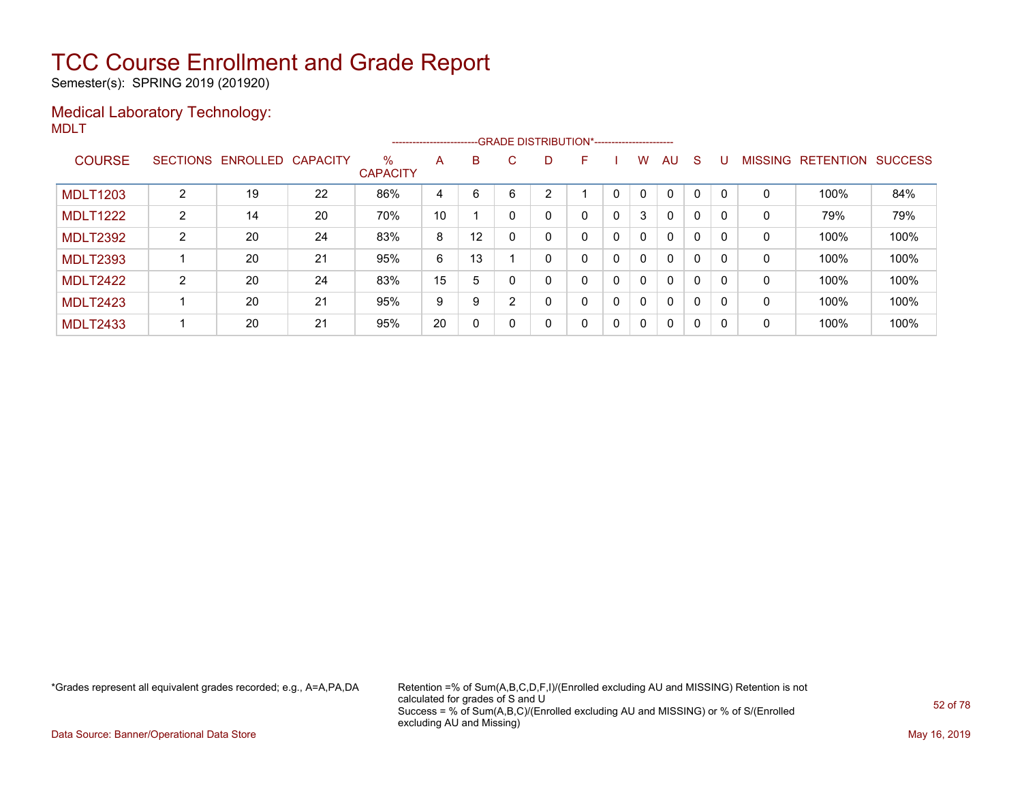Semester(s): SPRING 2019 (201920)

### Medical Laboratory Technology: MDLT

|                 |                |                            |    |                         | ----------------------- |                   |          |    | --GRADE DISTRIBUTION*---------------------- |   |              |              |    |          |                |           |                |
|-----------------|----------------|----------------------------|----|-------------------------|-------------------------|-------------------|----------|----|---------------------------------------------|---|--------------|--------------|----|----------|----------------|-----------|----------------|
| <b>COURSE</b>   |                | SECTIONS ENROLLED CAPACITY |    | $\%$<br><b>CAPACITY</b> | A                       | В                 | C.       | D. | F                                           |   | W            | AU           | -S | U        | <b>MISSING</b> | RETENTION | <b>SUCCESS</b> |
| <b>MDLT1203</b> | $\overline{2}$ | 19                         | 22 | 86%                     | 4                       | 6                 | 6        | າ  |                                             |   | $\mathbf{0}$ | $\mathbf{0}$ | 0  | $\Omega$ | 0              | 100%      | 84%            |
| <b>MDLT1222</b> | $\overline{2}$ | 14                         | 20 | 70%                     | 10                      |                   |          |    | 0                                           | 0 | 3            | $\mathbf{0}$ | 0  |          | 0              | 79%       | 79%            |
| <b>MDLT2392</b> | $\overline{2}$ | 20                         | 24 | 83%                     | 8                       | $12 \overline{ }$ |          |    | 0                                           | 0 | 0            | $\mathbf{0}$ | 0  |          | 0              | 100%      | 100%           |
| <b>MDLT2393</b> |                | 20                         | 21 | 95%                     | 6                       | 13                |          |    | 0                                           | 0 | 0            | $\mathbf{0}$ | 0  | 0        | 0              | 100%      | 100%           |
| <b>MDLT2422</b> | $\overline{2}$ | 20                         | 24 | 83%                     | 15                      | 5                 |          |    | 0                                           | 0 | 0            | $\mathbf{0}$ | 0  | $\Omega$ | 0              | 100%      | 100%           |
| <b>MDLT2423</b> |                | 20                         | 21 | 95%                     | 9                       | 9                 | 2        |    | 0                                           | 0 | $\mathbf{0}$ | $\mathbf{0}$ | 0  | $\Omega$ | 0              | 100%      | 100%           |
| <b>MDLT2433</b> |                | 20                         | 21 | 95%                     | 20                      | 0                 | $\Omega$ | 0  | 0                                           | 0 | $\mathbf 0$  | $\mathbf 0$  | 0  | $\Omega$ | 0              | 100%      | 100%           |

\*Grades represent all equivalent grades recorded; e.g., A=A,PA,DA Retention =% of Sum(A,B,C,D,F,I)/(Enrolled excluding AU and MISSING) Retention is not calculated for grades of S and U Success = % of Sum(A,B,C)/(Enrolled excluding AU and MISSING) or % of S/(Enrolled excluding AU and Missing)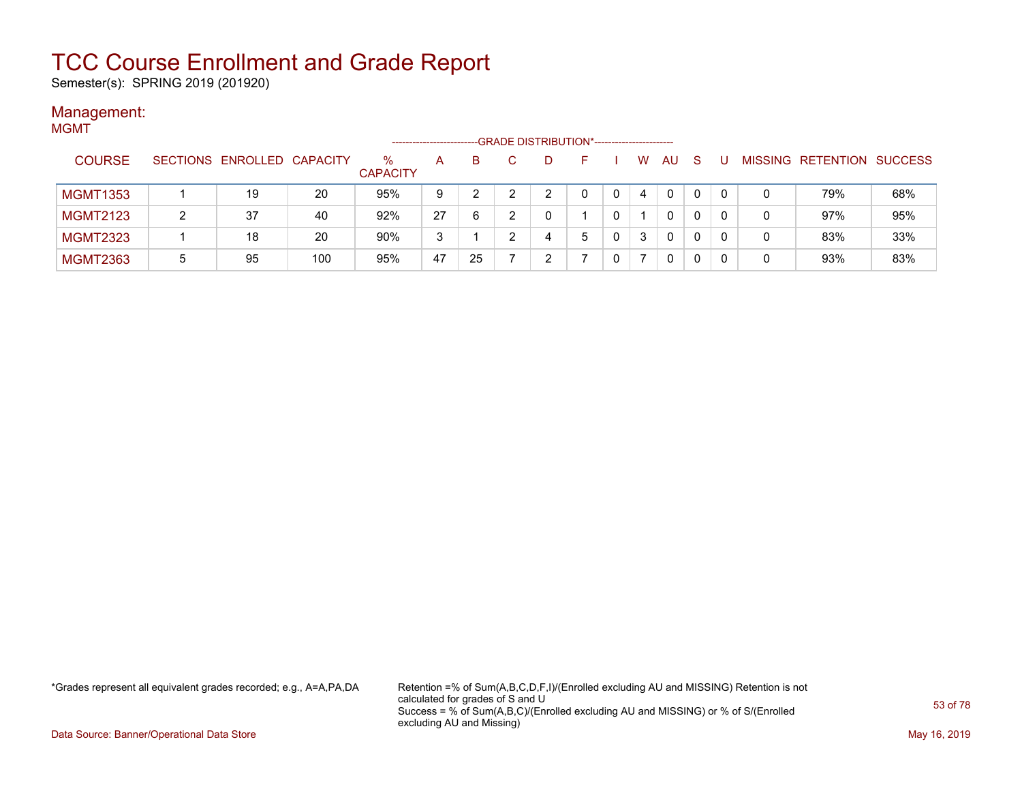Semester(s): SPRING 2019 (201920)

#### Management: MGMT

| .               |   |                            |     |                      | -------------------- |    | --GRADE DISTRIBUTION*---------------------- |   |    |     |              |         |                   |     |
|-----------------|---|----------------------------|-----|----------------------|----------------------|----|---------------------------------------------|---|----|-----|--------------|---------|-------------------|-----|
| <b>COURSE</b>   |   | SECTIONS ENROLLED CAPACITY |     | %<br><b>CAPACITY</b> | A                    | B. | D                                           |   | W. | AU. | <sub>S</sub> | MISSING | RETENTION SUCCESS |     |
| <b>MGMT1353</b> |   | 19                         | 20  | 95%                  | 9                    |    | າ                                           |   | 4  | 0   | 0            |         | 79%               | 68% |
| <b>MGMT2123</b> | າ | 37                         | 40  | 92%                  | 27                   | 6  | 0                                           |   |    | 0   |              |         | 97%               | 95% |
| <b>MGMT2323</b> |   | 18                         | 20  | 90%                  | 3                    |    | 4                                           | 5 | 3  | 0   | 0            | 0       | 83%               | 33% |
| <b>MGMT2363</b> | 5 | 95                         | 100 | 95%                  | 47                   | 25 | ົ                                           |   |    | 0   | 0            | 0       | 93%               | 83% |

\*Grades represent all equivalent grades recorded; e.g., A=A,PA,DA Retention =% of Sum(A,B,C,D,F,I)/(Enrolled excluding AU and MISSING) Retention is not calculated for grades of S and U Success = % of Sum(A,B,C)/(Enrolled excluding AU and MISSING) or % of S/(Enrolled excluding AU and Missing)

Data Source: Banner/Operational Data Store May 16, 2019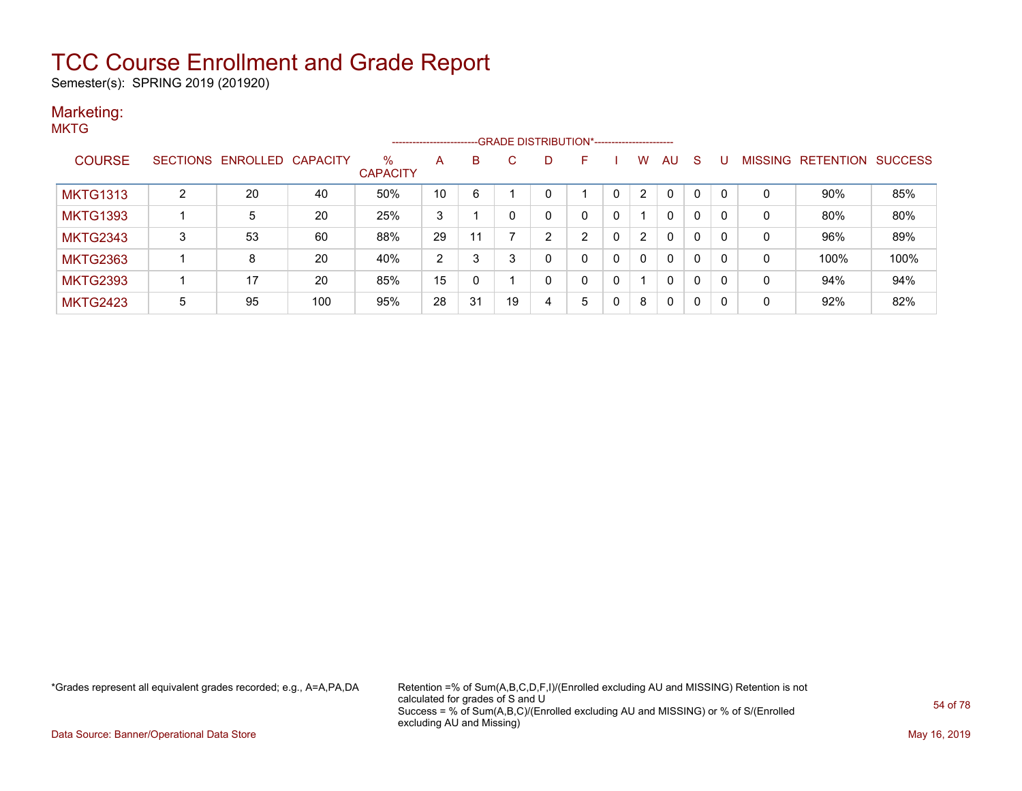Semester(s): SPRING 2019 (201920)

#### Marketing: **MKTG**

|                 |   |                            |     |                         | --------------------- |    | --GRADE DISTRIBUTION*----------------------- |   |          |   |                |              |          |              |                |                  |                |
|-----------------|---|----------------------------|-----|-------------------------|-----------------------|----|----------------------------------------------|---|----------|---|----------------|--------------|----------|--------------|----------------|------------------|----------------|
| <b>COURSE</b>   |   | SECTIONS ENROLLED CAPACITY |     | $\%$<br><b>CAPACITY</b> | A                     | В  | С                                            | D | F        |   | W              | <b>AU</b>    | -S       |              | <b>MISSING</b> | <b>RETENTION</b> | <b>SUCCESS</b> |
| <b>MKTG1313</b> | ◠ | 20                         | 40  | 50%                     | 10                    | 6  |                                              | 0 |          | 0 | $\overline{2}$ | $\Omega$     | 0        | $\mathbf{0}$ | 0              | 90%              | 85%            |
| <b>MKTG1393</b> |   | 5                          | 20  | 25%                     | 3                     |    | 0                                            | 0 | $\Omega$ | 0 |                | $\mathbf{0}$ | 0        | $\mathbf{0}$ | 0              | 80%              | 80%            |
| <b>MKTG2343</b> | 3 | 53                         | 60  | 88%                     | 29                    | 11 |                                              | າ | ົ        | 0 | $\overline{2}$ | $\mathbf{0}$ | $\Omega$ | $\mathbf{0}$ | 0              | 96%              | 89%            |
| <b>MKTG2363</b> |   | 8                          | 20  | 40%                     | 2                     | 3  | 3                                            | 0 | $\Omega$ | 0 | 0              | $\Omega$     | $\Omega$ | $\Omega$     | 0              | 100%             | 100%           |
| <b>MKTG2393</b> |   | 17                         | 20  | 85%                     | 15                    | 0  |                                              | 0 | $\Omega$ | 0 |                | $\mathbf{0}$ | 0        | $\mathbf{0}$ | 0              | 94%              | 94%            |
| <b>MKTG2423</b> | 5 | 95                         | 100 | 95%                     | 28                    | 31 | 19                                           | 4 | 5        | 0 | 8              | $\Omega$     | 0        | $\mathbf{0}$ | 0              | 92%              | 82%            |

\*Grades represent all equivalent grades recorded; e.g., A=A,PA,DA Retention =% of Sum(A,B,C,D,F,I)/(Enrolled excluding AU and MISSING) Retention is not calculated for grades of S and U Success = % of Sum(A,B,C)/(Enrolled excluding AU and MISSING) or % of S/(Enrolled excluding AU and Missing)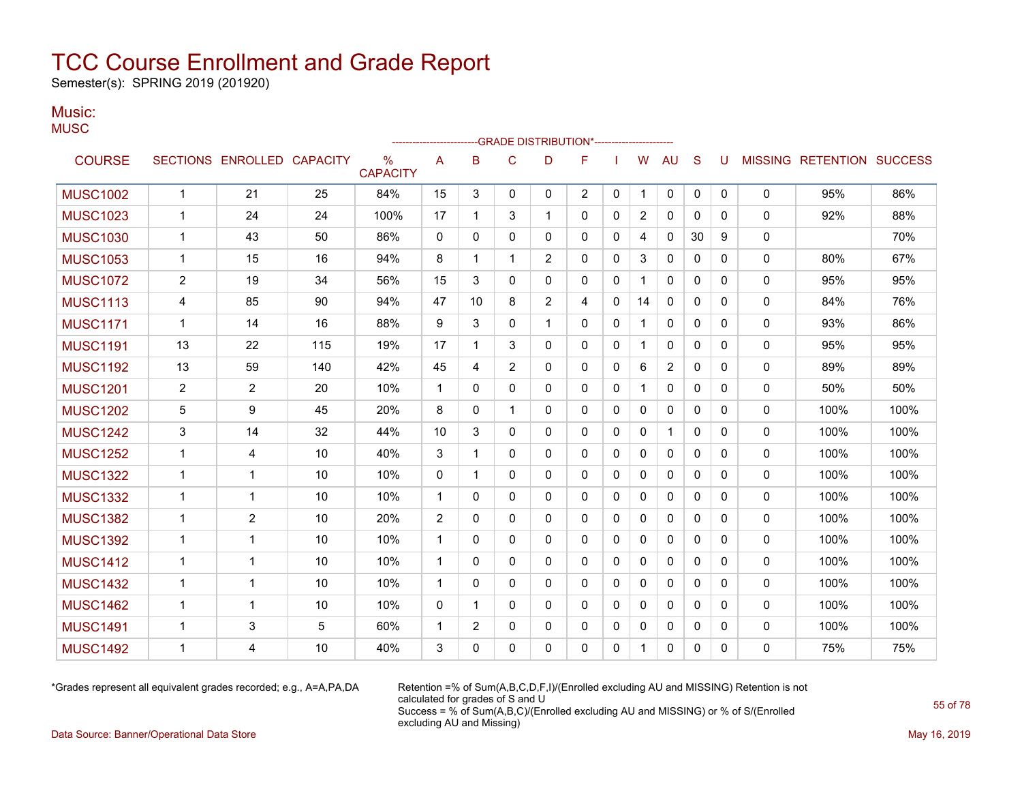Semester(s): SPRING 2019 (201920)

#### Music: **MUSC**

|                 |                |                            |     |                      |                |              |                | -GRADE DISTRIBUTION*---------------------- |                |              |                |                |              |              |              |                           |      |
|-----------------|----------------|----------------------------|-----|----------------------|----------------|--------------|----------------|--------------------------------------------|----------------|--------------|----------------|----------------|--------------|--------------|--------------|---------------------------|------|
| <b>COURSE</b>   |                | SECTIONS ENROLLED CAPACITY |     | %<br><b>CAPACITY</b> | A              | B            | C              | D                                          | F              |              | W              | AU             | S            | U            |              | MISSING RETENTION SUCCESS |      |
| <b>MUSC1002</b> | $\mathbf{1}$   | 21                         | 25  | 84%                  | 15             | 3            | 0              | 0                                          | $\overline{2}$ | 0            | 1              | 0              | $\mathbf{0}$ | 0            | $\mathbf{0}$ | 95%                       | 86%  |
| <b>MUSC1023</b> | 1              | 24                         | 24  | 100%                 | 17             | 1            | 3              | 1                                          | 0              | 0            | $\overline{2}$ | 0              | $\mathbf 0$  | $\mathbf{0}$ | $\mathbf{0}$ | 92%                       | 88%  |
| <b>MUSC1030</b> | 1              | 43                         | 50  | 86%                  | $\mathbf{0}$   | $\Omega$     | $\mathbf{0}$   | 0                                          | 0              | 0            | 4              | 0              | 30           | 9            | $\Omega$     |                           | 70%  |
| <b>MUSC1053</b> | $\mathbf{1}$   | 15                         | 16  | 94%                  | 8              | 1            | 1              | $\overline{2}$                             | $\Omega$       | 0            | 3              | $\mathbf{0}$   | $\mathbf 0$  | $\Omega$     | $\Omega$     | 80%                       | 67%  |
| <b>MUSC1072</b> | $\overline{2}$ | 19                         | 34  | 56%                  | 15             | 3            | $\Omega$       | 0                                          | $\Omega$       | $\Omega$     | 1              | $\mathbf{0}$   | $\Omega$     | $\Omega$     | $\mathbf{0}$ | 95%                       | 95%  |
| <b>MUSC1113</b> | 4              | 85                         | 90  | 94%                  | 47             | 10           | 8              | $\overline{2}$                             | 4              | $\Omega$     | 14             | $\mathbf{0}$   | $\Omega$     | $\Omega$     | $\mathbf{0}$ | 84%                       | 76%  |
| <b>MUSC1171</b> | $\mathbf 1$    | 14                         | 16  | 88%                  | 9              | 3            | 0              | 1                                          | 0              | 0            | 1              | 0              | 0            | 0            | $\mathbf{0}$ | 93%                       | 86%  |
| <b>MUSC1191</b> | 13             | 22                         | 115 | 19%                  | 17             | 1            | 3              | $\Omega$                                   | 0              | $\mathbf{0}$ | $\mathbf{1}$   | $\mathbf{0}$   | $\mathbf{0}$ | $\mathbf{0}$ | $\mathbf{0}$ | 95%                       | 95%  |
| <b>MUSC1192</b> | 13             | 59                         | 140 | 42%                  | 45             | 4            | $\overline{2}$ | 0                                          | 0              | 0            | 6              | $\overline{2}$ | 0            | 0            | $\mathbf{0}$ | 89%                       | 89%  |
| <b>MUSC1201</b> | $\overline{2}$ | 2                          | 20  | 10%                  | 1              | 0            | 0              | 0                                          | 0              | 0            | 1              | $\mathbf{0}$   | $\Omega$     | 0            | $\mathbf{0}$ | 50%                       | 50%  |
| <b>MUSC1202</b> | 5              | 9                          | 45  | 20%                  | 8              | 0            | 1              | 0                                          | 0              | 0            | 0              | 0              | 0            | $\mathbf{0}$ | 0            | 100%                      | 100% |
| <b>MUSC1242</b> | 3              | 14                         | 32  | 44%                  | 10             | 3            | $\mathbf{0}$   | 0                                          | 0              | 0            | 0              | $\mathbf 1$    | 0            | 0            | $\mathbf{0}$ | 100%                      | 100% |
| <b>MUSC1252</b> | $\mathbf{1}$   | 4                          | 10  | 40%                  | 3              | 1            | 0              | $\Omega$                                   | $\Omega$       | 0            | 0              | $\mathbf{0}$   | $\Omega$     | $\Omega$     | $\Omega$     | 100%                      | 100% |
| <b>MUSC1322</b> | $\mathbf 1$    | $\mathbf 1$                | 10  | 10%                  | 0              | -1           | $\mathbf{0}$   | $\Omega$                                   | 0              | 0            | 0              | 0              | $\mathbf{0}$ | $\mathbf{0}$ | 0            | 100%                      | 100% |
| <b>MUSC1332</b> | $\mathbf{1}$   | 1                          | 10  | 10%                  | 1              | $\mathbf{0}$ | 0              | 0                                          | 0              | 0            | 0              | 0              | $\mathbf 0$  | 0            | 0            | 100%                      | 100% |
| <b>MUSC1382</b> | 1              | $\overline{2}$             | 10  | 20%                  | $\overline{2}$ | $\Omega$     | 0              | 0                                          | 0              | 0            | 0              | 0              | $\mathbf{0}$ | $\mathbf{0}$ | 0            | 100%                      | 100% |
| <b>MUSC1392</b> | $\mathbf 1$    | $\mathbf{1}$               | 10  | 10%                  | 1              | $\Omega$     | $\mathbf{0}$   | $\Omega$                                   | 0              | $\mathbf{0}$ | 0              | $\mathbf{0}$   | $\mathbf 0$  | $\mathbf{0}$ | $\mathbf{0}$ | 100%                      | 100% |
| <b>MUSC1412</b> | $\mathbf 1$    | $\mathbf{1}$               | 10  | 10%                  | $\mathbf 1$    | $\Omega$     | 0              | 0                                          | 0              | 0            | 0              | 0              | $\Omega$     | $\Omega$     | 0            | 100%                      | 100% |
| <b>MUSC1432</b> | $\mathbf 1$    | 1                          | 10  | 10%                  | 1              | $\Omega$     | $\mathbf{0}$   | $\Omega$                                   | 0              | 0            | 0              | $\mathbf{0}$   | $\Omega$     | $\mathbf{0}$ | $\mathbf{0}$ | 100%                      | 100% |
| <b>MUSC1462</b> | 1              | 1                          | 10  | 10%                  | $\mathbf{0}$   | 1            | 0              | 0                                          | 0              | 0            | 0              | 0              | 0            | 0            | $\mathbf{0}$ | 100%                      | 100% |
| <b>MUSC1491</b> | $\mathbf 1$    | 3                          | 5   | 60%                  | 1              | 2            | $\Omega$       | 0                                          | 0              | 0            | 0              | 0              | 0            | 0            | $\Omega$     | 100%                      | 100% |

MUSC1492 1 4 10 40% 3 0 0 0 0 0 1 0 0 0 0 75% 75%

\*Grades represent all equivalent grades recorded; e.g., A=A,PA,DA Retention =% of Sum(A,B,C,D,F,I)/(Enrolled excluding AU and MISSING) Retention is not calculated for grades of S and U Success = % of Sum(A,B,C)/(Enrolled excluding AU and MISSING) or % of S/(Enrolled excluding AU and Missing)

Data Source: Banner/Operational Data Store May 16, 2019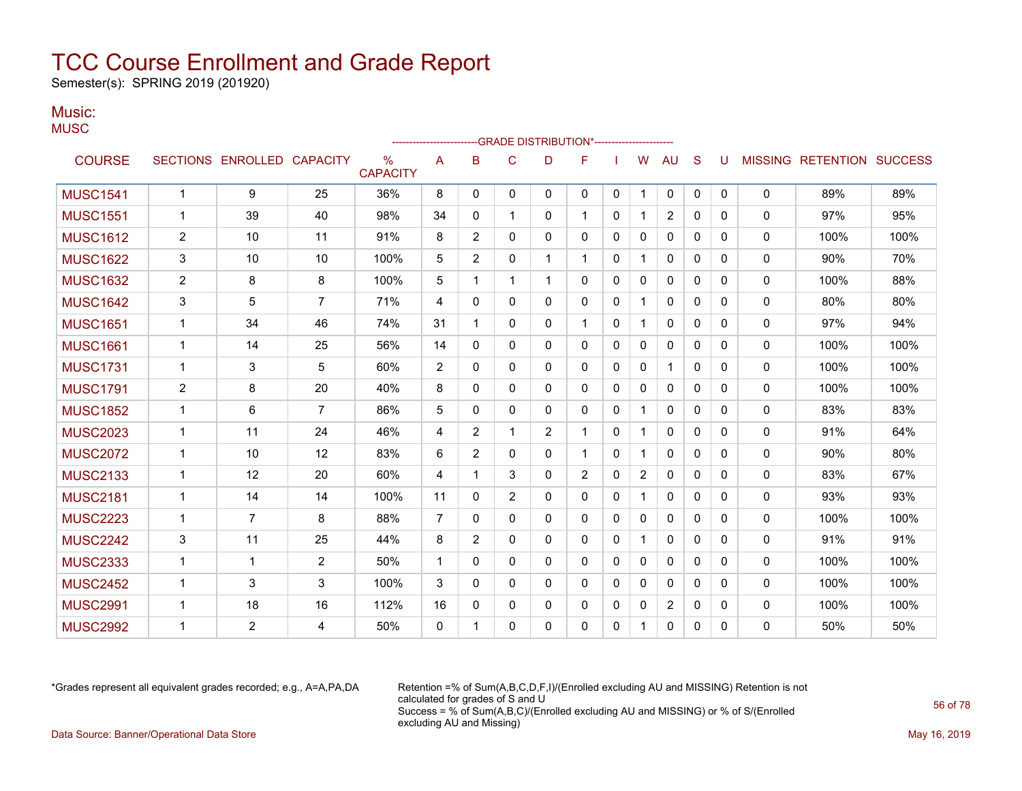Semester(s): SPRING 2019 (201920)

#### Music: **MUSC**

| usu             |                 |                 |                 |                         |                |          |             | -GRADE DISTRIBUTION*-- |                |              |   |                |              |              |                |                  |                |
|-----------------|-----------------|-----------------|-----------------|-------------------------|----------------|----------|-------------|------------------------|----------------|--------------|---|----------------|--------------|--------------|----------------|------------------|----------------|
| <b>COURSE</b>   | <b>SECTIONS</b> | <b>ENROLLED</b> | <b>CAPACITY</b> | $\%$<br><b>CAPACITY</b> | Α              | B        | C           | D                      | F              |              | W | AU             | S            | U            | <b>MISSING</b> | <b>RETENTION</b> | <b>SUCCESS</b> |
| <b>MUSC1541</b> |                 | 9               | 25              | 36%                     | 8              | 0        | 0           | $\Omega$               | 0              | 0            |   | 0              | 0            | $\mathbf{0}$ | 0              | 89%              | 89%            |
| <b>MUSC1551</b> | 1               | 39              | 40              | 98%                     | 34             | 0        |             | 0                      |                | 0            |   | $\overline{c}$ | $\mathbf{0}$ | 0            | 0              | 97%              | 95%            |
| <b>MUSC1612</b> | $\overline{c}$  | 10              | 11              | 91%                     | 8              | 2        | 0           | 0                      | 0              | 0            | 0 | $\mathbf 0$    | 0            | 0            | 0              | 100%             | 100%           |
| <b>MUSC1622</b> | 3               | 10              | 10              | 100%                    | 5              | 2        | $\mathbf 0$ |                        |                | 0            |   | 0              | 0            | 0            | 0              | 90%              | 70%            |
| <b>MUSC1632</b> | $\overline{c}$  | 8               | 8               | 100%                    | 5              |          |             |                        | 0              | $\mathbf{0}$ | 0 | 0              | $\mathbf 0$  | 0            | 0              | 100%             | 88%            |
| <b>MUSC1642</b> | 3               | 5               | $\overline{7}$  | 71%                     | 4              | $\Omega$ | 0           | 0                      | 0              | $\mathbf{0}$ |   | 0              | $\mathbf 0$  | 0            | $\mathbf{0}$   | 80%              | 80%            |
| <b>MUSC1651</b> | 1               | 34              | 46              | 74%                     | 31             |          | $\Omega$    | $\Omega$               |                | $\mathbf{0}$ |   | 0              | $\mathbf 0$  | $\mathbf{0}$ | $\mathbf{0}$   | 97%              | 94%            |
| <b>MUSC1661</b> | 1               | 14              | 25              | 56%                     | 14             | 0        | 0           | 0                      | 0              | 0            | 0 | 0              | 0            | 0            | 0              | 100%             | 100%           |
| <b>MUSC1731</b> | 1               | 3               | 5               | 60%                     | $\overline{c}$ | 0        | 0           | 0                      | 0              | 0            | 0 |                | $\Omega$     | 0            | 0              | 100%             | 100%           |
| <b>MUSC1791</b> | $\overline{2}$  | 8               | 20              | 40%                     | 8              | 0        | 0           | 0                      | 0              | 0            | 0 | 0              | $\mathbf{0}$ | 0            | 0              | 100%             | 100%           |
| <b>MUSC1852</b> | $\mathbf 1$     | 6               | $\overline{7}$  | 86%                     | 5              | 0        | $\Omega$    | 0                      | 0              | 0            |   | $\mathbf{0}$   | 0            | 0            | $\Omega$       | 83%              | 83%            |
| <b>MUSC2023</b> | 1               | 11              | 24              | 46%                     | 4              | 2        | -1          | 2                      |                | 0            |   | 0              | 0            | 0            | $\mathbf{0}$   | 91%              | 64%            |
| <b>MUSC2072</b> | 1               | 10              | 12              | 83%                     | 6              | 2        | 0           | 0                      |                | 0            |   | 0              | 0            | $\Omega$     | $\Omega$       | 90%              | 80%            |
| <b>MUSC2133</b> | 1               | 12              | 20              | 60%                     | 4              |          | 3           | 0                      | $\overline{2}$ | 0            | 2 | 0              | 0            | 0            | 0              | 83%              | 67%            |
|                 |                 |                 |                 |                         |                |          |             |                        |                |              |   |                |              |              |                |                  |                |

MUSC2181 1 14 14 100% 11 0 2 0 0 0 1 0 0 0 0 93% 93% MUSC2223 1 7 8 88% 7 0 0 0 0 0 0 0 0 0 0 100% 100% MUSC2242 | 3 | 11 | 25 | 44% | 8 | 2 | 0 | 0 | 0 | 0 | 1 | 0 | 0 | 0 | 0 | 91% | 91% MUSC2333 1 1 2 50% 1 0 0 0 0 0 0 0 0 0 0 100% 100% MUSC2452 1 3 3 100% 3 0 0 0 0 0 0 0 0 0 0 100% 100% MUSC2991 | 1 | 18 | 16 | 112% |16 | 0 | 0 | 0 | 0 | 0 | 2 | 0 | 0 | 0 | 100% | 100% MUSC2992 1 2 4 50% 0 1 0 0 0 0 1 0 0 0 0 50% 50%

\*Grades represent all equivalent grades recorded; e.g., A=A,PA,DA Retention =% of Sum(A,B,C,D,F,I)/(Enrolled excluding AU and MISSING) Retention is not calculated for grades of S and U Success = % of Sum(A,B,C)/(Enrolled excluding AU and MISSING) or % of S/(Enrolled excluding AU and Missing) Data Source: Banner/Operational Data Store **May 16, 2019** May 16, 2019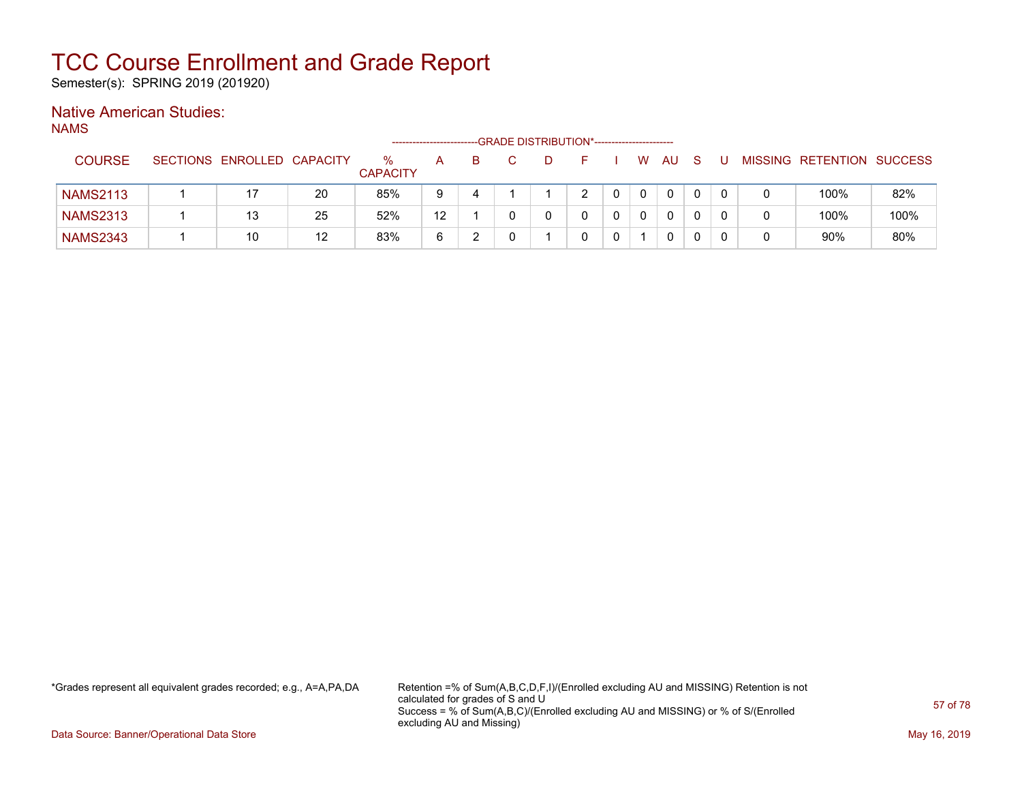Semester(s): SPRING 2019 (201920)

### Native American Studies:

NAMS

|                 |                            |    |                      | --------------------- |  | --GRADE DISTRIBUTION*----------------------- |               |   |    |  |                           |      |
|-----------------|----------------------------|----|----------------------|-----------------------|--|----------------------------------------------|---------------|---|----|--|---------------------------|------|
| <b>COURSE</b>   | SECTIONS ENROLLED CAPACITY |    | %<br><b>CAPACITY</b> | A                     |  |                                              |               | W | AU |  | MISSING RETENTION SUCCESS |      |
| <b>NAMS2113</b> |                            | 20 | 85%                  | -9                    |  |                                              | $\mathcal{P}$ |   | 0  |  | 100%                      | 82%  |
| <b>NAMS2313</b> | 13                         | 25 | 52%                  | 12                    |  |                                              |               |   | 0  |  | 100%                      | 100% |
| <b>NAMS2343</b> | 10                         | 12 | 83%                  | 6                     |  |                                              |               |   | 0  |  | 90%                       | 80%  |

\*Grades represent all equivalent grades recorded; e.g., A=A,PA,DA Retention =% of Sum(A,B,C,D,F,I)/(Enrolled excluding AU and MISSING) Retention is not calculated for grades of S and U Success = % of Sum(A,B,C)/(Enrolled excluding AU and MISSING) or % of S/(Enrolled excluding AU and Missing)

Data Source: Banner/Operational Data Store May 16, 2019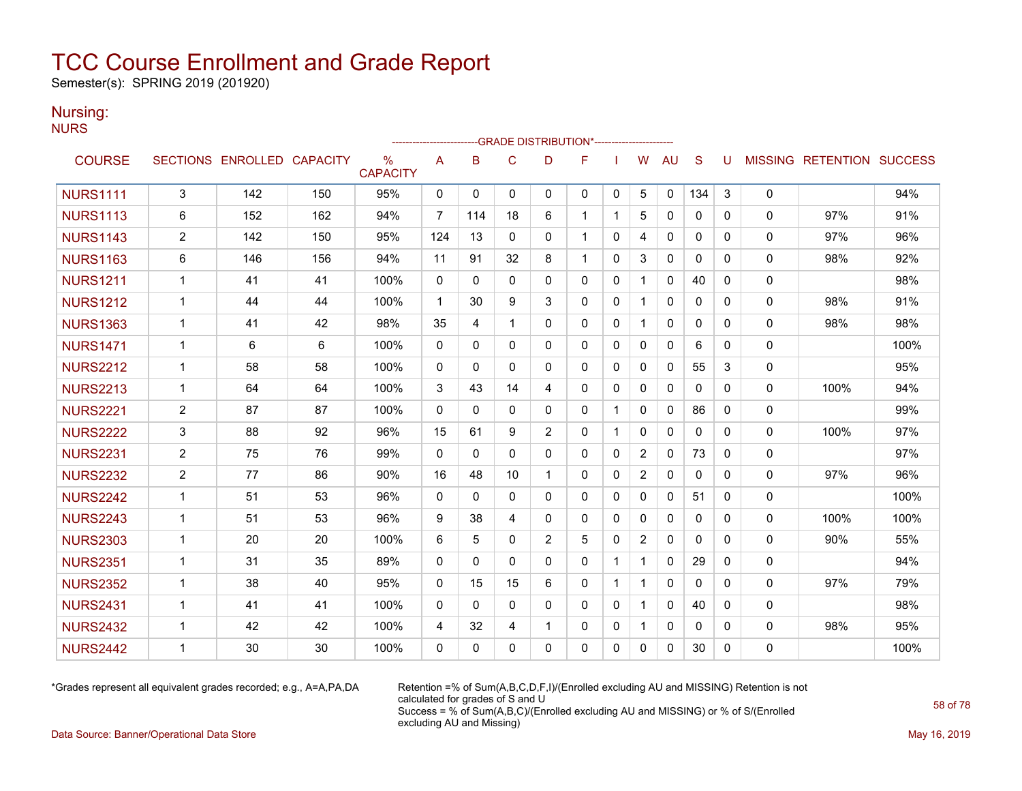Semester(s): SPRING 2019 (201920)

### Nursing:

**NURS** 

|                 |                |                            |     |                      |                | ------------------------GRADE                DISTRIBUTION*---------------------- |              |                |              |              |                |              |              |              |             |                           |      |
|-----------------|----------------|----------------------------|-----|----------------------|----------------|----------------------------------------------------------------------------------|--------------|----------------|--------------|--------------|----------------|--------------|--------------|--------------|-------------|---------------------------|------|
| <b>COURSE</b>   |                | SECTIONS ENROLLED CAPACITY |     | %<br><b>CAPACITY</b> | A              | B                                                                                | $\mathsf{C}$ | D              | F            |              | W              | <b>AU</b>    | S            | U            |             | MISSING RETENTION SUCCESS |      |
| <b>NURS1111</b> | $\mathbf{3}$   | 142                        | 150 | 95%                  | 0              | $\mathbf 0$                                                                      | $\mathbf{0}$ | $\mathbf{0}$   | $\mathbf 0$  | 0            | 5              | $\Omega$     | 134          | 3            | 0           |                           | 94%  |
| <b>NURS1113</b> | 6              | 152                        | 162 | 94%                  | $\overline{7}$ | 114                                                                              | 18           | 6              | $\mathbf 1$  | 1            | 5              | 0            | 0            | 0            | 0           | 97%                       | 91%  |
| <b>NURS1143</b> | $\overline{2}$ | 142                        | 150 | 95%                  | 124            | 13                                                                               | $\Omega$     | $\mathbf{0}$   | 1            | 0            | 4              | 0            | $\mathbf{0}$ | 0            | 0           | 97%                       | 96%  |
| <b>NURS1163</b> | 6              | 146                        | 156 | 94%                  | 11             | 91                                                                               | 32           | 8              | 1            | $\mathbf{0}$ | 3              | 0            | $\mathbf{0}$ | 0            | 0           | 98%                       | 92%  |
| <b>NURS1211</b> | $\mathbf{1}$   | 41                         | 41  | 100%                 | $\mathbf{0}$   | $\mathbf{0}$                                                                     | $\mathbf{0}$ | $\Omega$       | $\Omega$     | $\mathbf{0}$ | 1              | 0            | 40           | 0            | 0           |                           | 98%  |
| <b>NURS1212</b> | $\mathbf{1}$   | 44                         | 44  | 100%                 | $\mathbf{1}$   | 30                                                                               | 9            | 3              | $\Omega$     | $\mathbf 0$  | 1              | $\mathbf{0}$ | 0            | $\mathbf{0}$ | 0           | 98%                       | 91%  |
| <b>NURS1363</b> | $\mathbf{1}$   | 41                         | 42  | 98%                  | 35             | 4                                                                                | $\mathbf{1}$ | $\Omega$       | $\Omega$     | 0            | 1              | 0            | $\mathbf{0}$ | 0            | $\mathbf 0$ | 98%                       | 98%  |
| <b>NURS1471</b> | $\mathbf 1$    | 6                          | 6   | 100%                 | $\mathbf{0}$   | $\mathbf{0}$                                                                     | 0            | $\mathbf{0}$   | $\Omega$     | 0            | $\Omega$       | 0            | 6            | 0            | $\mathbf 0$ |                           | 100% |
| <b>NURS2212</b> | $\mathbf 1$    | 58                         | 58  | 100%                 | 0              | $\mathbf{0}$                                                                     | $\Omega$     | $\Omega$       | $\Omega$     | $\mathbf{0}$ | $\Omega$       | 0            | 55           | 3            | $\mathbf 0$ |                           | 95%  |
| <b>NURS2213</b> | $\mathbf{1}$   | 64                         | 64  | 100%                 | 3              | 43                                                                               | 14           | 4              | $\Omega$     | $\mathbf 0$  | $\Omega$       | 0            | $\mathbf{0}$ | $\Omega$     | 0           | 100%                      | 94%  |
| <b>NURS2221</b> | $\overline{2}$ | 87                         | 87  | 100%                 | $\mathbf 0$    | $\mathbf{0}$                                                                     | $\Omega$     | 0              | $\mathbf{0}$ | $\mathbf{1}$ | $\Omega$       | 0            | 86           | $\Omega$     | 0           |                           | 99%  |
| <b>NURS2222</b> | 3              | 88                         | 92  | 96%                  | 15             | 61                                                                               | 9            | 2              | 0            | 1            | 0              | 0            | 0            | 0            | 0           | 100%                      | 97%  |
| <b>NURS2231</b> | $\overline{2}$ | 75                         | 76  | 99%                  | $\mathbf{0}$   | $\mathbf{0}$                                                                     | $\mathbf{0}$ | 0              | 0            | $\mathbf 0$  | $\overline{2}$ | 0            | 73           | 0            | 0           |                           | 97%  |
| <b>NURS2232</b> | $\overline{2}$ | 77                         | 86  | 90%                  | 16             | 48                                                                               | 10           | 1              | $\Omega$     | $\mathbf{0}$ | 2              | $\mathbf{0}$ | $\mathbf{0}$ | $\mathbf{0}$ | 0           | 97%                       | 96%  |
| <b>NURS2242</b> | $\mathbf{1}$   | 51                         | 53  | 96%                  | $\Omega$       | $\Omega$                                                                         | $\Omega$     | $\Omega$       | $\Omega$     | $\mathbf{0}$ | $\Omega$       | 0            | 51           | $\Omega$     | $\mathbf 0$ |                           | 100% |
| <b>NURS2243</b> | $\mathbf{1}$   | 51                         | 53  | 96%                  | 9              | 38                                                                               | 4            | $\mathbf{0}$   | 0            | $\mathbf 0$  | $\mathbf{0}$   | 0            | $\mathbf{0}$ | $\Omega$     | $\mathbf 0$ | 100%                      | 100% |
| <b>NURS2303</b> | $\mathbf{1}$   | 20                         | 20  | 100%                 | 6              | 5                                                                                | $\Omega$     | $\overline{2}$ | 5            | $\mathbf{0}$ | 2              | 0            | $\mathbf{0}$ | $\Omega$     | $\mathbf 0$ | 90%                       | 55%  |
| <b>NURS2351</b> | 1              | 31                         | 35  | 89%                  | 0              | 0                                                                                | 0            | 0              | 0            | 1            | 1              | 0            | 29           | 0            | 0           |                           | 94%  |
| <b>NURS2352</b> | $\mathbf{1}$   | 38                         | 40  | 95%                  | $\mathbf{0}$   | 15                                                                               | 15           | 6              | $\mathbf{0}$ | $\mathbf{1}$ | 1              | 0            | $\mathbf{0}$ | $\Omega$     | 0           | 97%                       | 79%  |
| <b>NURS2431</b> | 1              | 41                         | 41  | 100%                 | $\mathbf{0}$   | $\Omega$                                                                         | $\Omega$     | $\Omega$       | $\mathbf{0}$ | $\mathbf 0$  | 1              | 0            | 40           | $\Omega$     | $\mathbf 0$ |                           | 98%  |
| <b>NURS2432</b> | $\mathbf 1$    | 42                         | 42  | 100%                 | 4              | 32                                                                               | 4            | -1             | $\mathbf{0}$ | 0            |                | 0            | $\mathbf{0}$ | 0            | 0           | 98%                       | 95%  |
| <b>NURS2442</b> | 1              | 30                         | 30  | 100%                 | $\mathbf{0}$   | 0                                                                                | $\mathbf{0}$ | $\Omega$       | $\mathbf{0}$ | $\Omega$     | 0              | 0            | 30           | $\Omega$     | 0           |                           | 100% |

\*Grades represent all equivalent grades recorded; e.g., A=A,PA,DA Retention =% of Sum(A,B,C,D,F,I)/(Enrolled excluding AU and MISSING) Retention is not calculated for grades of S and U Success = % of Sum(A,B,C)/(Enrolled excluding AU and MISSING) or % of S/(Enrolled excluding AU and Missing)

Data Source: Banner/Operational Data Store May 16, 2019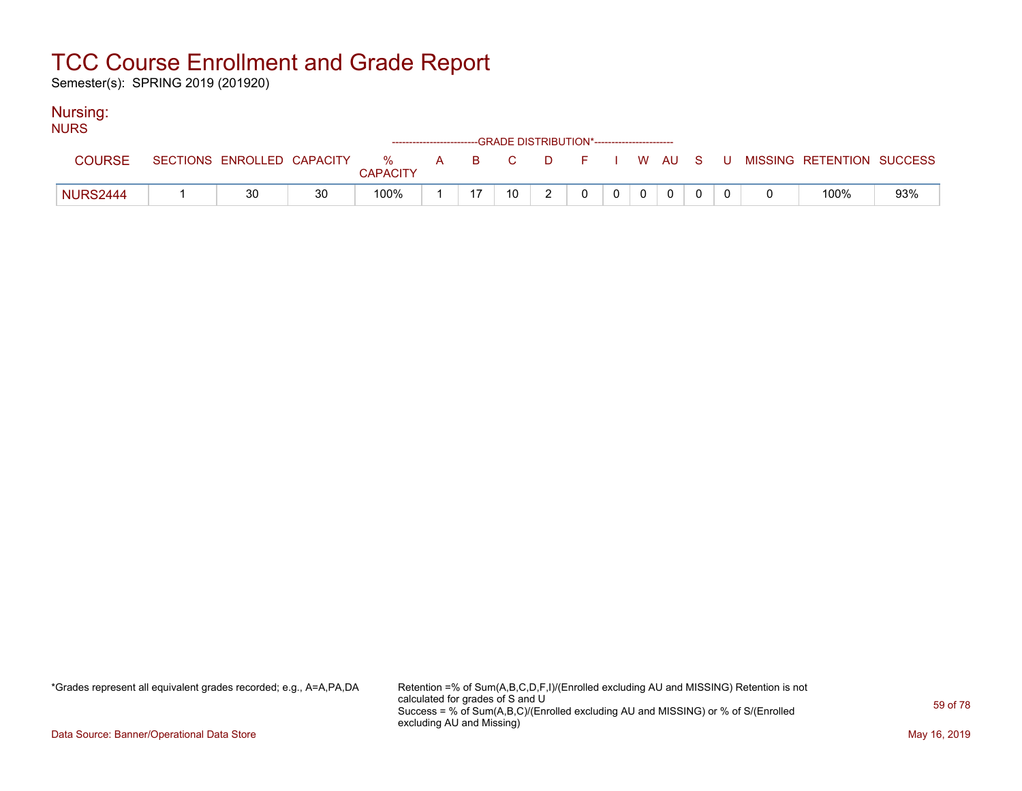Semester(s): SPRING 2019 (201920)

### Nursing:

| <b>NURS</b>     |                            |    |                      |  | ------------------------GRADE DISTRIBUTION*----------------------- |          |  |  |  |                           |     |
|-----------------|----------------------------|----|----------------------|--|--------------------------------------------------------------------|----------|--|--|--|---------------------------|-----|
| <b>COURSE</b>   | SECTIONS ENROLLED CAPACITY |    | %<br><b>CAPACITY</b> |  | A B C                                                              | DFIWAUSU |  |  |  | MISSING RETENTION SUCCESS |     |
| <b>NURS2444</b> | 30                         | 30 | 100%                 |  | 10                                                                 |          |  |  |  | 100%                      | 93% |

\*Grades represent all equivalent grades recorded; e.g., A=A,PA,DA Retention =% of Sum(A,B,C,D,F,I)/(Enrolled excluding AU and MISSING) Retention is not calculated for grades of S and U Success = % of Sum(A,B,C)/(Enrolled excluding AU and MISSING) or % of S/(Enrolled excluding AU and Missing)

Data Source: Banner/Operational Data Store May 16, 2019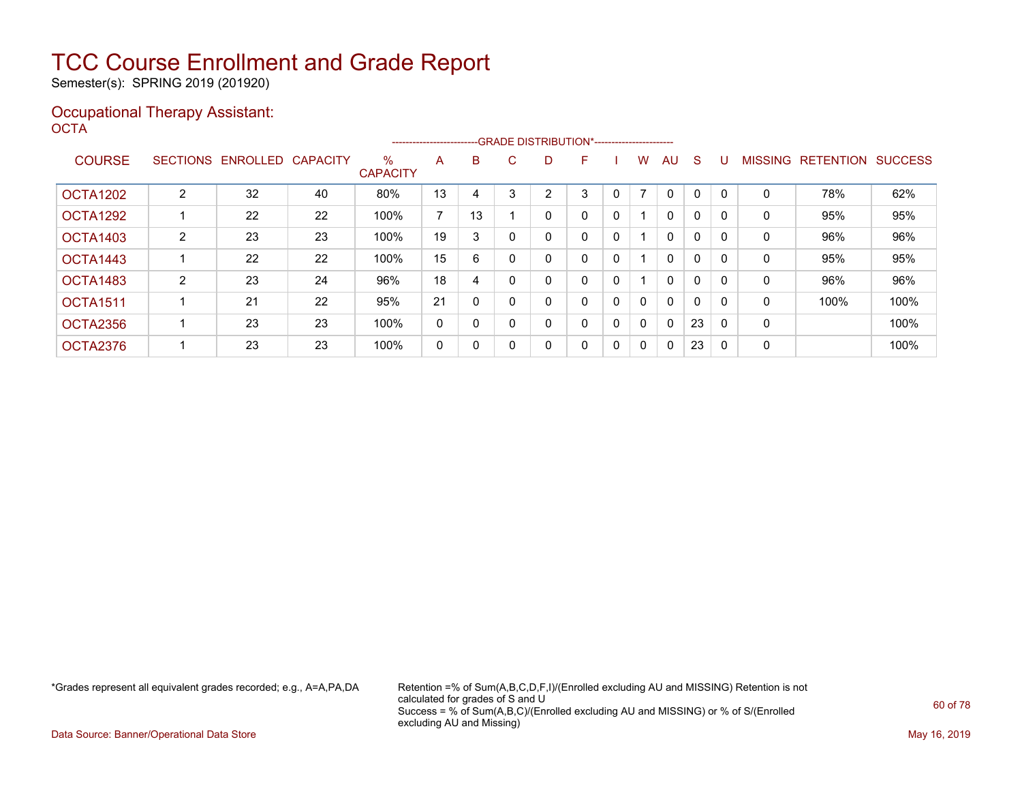Semester(s): SPRING 2019 (201920)

### Occupational Therapy Assistant: OCTA<sup>'</sup>

|                 |                |                   |                 |                         | ----------------------- |    | --GRADE DISTRIBUTION*----------------------- |   |   |              |                          |              |              |     |                |                  |                |
|-----------------|----------------|-------------------|-----------------|-------------------------|-------------------------|----|----------------------------------------------|---|---|--------------|--------------------------|--------------|--------------|-----|----------------|------------------|----------------|
| <b>COURSE</b>   |                | SECTIONS ENROLLED | <b>CAPACITY</b> | $\%$<br><b>CAPACITY</b> | A                       | B  | C.                                           | D | F |              | w                        | AU.          | <sub>S</sub> |     | <b>MISSING</b> | <b>RETENTION</b> | <b>SUCCESS</b> |
|                 |                |                   |                 |                         |                         |    |                                              |   |   |              |                          |              |              |     |                |                  |                |
| <b>OCTA1202</b> | $\overline{2}$ | 32                | 40              | 80%                     | 13                      | 4  | ີ                                            | 2 | 3 |              | $\overline{\phantom{a}}$ | $\Omega$     | 0            |     | 0              | 78%              | 62%            |
| OCTA1292        |                | 22                | 22              | 100%                    | $\overline{ }$          | 13 |                                              | 0 | 0 | 0            |                          | $\mathbf{0}$ | 0            |     | 0              | 95%              | 95%            |
| OCTA1403        | 2              | 23                | 23              | 100%                    | 19                      | 3  |                                              | 0 | 0 | 0            |                          | $\mathbf{0}$ | 0            |     | 0              | 96%              | 96%            |
| OCTA1443        |                | 22                | 22              | 100%                    | 15                      | 6  |                                              | 0 | 0 | $\mathbf{0}$ |                          | $\mathbf{0}$ | 0            |     | 0              | 95%              | 95%            |
| OCTA1483        | 2              | 23                | 24              | 96%                     | 18                      | 4  |                                              | 0 | 0 | 0            |                          | $\mathbf{0}$ | 0            |     | $\Omega$       | 96%              | 96%            |
| <b>OCTA1511</b> |                | 21                | 22              | 95%                     | 21                      | 0  |                                              |   | 0 | 0            | 0                        | $\mathbf{0}$ | 0            |     | 0              | 100%             | 100%           |
| OCTA2356        |                | 23                | 23              | 100%                    | 0                       | 0  |                                              | 0 | 0 | 0            | $\mathbf{0}$             | $\mathbf{0}$ | 23           |     | $\mathbf 0$    |                  | 100%           |
| OCTA2376        |                | 23                | 23              | 100%                    | 0                       | 0  |                                              | 0 | 0 | 0            | 0                        | $\mathbf{0}$ | 23           | - 0 | 0              |                  | 100%           |

\*Grades represent all equivalent grades recorded; e.g., A=A,PA,DA Retention =% of Sum(A,B,C,D,F,I)/(Enrolled excluding AU and MISSING) Retention is not calculated for grades of S and U Success = % of Sum(A,B,C)/(Enrolled excluding AU and MISSING) or % of S/(Enrolled excluding AU and Missing)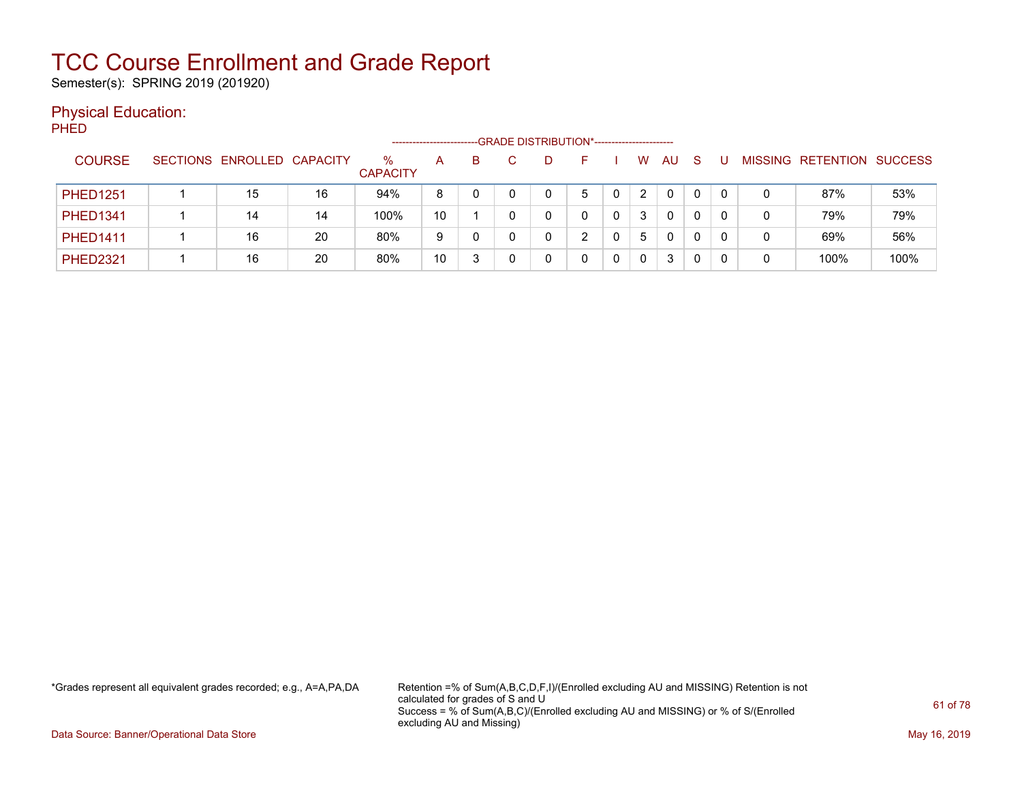Semester(s): SPRING 2019 (201920)

### Physical Education:

PHED

|                 |                            |    |                      |    |   |  | --GRADE DISTRIBUTION*----------------------- |    |    |              |   |   |                           |      |
|-----------------|----------------------------|----|----------------------|----|---|--|----------------------------------------------|----|----|--------------|---|---|---------------------------|------|
| <b>COURSE</b>   | SECTIONS ENROLLED CAPACITY |    | ℅<br><b>CAPACITY</b> | А  | B |  |                                              | W  | AU | <sub>S</sub> |   |   | MISSING RETENTION SUCCESS |      |
| <b>PHED1251</b> | 15                         | 16 | 94%                  | 8  |   |  |                                              |    | 0  | 0            | 0 | 0 | 87%                       | 53%  |
| <b>PHED1341</b> | 14                         | 14 | 100%                 | 10 |   |  |                                              |    | 0  | 0            | 0 | 0 | 79%                       | 79%  |
| <b>PHED1411</b> | 16                         | 20 | 80%                  | 9  |   |  |                                              | 5. | 0  | 0            | 0 | 0 | 69%                       | 56%  |
| <b>PHED2321</b> | 16                         | 20 | 80%                  | 10 |   |  |                                              |    | 3  |              |   | 0 | 100%                      | 100% |

\*Grades represent all equivalent grades recorded; e.g., A=A,PA,DA Retention =% of Sum(A,B,C,D,F,I)/(Enrolled excluding AU and MISSING) Retention is not calculated for grades of S and U Success = % of Sum(A,B,C)/(Enrolled excluding AU and MISSING) or % of S/(Enrolled excluding AU and Missing)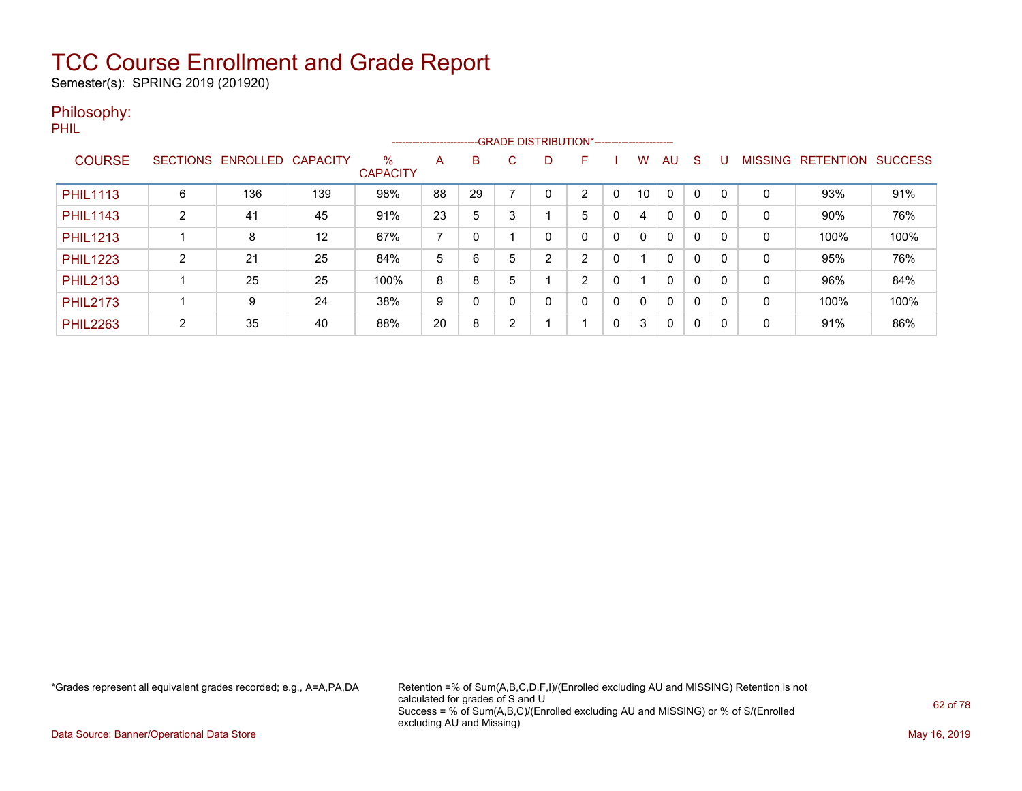Semester(s): SPRING 2019 (201920)

### Philosophy:

PHIL

|                 |                 |          |                 |                         |    |    |   |   | -------------------------GRADE DISTRIBUTION*---------------------- |   |              |              |          |          |                |                  |                |
|-----------------|-----------------|----------|-----------------|-------------------------|----|----|---|---|--------------------------------------------------------------------|---|--------------|--------------|----------|----------|----------------|------------------|----------------|
| <b>COURSE</b>   | <b>SECTIONS</b> | ENROLLED | <b>CAPACITY</b> | $\%$<br><b>CAPACITY</b> | A  | B  | С | D |                                                                    |   | W.           | AU           | S        | U        | <b>MISSING</b> | <b>RETENTION</b> | <b>SUCCESS</b> |
| <b>PHIL1113</b> | 6               | 136      | 139             | 98%                     | 88 | 29 |   | 0 | $\overline{2}$                                                     |   | 10           | $\Omega$     |          | $\Omega$ | 0              | 93%              | 91%            |
| <b>PHIL1143</b> | $\overline{2}$  | 41       | 45              | 91%                     | 23 | 5  | 3 |   | 5                                                                  | 0 | 4            | $\mathbf{0}$ | $\Omega$ |          | 0              | 90%              | 76%            |
| <b>PHIL1213</b> |                 | 8        | 12              | 67%                     |    |    |   | 0 | 0                                                                  | 0 | $\mathbf{0}$ | $\mathbf{0}$ | 0        | 0        | 0              | 100%             | 100%           |
| <b>PHIL1223</b> | ົ               | 21       | 25              | 84%                     | 5  | 6  | 5 | 2 | C                                                                  | 0 |              | $\mathbf{0}$ | 0        | 0        | $\Omega$       | 95%              | 76%            |
| <b>PHIL2133</b> |                 | 25       | 25              | 100%                    | 8  | 8  | 5 |   | C                                                                  | 0 |              | $\mathbf{0}$ | 0        | 0        | $\Omega$       | 96%              | 84%            |
| <b>PHIL2173</b> |                 | 9        | 24              | 38%                     | 9  |    |   | 0 | 0                                                                  | 0 | 0            | $\mathbf{0}$ | $\Omega$ |          | 0              | 100%             | 100%           |
| <b>PHIL2263</b> | $\mathcal{D}$   | 35       | 40              | 88%                     | 20 | 8  | 2 |   |                                                                    | 0 | 3            | $\mathbf{0}$ | $\Omega$ | 0        | $\Omega$       | 91%              | 86%            |

\*Grades represent all equivalent grades recorded; e.g., A=A,PA,DA Retention =% of Sum(A,B,C,D,F,I)/(Enrolled excluding AU and MISSING) Retention is not calculated for grades of S and U Success = % of Sum(A,B,C)/(Enrolled excluding AU and MISSING) or % of S/(Enrolled excluding AU and Missing)

Data Source: Banner/Operational Data Store May 16, 2019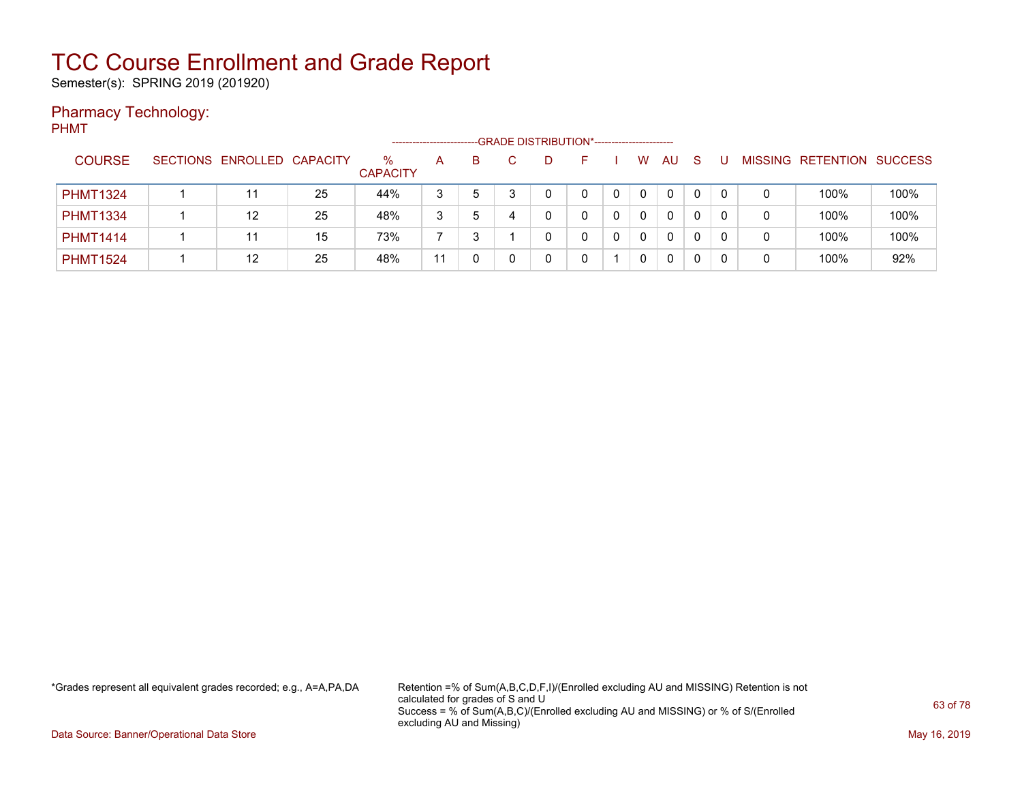Semester(s): SPRING 2019 (201920)

### Pharmacy Technology:

PHMT

|                 |                            |    |                      |    |   |   | -- GRADE DISTRIBUTION*------------------------ |   |             |          |    |    |   |                   |                |
|-----------------|----------------------------|----|----------------------|----|---|---|------------------------------------------------|---|-------------|----------|----|----|---|-------------------|----------------|
| <b>COURSE</b>   | SECTIONS ENROLLED CAPACITY |    | %<br><b>CAPACITY</b> | A  | B |   |                                                |   | w           | AU       | -S |    |   | MISSING RETENTION | <b>SUCCESS</b> |
| <b>PHMT1324</b> |                            | 25 | 44%                  | 3  | 5 |   | 0                                              | 0 | $\mathbf 0$ | $\Omega$ | 0  | 0  | 0 | 100%              | 100%           |
| <b>PHMT1334</b> | 12                         | 25 | 48%                  | 3  | 5 | 4 |                                                | 0 | $\Omega$    | $\Omega$ | 0  | 0  | 0 | 100%              | 100%           |
| <b>PHMT1414</b> |                            | 15 | 73%                  |    |   |   |                                                |   | $\Omega$    | $\Omega$ | 0  | -0 | 0 | 100%              | 100%           |
| <b>PHMT1524</b> | 12                         | 25 | 48%                  | 11 |   |   |                                                |   | 0           | 0        |    |    | 0 | 100%              | 92%            |

\*Grades represent all equivalent grades recorded; e.g., A=A,PA,DA Retention =% of Sum(A,B,C,D,F,I)/(Enrolled excluding AU and MISSING) Retention is not calculated for grades of S and U Success = % of Sum(A,B,C)/(Enrolled excluding AU and MISSING) or % of S/(Enrolled excluding AU and Missing)

Data Source: Banner/Operational Data Store May 16, 2019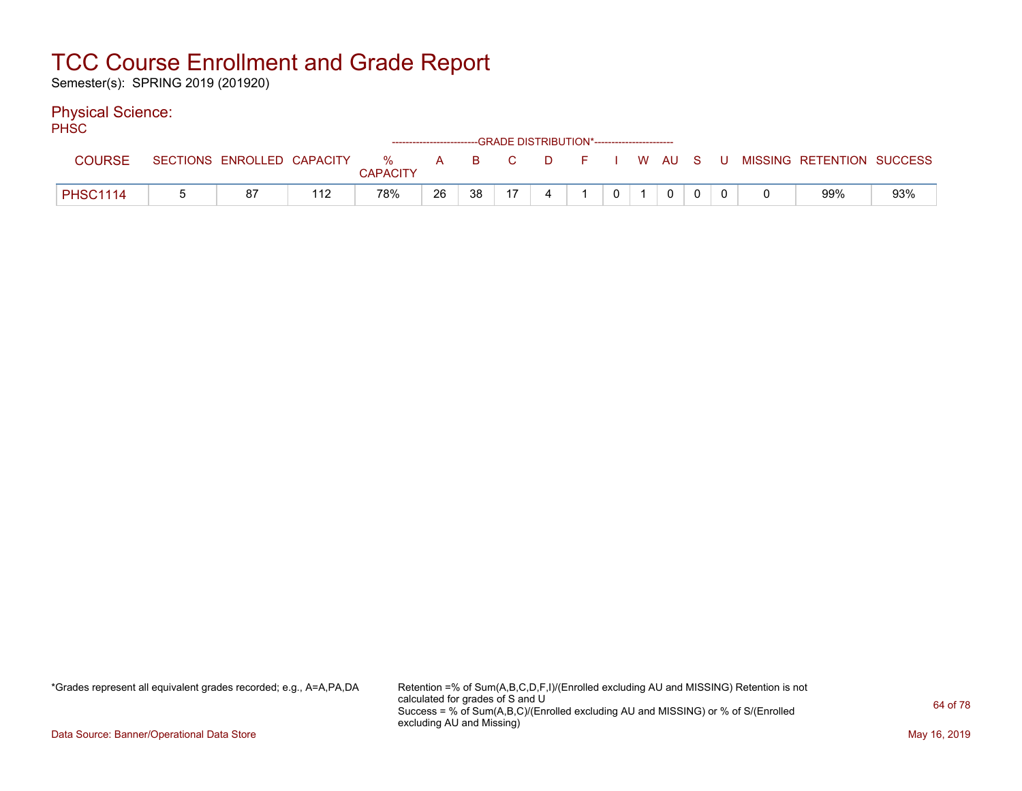Semester(s): SPRING 2019 (201920)

### Physical Science:

PH<sub>SC</sub>

|                 |                            |     | ------------------------GRADE            DISTRIBUTION*------------------------- |              |    |     |   |                      |              |        |  |                           |     |
|-----------------|----------------------------|-----|---------------------------------------------------------------------------------|--------------|----|-----|---|----------------------|--------------|--------|--|---------------------------|-----|
| <b>COURSE</b>   | SECTIONS ENROLLED CAPACITY |     | $\%$                                                                            | $\mathsf{A}$ |    | B C | D | and <b>F</b> and the |              | I WAUS |  | MISSING RETENTION SUCCESS |     |
|                 |                            |     | CAPACITY                                                                        |              |    |     |   |                      |              |        |  |                           |     |
| <b>PHSC1114</b> | 87                         | 112 | 78%                                                                             | 26           | 38 | 47  |   |                      | $\mathbf{0}$ |        |  | 99%                       | 93% |

\*Grades represent all equivalent grades recorded; e.g., A=A,PA,DA Retention =% of Sum(A,B,C,D,F,I)/(Enrolled excluding AU and MISSING) Retention is not calculated for grades of S and U Success = % of Sum(A,B,C)/(Enrolled excluding AU and MISSING) or % of S/(Enrolled excluding AU and Missing)

Data Source: Banner/Operational Data Store May 16, 2019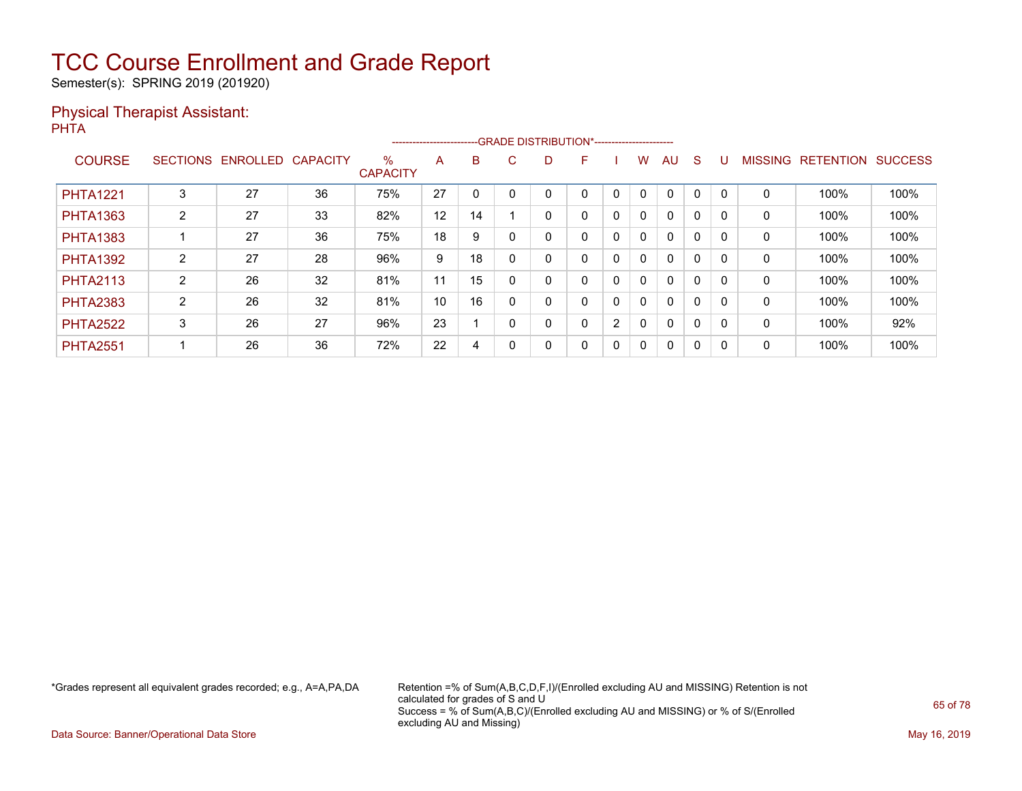Semester(s): SPRING 2019 (201920)

### Physical Therapist Assistant: PHTA

|                 |                |                            |    |                         | ----------------------- |    | -- GRADE DISTRIBUTION*------------------------ |   |   |             |          |              |   |   |              |                          |                |
|-----------------|----------------|----------------------------|----|-------------------------|-------------------------|----|------------------------------------------------|---|---|-------------|----------|--------------|---|---|--------------|--------------------------|----------------|
| <b>COURSE</b>   |                | SECTIONS ENROLLED CAPACITY |    | $\%$<br><b>CAPACITY</b> | A                       | B. | C.                                             |   | F |             | w        | AU           | S | U |              | <b>MISSING RETENTION</b> | <b>SUCCESS</b> |
| <b>PHTA1221</b> | 3              | 27                         | 36 | 75%                     | 27                      | 0  |                                                |   |   | $\Omega$    |          | $\Omega$     | 0 |   | 0            | 100%                     | 100%           |
| <b>PHTA1363</b> | $\overline{2}$ | 27                         | 33 | 82%                     | 12                      | 14 |                                                |   | 0 | 0           | 0        | $\mathbf{0}$ | 0 |   | $\mathbf{0}$ | 100%                     | 100%           |
| <b>PHTA1383</b> |                | 27                         | 36 | 75%                     | 18                      | 9  | $\Omega$                                       |   | 0 | $\mathbf 0$ | $\Omega$ | $\mathbf{0}$ | 0 |   | 0            | 100%                     | 100%           |
| <b>PHTA1392</b> | 2              | 27                         | 28 | 96%                     | 9                       | 18 |                                                | 0 | 0 | $\mathbf 0$ | 0        | 0            | 0 |   | 0            | 100%                     | 100%           |
| <b>PHTA2113</b> | $\overline{2}$ | 26                         | 32 | 81%                     | 11                      | 15 |                                                | ი | 0 | 0           | 0        | $\mathbf{0}$ | 0 |   | $\mathbf{0}$ | 100%                     | 100%           |
| <b>PHTA2383</b> | $\overline{2}$ | 26                         | 32 | 81%                     | 10                      | 16 | 0                                              | 0 | 0 | 0           | $\Omega$ | $\mathbf{0}$ | 0 | 0 | $\Omega$     | 100%                     | 100%           |
| <b>PHTA2522</b> | 3              | 26                         | 27 | 96%                     | 23                      |    | $\Omega$                                       |   | 0 | 2           | 0        | 0            | 0 |   | 0            | 100%                     | 92%            |
| <b>PHTA2551</b> |                | 26                         | 36 | 72%                     | 22                      | 4  |                                                | 0 | 0 | 0           | 0        | 0            | 0 |   | 0            | 100%                     | 100%           |

\*Grades represent all equivalent grades recorded; e.g., A=A,PA,DA Retention =% of Sum(A,B,C,D,F,I)/(Enrolled excluding AU and MISSING) Retention is not calculated for grades of S and U Success = % of Sum(A,B,C)/(Enrolled excluding AU and MISSING) or % of S/(Enrolled excluding AU and Missing)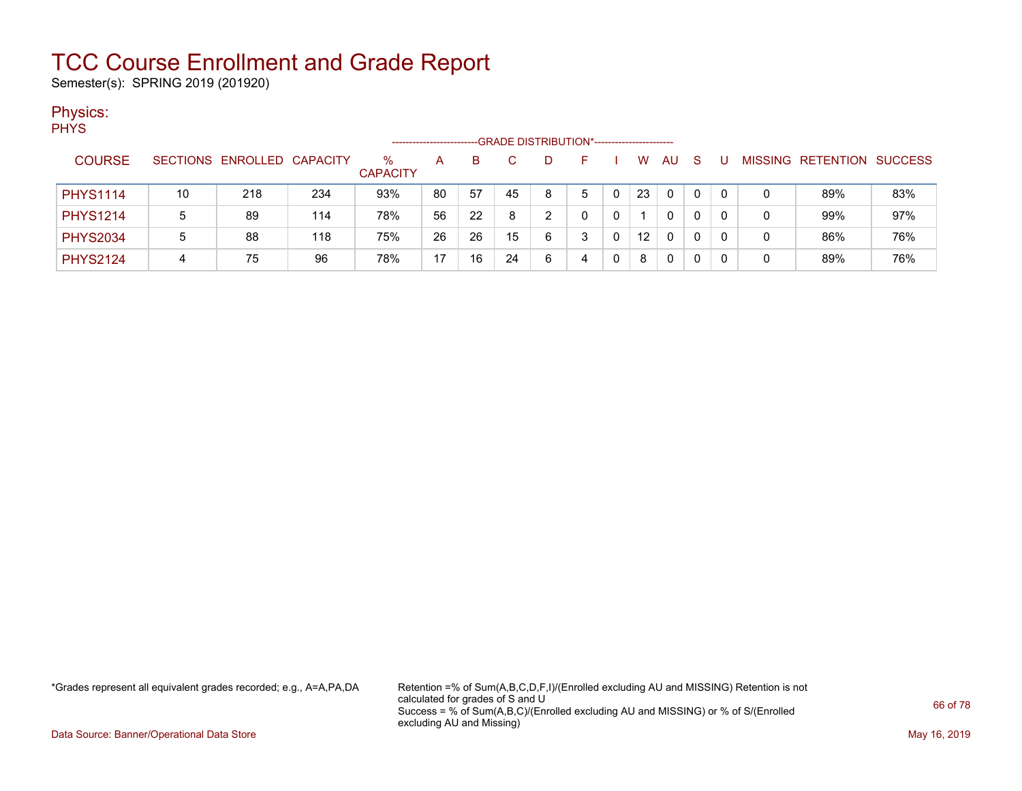Semester(s): SPRING 2019 (201920)

### Physics:

**PHYS** 

|                 |    |                            |     |                      |    |    |    | -GRADE DISTRIBUTION*----------------------- |   |                 |    |              |          |   |                   |                |
|-----------------|----|----------------------------|-----|----------------------|----|----|----|---------------------------------------------|---|-----------------|----|--------------|----------|---|-------------------|----------------|
| <b>COURSE</b>   |    | SECTIONS ENROLLED CAPACITY |     | %<br><b>CAPACITY</b> | А  | B  |    |                                             | - | W               | AU | <sub>S</sub> |          |   | MISSING RETENTION | <b>SUCCESS</b> |
| <b>PHYS1114</b> | 10 | 218                        | 234 | 93%                  | 80 | 57 | 45 | 8                                           | 5 | 23              | 0  | 0            | $\Omega$ |   | 89%               | 83%            |
| <b>PHYS1214</b> |    | 89                         | 114 | 78%                  | 56 | 22 | 8  |                                             |   |                 | 0  | 0            | $\Omega$ |   | 99%               | 97%            |
| <b>PHYS2034</b> |    | 88                         | 118 | 75%                  | 26 | 26 | 15 | 6                                           |   | 12 <sup>2</sup> | 0  | 0            | 0        |   | 86%               | 76%            |
| <b>PHYS2124</b> | 4  | 75                         | 96  | 78%                  | 17 | 16 | 24 | 6                                           | 4 | 8               | 0  |              |          | C | 89%               | 76%            |

\*Grades represent all equivalent grades recorded; e.g., A=A,PA,DA Retention =% of Sum(A,B,C,D,F,I)/(Enrolled excluding AU and MISSING) Retention is not calculated for grades of S and U Success = % of Sum(A,B,C)/(Enrolled excluding AU and MISSING) or % of S/(Enrolled excluding AU and Missing)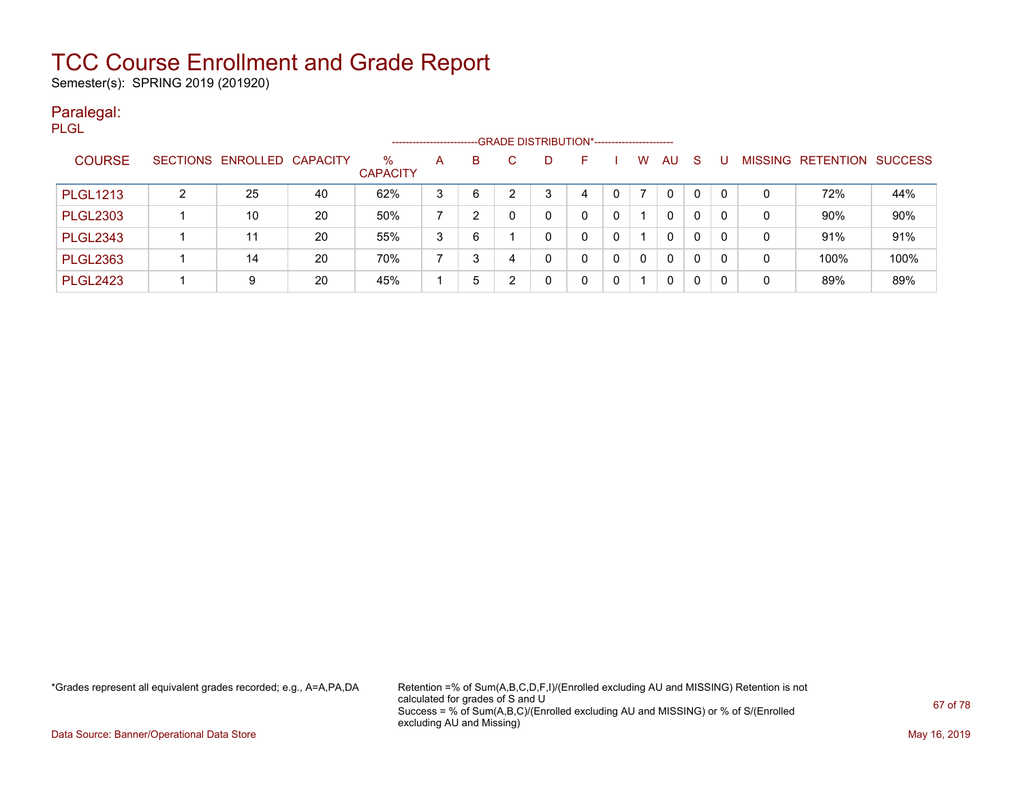Semester(s): SPRING 2019 (201920)

### Paralegal: PLGL

|                 |   |                            |    |                         | ---------------------- |   |   | -- GRADE DISTRIBUTION*------------------------ |    |              |   |    |    |   |              |                   |                |
|-----------------|---|----------------------------|----|-------------------------|------------------------|---|---|------------------------------------------------|----|--------------|---|----|----|---|--------------|-------------------|----------------|
| <b>COURSE</b>   |   | SECTIONS ENROLLED CAPACITY |    | $\%$<br><b>CAPACITY</b> | A                      | B |   | D.                                             | н. |              | W | AU | -S | U |              | MISSING RETENTION | <b>SUCCESS</b> |
| <b>PLGL1213</b> | າ | 25                         | 40 | 62%                     | 3                      | 6 |   |                                                | 4  |              |   | 0  | 0  | 0 | 0            | 72%               | 44%            |
| <b>PLGL2303</b> |   | 10                         | 20 | 50%                     |                        | っ |   |                                                |    |              |   | 0  | 0  | 0 | $\mathbf{0}$ | 90%               | 90%            |
| <b>PLGL2343</b> |   | 11                         | 20 | 55%                     | 3                      | 6 |   |                                                |    |              |   | 0  | 0  | 0 | 0            | 91%               | 91%            |
| <b>PLGL2363</b> |   | 14                         | 20 | 70%                     |                        | 3 | 4 |                                                |    | <sup>0</sup> | 0 | 0  | 0  | 0 | 0            | 100%              | 100%           |
| <b>PLGL2423</b> |   | 9                          | 20 | 45%                     |                        | 5 |   |                                                |    |              |   | 0  | 0  | 0 | 0            | 89%               | 89%            |

\*Grades represent all equivalent grades recorded; e.g., A=A,PA,DA Retention =% of Sum(A,B,C,D,F,I)/(Enrolled excluding AU and MISSING) Retention is not calculated for grades of S and U Success = % of Sum(A,B,C)/(Enrolled excluding AU and MISSING) or % of S/(Enrolled excluding AU and Missing)

Data Source: Banner/Operational Data Store May 16, 2019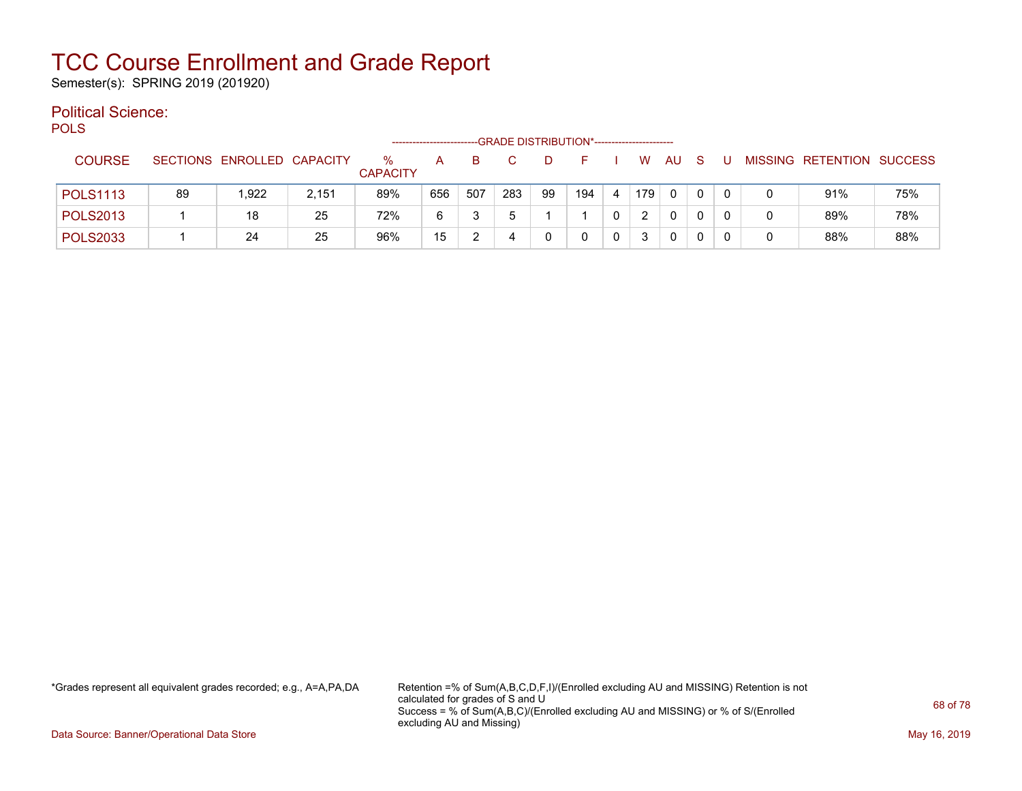Semester(s): SPRING 2019 (201920)

#### Political Science: POLS

| - ULU           |    |                            |       |                      |     |     | -GRADE DISTRIBUTION*----------------------- |    |     |   |     |              |   |   |   |                           |     |
|-----------------|----|----------------------------|-------|----------------------|-----|-----|---------------------------------------------|----|-----|---|-----|--------------|---|---|---|---------------------------|-----|
| <b>COURSE</b>   |    | SECTIONS ENROLLED CAPACITY |       | %<br><b>CAPACITY</b> | А   | в   |                                             |    |     |   | W   | AU           | S |   |   | MISSING RETENTION SUCCESS |     |
| <b>POLS1113</b> | 89 | 1.922                      | 2,151 | 89%                  | 656 | 507 | 283                                         | 99 | 194 | 4 | 179 | $\mathbf{0}$ | 0 | 0 |   | 91%                       | 75% |
| <b>POLS2013</b> |    | 18                         | 25    | 72%                  | 6   |     |                                             |    |     |   | 2   | 0            | 0 |   | 0 | 89%                       | 78% |
| <b>POLS2033</b> |    | 24                         | 25    | 96%                  | 15  |     | 4                                           |    |     | 0 | 3   | 0            | 0 |   | 0 | 88%                       | 88% |

\*Grades represent all equivalent grades recorded; e.g., A=A,PA,DA Retention =% of Sum(A,B,C,D,F,I)/(Enrolled excluding AU and MISSING) Retention is not calculated for grades of S and U Success = % of Sum(A,B,C)/(Enrolled excluding AU and MISSING) or % of S/(Enrolled excluding AU and Missing)

Data Source: Banner/Operational Data Store May 16, 2019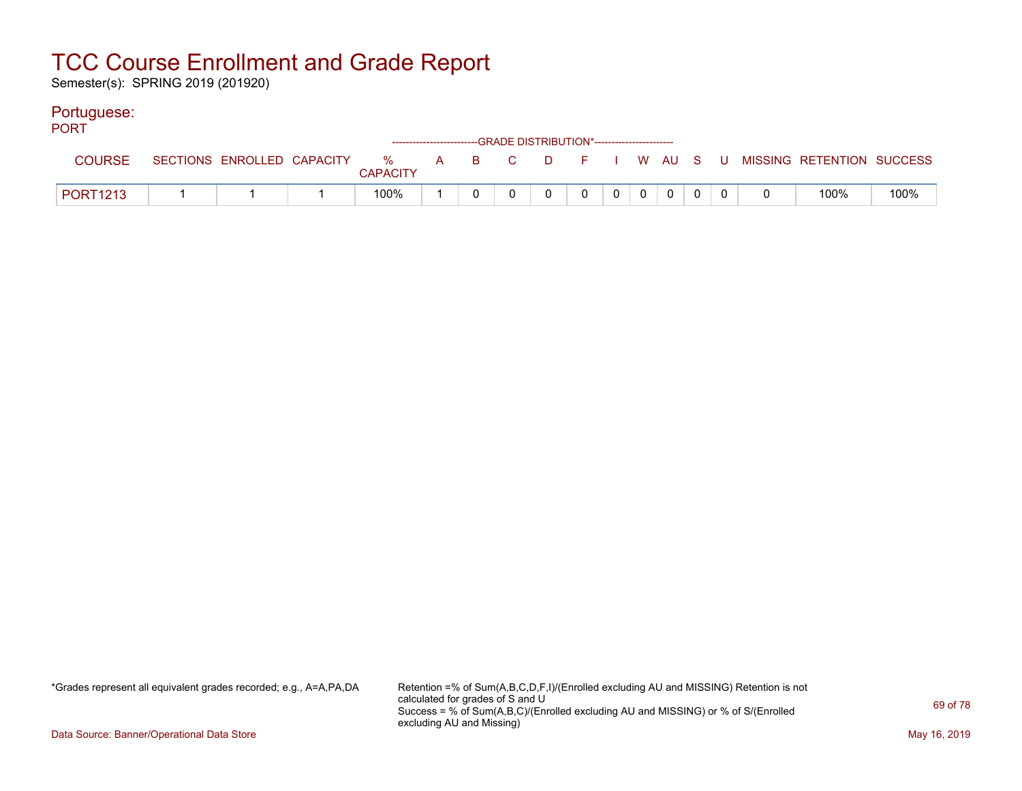Semester(s): SPRING 2019 (201920)

### Portuguese:

| <b>PORT</b>     |  |                 |  | ------------------------GRADE DISTRIBUTION*----------------------- |                |                |       |             |  |                                                                             |      |
|-----------------|--|-----------------|--|--------------------------------------------------------------------|----------------|----------------|-------|-------------|--|-----------------------------------------------------------------------------|------|
| COURSE          |  | <b>CAPACITY</b> |  |                                                                    |                |                |       |             |  | SECTIONS ENROLLED CAPACITY % A B C D F I W AU S U MISSING RETENTION SUCCESS |      |
| <b>PORT1213</b> |  | 100%            |  |                                                                    | $\overline{0}$ | $\overline{0}$ | $0$ 0 | $\mathbf 0$ |  | 100%                                                                        | 100% |

\*Grades represent all equivalent grades recorded; e.g., A=A,PA,DA Retention =% of Sum(A,B,C,D,F,I)/(Enrolled excluding AU and MISSING) Retention is not calculated for grades of S and U Success = % of Sum(A,B,C)/(Enrolled excluding AU and MISSING) or % of S/(Enrolled excluding AU and Missing)

Data Source: Banner/Operational Data Store May 16, 2019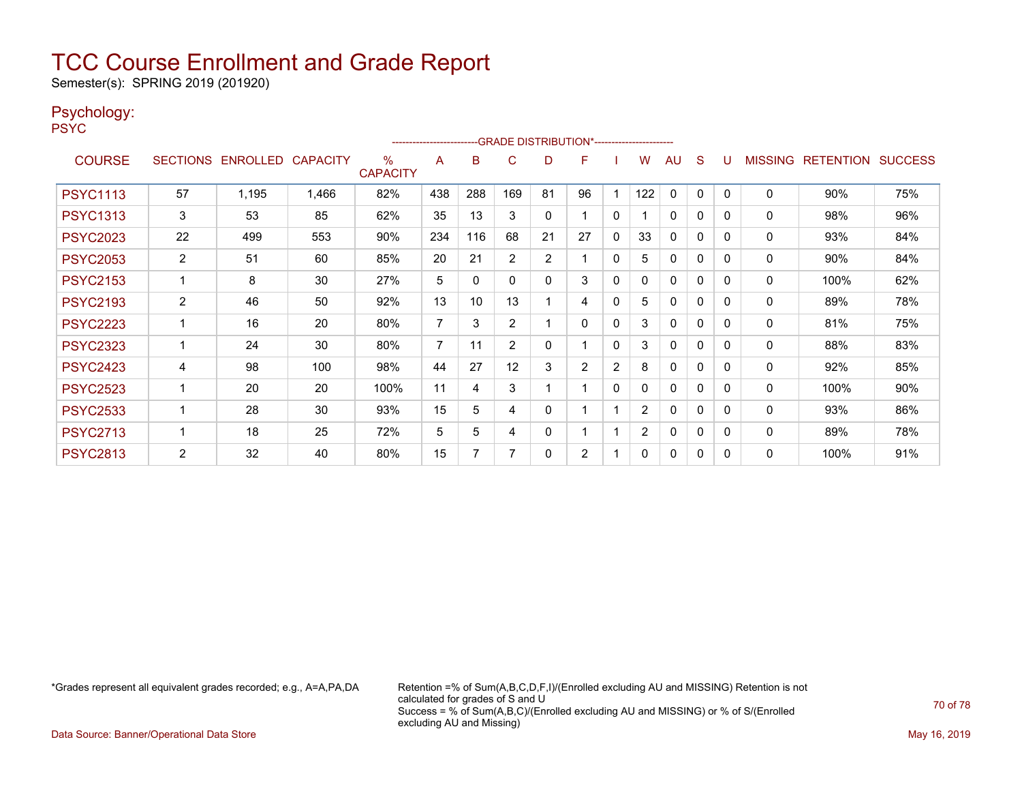Semester(s): SPRING 2019 (201920)

### Psychology:

PSYC

|                 |                 |                   |       |                         | ------------------------ |     | -GRADE DISTRIBUTION*----------------------- |                |                |              |                |              |          |              |                |                  |                |
|-----------------|-----------------|-------------------|-------|-------------------------|--------------------------|-----|---------------------------------------------|----------------|----------------|--------------|----------------|--------------|----------|--------------|----------------|------------------|----------------|
| <b>COURSE</b>   | <b>SECTIONS</b> | ENROLLED CAPACITY |       | $\%$<br><b>CAPACITY</b> | A                        | B   | C                                           | D              | F              |              | w              | AU           | S        |              | <b>MISSING</b> | <b>RETENTION</b> | <b>SUCCESS</b> |
| <b>PSYC1113</b> | 57              | 1,195             | 1,466 | 82%                     | 438                      | 288 | 169                                         | 81             | 96             |              | 122            | 0            | 0        | $\Omega$     | $\Omega$       | 90%              | 75%            |
| <b>PSYC1313</b> | 3               | 53                | 85    | 62%                     | 35                       | 13  | 3                                           | 0              |                | $\mathbf{0}$ |                | $\mathbf{0}$ | 0        | $\Omega$     | 0              | 98%              | 96%            |
| <b>PSYC2023</b> | 22              | 499               | 553   | 90%                     | 234                      | 116 | 68                                          | 21             | 27             | $\mathbf{0}$ | 33             | 0            | 0        | $\Omega$     | 0              | 93%              | 84%            |
| <b>PSYC2053</b> | $\overline{2}$  | 51                | 60    | 85%                     | 20                       | 21  | 2                                           | $\overline{2}$ |                | $\mathbf{0}$ | 5              | $\mathbf{0}$ | 0        | $\Omega$     | 0              | 90%              | 84%            |
| <b>PSYC2153</b> |                 | 8                 | 30    | 27%                     | 5                        | 0   | 0                                           | 0              | 3              | $\mathbf{0}$ | 0              | 0            | 0        | $\Omega$     | 0              | 100%             | 62%            |
| <b>PSYC2193</b> | $\overline{2}$  | 46                | 50    | 92%                     | 13                       | 10  | 13                                          |                | 4              | $\mathbf{0}$ | 5              | 0            | $\Omega$ | 0            | 0              | 89%              | 78%            |
| <b>PSYC2223</b> |                 | 16                | 20    | 80%                     | $\overline{7}$           | 3   | 2                                           |                | 0              | $\mathbf{0}$ | 3              | $\mathbf{0}$ | 0        | $\Omega$     | 0              | 81%              | 75%            |
| <b>PSYC2323</b> |                 | 24                | 30    | 80%                     | $\overline{7}$           | 11  | $\overline{2}$                              | 0              |                | $\mathbf{0}$ | 3              | 0            | 0        | $\Omega$     | 0              | 88%              | 83%            |
| <b>PSYC2423</b> | 4               | 98                | 100   | 98%                     | 44                       | 27  | 12                                          | 3              | $\overline{2}$ | 2            | 8              | 0            | 0        | $\Omega$     | 0              | 92%              | 85%            |
| <b>PSYC2523</b> |                 | 20                | 20    | 100%                    | 11                       | 4   | 3                                           |                |                | $\mathbf{0}$ | 0              | $\Omega$     | 0        | $\Omega$     | 0              | 100%             | 90%            |
| <b>PSYC2533</b> |                 | 28                | 30    | 93%                     | 15                       | 5   | 4                                           | 0              |                |              | $\overline{2}$ | $\Omega$     | $\Omega$ | <sup>0</sup> | 0              | 93%              | 86%            |
| <b>PSYC2713</b> |                 | 18                | 25    | 72%                     | 5                        | 5   | 4                                           | 0              |                |              | $\overline{2}$ | 0            | $\Omega$ | $\Omega$     | 0              | 89%              | 78%            |
| <b>PSYC2813</b> | $\overline{2}$  | 32                | 40    | 80%                     | 15                       | 7   | 7                                           | 0              | $\overline{2}$ |              | 0              | 0            | 0        | $\Omega$     | 0              | 100%             | 91%            |

\*Grades represent all equivalent grades recorded; e.g., A=A,PA,DA Retention =% of Sum(A,B,C,D,F,I)/(Enrolled excluding AU and MISSING) Retention is not calculated for grades of S and U Success = % of Sum(A,B,C)/(Enrolled excluding AU and MISSING) or % of S/(Enrolled excluding AU and Missing)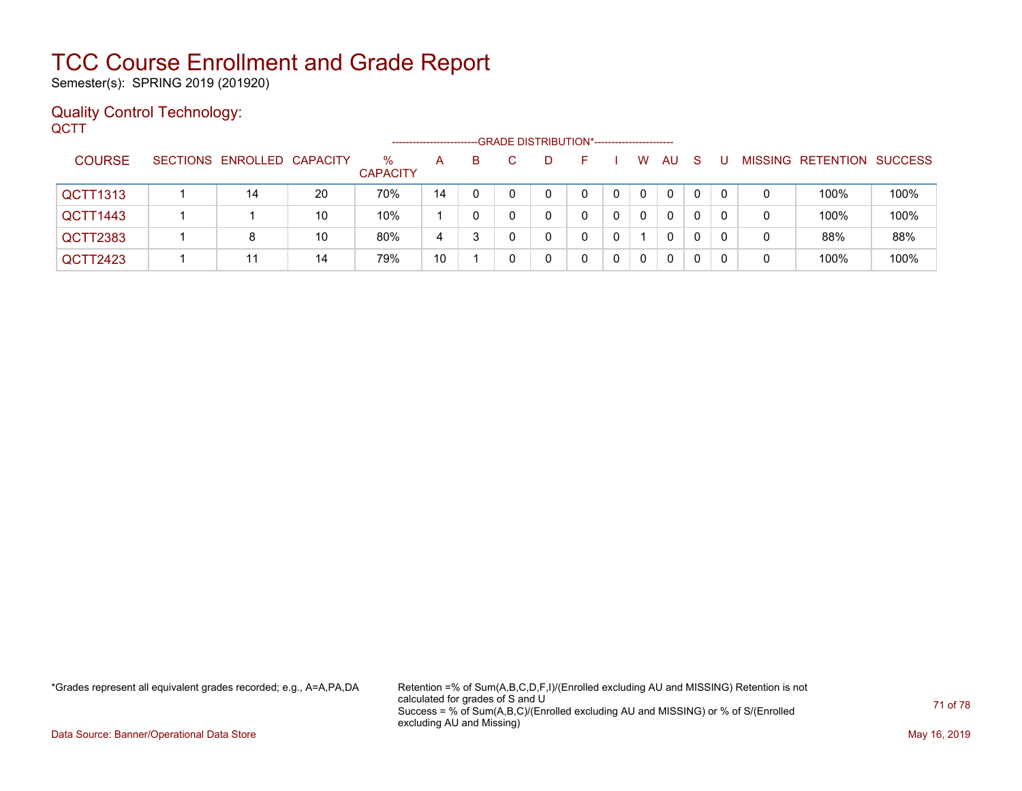Semester(s): SPRING 2019 (201920)

### Quality Control Technology: **QCTT**

|                 | -GRADE DISTRIBUTION*-----------------------<br>------------------------ |                            |    |                         |    |    |  |  |  |   |              |    |              |          |   |                          |                |
|-----------------|-------------------------------------------------------------------------|----------------------------|----|-------------------------|----|----|--|--|--|---|--------------|----|--------------|----------|---|--------------------------|----------------|
| <b>COURSE</b>   |                                                                         | SECTIONS ENROLLED CAPACITY |    | $\%$<br><b>CAPACITY</b> | A  | B. |  |  |  |   | W            | AU | <sub>S</sub> |          |   | <b>MISSING RETENTION</b> | <b>SUCCESS</b> |
| <b>QCTT1313</b> |                                                                         | 14                         | 20 | 70%                     | 14 | 0  |  |  |  |   | $\mathbf{0}$ | 0  | $\mathbf{0}$ | $\Omega$ | 0 | 100%                     | 100%           |
| QCTT1443        |                                                                         |                            | 10 | 10%                     |    | 0  |  |  |  |   | $\Omega$     | 0  | 0            | 0        | 0 | 100%                     | 100%           |
| QCTT2383        |                                                                         | 8                          | 10 | 80%                     | 4  | 3  |  |  |  |   |              | 0  | 0            | $\Omega$ | 0 | 88%                      | 88%            |
| QCTT2423        |                                                                         | 11                         | 14 | 79%                     | 10 |    |  |  |  | 0 |              |    | 0            | 0        | 0 | 100%                     | 100%           |

\*Grades represent all equivalent grades recorded; e.g., A=A,PA,DA Retention =% of Sum(A,B,C,D,F,I)/(Enrolled excluding AU and MISSING) Retention is not calculated for grades of S and U Success = % of Sum(A,B,C)/(Enrolled excluding AU and MISSING) or % of S/(Enrolled excluding AU and Missing)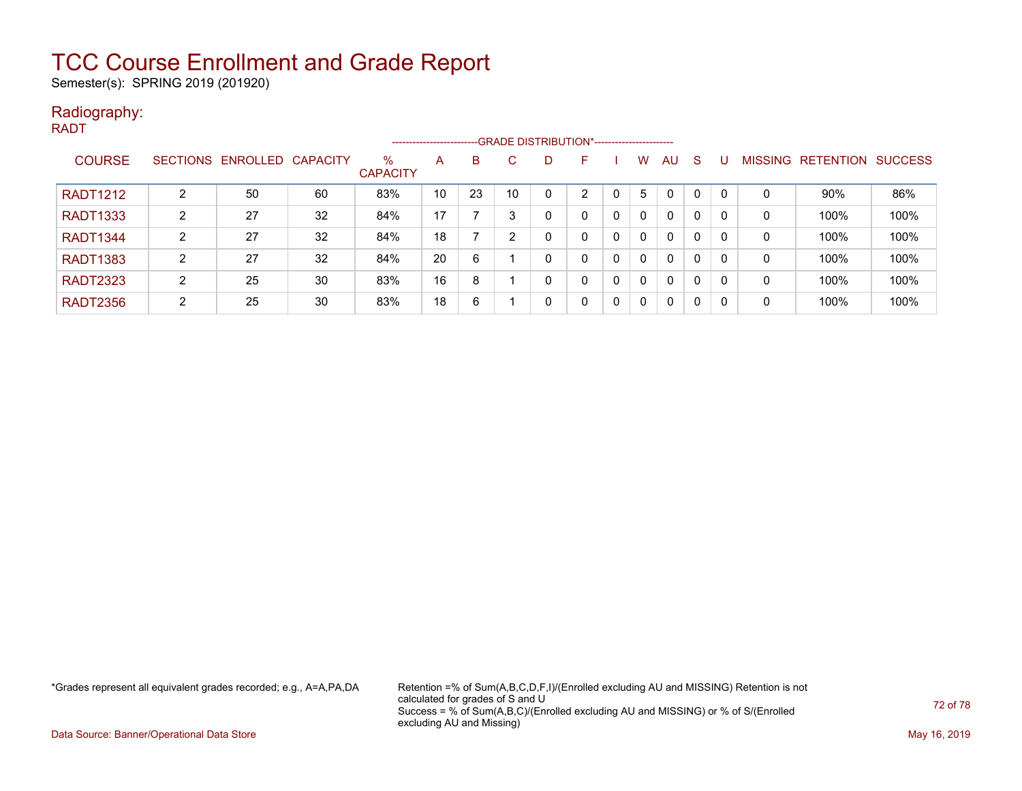Semester(s): SPRING 2019 (201920)

### Radiography: RADT

|                 | --GRADE DISTRIBUTION*-----------------------<br>---------------------- |          |          |                         |    |    |    |   |   |              |          |              |              |          |                |                  |                |
|-----------------|------------------------------------------------------------------------|----------|----------|-------------------------|----|----|----|---|---|--------------|----------|--------------|--------------|----------|----------------|------------------|----------------|
| <b>COURSE</b>   | <b>SECTIONS</b>                                                        | ENROLLED | CAPACITY | $\%$<br><b>CAPACITY</b> | A  | B  | C. | D | F |              | W        | AU           | <sub>S</sub> |          | <b>MISSING</b> | <b>RETENTION</b> | <b>SUCCESS</b> |
| <b>RADT1212</b> | $\overline{2}$                                                         | 50       | 60       | 83%                     | 10 | 23 | 10 | 0 | າ | 0            | 5        | $\mathbf{0}$ | 0            | $\Omega$ | 0              | 90%              | 86%            |
| <b>RADT1333</b> | 2                                                                      | 27       | 32       | 84%                     | 17 |    |    | 0 | 0 | $\mathbf{0}$ | $\Omega$ | $\mathbf{0}$ | 0            |          | 0              | 100%             | 100%           |
| <b>RADT1344</b> | 2                                                                      | 27       | 32       | 84%                     | 18 |    | ົ  | 0 | 0 | $\mathbf{0}$ | $\Omega$ | $\mathbf{0}$ | 0            |          | 0              | 100%             | 100%           |
| <b>RADT1383</b> | 2                                                                      | 27       | 32       | 84%                     | 20 | 6  |    | 0 | 0 | $\mathbf{0}$ | $\Omega$ | $\mathbf{0}$ | 0            | $\Omega$ | 0              | 100%             | 100%           |
| <b>RADT2323</b> | 2                                                                      | 25       | 30       | 83%                     | 16 | 8  |    | 0 | 0 | $\Omega$     | $\Omega$ | $\mathbf{0}$ | 0            | -C       | 0              | 100%             | 100%           |
| <b>RADT2356</b> | $\overline{2}$                                                         | 25       | 30       | 83%                     | 18 | 6  |    | 0 | 0 | 0            | $\Omega$ | 0            | 0            | -0       | 0              | 100%             | 100%           |

\*Grades represent all equivalent grades recorded; e.g., A=A,PA,DA Retention =% of Sum(A,B,C,D,F,I)/(Enrolled excluding AU and MISSING) Retention is not calculated for grades of S and U Success = % of Sum(A,B,C)/(Enrolled excluding AU and MISSING) or % of S/(Enrolled excluding AU and Missing)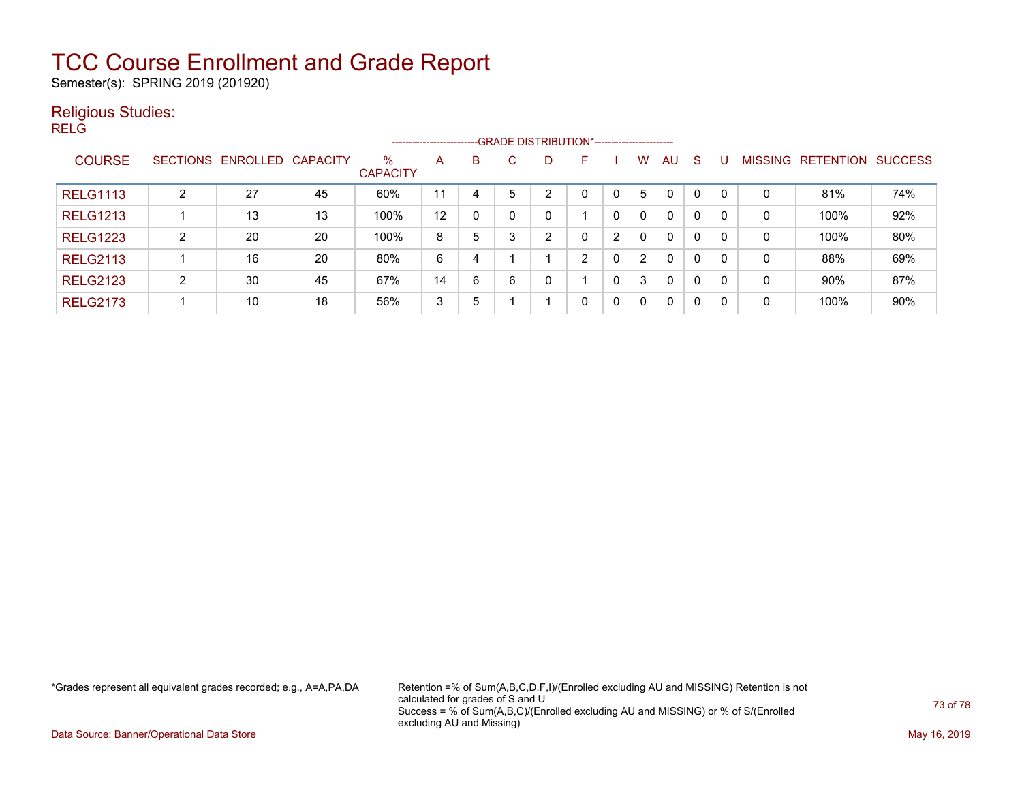Semester(s): SPRING 2019 (201920)

#### Religious Studies:

RELG

|                 | -- GRADE DISTRIBUTION*------------------------<br>----------------------- |                            |    |                         |    |   |    |    |   |   |                |              |              |   |              |                   |                |
|-----------------|---------------------------------------------------------------------------|----------------------------|----|-------------------------|----|---|----|----|---|---|----------------|--------------|--------------|---|--------------|-------------------|----------------|
| <b>COURSE</b>   |                                                                           | SECTIONS ENROLLED CAPACITY |    | $\%$<br><b>CAPACITY</b> | A  | B | C. | D. | F |   | w              | AU           | <sub>S</sub> |   |              | MISSING RETENTION | <b>SUCCESS</b> |
| <b>RELG1113</b> | $\overline{2}$                                                            | 27                         | 45 | 60%                     | 11 | 4 | 5  | n  | 0 |   | 5              | $\mathbf{0}$ | 0            |   | 0            | 81%               | 74%            |
| <b>RELG1213</b> |                                                                           | 13                         | 13 | 100%                    | 12 | 0 |    |    |   |   | 0              | $\mathbf{0}$ | $\Omega$     | 0 | $\mathbf{0}$ | 100%              | 92%            |
| <b>RELG1223</b> | $\overline{2}$                                                            | 20                         | 20 | 100%                    | 8  | 5 | 3  | ົ  | 0 | 2 | 0              | $\mathbf{0}$ | $\Omega$     | 0 | $\mathbf{0}$ | 100%              | 80%            |
| <b>RELG2113</b> |                                                                           | 16                         | 20 | 80%                     | 6  | 4 |    |    | ົ | 0 | $\overline{2}$ | $\mathbf{0}$ | 0            | 0 | $\mathbf{0}$ | 88%               | 69%            |
| <b>RELG2123</b> | 2                                                                         | 30                         | 45 | 67%                     | 14 | 6 | 6  | 0  |   | 0 | 3              | $\mathbf 0$  | $\Omega$     | 0 | 0            | 90%               | 87%            |
| <b>RELG2173</b> |                                                                           | 10                         | 18 | 56%                     | 3  | 5 |    |    | 0 | 0 | 0              | 0            | 0            |   | 0            | 100%              | 90%            |

\*Grades represent all equivalent grades recorded; e.g., A=A,PA,DA Retention =% of Sum(A,B,C,D,F,I)/(Enrolled excluding AU and MISSING) Retention is not calculated for grades of S and U Success = % of Sum(A,B,C)/(Enrolled excluding AU and MISSING) or % of S/(Enrolled excluding AU and Missing)

Data Source: Banner/Operational Data Store May 16, 2019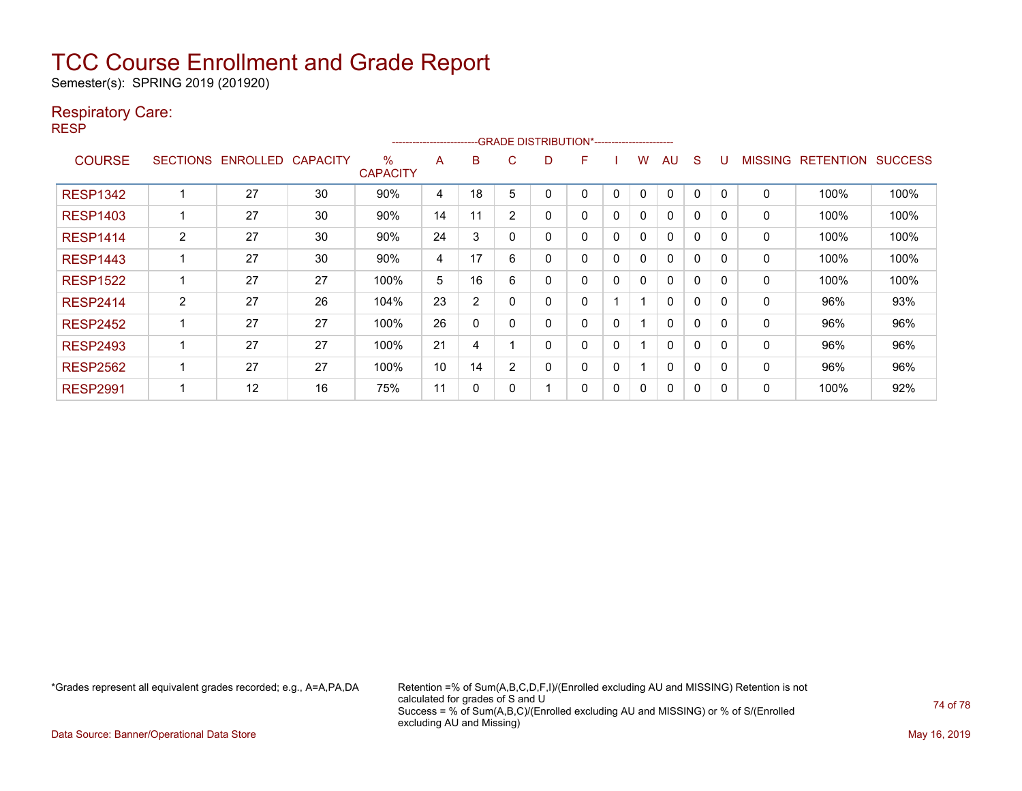Semester(s): SPRING 2019 (201920)

#### Respiratory Care:

RESP

|                 | -- GRADE DISTRIBUTION*------------------------<br>---------------------- |                 |                 |                         |    |                |                |          |   |          |   |              |          |          |                |                  |                |
|-----------------|--------------------------------------------------------------------------|-----------------|-----------------|-------------------------|----|----------------|----------------|----------|---|----------|---|--------------|----------|----------|----------------|------------------|----------------|
| <b>COURSE</b>   | <b>SECTIONS</b>                                                          | <b>ENROLLED</b> | <b>CAPACITY</b> | $\%$<br><b>CAPACITY</b> | A  | B              | C              | D        | F |          | W | AU           | S        |          | <b>MISSING</b> | <b>RETENTION</b> | <b>SUCCESS</b> |
| <b>RESP1342</b> |                                                                          | 27              | 30              | 90%                     | 4  | 18             | 5              |          | 0 | 0        | 0 | 0            | $\Omega$ | 0        | 0              | 100%             | 100%           |
| <b>RESP1403</b> |                                                                          | 27              | 30              | 90%                     | 14 | 11             | $\overline{2}$ | 0        | 0 | 0        | 0 | $\mathbf{0}$ | 0        | 0        | 0              | 100%             | 100%           |
| <b>RESP1414</b> | $\overline{2}$                                                           | 27              | 30              | 90%                     | 24 | 3              | 0              | 0        | 0 | 0        | 0 | $\Omega$     | $\Omega$ | $\Omega$ | 0              | 100%             | 100%           |
| <b>RESP1443</b> |                                                                          | 27              | 30              | 90%                     | 4  | 17             | 6              | $\Omega$ | 0 | 0        | 0 | $\mathbf{0}$ | $\Omega$ | $\Omega$ | 0              | 100%             | 100%           |
| <b>RESP1522</b> |                                                                          | 27              | 27              | 100%                    | 5  | 16             | 6              | 0        | 0 | $\Omega$ | 0 | $\mathbf{0}$ | $\Omega$ | $\Omega$ | 0              | 100%             | 100%           |
| <b>RESP2414</b> | $\overline{2}$                                                           | 27              | 26              | 104%                    | 23 | $\overline{2}$ | 0              | $\Omega$ | 0 |          |   | $\Omega$     | $\Omega$ | $\Omega$ | 0              | 96%              | 93%            |
| <b>RESP2452</b> |                                                                          | 27              | 27              | 100%                    | 26 | 0              | 0              | 0        | 0 | 0        |   | $\mathbf{0}$ | $\Omega$ | 0        | $\mathbf{0}$   | 96%              | 96%            |
| <b>RESP2493</b> |                                                                          | 27              | 27              | 100%                    | 21 | 4              |                | 0        | 0 | 0        |   | $\mathbf{0}$ | 0        | 0        | 0              | 96%              | 96%            |
| <b>RESP2562</b> |                                                                          | 27              | 27              | 100%                    | 10 | 14             | $\overline{2}$ | 0        | 0 | 0        |   | $\Omega$     | 0        | 0        | 0              | 96%              | 96%            |
| <b>RESP2991</b> |                                                                          | 12              | 16              | 75%                     | 11 | 0              |                |          | 0 | 0        | 0 | 0            | 0        | 0        | 0              | 100%             | 92%            |

\*Grades represent all equivalent grades recorded; e.g., A=A,PA,DA Retention =% of Sum(A,B,C,D,F,I)/(Enrolled excluding AU and MISSING) Retention is not calculated for grades of S and U Success = % of Sum(A,B,C)/(Enrolled excluding AU and MISSING) or % of S/(Enrolled excluding AU and Missing)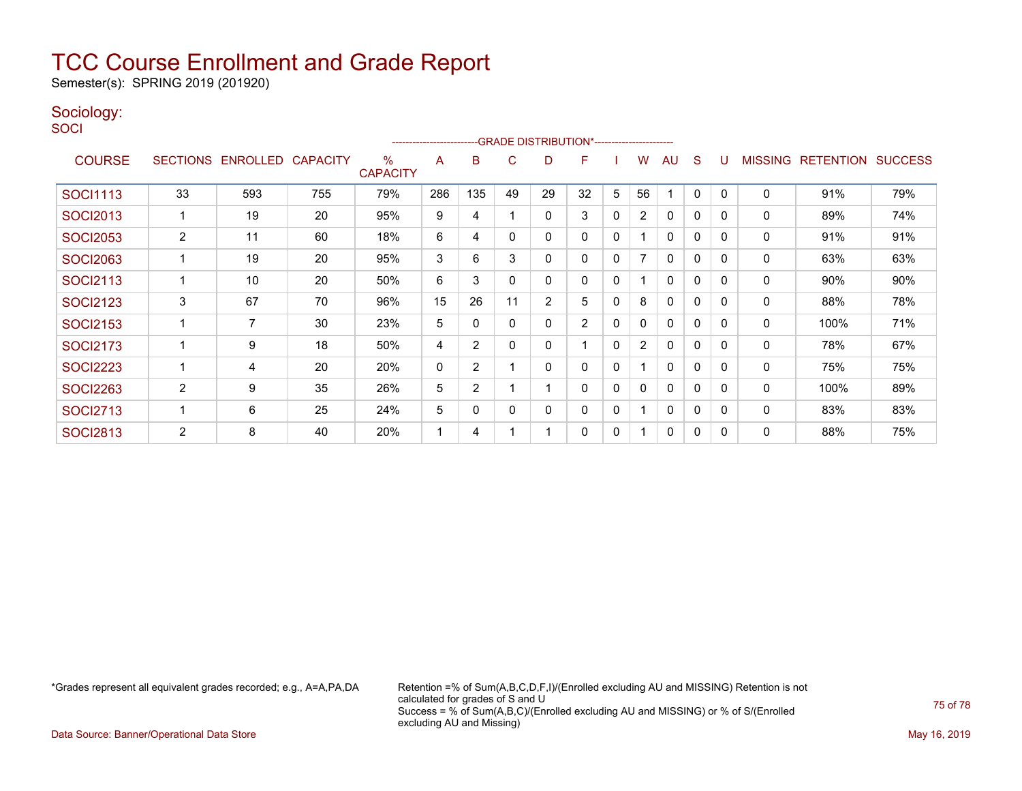Semester(s): SPRING 2019 (201920)

#### Sociology:

**SOCI** 

| --GRADE DISTRIBUTION*-----------------------<br>----------------------- |                       |                 |                 |                         |     |                |    |                |                |              |                |              |              |          |                |                  |                |
|-------------------------------------------------------------------------|-----------------------|-----------------|-----------------|-------------------------|-----|----------------|----|----------------|----------------|--------------|----------------|--------------|--------------|----------|----------------|------------------|----------------|
| <b>COURSE</b>                                                           | <b>SECTIONS</b>       | <b>ENROLLED</b> | <b>CAPACITY</b> | $\%$<br><b>CAPACITY</b> | A   | B              | С  | D              | F              |              | W              | AU           | S            |          | <b>MISSING</b> | <b>RETENTION</b> | <b>SUCCESS</b> |
| <b>SOCI1113</b>                                                         | 33                    | 593             | 755             | 79%                     | 286 | 135            | 49 | 29             | 32             | 5            | 56             |              | 0            | $\Omega$ | $\mathbf 0$    | 91%              | 79%            |
| <b>SOCI2013</b>                                                         |                       | 19              | 20              | 95%                     | 9   | 4              |    | 0              | 3              | 0            | $\overline{2}$ | 0            | 0            | $\Omega$ | 0              | 89%              | 74%            |
| <b>SOCI2053</b>                                                         | $\mathbf{2}^{\prime}$ | 11              | 60              | 18%                     | 6   | 4              | 0  | 0              | 0              | 0            |                | 0            | $\mathbf{0}$ | $\Omega$ | 0              | 91%              | 91%            |
| <b>SOCI2063</b>                                                         |                       | 19              | 20              | 95%                     | 3   | 6              | 3  | 0              | 0              | $\mathbf{0}$ | 7              | 0            | 0            | $\Omega$ | 0              | 63%              | 63%            |
| <b>SOCI2113</b>                                                         |                       | 10              | 20              | 50%                     | 6   | 3              | 0  | 0              | 0              | 0            |                | 0            | 0            | $\Omega$ | 0              | 90%              | 90%            |
| <b>SOCI2123</b>                                                         | 3                     | 67              | 70              | 96%                     | 15  | 26             | 11 | $\overline{2}$ | 5              | $\Omega$     | 8              | 0            | 0            | $\Omega$ | 0              | 88%              | 78%            |
| <b>SOCI2153</b>                                                         |                       | $\overline{7}$  | 30              | 23%                     | 5   | 0              | 0  | 0              | $\overline{2}$ | 0            | 0              | $\mathbf{0}$ | $\mathbf 0$  | $\Omega$ | $\mathbf 0$    | 100%             | 71%            |
| <b>SOCI2173</b>                                                         |                       | 9               | 18              | 50%                     | 4   | $\overline{2}$ | 0  | 0              |                | $\Omega$     | $\overline{2}$ | 0            | 0            | $\Omega$ | 0              | 78%              | 67%            |
| <b>SOCI2223</b>                                                         |                       | 4               | 20              | 20%                     | 0   | $\overline{2}$ |    | 0              | 0              | $\Omega$     |                | $\mathbf{0}$ | $\mathbf{0}$ | $\Omega$ | $\mathbf 0$    | 75%              | 75%            |
| <b>SOCI2263</b>                                                         | $\overline{2}$        | 9               | 35              | 26%                     | 5   | $\overline{2}$ |    |                | 0              | 0            | $\mathbf{0}$   | $\mathbf{0}$ | $\mathbf 0$  | $\Omega$ | 0              | 100%             | 89%            |
| <b>SOCI2713</b>                                                         |                       | 6               | 25              | 24%                     | 5   | 0              | 0  | 0              | 0              | $\mathbf{0}$ |                | $\mathbf{0}$ | 0            | $\Omega$ | 0              | 83%              | 83%            |
| <b>SOCI2813</b>                                                         | $\overline{2}$        | 8               | 40              | 20%                     |     | 4              |    |                | 0              | 0            |                | 0            | 0            | $\Omega$ | 0              | 88%              | 75%            |

\*Grades represent all equivalent grades recorded; e.g., A=A,PA,DA Retention =% of Sum(A,B,C,D,F,I)/(Enrolled excluding AU and MISSING) Retention is not calculated for grades of S and U Success = % of Sum(A,B,C)/(Enrolled excluding AU and MISSING) or % of S/(Enrolled excluding AU and Missing)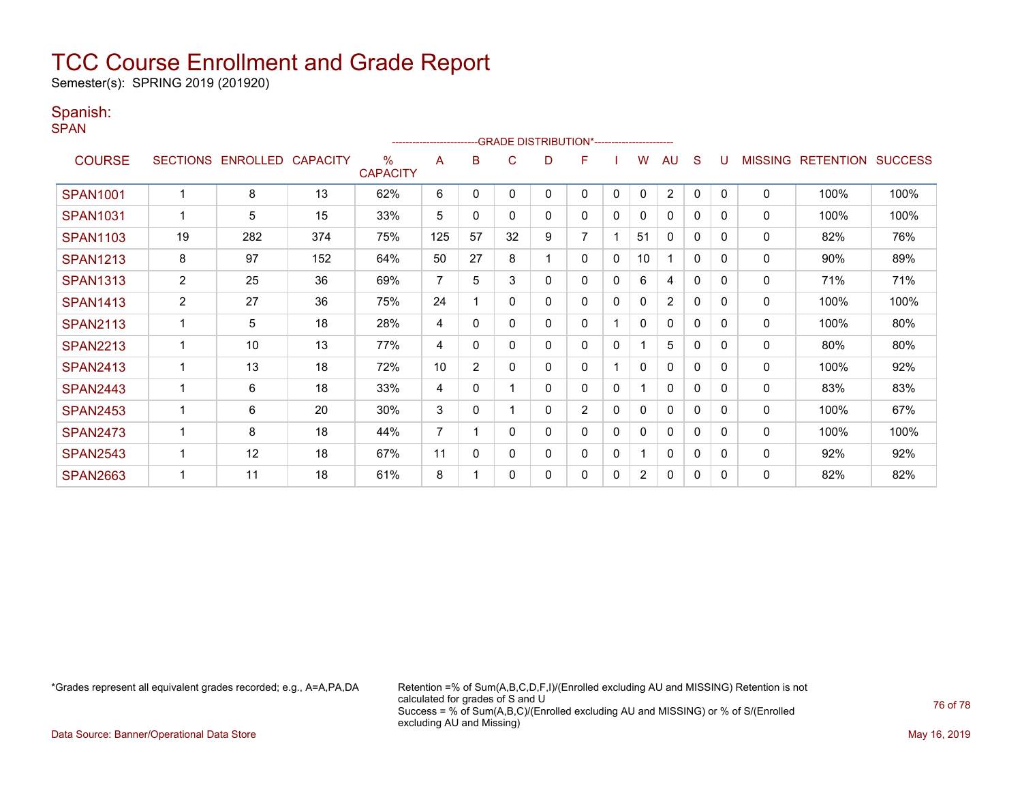Semester(s): SPRING 2019 (201920)

#### Spanish:

SPAN

|                 | -- GRADE DISTRIBUTION*----------------------- |                   |                 |                         |                 |                |          |   |                |              |                |                |              |          |                |                  |                |
|-----------------|-----------------------------------------------|-------------------|-----------------|-------------------------|-----------------|----------------|----------|---|----------------|--------------|----------------|----------------|--------------|----------|----------------|------------------|----------------|
| <b>COURSE</b>   |                                               | SECTIONS ENROLLED | <b>CAPACITY</b> | $\%$<br><b>CAPACITY</b> | A               | в              | C        | D | F              |              | W              | AU             | S            |          | <b>MISSING</b> | <b>RETENTION</b> | <b>SUCCESS</b> |
| <b>SPAN1001</b> |                                               | 8                 | 13              | 62%                     | 6               | $\mathbf{0}$   | $\Omega$ | 0 | 0              | $\mathbf{0}$ | $\mathbf{0}$   | $\overline{2}$ | $\mathbf{0}$ | $\Omega$ | $\mathbf 0$    | 100%             | 100%           |
| <b>SPAN1031</b> |                                               | 5                 | 15              | 33%                     | $5\phantom{.0}$ | 0              | 0        | 0 | 0              | 0            | 0              | $\mathbf{0}$   | 0            | $\Omega$ | 0              | 100%             | 100%           |
| <b>SPAN1103</b> | 19                                            | 282               | 374             | 75%                     | 125             | 57             | 32       | 9 | 7              |              | 51             | $\mathbf{0}$   | $\Omega$     | $\Omega$ | 0              | 82%              | 76%            |
| <b>SPAN1213</b> | 8                                             | 97                | 152             | 64%                     | 50              | 27             | 8        |   | 0              | 0            | 10             | 1              | $\Omega$     | $\Omega$ | 0              | 90%              | 89%            |
| <b>SPAN1313</b> | $\overline{c}$                                | 25                | 36              | 69%                     | $\overline{7}$  | 5              | 3        | 0 | 0              | 0            | 6              | 4              | 0            | $\Omega$ | $\mathbf 0$    | 71%              | 71%            |
| <b>SPAN1413</b> | $\overline{2}$                                | 27                | 36              | 75%                     | 24              |                | 0        | 0 | 0              | $\mathbf{0}$ | 0              | $\overline{2}$ | $\Omega$     | $\Omega$ | 0              | 100%             | 100%           |
| <b>SPAN2113</b> |                                               | 5                 | 18              | 28%                     | 4               | $\Omega$       | $\Omega$ | 0 | 0              |              | 0              | $\mathbf{0}$   | $\Omega$     | $\Omega$ | 0              | 100%             | 80%            |
| <b>SPAN2213</b> |                                               | 10                | 13              | 77%                     | 4               | $\Omega$       | 0        | 0 | 0              | $\mathbf{0}$ |                | 5              | $\mathbf{0}$ | $\Omega$ | $\mathbf 0$    | 80%              | 80%            |
| <b>SPAN2413</b> |                                               | 13                | 18              | 72%                     | 10              | $\overline{2}$ | 0        | 0 | 0              |              | 0              | $\mathbf{0}$   | $\Omega$     | $\Omega$ | 0              | 100%             | 92%            |
| <b>SPAN2443</b> |                                               | 6                 | 18              | 33%                     | 4               | $\Omega$       |          | 0 | 0              | 0            |                | $\mathbf{0}$   | 0            | $\Omega$ | 0              | 83%              | 83%            |
| <b>SPAN2453</b> |                                               | 6                 | 20              | 30%                     | 3               | $\Omega$       |          | 0 | $\overline{2}$ | 0            | 0              | $\mathbf{0}$   | 0            | $\Omega$ | $\mathbf{0}$   | 100%             | 67%            |
| <b>SPAN2473</b> |                                               | 8                 | 18              | 44%                     | $\overline{7}$  |                | 0        | 0 | 0              | $\Omega$     | 0              | $\mathbf{0}$   | $\Omega$     | $\Omega$ | 0              | 100%             | 100%           |
| <b>SPAN2543</b> |                                               | 12                | 18              | 67%                     | 11              | 0              | 0        | 0 | 0              | 0            |                | $\mathbf{0}$   | 0            | $\Omega$ | 0              | 92%              | 92%            |
| <b>SPAN2663</b> |                                               | 11                | 18              | 61%                     | 8               |                | $\Omega$ | 0 | 0              | 0            | $\overline{2}$ | 0              | 0            | $\Omega$ | $\mathbf{0}$   | 82%              | 82%            |

\*Grades represent all equivalent grades recorded; e.g., A=A,PA,DA Retention =% of Sum(A,B,C,D,F,I)/(Enrolled excluding AU and MISSING) Retention is not calculated for grades of S and U Success = % of Sum(A,B,C)/(Enrolled excluding AU and MISSING) or % of S/(Enrolled excluding AU and Missing)

Data Source: Banner/Operational Data Store May 16, 2019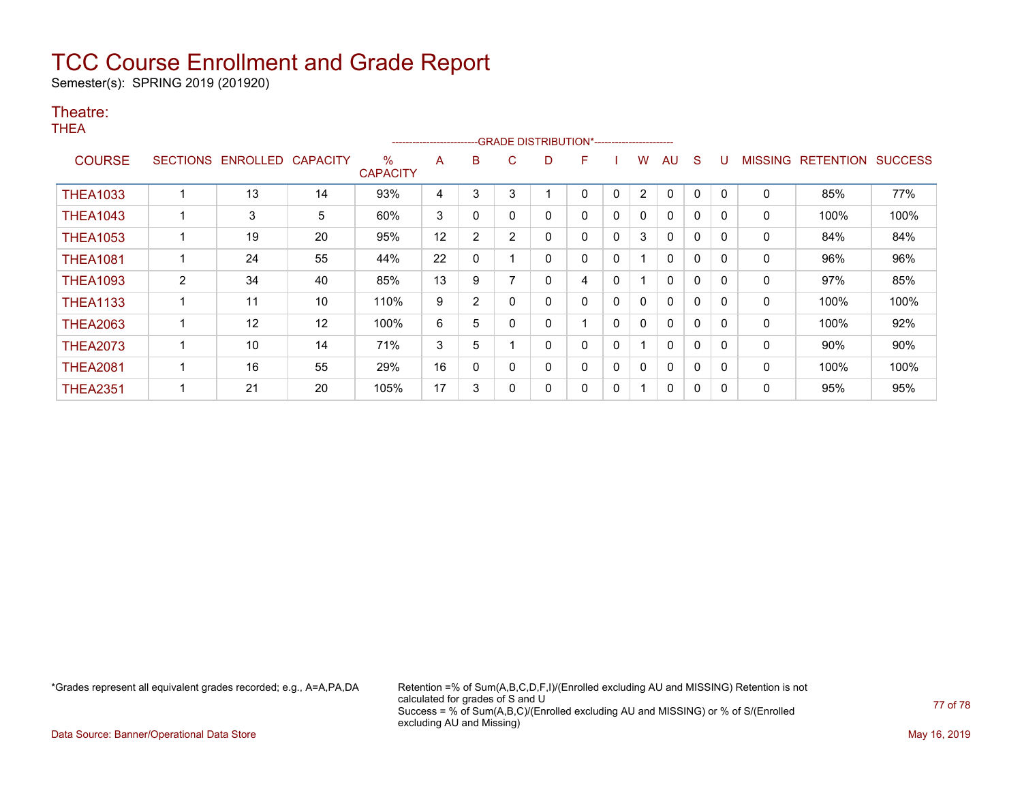Semester(s): SPRING 2019 (201920)

#### Theatre:

THEA

|                 | -GRADE DISTRIBUTION*-----------------------<br>---------------------- |          |                 |                         |    |                |                |   |   |              |                |              |   |          |                |                  |                |
|-----------------|-----------------------------------------------------------------------|----------|-----------------|-------------------------|----|----------------|----------------|---|---|--------------|----------------|--------------|---|----------|----------------|------------------|----------------|
| <b>COURSE</b>   | <b>SECTIONS</b>                                                       | ENROLLED | <b>CAPACITY</b> | $\%$<br><b>CAPACITY</b> | A  | B              | C              | D | F |              | w              | AU           | S |          | <b>MISSING</b> | <b>RETENTION</b> | <b>SUCCESS</b> |
| <b>THEA1033</b> |                                                                       | 13       | 14              | 93%                     | 4  | 3              | 3              |   | 0 | 0            | $\overline{2}$ | $\mathbf{0}$ | 0 | $\Omega$ | 0              | 85%              | 77%            |
| <b>THEA1043</b> |                                                                       | 3        | 5               | 60%                     | 3  | 0              | $\mathbf{0}$   | 0 | 0 | 0            | 0              | $\mathbf{0}$ | 0 | 0        | 0              | 100%             | 100%           |
| <b>THEA1053</b> |                                                                       | 19       | 20              | 95%                     | 12 | 2              | $\overline{2}$ |   | 0 | 0            | 3              | $\mathbf{0}$ | 0 | $\Omega$ | 0              | 84%              | 84%            |
| <b>THEA1081</b> |                                                                       | 24       | 55              | 44%                     | 22 | 0              |                | 0 | 0 | 0            |                | 0            | 0 | $\Omega$ | 0              | 96%              | 96%            |
| <b>THEA1093</b> | $\overline{2}$                                                        | 34       | 40              | 85%                     | 13 | 9              |                | 0 | 4 | 0            |                | $\mathbf{0}$ | 0 | $\Omega$ | 0              | 97%              | 85%            |
| <b>THEA1133</b> |                                                                       | 11       | 10              | 110%                    | 9  | $\overline{2}$ | $\Omega$       | 0 | 0 | $\mathbf{0}$ | $\mathbf{0}$   | $\mathbf{0}$ | 0 | $\Omega$ | 0              | 100%             | 100%           |
| <b>THEA2063</b> |                                                                       | 12       | 12              | 100%                    | 6  | 5              | $\Omega$       | 0 |   | 0            | $\mathbf{0}$   | $\mathbf{0}$ | 0 | $\Omega$ | $\Omega$       | 100%             | 92%            |
| <b>THEA2073</b> |                                                                       | 10       | 14              | 71%                     | 3  | 5              |                | ი | 0 | 0            |                | $\mathbf{0}$ | 0 | 0        | 0              | 90%              | 90%            |
| <b>THEA2081</b> |                                                                       | 16       | 55              | 29%                     | 16 | 0              | $\Omega$       | 0 | 0 | 0            | 0              | $\mathbf{0}$ | 0 | 0        | 0              | 100%             | 100%           |
| <b>THEA2351</b> |                                                                       | 21       | 20              | 105%                    | 17 | 3              | 0              |   | 0 | 0            |                | 0            | 0 | 0        | 0              | 95%              | 95%            |

\*Grades represent all equivalent grades recorded; e.g., A=A,PA,DA Retention =% of Sum(A,B,C,D,F,I)/(Enrolled excluding AU and MISSING) Retention is not calculated for grades of S and U Success = % of Sum(A,B,C)/(Enrolled excluding AU and MISSING) or % of S/(Enrolled excluding AU and Missing)